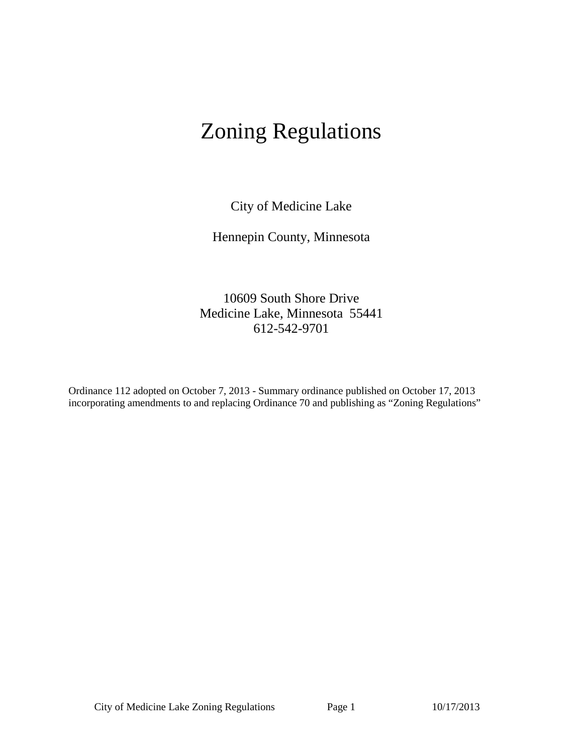# Zoning Regulations

City of Medicine Lake

Hennepin County, Minnesota

10609 South Shore Drive Medicine Lake, Minnesota 55441 612-542-9701

Ordinance 112 adopted on October 7, 2013 - Summary ordinance published on October 17, 2013 incorporating amendments to and replacing Ordinance 70 and publishing as "Zoning Regulations"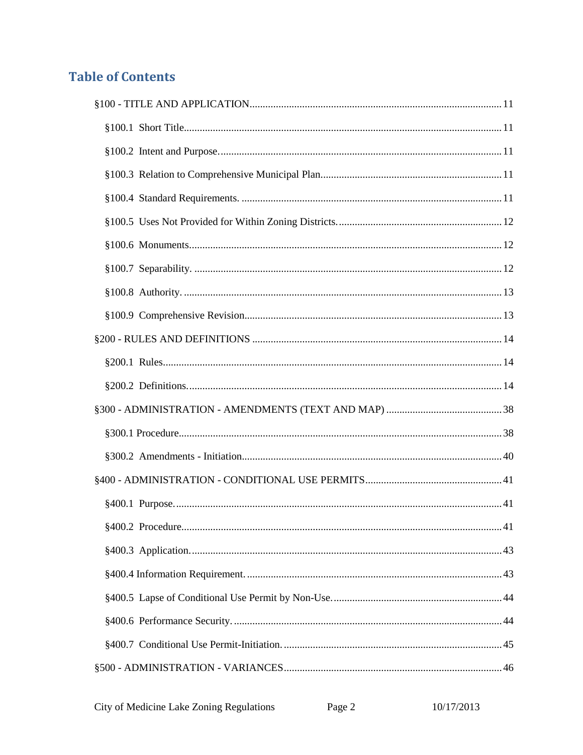# **Table of Contents**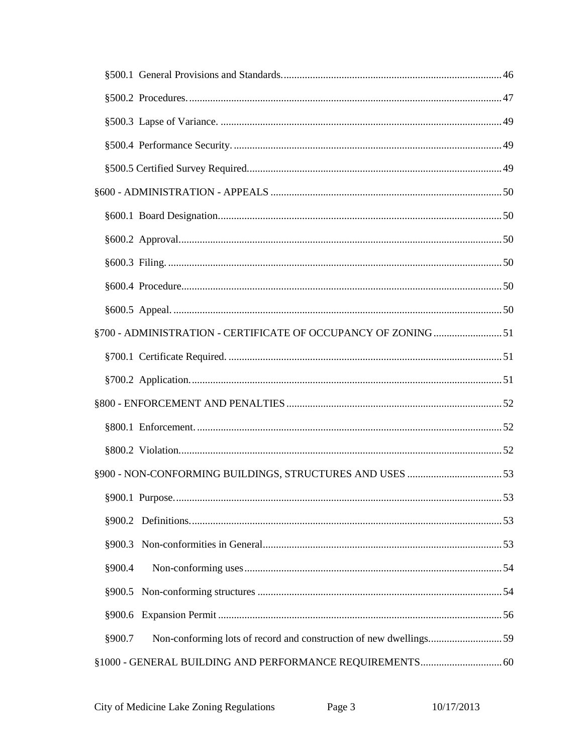|        | §700 - ADMINISTRATION - CERTIFICATE OF OCCUPANCY OF ZONING 51     |  |
|--------|-------------------------------------------------------------------|--|
|        |                                                                   |  |
|        |                                                                   |  |
|        |                                                                   |  |
|        |                                                                   |  |
|        |                                                                   |  |
|        |                                                                   |  |
|        |                                                                   |  |
|        |                                                                   |  |
|        |                                                                   |  |
| §900.4 |                                                                   |  |
|        |                                                                   |  |
|        |                                                                   |  |
| §900.7 | Non-conforming lots of record and construction of new dwellings59 |  |
|        |                                                                   |  |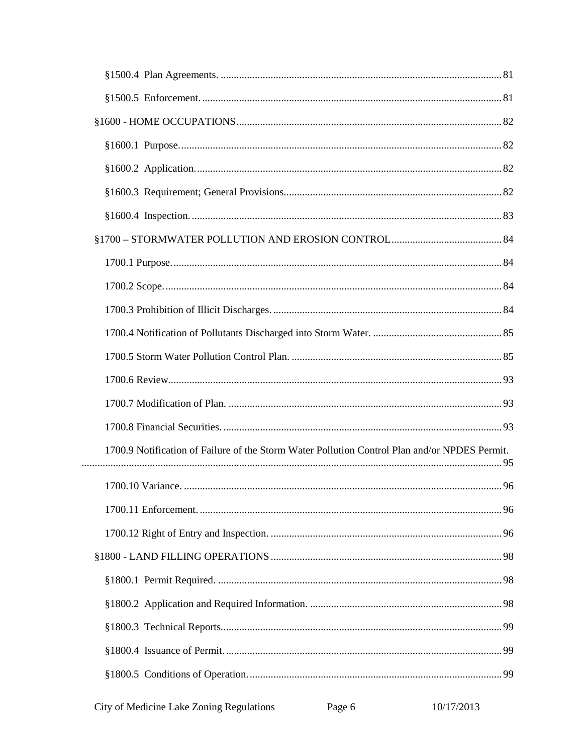| 1700.9 Notification of Failure of the Storm Water Pollution Control Plan and/or NPDES Permit. |        |            |
|-----------------------------------------------------------------------------------------------|--------|------------|
|                                                                                               |        |            |
|                                                                                               |        |            |
|                                                                                               |        |            |
|                                                                                               |        |            |
|                                                                                               |        |            |
|                                                                                               |        |            |
|                                                                                               |        |            |
|                                                                                               |        |            |
|                                                                                               |        |            |
|                                                                                               |        |            |
| City of Medicine Lake Zoning Regulations                                                      | Page 6 | 10/17/2013 |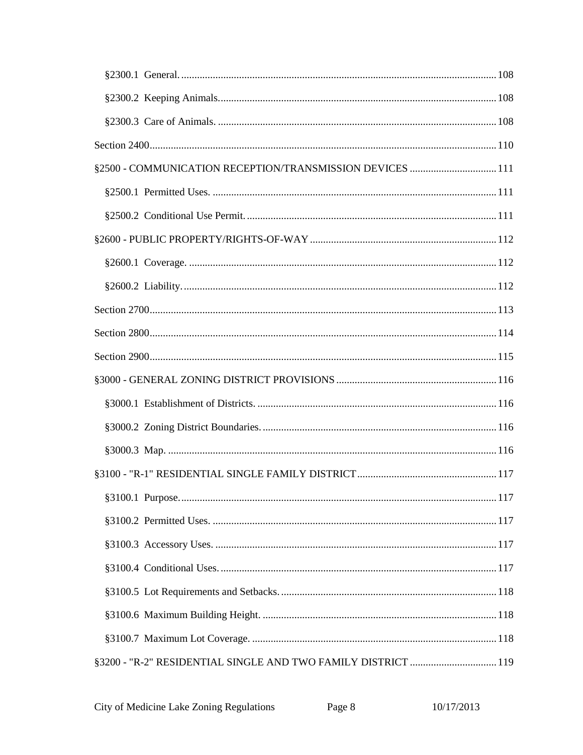| §2500 - COMMUNICATION RECEPTION/TRANSMISSION DEVICES  111     |
|---------------------------------------------------------------|
|                                                               |
|                                                               |
|                                                               |
|                                                               |
|                                                               |
|                                                               |
|                                                               |
|                                                               |
|                                                               |
|                                                               |
|                                                               |
|                                                               |
|                                                               |
|                                                               |
|                                                               |
|                                                               |
|                                                               |
|                                                               |
|                                                               |
|                                                               |
| §3200 - "R-2" RESIDENTIAL SINGLE AND TWO FAMILY DISTRICT  119 |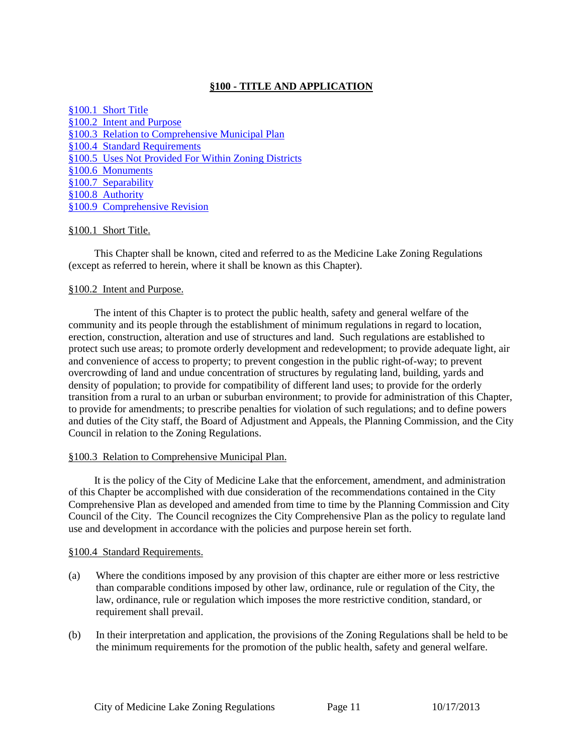# **§100 - TITLE AND APPLICATION**

<span id="page-10-0"></span>[§100.1 Short Title](#page-10-1) [§100.2 Intent and Purpose](#page-10-2) [§100.3 Relation to Comprehensive Municipal Plan](#page-10-3) [§100.4 Standard Requirements](#page-10-4) [§100.5 Uses Not Provided For Within Zoning Districts](#page-11-0) [§100.6 Monuments](#page-11-1) [§100.7 Separability](#page-11-2) [§100.8 Authority](#page-12-0) [§100.9 Comprehensive Revision](#page-12-1)

## <span id="page-10-1"></span>§100.1 Short Title.

This Chapter shall be known, cited and referred to as the Medicine Lake Zoning Regulations (except as referred to herein, where it shall be known as this Chapter).

## <span id="page-10-2"></span>§100.2 Intent and Purpose.

The intent of this Chapter is to protect the public health, safety and general welfare of the community and its people through the establishment of minimum regulations in regard to location, erection, construction, alteration and use of structures and land. Such regulations are established to protect such use areas; to promote orderly development and redevelopment; to provide adequate light, air and convenience of access to property; to prevent congestion in the public right-of-way; to prevent overcrowding of land and undue concentration of structures by regulating land, building, yards and density of population; to provide for compatibility of different land uses; to provide for the orderly transition from a rural to an urban or suburban environment; to provide for administration of this Chapter, to provide for amendments; to prescribe penalties for violation of such regulations; and to define powers and duties of the City staff, the Board of Adjustment and Appeals, the Planning Commission, and the City Council in relation to the Zoning Regulations.

## <span id="page-10-3"></span>§100.3 Relation to Comprehensive Municipal Plan.

It is the policy of the City of Medicine Lake that the enforcement, amendment, and administration of this Chapter be accomplished with due consideration of the recommendations contained in the City Comprehensive Plan as developed and amended from time to time by the Planning Commission and City Council of the City. The Council recognizes the City Comprehensive Plan as the policy to regulate land use and development in accordance with the policies and purpose herein set forth.

## <span id="page-10-4"></span>§100.4 Standard Requirements.

- (a) Where the conditions imposed by any provision of this chapter are either more or less restrictive than comparable conditions imposed by other law, ordinance, rule or regulation of the City, the law, ordinance, rule or regulation which imposes the more restrictive condition, standard, or requirement shall prevail.
- (b) In their interpretation and application, the provisions of the Zoning Regulations shall be held to be the minimum requirements for the promotion of the public health, safety and general welfare.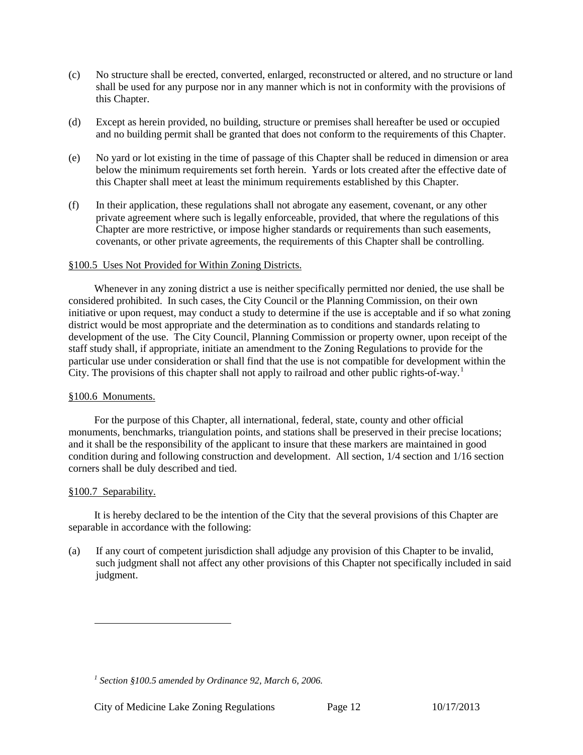- (c) No structure shall be erected, converted, enlarged, reconstructed or altered, and no structure or land shall be used for any purpose nor in any manner which is not in conformity with the provisions of this Chapter.
- (d) Except as herein provided, no building, structure or premises shall hereafter be used or occupied and no building permit shall be granted that does not conform to the requirements of this Chapter.
- (e) No yard or lot existing in the time of passage of this Chapter shall be reduced in dimension or area below the minimum requirements set forth herein. Yards or lots created after the effective date of this Chapter shall meet at least the minimum requirements established by this Chapter.
- (f) In their application, these regulations shall not abrogate any easement, covenant, or any other private agreement where such is legally enforceable, provided, that where the regulations of this Chapter are more restrictive, or impose higher standards or requirements than such easements, covenants, or other private agreements, the requirements of this Chapter shall be controlling.

## <span id="page-11-0"></span>§100.5 Uses Not Provided for Within Zoning Districts.

Whenever in any zoning district a use is neither specifically permitted nor denied, the use shall be considered prohibited. In such cases, the City Council or the Planning Commission, on their own initiative or upon request, may conduct a study to determine if the use is acceptable and if so what zoning district would be most appropriate and the determination as to conditions and standards relating to development of the use. The City Council, Planning Commission or property owner, upon receipt of the staff study shall, if appropriate, initiate an amendment to the Zoning Regulations to provide for the particular use under consideration or shall find that the use is not compatible for development within the City. The provisions of this chapter shall not apply to railroad and other public rights-of-way.<sup>[1](#page-11-3)</sup>

#### <span id="page-11-1"></span>§100.6 Monuments.

For the purpose of this Chapter, all international, federal, state, county and other official monuments, benchmarks, triangulation points, and stations shall be preserved in their precise locations; and it shall be the responsibility of the applicant to insure that these markers are maintained in good condition during and following construction and development. All section, 1/4 section and 1/16 section corners shall be duly described and tied.

## <span id="page-11-2"></span>§100.7 Separability.

 $\overline{a}$ 

It is hereby declared to be the intention of the City that the several provisions of this Chapter are separable in accordance with the following:

(a) If any court of competent jurisdiction shall adjudge any provision of this Chapter to be invalid, such judgment shall not affect any other provisions of this Chapter not specifically included in said judgment.

<span id="page-11-3"></span>*<sup>1</sup> Section §100.5 amended by Ordinance 92, March 6, 2006.*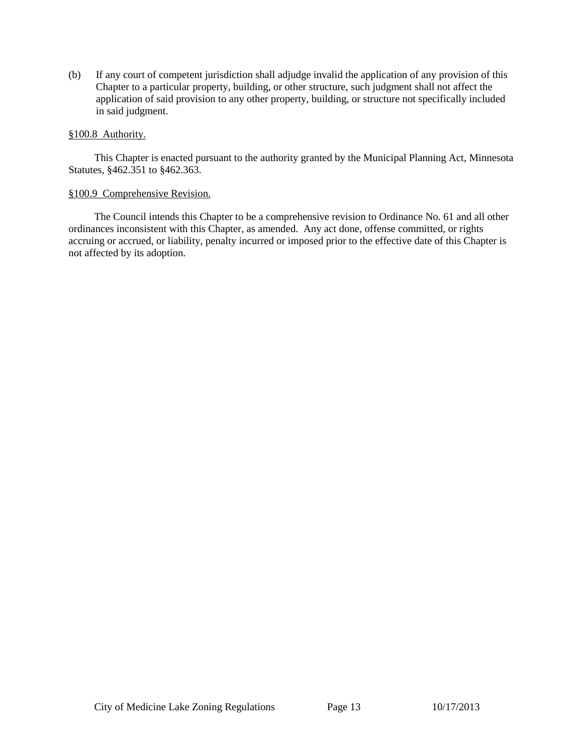(b) If any court of competent jurisdiction shall adjudge invalid the application of any provision of this Chapter to a particular property, building, or other structure, such judgment shall not affect the application of said provision to any other property, building, or structure not specifically included in said judgment.

## <span id="page-12-0"></span>§100.8 Authority.

This Chapter is enacted pursuant to the authority granted by the Municipal Planning Act, Minnesota Statutes, §462.351 to §462.363.

#### <span id="page-12-1"></span>§100.9 Comprehensive Revision.

The Council intends this Chapter to be a comprehensive revision to Ordinance No. 61 and all other ordinances inconsistent with this Chapter, as amended. Any act done, offense committed, or rights accruing or accrued, or liability, penalty incurred or imposed prior to the effective date of this Chapter is not affected by its adoption.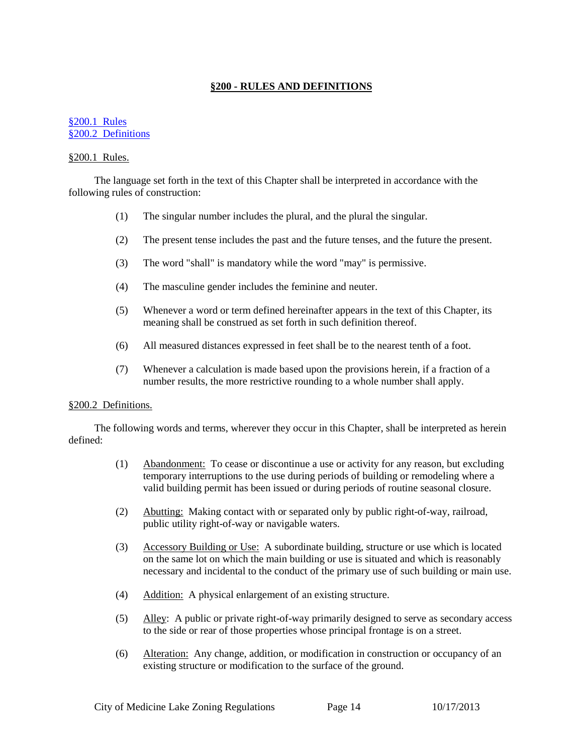# **§200 - RULES AND DEFINITIONS**

#### <span id="page-13-0"></span>[§200.1 Rules](#page-13-1) [§200.2 Definitions](#page-13-2)

#### <span id="page-13-1"></span>§200.1 Rules.

The language set forth in the text of this Chapter shall be interpreted in accordance with the following rules of construction:

- (1) The singular number includes the plural, and the plural the singular.
- (2) The present tense includes the past and the future tenses, and the future the present.
- (3) The word "shall" is mandatory while the word "may" is permissive.
- (4) The masculine gender includes the feminine and neuter.
- (5) Whenever a word or term defined hereinafter appears in the text of this Chapter, its meaning shall be construed as set forth in such definition thereof.
- (6) All measured distances expressed in feet shall be to the nearest tenth of a foot.
- (7) Whenever a calculation is made based upon the provisions herein, if a fraction of a number results, the more restrictive rounding to a whole number shall apply.

#### <span id="page-13-2"></span>§200.2 Definitions.

The following words and terms, wherever they occur in this Chapter, shall be interpreted as herein defined:

- (1) Abandonment: To cease or discontinue a use or activity for any reason, but excluding temporary interruptions to the use during periods of building or remodeling where a valid building permit has been issued or during periods of routine seasonal closure.
- (2) Abutting: Making contact with or separated only by public right-of-way, railroad, public utility right-of-way or navigable waters.
- (3) Accessory Building or Use: A subordinate building, structure or use which is located on the same lot on which the main building or use is situated and which is reasonably necessary and incidental to the conduct of the primary use of such building or main use.
- (4) Addition: A physical enlargement of an existing structure.
- (5) Alley: A public or private right-of-way primarily designed to serve as secondary access to the side or rear of those properties whose principal frontage is on a street.
- (6) Alteration: Any change, addition, or modification in construction or occupancy of an existing structure or modification to the surface of the ground.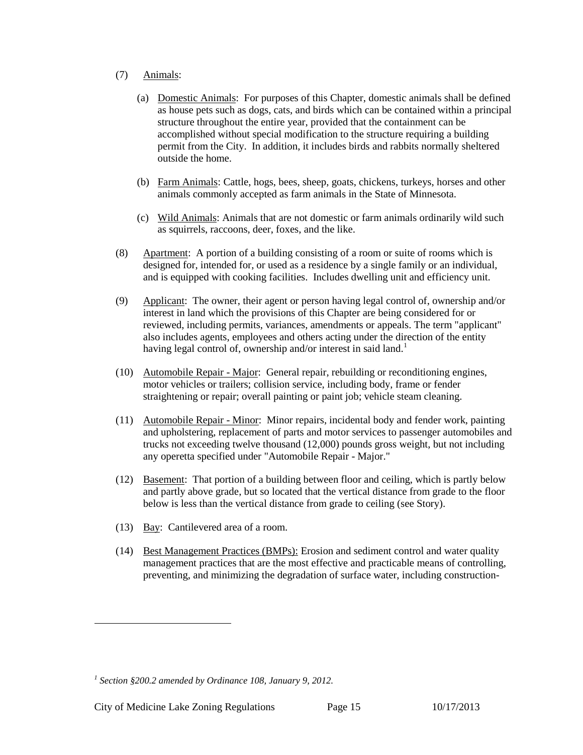# (7) Animals:

- (a) Domestic Animals: For purposes of this Chapter, domestic animals shall be defined as house pets such as dogs, cats, and birds which can be contained within a principal structure throughout the entire year, provided that the containment can be accomplished without special modification to the structure requiring a building permit from the City. In addition, it includes birds and rabbits normally sheltered outside the home.
- (b) Farm Animals: Cattle, hogs, bees, sheep, goats, chickens, turkeys, horses and other animals commonly accepted as farm animals in the State of Minnesota.
- (c) Wild Animals: Animals that are not domestic or farm animals ordinarily wild such as squirrels, raccoons, deer, foxes, and the like.
- (8) Apartment: A portion of a building consisting of a room or suite of rooms which is designed for, intended for, or used as a residence by a single family or an individual, and is equipped with cooking facilities. Includes dwelling unit and efficiency unit.
- (9) Applicant: The owner, their agent or person having legal control of, ownership and/or interest in land which the provisions of this Chapter are being considered for or reviewed, including permits, variances, amendments or appeals. The term "applicant" also includes agents, employees and others acting under the direction of the entity having legal control of, ownership and/or interest in said land.<sup>[1](#page-14-0)</sup>
- (10) Automobile Repair Major: General repair, rebuilding or reconditioning engines, motor vehicles or trailers; collision service, including body, frame or fender straightening or repair; overall painting or paint job; vehicle steam cleaning.
- (11) Automobile Repair Minor: Minor repairs, incidental body and fender work, painting and upholstering, replacement of parts and motor services to passenger automobiles and trucks not exceeding twelve thousand (12,000) pounds gross weight, but not including any operetta specified under "Automobile Repair - Major."
- (12) Basement: That portion of a building between floor and ceiling, which is partly below and partly above grade, but so located that the vertical distance from grade to the floor below is less than the vertical distance from grade to ceiling (see Story).
- (13) Bay: Cantilevered area of a room.
- (14) Best Management Practices (BMPs): Erosion and sediment control and water quality management practices that are the most effective and practicable means of controlling, preventing, and minimizing the degradation of surface water, including construction-

City of Medicine Lake Zoning Regulations Page 15 10/17/2013

<span id="page-14-0"></span>*<sup>1</sup> Section §200.2 amended by Ordinance 108, January 9, 2012.*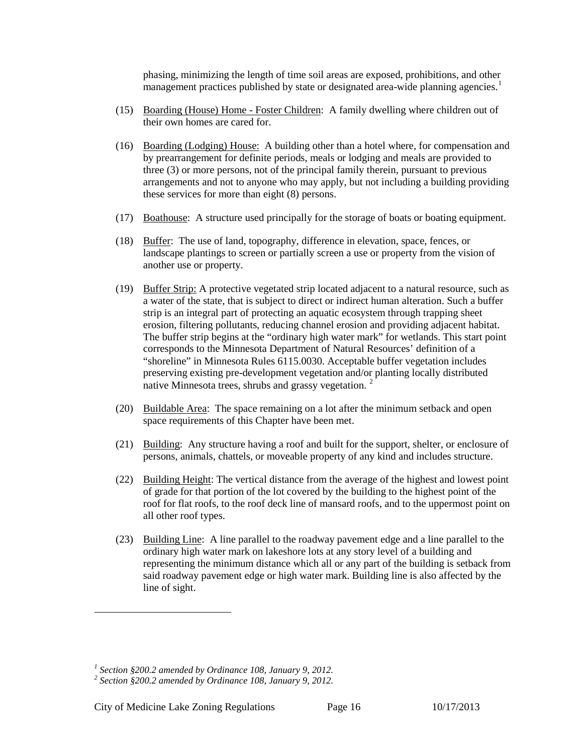phasing, minimizing the length of time soil areas are exposed, prohibitions, and other management practices published by state or designated area-wide planning agencies.<sup>[1](#page-15-0)</sup>

- (15) Boarding (House) Home Foster Children: A family dwelling where children out of their own homes are cared for.
- (16) Boarding (Lodging) House: A building other than a hotel where, for compensation and by prearrangement for definite periods, meals or lodging and meals are provided to three (3) or more persons, not of the principal family therein, pursuant to previous arrangements and not to anyone who may apply, but not including a building providing these services for more than eight (8) persons.
- (17) Boathouse: A structure used principally for the storage of boats or boating equipment.
- (18) Buffer: The use of land, topography, difference in elevation, space, fences, or landscape plantings to screen or partially screen a use or property from the vision of another use or property.
- (19) Buffer Strip: A protective vegetated strip located adjacent to a natural resource, such as a water of the state, that is subject to direct or indirect human alteration. Such a buffer strip is an integral part of protecting an aquatic ecosystem through trapping sheet erosion, filtering pollutants, reducing channel erosion and providing adjacent habitat. The buffer strip begins at the "ordinary high water mark" for wetlands. This start point corresponds to the Minnesota Department of Natural Resources' definition of a "shoreline" in Minnesota Rules 6115.0030. Acceptable buffer vegetation includes preserving existing pre-development vegetation and/or planting locally distributed native Minnesota trees, shrubs and grassy vegetation.<sup>[2](#page-15-1)</sup>
- (20) Buildable Area: The space remaining on a lot after the minimum setback and open space requirements of this Chapter have been met.
- (21) Building: Any structure having a roof and built for the support, shelter, or enclosure of persons, animals, chattels, or moveable property of any kind and includes structure.
- (22) Building Height: The vertical distance from the average of the highest and lowest point of grade for that portion of the lot covered by the building to the highest point of the roof for flat roofs, to the roof deck line of mansard roofs, and to the uppermost point on all other roof types.
- (23) Building Line: A line parallel to the roadway pavement edge and a line parallel to the ordinary high water mark on lakeshore lots at any story level of a building and representing the minimum distance which all or any part of the building is setback from said roadway pavement edge or high water mark. Building line is also affected by the line of sight.

City of Medicine Lake Zoning Regulations Page 16 10/17/2013

<span id="page-15-0"></span>*<sup>1</sup> Section §200.2 amended by Ordinance 108, January 9, 2012. <sup>2</sup> Section §200.2 amended by Ordinance 108, January 9, 2012.*

<span id="page-15-1"></span>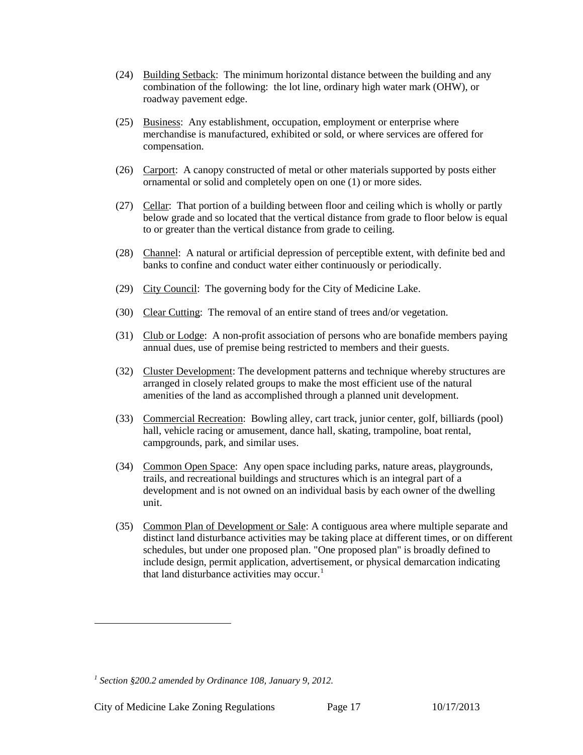- (24) Building Setback: The minimum horizontal distance between the building and any combination of the following: the lot line, ordinary high water mark (OHW), or roadway pavement edge.
- (25) Business: Any establishment, occupation, employment or enterprise where merchandise is manufactured, exhibited or sold, or where services are offered for compensation.
- (26) Carport: A canopy constructed of metal or other materials supported by posts either ornamental or solid and completely open on one (1) or more sides.
- (27) Cellar: That portion of a building between floor and ceiling which is wholly or partly below grade and so located that the vertical distance from grade to floor below is equal to or greater than the vertical distance from grade to ceiling.
- (28) Channel: A natural or artificial depression of perceptible extent, with definite bed and banks to confine and conduct water either continuously or periodically.
- (29) City Council: The governing body for the City of Medicine Lake.
- (30) Clear Cutting: The removal of an entire stand of trees and/or vegetation.
- (31) Club or Lodge: A non-profit association of persons who are bonafide members paying annual dues, use of premise being restricted to members and their guests.
- (32) Cluster Development: The development patterns and technique whereby structures are arranged in closely related groups to make the most efficient use of the natural amenities of the land as accomplished through a planned unit development.
- (33) Commercial Recreation: Bowling alley, cart track, junior center, golf, billiards (pool) hall, vehicle racing or amusement, dance hall, skating, trampoline, boat rental, campgrounds, park, and similar uses.
- (34) Common Open Space: Any open space including parks, nature areas, playgrounds, trails, and recreational buildings and structures which is an integral part of a development and is not owned on an individual basis by each owner of the dwelling unit.
- (35) Common Plan of Development or Sale: A contiguous area where multiple separate and distinct land disturbance activities may be taking place at different times, or on different schedules, but under one proposed plan. "One proposed plan" is broadly defined to include design, permit application, advertisement, or physical demarcation indicating that land disturbance activities may occur.<sup>[1](#page-16-0)</sup>

<span id="page-16-0"></span>*<sup>1</sup> Section §200.2 amended by Ordinance 108, January 9, 2012.*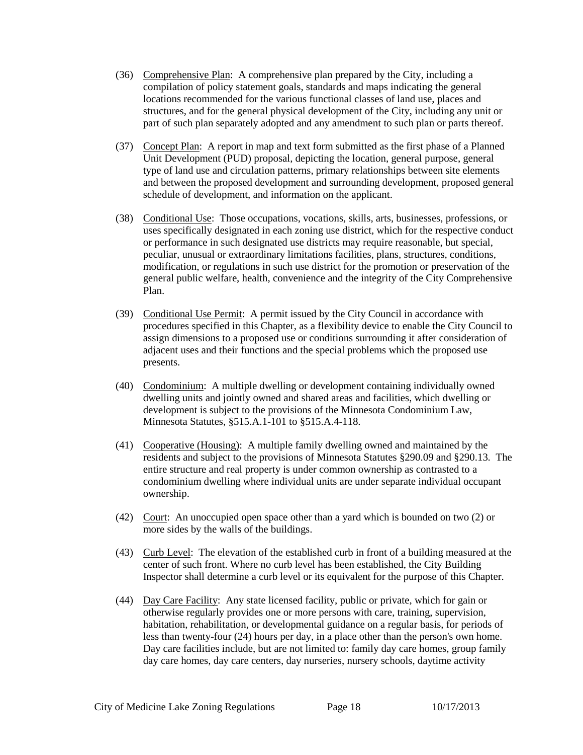- (36) Comprehensive Plan: A comprehensive plan prepared by the City, including a compilation of policy statement goals, standards and maps indicating the general locations recommended for the various functional classes of land use, places and structures, and for the general physical development of the City, including any unit or part of such plan separately adopted and any amendment to such plan or parts thereof.
- (37) Concept Plan: A report in map and text form submitted as the first phase of a Planned Unit Development (PUD) proposal, depicting the location, general purpose, general type of land use and circulation patterns, primary relationships between site elements and between the proposed development and surrounding development, proposed general schedule of development, and information on the applicant.
- (38) Conditional Use: Those occupations, vocations, skills, arts, businesses, professions, or uses specifically designated in each zoning use district, which for the respective conduct or performance in such designated use districts may require reasonable, but special, peculiar, unusual or extraordinary limitations facilities, plans, structures, conditions, modification, or regulations in such use district for the promotion or preservation of the general public welfare, health, convenience and the integrity of the City Comprehensive Plan.
- (39) Conditional Use Permit: A permit issued by the City Council in accordance with procedures specified in this Chapter, as a flexibility device to enable the City Council to assign dimensions to a proposed use or conditions surrounding it after consideration of adjacent uses and their functions and the special problems which the proposed use presents.
- (40) Condominium: A multiple dwelling or development containing individually owned dwelling units and jointly owned and shared areas and facilities, which dwelling or development is subject to the provisions of the Minnesota Condominium Law, Minnesota Statutes, §515.A.1-101 to §515.A.4-118.
- (41) Cooperative (Housing): A multiple family dwelling owned and maintained by the residents and subject to the provisions of Minnesota Statutes §290.09 and §290.13. The entire structure and real property is under common ownership as contrasted to a condominium dwelling where individual units are under separate individual occupant ownership.
- (42) Court: An unoccupied open space other than a yard which is bounded on two (2) or more sides by the walls of the buildings.
- (43) Curb Level: The elevation of the established curb in front of a building measured at the center of such front. Where no curb level has been established, the City Building Inspector shall determine a curb level or its equivalent for the purpose of this Chapter.
- (44) Day Care Facility: Any state licensed facility, public or private, which for gain or otherwise regularly provides one or more persons with care, training, supervision, habitation, rehabilitation, or developmental guidance on a regular basis, for periods of less than twenty-four (24) hours per day, in a place other than the person's own home. Day care facilities include, but are not limited to: family day care homes, group family day care homes, day care centers, day nurseries, nursery schools, daytime activity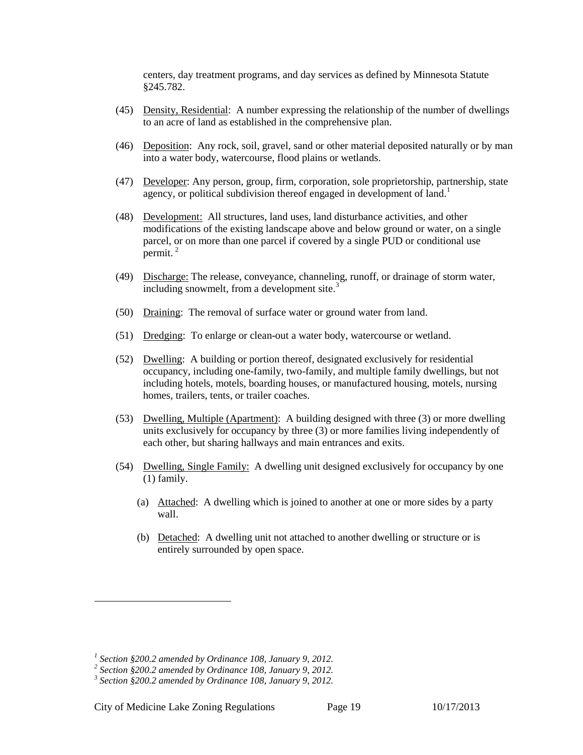centers, day treatment programs, and day services as defined by Minnesota Statute §245.782.

- (45) Density, Residential: A number expressing the relationship of the number of dwellings to an acre of land as established in the comprehensive plan.
- (46) Deposition: Any rock, soil, gravel, sand or other material deposited naturally or by man into a water body, watercourse, flood plains or wetlands.
- (47) Developer: Any person, group, firm, corporation, sole proprietorship, partnership, state agency, or political subdivision thereof engaged in development of land.<sup>[1](#page-18-0)</sup>
- (48) Development: All structures, land uses, land disturbance activities, and other modifications of the existing landscape above and below ground or water, on a single parcel, or on more than one parcel if covered by a single PUD or conditional use permit.<sup>[2](#page-18-1)</sup>
- (49) Discharge: The release, conveyance, channeling, runoff, or drainage of storm water, including snowmelt, from a development site.<sup>[3](#page-18-2)</sup>
- (50) Draining: The removal of surface water or ground water from land.
- (51) Dredging: To enlarge or clean-out a water body, watercourse or wetland.
- (52) Dwelling: A building or portion thereof, designated exclusively for residential occupancy, including one-family, two-family, and multiple family dwellings, but not including hotels, motels, boarding houses, or manufactured housing, motels, nursing homes, trailers, tents, or trailer coaches.
- (53) Dwelling, Multiple (Apartment): A building designed with three (3) or more dwelling units exclusively for occupancy by three (3) or more families living independently of each other, but sharing hallways and main entrances and exits.
- (54) Dwelling, Single Family: A dwelling unit designed exclusively for occupancy by one (1) family.
	- (a) Attached: A dwelling which is joined to another at one or more sides by a party wall.
	- (b) Detached: A dwelling unit not attached to another dwelling or structure or is entirely surrounded by open space.

<span id="page-18-1"></span><span id="page-18-0"></span>*<sup>1</sup> Section §200.2 amended by Ordinance 108, January 9, 2012. <sup>2</sup> Section §200.2 amended by Ordinance 108, January 9, 2012. <sup>3</sup> Section §200.2 amended by Ordinance 108, January 9, 2012.*

<span id="page-18-2"></span>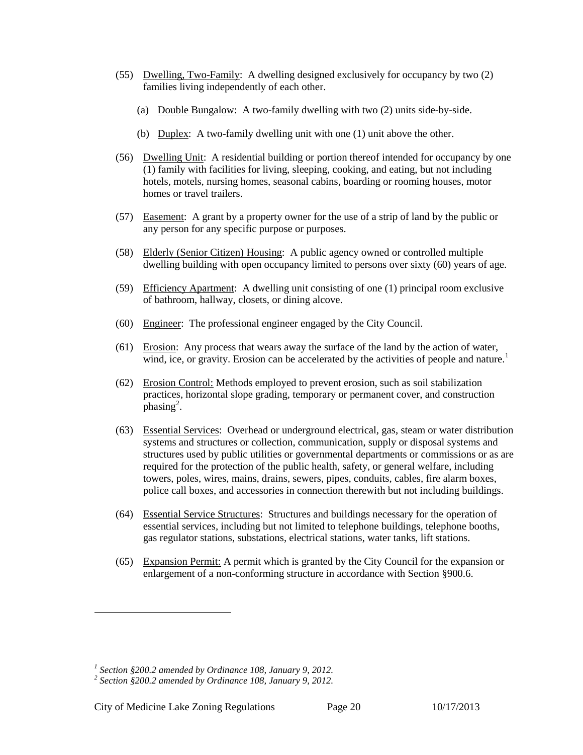- (55) Dwelling, Two-Family: A dwelling designed exclusively for occupancy by two (2) families living independently of each other.
	- (a) Double Bungalow: A two-family dwelling with two (2) units side-by-side.
	- (b) Duplex: A two-family dwelling unit with one (1) unit above the other.
- (56) Dwelling Unit: A residential building or portion thereof intended for occupancy by one (1) family with facilities for living, sleeping, cooking, and eating, but not including hotels, motels, nursing homes, seasonal cabins, boarding or rooming houses, motor homes or travel trailers.
- (57) Easement: A grant by a property owner for the use of a strip of land by the public or any person for any specific purpose or purposes.
- (58) Elderly (Senior Citizen) Housing: A public agency owned or controlled multiple dwelling building with open occupancy limited to persons over sixty (60) years of age.
- (59) Efficiency Apartment: A dwelling unit consisting of one (1) principal room exclusive of bathroom, hallway, closets, or dining alcove.
- (60) Engineer: The professional engineer engaged by the City Council.
- (61) Erosion: Any process that wears away the surface of the land by the action of water, wind, ice, or gravity. Erosion can be accelerated by the activities of people and nature.<sup>[1](#page-19-0)</sup>
- (62) Erosion Control: Methods employed to prevent erosion, such as soil stabilization practices, horizontal slope grading, temporary or permanent cover, and construction  $phasing^2$  $phasing^2$ .
- (63) Essential Services: Overhead or underground electrical, gas, steam or water distribution systems and structures or collection, communication, supply or disposal systems and structures used by public utilities or governmental departments or commissions or as are required for the protection of the public health, safety, or general welfare, including towers, poles, wires, mains, drains, sewers, pipes, conduits, cables, fire alarm boxes, police call boxes, and accessories in connection therewith but not including buildings.
- (64) Essential Service Structures: Structures and buildings necessary for the operation of essential services, including but not limited to telephone buildings, telephone booths, gas regulator stations, substations, electrical stations, water tanks, lift stations.
- (65) Expansion Permit: A permit which is granted by the City Council for the expansion or enlargement of a non-conforming structure in accordance with Section §900.6.

City of Medicine Lake Zoning Regulations Page 20 10/17/2013

<span id="page-19-1"></span><span id="page-19-0"></span>*<sup>1</sup> Section §200.2 amended by Ordinance 108, January 9, 2012. <sup>2</sup> Section §200.2 amended by Ordinance 108, January 9, 2012.*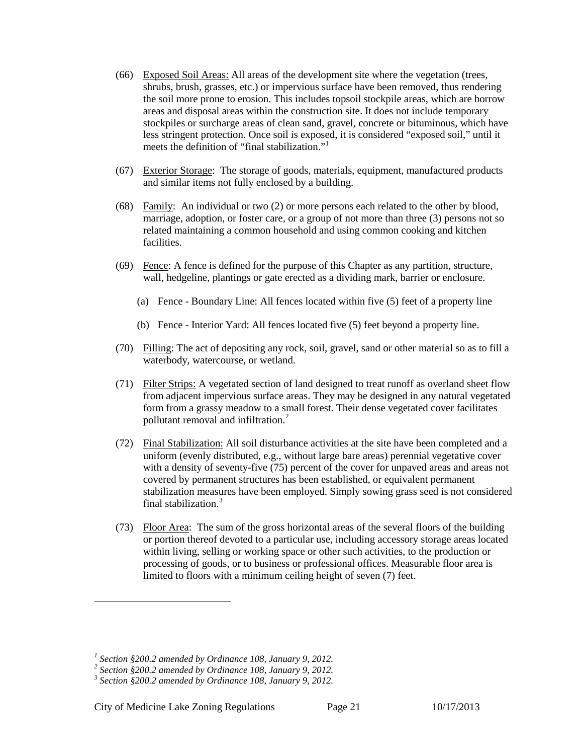- (66) Exposed Soil Areas: All areas of the development site where the vegetation (trees, shrubs, brush, grasses, etc.) or impervious surface have been removed, thus rendering the soil more prone to erosion. This includes topsoil stockpile areas, which are borrow areas and disposal areas within the construction site. It does not include temporary stockpiles or surcharge areas of clean sand, gravel, concrete or bituminous, which have less stringent protection. Once soil is exposed, it is considered "exposed soil," until it meets the definition of "final stabilization."<sup>[1](#page-20-0)</sup>
- (67) Exterior Storage: The storage of goods, materials, equipment, manufactured products and similar items not fully enclosed by a building.
- (68) Family: An individual or two (2) or more persons each related to the other by blood, marriage, adoption, or foster care, or a group of not more than three (3) persons not so related maintaining a common household and using common cooking and kitchen facilities.
- (69) Fence: A fence is defined for the purpose of this Chapter as any partition, structure, wall, hedgeline, plantings or gate erected as a dividing mark, barrier or enclosure.
	- (a) Fence Boundary Line: All fences located within five (5) feet of a property line
	- (b) Fence Interior Yard: All fences located five (5) feet beyond a property line.
- (70) Filling: The act of depositing any rock, soil, gravel, sand or other material so as to fill a waterbody, watercourse, or wetland.
- (71) Filter Strips: A vegetated section of land designed to treat runoff as overland sheet flow from adjacent impervious surface areas. They may be designed in any natural vegetated form from a grassy meadow to a small forest. Their dense vegetated cover facilitates pollutant removal and infiltration.<sup>[2](#page-20-1)</sup>
- (72) Final Stabilization: All soil disturbance activities at the site have been completed and a uniform (evenly distributed, e.g., without large bare areas) perennial vegetative cover with a density of seventy-five (75) percent of the cover for unpaved areas and areas not covered by permanent structures has been established, or equivalent permanent stabilization measures have been employed. Simply sowing grass seed is not considered final stabilization.[3](#page-20-2)
- (73) Floor Area: The sum of the gross horizontal areas of the several floors of the building or portion thereof devoted to a particular use, including accessory storage areas located within living, selling or working space or other such activities, to the production or processing of goods, or to business or professional offices. Measurable floor area is limited to floors with a minimum ceiling height of seven (7) feet.

City of Medicine Lake Zoning Regulations Page 21 10/17/2013

<span id="page-20-1"></span><span id="page-20-0"></span>*<sup>1</sup> Section §200.2 amended by Ordinance 108, January 9, 2012. <sup>2</sup> Section §200.2 amended by Ordinance 108, January 9, 2012. <sup>3</sup> Section §200.2 amended by Ordinance 108, January 9, 2012.*

<span id="page-20-2"></span>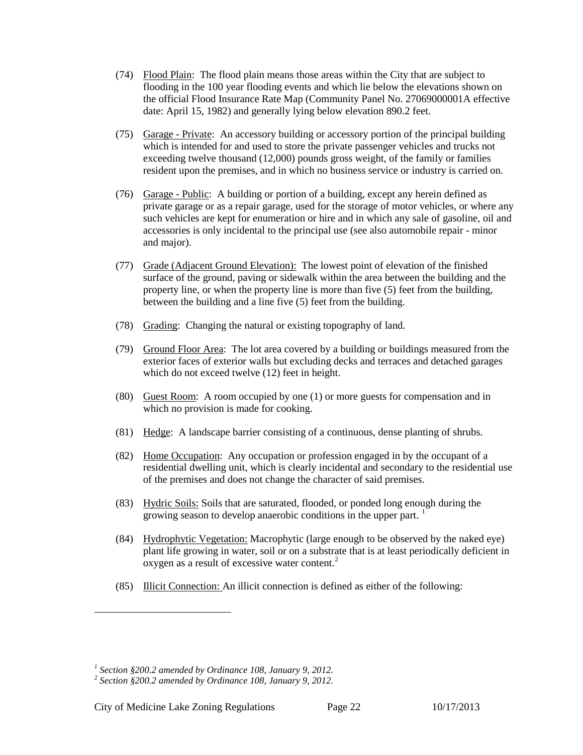- (74) Flood Plain: The flood plain means those areas within the City that are subject to flooding in the 100 year flooding events and which lie below the elevations shown on the official Flood Insurance Rate Map (Community Panel No. 27069000001A effective date: April 15, 1982) and generally lying below elevation 890.2 feet.
- (75) Garage Private: An accessory building or accessory portion of the principal building which is intended for and used to store the private passenger vehicles and trucks not exceeding twelve thousand (12,000) pounds gross weight, of the family or families resident upon the premises, and in which no business service or industry is carried on.
- (76) Garage Public: A building or portion of a building, except any herein defined as private garage or as a repair garage, used for the storage of motor vehicles, or where any such vehicles are kept for enumeration or hire and in which any sale of gasoline, oil and accessories is only incidental to the principal use (see also automobile repair - minor and major).
- (77) Grade (Adjacent Ground Elevation): The lowest point of elevation of the finished surface of the ground, paving or sidewalk within the area between the building and the property line, or when the property line is more than five (5) feet from the building, between the building and a line five (5) feet from the building.
- (78) Grading: Changing the natural or existing topography of land.
- (79) Ground Floor Area: The lot area covered by a building or buildings measured from the exterior faces of exterior walls but excluding decks and terraces and detached garages which do not exceed twelve (12) feet in height.
- (80) Guest Room: A room occupied by one (1) or more guests for compensation and in which no provision is made for cooking.
- (81) Hedge: A landscape barrier consisting of a continuous, dense planting of shrubs.
- (82) Home Occupation: Any occupation or profession engaged in by the occupant of a residential dwelling unit, which is clearly incidental and secondary to the residential use of the premises and does not change the character of said premises.
- (83) Hydric Soils: Soils that are saturated, flooded, or ponded long enough during the growing season to develop anaerobic conditions in the upper part.
- (84) Hydrophytic Vegetation: Macrophytic (large enough to be observed by the naked eye) plant life growing in water, soil or on a substrate that is at least periodically deficient in oxygen as a result of excessive water content.<sup>[2](#page-21-1)</sup>
- (85) Illicit Connection: An illicit connection is defined as either of the following:

<span id="page-21-1"></span><span id="page-21-0"></span>*<sup>1</sup> Section §200.2 amended by Ordinance 108, January 9, 2012. <sup>2</sup> Section §200.2 amended by Ordinance 108, January 9, 2012.*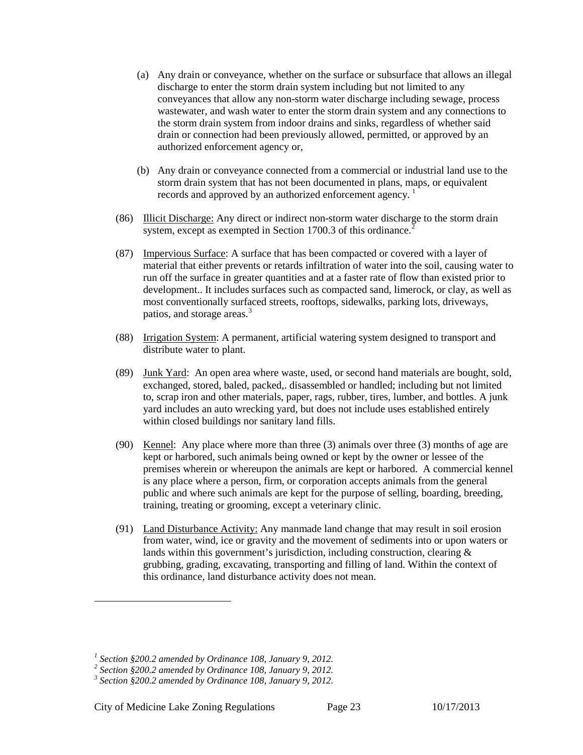- (a) Any drain or conveyance, whether on the surface or subsurface that allows an illegal discharge to enter the storm drain system including but not limited to any conveyances that allow any non-storm water discharge including sewage, process wastewater, and wash water to enter the storm drain system and any connections to the storm drain system from indoor drains and sinks, regardless of whether said drain or connection had been previously allowed, permitted, or approved by an authorized enforcement agency or,
- (b) Any drain or conveyance connected from a commercial or industrial land use to the storm drain system that has not been documented in plans, maps, or equivalent records and approved by an authorized enforcement agency.<sup>[1](#page-22-0)</sup>
- (86) Illicit Discharge: Any direct or indirect non-storm water discharge to the storm drain system, except as exempted in Section 1700.3 of this ordinance.<sup>[2](#page-22-1)</sup>
- (87) Impervious Surface: A surface that has been compacted or covered with a layer of material that either prevents or retards infiltration of water into the soil, causing water to run off the surface in greater quantities and at a faster rate of flow than existed prior to development.. It includes surfaces such as compacted sand, limerock, or clay, as well as most conventionally surfaced streets, rooftops, sidewalks, parking lots, driveways, patios, and storage areas.<sup>[3](#page-22-2)</sup>
- (88) Irrigation System: A permanent, artificial watering system designed to transport and distribute water to plant.
- (89) Junk Yard: An open area where waste, used, or second hand materials are bought, sold, exchanged, stored, baled, packed,. disassembled or handled; including but not limited to, scrap iron and other materials, paper, rags, rubber, tires, lumber, and bottles. A junk yard includes an auto wrecking yard, but does not include uses established entirely within closed buildings nor sanitary land fills.
- (90) Kennel: Any place where more than three (3) animals over three (3) months of age are kept or harbored, such animals being owned or kept by the owner or lessee of the premises wherein or whereupon the animals are kept or harbored. A commercial kennel is any place where a person, firm, or corporation accepts animals from the general public and where such animals are kept for the purpose of selling, boarding, breeding, training, treating or grooming, except a veterinary clinic.
- (91) Land Disturbance Activity: Any manmade land change that may result in soil erosion from water, wind, ice or gravity and the movement of sediments into or upon waters or lands within this government's jurisdiction, including construction, clearing  $\&$ grubbing, grading, excavating, transporting and filling of land. Within the context of this ordinance, land disturbance activity does not mean.

City of Medicine Lake Zoning Regulations Page 23 10/17/2013

<span id="page-22-1"></span><span id="page-22-0"></span>*<sup>1</sup> Section §200.2 amended by Ordinance 108, January 9, 2012. <sup>2</sup> Section §200.2 amended by Ordinance 108, January 9, 2012. <sup>3</sup> Section §200.2 amended by Ordinance 108, January 9, 2012.*

<span id="page-22-2"></span>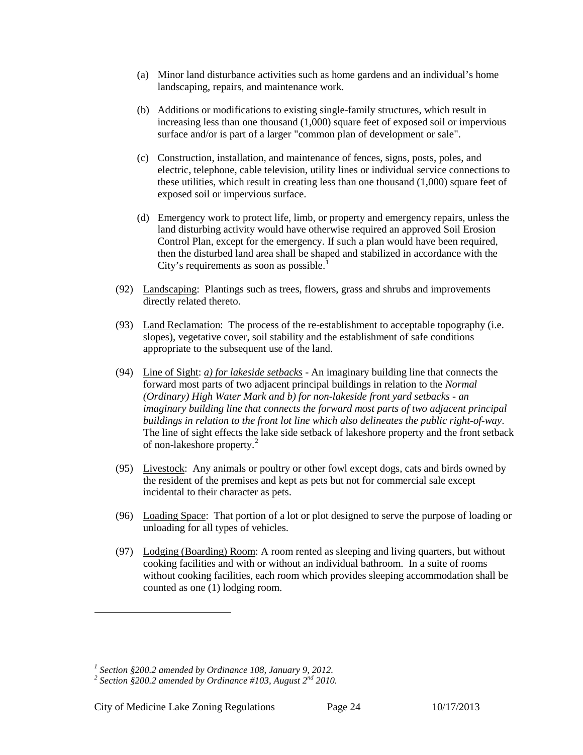- (a) Minor land disturbance activities such as home gardens and an individual's home landscaping, repairs, and maintenance work.
- (b) Additions or modifications to existing single-family structures, which result in increasing less than one thousand (1,000) square feet of exposed soil or impervious surface and/or is part of a larger "common plan of development or sale".
- (c) Construction, installation, and maintenance of fences, signs, posts, poles, and electric, telephone, cable television, utility lines or individual service connections to these utilities, which result in creating less than one thousand (1,000) square feet of exposed soil or impervious surface.
- (d) Emergency work to protect life, limb, or property and emergency repairs, unless the land disturbing activity would have otherwise required an approved Soil Erosion Control Plan, except for the emergency. If such a plan would have been required, then the disturbed land area shall be shaped and stabilized in accordance with the City's requirements as soon as possible.<sup>[1](#page-23-0)</sup>
- (92) Landscaping: Plantings such as trees, flowers, grass and shrubs and improvements directly related thereto.
- (93) Land Reclamation: The process of the re-establishment to acceptable topography (i.e. slopes), vegetative cover, soil stability and the establishment of safe conditions appropriate to the subsequent use of the land.
- (94) Line of Sight: *a) for lakeside setbacks* An imaginary building line that connects the forward most parts of two adjacent principal buildings in relation to the *Normal (Ordinary) High Water Mark and b) for non-lakeside front yard setbacks - an imaginary building line that connects the forward most parts of two adjacent principal buildings in relation to the front lot line which also delineates the public right-of-way*. The line of sight effects the lake side setback of lakeshore property and the front setback of non-lakeshore property.[2](#page-23-1)
- (95) Livestock: Any animals or poultry or other fowl except dogs, cats and birds owned by the resident of the premises and kept as pets but not for commercial sale except incidental to their character as pets.
- (96) Loading Space: That portion of a lot or plot designed to serve the purpose of loading or unloading for all types of vehicles.
- (97) Lodging (Boarding) Room: A room rented as sleeping and living quarters, but without cooking facilities and with or without an individual bathroom. In a suite of rooms without cooking facilities, each room which provides sleeping accommodation shall be counted as one (1) lodging room.

City of Medicine Lake Zoning Regulations Page 24 10/17/2013

<span id="page-23-0"></span>*<sup>1</sup> Section §200.2 amended by Ordinance 108, January 9, 2012. <sup>2</sup> Section §200.2 amended by Ordinance #103, August 2nd 2010.*

<span id="page-23-1"></span>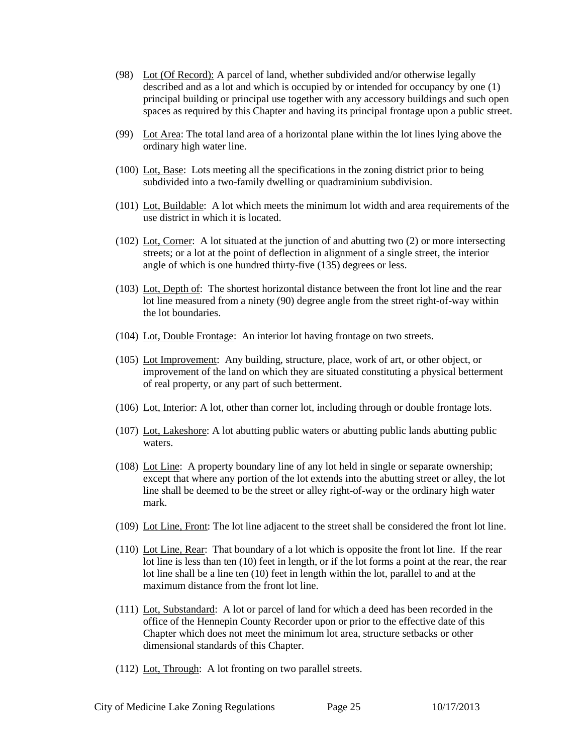- (98) Lot (Of Record): A parcel of land, whether subdivided and/or otherwise legally described and as a lot and which is occupied by or intended for occupancy by one (1) principal building or principal use together with any accessory buildings and such open spaces as required by this Chapter and having its principal frontage upon a public street.
- (99) Lot Area: The total land area of a horizontal plane within the lot lines lying above the ordinary high water line.
- (100) Lot, Base: Lots meeting all the specifications in the zoning district prior to being subdivided into a two-family dwelling or quadraminium subdivision.
- (101) Lot, Buildable: A lot which meets the minimum lot width and area requirements of the use district in which it is located.
- (102) Lot, Corner: A lot situated at the junction of and abutting two (2) or more intersecting streets; or a lot at the point of deflection in alignment of a single street, the interior angle of which is one hundred thirty-five (135) degrees or less.
- (103) Lot, Depth of: The shortest horizontal distance between the front lot line and the rear lot line measured from a ninety (90) degree angle from the street right-of-way within the lot boundaries.
- (104) Lot, Double Frontage: An interior lot having frontage on two streets.
- (105) Lot Improvement: Any building, structure, place, work of art, or other object, or improvement of the land on which they are situated constituting a physical betterment of real property, or any part of such betterment.
- (106) Lot, Interior: A lot, other than corner lot, including through or double frontage lots.
- (107) Lot, Lakeshore: A lot abutting public waters or abutting public lands abutting public waters.
- (108) Lot Line: A property boundary line of any lot held in single or separate ownership; except that where any portion of the lot extends into the abutting street or alley, the lot line shall be deemed to be the street or alley right-of-way or the ordinary high water mark.
- (109) Lot Line, Front: The lot line adjacent to the street shall be considered the front lot line.
- (110) Lot Line, Rear: That boundary of a lot which is opposite the front lot line. If the rear lot line is less than ten (10) feet in length, or if the lot forms a point at the rear, the rear lot line shall be a line ten (10) feet in length within the lot, parallel to and at the maximum distance from the front lot line.
- (111) Lot, Substandard: A lot or parcel of land for which a deed has been recorded in the office of the Hennepin County Recorder upon or prior to the effective date of this Chapter which does not meet the minimum lot area, structure setbacks or other dimensional standards of this Chapter.
- (112) Lot, Through: A lot fronting on two parallel streets.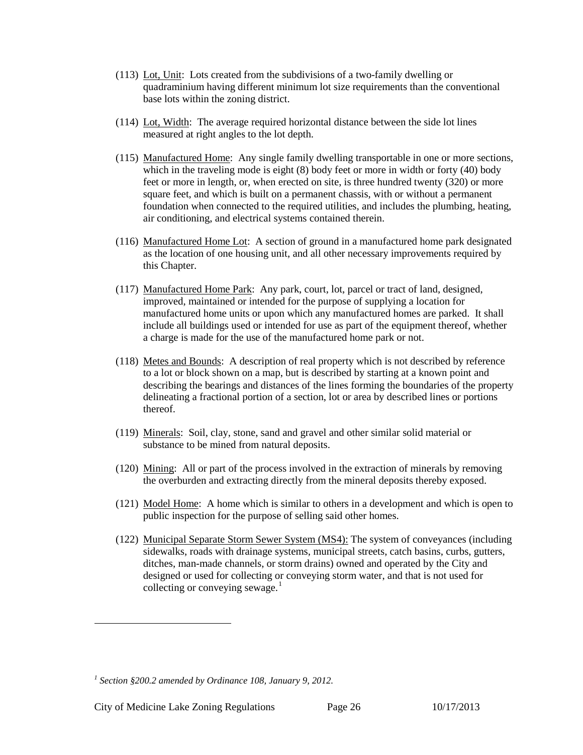- (113) Lot, Unit: Lots created from the subdivisions of a two-family dwelling or quadraminium having different minimum lot size requirements than the conventional base lots within the zoning district.
- (114) Lot, Width: The average required horizontal distance between the side lot lines measured at right angles to the lot depth.
- (115) Manufactured Home: Any single family dwelling transportable in one or more sections, which in the traveling mode is eight (8) body feet or more in width or forty (40) body feet or more in length, or, when erected on site, is three hundred twenty (320) or more square feet, and which is built on a permanent chassis, with or without a permanent foundation when connected to the required utilities, and includes the plumbing, heating, air conditioning, and electrical systems contained therein.
- (116) Manufactured Home Lot: A section of ground in a manufactured home park designated as the location of one housing unit, and all other necessary improvements required by this Chapter.
- (117) Manufactured Home Park: Any park, court, lot, parcel or tract of land, designed, improved, maintained or intended for the purpose of supplying a location for manufactured home units or upon which any manufactured homes are parked. It shall include all buildings used or intended for use as part of the equipment thereof, whether a charge is made for the use of the manufactured home park or not.
- (118) Metes and Bounds: A description of real property which is not described by reference to a lot or block shown on a map, but is described by starting at a known point and describing the bearings and distances of the lines forming the boundaries of the property delineating a fractional portion of a section, lot or area by described lines or portions thereof.
- (119) Minerals: Soil, clay, stone, sand and gravel and other similar solid material or substance to be mined from natural deposits.
- (120) Mining: All or part of the process involved in the extraction of minerals by removing the overburden and extracting directly from the mineral deposits thereby exposed.
- (121) Model Home: A home which is similar to others in a development and which is open to public inspection for the purpose of selling said other homes.
- (122) Municipal Separate Storm Sewer System (MS4): The system of conveyances (including sidewalks, roads with drainage systems, municipal streets, catch basins, curbs, gutters, ditches, man-made channels, or storm drains) owned and operated by the City and designed or used for collecting or conveying storm water, and that is not used for collecting or conveying sewage. $<sup>1</sup>$  $<sup>1</sup>$  $<sup>1</sup>$ </sup>

City of Medicine Lake Zoning Regulations Page 26 10/17/2013

<span id="page-25-0"></span>*<sup>1</sup> Section §200.2 amended by Ordinance 108, January 9, 2012.*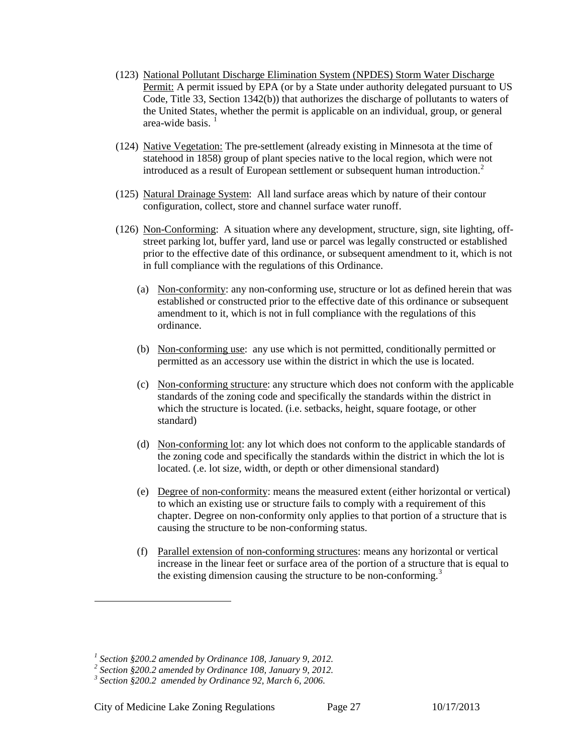- (123) National Pollutant Discharge Elimination System (NPDES) Storm Water Discharge Permit: A permit issued by EPA (or by a State under authority delegated pursuant to US Code, Title 33, Section 1342(b)) that authorizes the discharge of pollutants to waters of the United States, whether the permit is applicable on an individual, group, or general area-wide basis. $1$
- (124) Native Vegetation: The pre-settlement (already existing in Minnesota at the time of statehood in 1858) group of plant species native to the local region, which were not introduced as a result of European settlement or subsequent human introduction.<sup>[2](#page-26-1)</sup>
- (125) Natural Drainage System: All land surface areas which by nature of their contour configuration, collect, store and channel surface water runoff.
- (126) Non-Conforming: A situation where any development, structure, sign, site lighting, offstreet parking lot, buffer yard, land use or parcel was legally constructed or established prior to the effective date of this ordinance, or subsequent amendment to it, which is not in full compliance with the regulations of this Ordinance.
	- (a) Non-conformity: any non-conforming use, structure or lot as defined herein that was established or constructed prior to the effective date of this ordinance or subsequent amendment to it, which is not in full compliance with the regulations of this ordinance.
	- (b) Non-conforming use: any use which is not permitted, conditionally permitted or permitted as an accessory use within the district in which the use is located.
	- (c) Non-conforming structure: any structure which does not conform with the applicable standards of the zoning code and specifically the standards within the district in which the structure is located. (i.e. setbacks, height, square footage, or other standard)
	- (d) Non-conforming lot: any lot which does not conform to the applicable standards of the zoning code and specifically the standards within the district in which the lot is located. (.e. lot size, width, or depth or other dimensional standard)
	- (e) Degree of non-conformity: means the measured extent (either horizontal or vertical) to which an existing use or structure fails to comply with a requirement of this chapter. Degree on non-conformity only applies to that portion of a structure that is causing the structure to be non-conforming status.
	- (f) Parallel extension of non-conforming structures: means any horizontal or vertical increase in the linear feet or surface area of the portion of a structure that is equal to the existing dimension causing the structure to be non-conforming.<sup>[3](#page-26-2)</sup>

City of Medicine Lake Zoning Regulations Page 27 10/17/2013

<span id="page-26-1"></span><span id="page-26-0"></span>*<sup>1</sup> Section §200.2 amended by Ordinance 108, January 9, 2012. <sup>2</sup> Section §200.2 amended by Ordinance 108, January 9, 2012. <sup>3</sup> Section §200.2 amended by Ordinance 92, March 6, 2006.*

<span id="page-26-2"></span>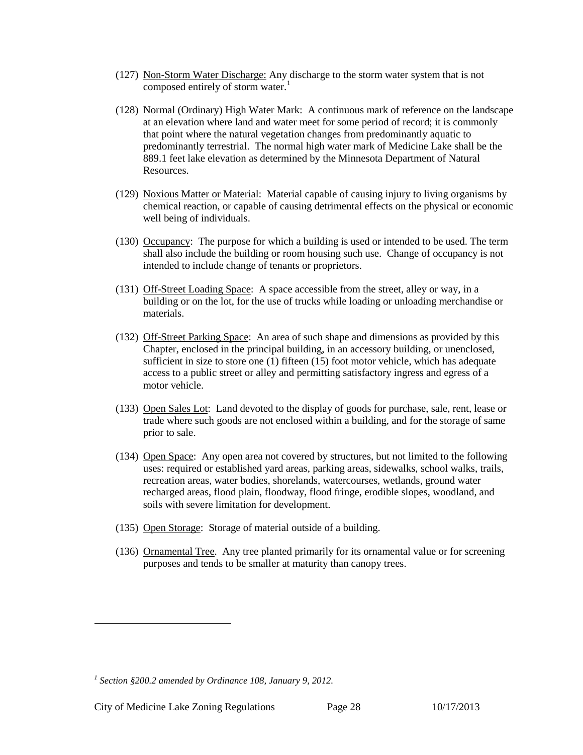- (127) Non-Storm Water Discharge: Any discharge to the storm water system that is not composed entirely of storm water.<sup>[1](#page-27-0)</sup>
- (128) Normal (Ordinary) High Water Mark: A continuous mark of reference on the landscape at an elevation where land and water meet for some period of record; it is commonly that point where the natural vegetation changes from predominantly aquatic to predominantly terrestrial. The normal high water mark of Medicine Lake shall be the 889.1 feet lake elevation as determined by the Minnesota Department of Natural Resources.
- (129) Noxious Matter or Material: Material capable of causing injury to living organisms by chemical reaction, or capable of causing detrimental effects on the physical or economic well being of individuals.
- (130) Occupancy: The purpose for which a building is used or intended to be used. The term shall also include the building or room housing such use. Change of occupancy is not intended to include change of tenants or proprietors.
- (131) Off-Street Loading Space: A space accessible from the street, alley or way, in a building or on the lot, for the use of trucks while loading or unloading merchandise or materials.
- (132) Off-Street Parking Space: An area of such shape and dimensions as provided by this Chapter, enclosed in the principal building, in an accessory building, or unenclosed, sufficient in size to store one (1) fifteen (15) foot motor vehicle, which has adequate access to a public street or alley and permitting satisfactory ingress and egress of a motor vehicle.
- (133) Open Sales Lot: Land devoted to the display of goods for purchase, sale, rent, lease or trade where such goods are not enclosed within a building, and for the storage of same prior to sale.
- (134) Open Space: Any open area not covered by structures, but not limited to the following uses: required or established yard areas, parking areas, sidewalks, school walks, trails, recreation areas, water bodies, shorelands, watercourses, wetlands, ground water recharged areas, flood plain, floodway, flood fringe, erodible slopes, woodland, and soils with severe limitation for development.
- (135) Open Storage: Storage of material outside of a building.
- (136) Ornamental Tree. Any tree planted primarily for its ornamental value or for screening purposes and tends to be smaller at maturity than canopy trees.

<span id="page-27-0"></span>*<sup>1</sup> Section §200.2 amended by Ordinance 108, January 9, 2012.*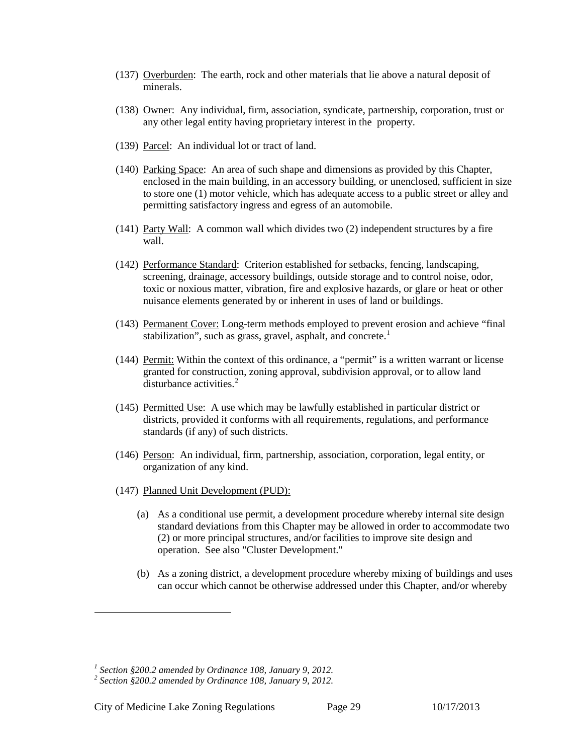- (137) Overburden: The earth, rock and other materials that lie above a natural deposit of minerals.
- (138) Owner: Any individual, firm, association, syndicate, partnership, corporation, trust or any other legal entity having proprietary interest in the property.
- (139) Parcel: An individual lot or tract of land.
- (140) Parking Space: An area of such shape and dimensions as provided by this Chapter, enclosed in the main building, in an accessory building, or unenclosed, sufficient in size to store one (1) motor vehicle, which has adequate access to a public street or alley and permitting satisfactory ingress and egress of an automobile.
- (141) Party Wall: A common wall which divides two (2) independent structures by a fire wall.
- (142) Performance Standard: Criterion established for setbacks, fencing, landscaping, screening, drainage, accessory buildings, outside storage and to control noise, odor, toxic or noxious matter, vibration, fire and explosive hazards, or glare or heat or other nuisance elements generated by or inherent in uses of land or buildings.
- (143) Permanent Cover: Long-term methods employed to prevent erosion and achieve "final stabilization", such as grass, gravel, asphalt, and concrete.<sup>[1](#page-28-0)</sup>
- (144) Permit: Within the context of this ordinance, a "permit" is a written warrant or license granted for construction, zoning approval, subdivision approval, or to allow land disturbance activities.<sup>[2](#page-28-1)</sup>
- (145) Permitted Use: A use which may be lawfully established in particular district or districts, provided it conforms with all requirements, regulations, and performance standards (if any) of such districts.
- (146) Person: An individual, firm, partnership, association, corporation, legal entity, or organization of any kind.
- (147) Planned Unit Development (PUD):
	- (a) As a conditional use permit, a development procedure whereby internal site design standard deviations from this Chapter may be allowed in order to accommodate two (2) or more principal structures, and/or facilities to improve site design and operation. See also "Cluster Development."
	- (b) As a zoning district, a development procedure whereby mixing of buildings and uses can occur which cannot be otherwise addressed under this Chapter, and/or whereby

<span id="page-28-0"></span>*<sup>1</sup> Section §200.2 amended by Ordinance 108, January 9, 2012. <sup>2</sup> Section §200.2 amended by Ordinance 108, January 9, 2012.*

<span id="page-28-1"></span>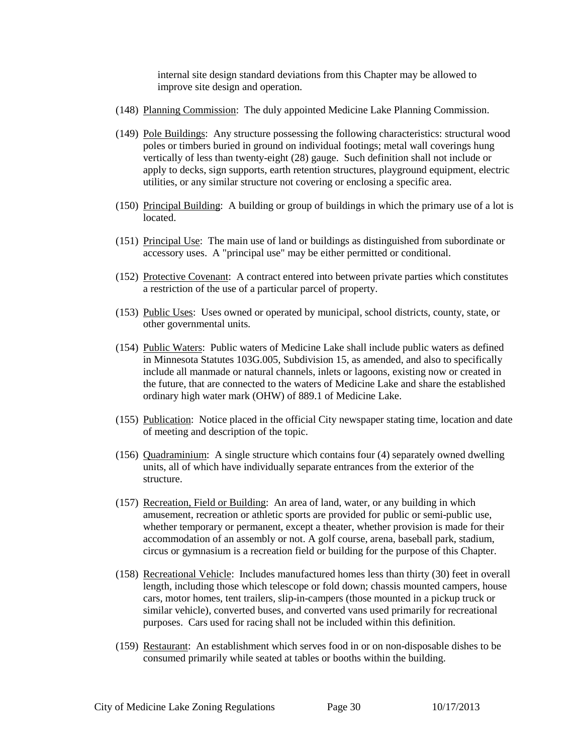internal site design standard deviations from this Chapter may be allowed to improve site design and operation.

- (148) Planning Commission: The duly appointed Medicine Lake Planning Commission.
- (149) Pole Buildings: Any structure possessing the following characteristics: structural wood poles or timbers buried in ground on individual footings; metal wall coverings hung vertically of less than twenty-eight (28) gauge. Such definition shall not include or apply to decks, sign supports, earth retention structures, playground equipment, electric utilities, or any similar structure not covering or enclosing a specific area.
- (150) Principal Building: A building or group of buildings in which the primary use of a lot is located.
- (151) Principal Use: The main use of land or buildings as distinguished from subordinate or accessory uses. A "principal use" may be either permitted or conditional.
- (152) Protective Covenant: A contract entered into between private parties which constitutes a restriction of the use of a particular parcel of property.
- (153) Public Uses: Uses owned or operated by municipal, school districts, county, state, or other governmental units.
- (154) Public Waters: Public waters of Medicine Lake shall include public waters as defined in Minnesota Statutes 103G.005, Subdivision 15, as amended, and also to specifically include all manmade or natural channels, inlets or lagoons, existing now or created in the future, that are connected to the waters of Medicine Lake and share the established ordinary high water mark (OHW) of 889.1 of Medicine Lake.
- (155) Publication: Notice placed in the official City newspaper stating time, location and date of meeting and description of the topic.
- (156) Quadraminium: A single structure which contains four (4) separately owned dwelling units, all of which have individually separate entrances from the exterior of the structure.
- (157) Recreation, Field or Building: An area of land, water, or any building in which amusement, recreation or athletic sports are provided for public or semi-public use, whether temporary or permanent, except a theater, whether provision is made for their accommodation of an assembly or not. A golf course, arena, baseball park, stadium, circus or gymnasium is a recreation field or building for the purpose of this Chapter.
- (158) Recreational Vehicle: Includes manufactured homes less than thirty (30) feet in overall length, including those which telescope or fold down; chassis mounted campers, house cars, motor homes, tent trailers, slip-in-campers (those mounted in a pickup truck or similar vehicle), converted buses, and converted vans used primarily for recreational purposes. Cars used for racing shall not be included within this definition.
- (159) Restaurant: An establishment which serves food in or on non-disposable dishes to be consumed primarily while seated at tables or booths within the building.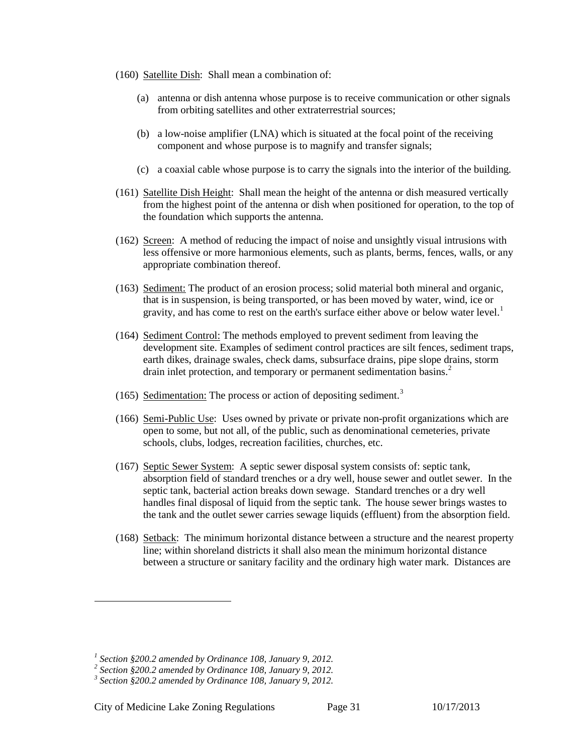(160) Satellite Dish: Shall mean a combination of:

- (a) antenna or dish antenna whose purpose is to receive communication or other signals from orbiting satellites and other extraterrestrial sources;
- (b) a low-noise amplifier (LNA) which is situated at the focal point of the receiving component and whose purpose is to magnify and transfer signals;
- (c) a coaxial cable whose purpose is to carry the signals into the interior of the building.
- (161) Satellite Dish Height: Shall mean the height of the antenna or dish measured vertically from the highest point of the antenna or dish when positioned for operation, to the top of the foundation which supports the antenna.
- (162) Screen: A method of reducing the impact of noise and unsightly visual intrusions with less offensive or more harmonious elements, such as plants, berms, fences, walls, or any appropriate combination thereof.
- (163) Sediment: The product of an erosion process; solid material both mineral and organic, that is in suspension, is being transported, or has been moved by water, wind, ice or gravity, and has come to rest on the earth's surface either above or below water level.<sup>[1](#page-30-0)</sup>
- (164) Sediment Control: The methods employed to prevent sediment from leaving the development site. Examples of sediment control practices are silt fences, sediment traps, earth dikes, drainage swales, check dams, subsurface drains, pipe slope drains, storm drain inlet protection, and temporary or permanent sedimentation basins.<sup>[2](#page-30-1)</sup>
- (165) Sedimentation: The process or action of depositing sediment.<sup>[3](#page-30-2)</sup>
- (166) Semi-Public Use: Uses owned by private or private non-profit organizations which are open to some, but not all, of the public, such as denominational cemeteries, private schools, clubs, lodges, recreation facilities, churches, etc.
- (167) Septic Sewer System: A septic sewer disposal system consists of: septic tank, absorption field of standard trenches or a dry well, house sewer and outlet sewer. In the septic tank, bacterial action breaks down sewage. Standard trenches or a dry well handles final disposal of liquid from the septic tank. The house sewer brings wastes to the tank and the outlet sewer carries sewage liquids (effluent) from the absorption field.
- (168) Setback: The minimum horizontal distance between a structure and the nearest property line; within shoreland districts it shall also mean the minimum horizontal distance between a structure or sanitary facility and the ordinary high water mark. Distances are

City of Medicine Lake Zoning Regulations Page 31 10/17/2013

<span id="page-30-1"></span><span id="page-30-0"></span>*<sup>1</sup> Section §200.2 amended by Ordinance 108, January 9, 2012. <sup>2</sup> Section §200.2 amended by Ordinance 108, January 9, 2012. <sup>3</sup> Section §200.2 amended by Ordinance 108, January 9, 2012.*

<span id="page-30-2"></span>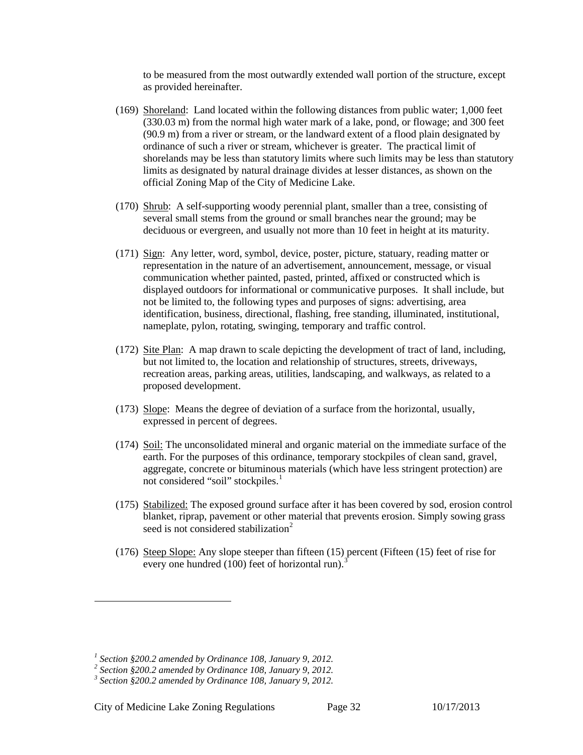to be measured from the most outwardly extended wall portion of the structure, except as provided hereinafter.

- (169) Shoreland: Land located within the following distances from public water; 1,000 feet (330.03 m) from the normal high water mark of a lake, pond, or flowage; and 300 feet (90.9 m) from a river or stream, or the landward extent of a flood plain designated by ordinance of such a river or stream, whichever is greater. The practical limit of shorelands may be less than statutory limits where such limits may be less than statutory limits as designated by natural drainage divides at lesser distances, as shown on the official Zoning Map of the City of Medicine Lake.
- (170) Shrub: A self-supporting woody perennial plant, smaller than a tree, consisting of several small stems from the ground or small branches near the ground; may be deciduous or evergreen, and usually not more than 10 feet in height at its maturity.
- (171) Sign: Any letter, word, symbol, device, poster, picture, statuary, reading matter or representation in the nature of an advertisement, announcement, message, or visual communication whether painted, pasted, printed, affixed or constructed which is displayed outdoors for informational or communicative purposes. It shall include, but not be limited to, the following types and purposes of signs: advertising, area identification, business, directional, flashing, free standing, illuminated, institutional, nameplate, pylon, rotating, swinging, temporary and traffic control.
- (172) Site Plan: A map drawn to scale depicting the development of tract of land, including, but not limited to, the location and relationship of structures, streets, driveways, recreation areas, parking areas, utilities, landscaping, and walkways, as related to a proposed development.
- (173) Slope: Means the degree of deviation of a surface from the horizontal, usually, expressed in percent of degrees.
- (174) Soil: The unconsolidated mineral and organic material on the immediate surface of the earth. For the purposes of this ordinance, temporary stockpiles of clean sand, gravel, aggregate, concrete or bituminous materials (which have less stringent protection) are not considered "soil" stockpiles.<sup>[1](#page-31-0)</sup>
- (175) Stabilized: The exposed ground surface after it has been covered by sod, erosion control blanket, riprap, pavement or other material that prevents erosion. Simply sowing grass seed is not considered stabilization<sup>[2](#page-31-1)</sup>
- (176) Steep Slope: Any slope steeper than fifteen (15) percent (Fifteen (15) feet of rise for every one hundred (100) feet of horizontal run).<sup>[3](#page-31-2)</sup>

City of Medicine Lake Zoning Regulations Page 32 10/17/2013

<span id="page-31-1"></span><span id="page-31-0"></span><sup>&</sup>lt;sup>1</sup> Section §200.2 amended by Ordinance 108, January 9, 2012.<br>
<sup>2</sup> Section §200.2 amended by Ordinance 108, January 9, 2012.<br>
<sup>3</sup> Section §200.2 amended by Ordinance 108, January 9, 2012.

<span id="page-31-2"></span>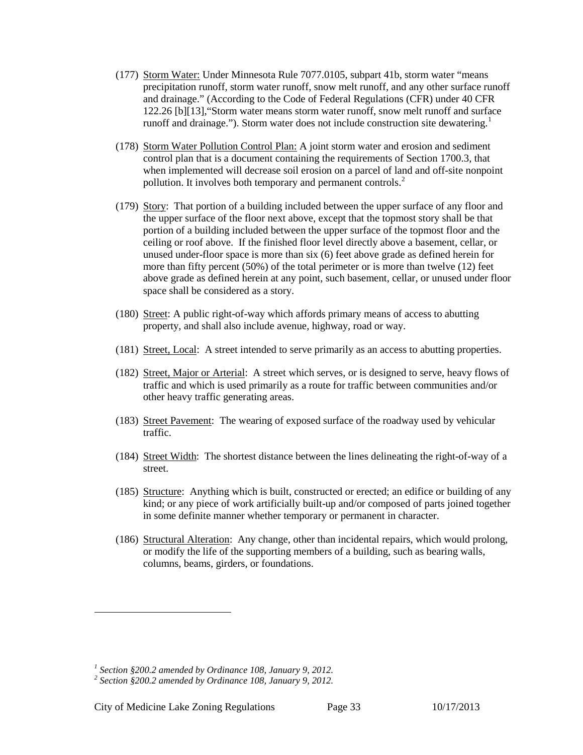- (177) Storm Water: Under Minnesota Rule 7077.0105, subpart 41b, storm water "means precipitation runoff, storm water runoff, snow melt runoff, and any other surface runoff and drainage." (According to the Code of Federal Regulations (CFR) under 40 CFR 122.26 [b][13],"Storm water means storm water runoff, snow melt runoff and surface runoff and drainage."). Storm water does not include construction site dewatering.<sup>[1](#page-32-0)</sup>
- (178) Storm Water Pollution Control Plan: A joint storm water and erosion and sediment control plan that is a document containing the requirements of Section 1700.3, that when implemented will decrease soil erosion on a parcel of land and off-site nonpoint pollution. It involves both temporary and permanent controls.<sup>[2](#page-32-1)</sup>
- (179) Story: That portion of a building included between the upper surface of any floor and the upper surface of the floor next above, except that the topmost story shall be that portion of a building included between the upper surface of the topmost floor and the ceiling or roof above. If the finished floor level directly above a basement, cellar, or unused under-floor space is more than six (6) feet above grade as defined herein for more than fifty percent (50%) of the total perimeter or is more than twelve (12) feet above grade as defined herein at any point, such basement, cellar, or unused under floor space shall be considered as a story.
- (180) Street: A public right-of-way which affords primary means of access to abutting property, and shall also include avenue, highway, road or way.
- (181) Street, Local: A street intended to serve primarily as an access to abutting properties.
- (182) Street, Major or Arterial: A street which serves, or is designed to serve, heavy flows of traffic and which is used primarily as a route for traffic between communities and/or other heavy traffic generating areas.
- (183) Street Pavement: The wearing of exposed surface of the roadway used by vehicular traffic.
- (184) Street Width: The shortest distance between the lines delineating the right-of-way of a street.
- (185) Structure: Anything which is built, constructed or erected; an edifice or building of any kind; or any piece of work artificially built-up and/or composed of parts joined together in some definite manner whether temporary or permanent in character.
- (186) Structural Alteration: Any change, other than incidental repairs, which would prolong, or modify the life of the supporting members of a building, such as bearing walls, columns, beams, girders, or foundations.

City of Medicine Lake Zoning Regulations Page 33 10/17/2013

<span id="page-32-0"></span>*<sup>1</sup> Section §200.2 amended by Ordinance 108, January 9, 2012. <sup>2</sup> Section §200.2 amended by Ordinance 108, January 9, 2012.*

<span id="page-32-1"></span>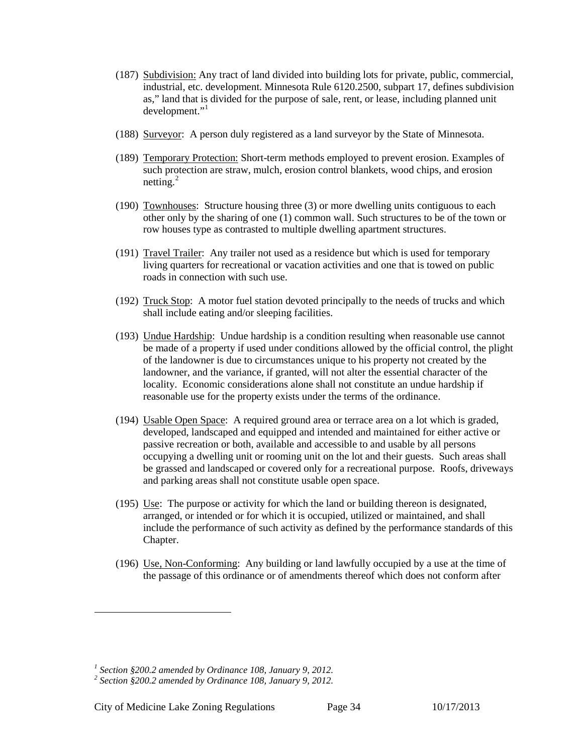- (187) Subdivision: Any tract of land divided into building lots for private, public, commercial, industrial, etc. development. Minnesota Rule 6120.2500, subpart 17, defines subdivision as," land that is divided for the purpose of sale, rent, or lease, including planned unit development."<sup>[1](#page-33-0)</sup>
- (188) Surveyor: A person duly registered as a land surveyor by the State of Minnesota.
- (189) Temporary Protection: Short-term methods employed to prevent erosion. Examples of such protection are straw, mulch, erosion control blankets, wood chips, and erosion netting. $2$
- (190) Townhouses: Structure housing three (3) or more dwelling units contiguous to each other only by the sharing of one (1) common wall. Such structures to be of the town or row houses type as contrasted to multiple dwelling apartment structures.
- (191) Travel Trailer: Any trailer not used as a residence but which is used for temporary living quarters for recreational or vacation activities and one that is towed on public roads in connection with such use.
- (192) Truck Stop: A motor fuel station devoted principally to the needs of trucks and which shall include eating and/or sleeping facilities.
- (193) Undue Hardship: Undue hardship is a condition resulting when reasonable use cannot be made of a property if used under conditions allowed by the official control, the plight of the landowner is due to circumstances unique to his property not created by the landowner, and the variance, if granted, will not alter the essential character of the locality. Economic considerations alone shall not constitute an undue hardship if reasonable use for the property exists under the terms of the ordinance.
- (194) Usable Open Space: A required ground area or terrace area on a lot which is graded, developed, landscaped and equipped and intended and maintained for either active or passive recreation or both, available and accessible to and usable by all persons occupying a dwelling unit or rooming unit on the lot and their guests. Such areas shall be grassed and landscaped or covered only for a recreational purpose. Roofs, driveways and parking areas shall not constitute usable open space.
- (195) Use: The purpose or activity for which the land or building thereon is designated, arranged, or intended or for which it is occupied, utilized or maintained, and shall include the performance of such activity as defined by the performance standards of this Chapter.
- (196) Use, Non-Conforming: Any building or land lawfully occupied by a use at the time of the passage of this ordinance or of amendments thereof which does not conform after

City of Medicine Lake Zoning Regulations Page 34 10/17/2013

<span id="page-33-1"></span><span id="page-33-0"></span>*<sup>1</sup> Section §200.2 amended by Ordinance 108, January 9, 2012. <sup>2</sup> Section §200.2 amended by Ordinance 108, January 9, 2012.*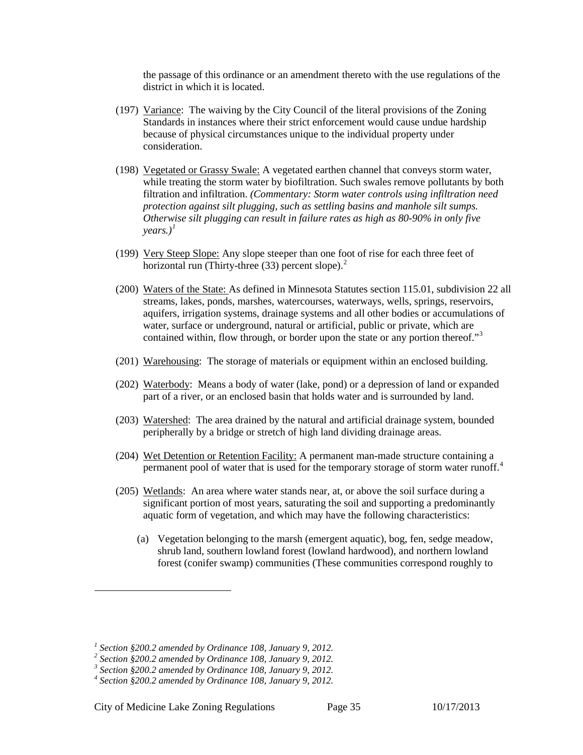the passage of this ordinance or an amendment thereto with the use regulations of the district in which it is located.

- (197) Variance: The waiving by the City Council of the literal provisions of the Zoning Standards in instances where their strict enforcement would cause undue hardship because of physical circumstances unique to the individual property under consideration.
- (198) Vegetated or Grassy Swale: A vegetated earthen channel that conveys storm water, while treating the storm water by biofiltration. Such swales remove pollutants by both filtration and infiltration. *(Commentary: Storm water controls using infiltration need protection against silt plugging, such as settling basins and manhole silt sumps. Otherwise silt plugging can result in failure rates as high as 80-90% in only five*   $\gamma$ *ears.*)<sup>*[1](#page-34-0)*</sup>
- (199) Very Steep Slope: Any slope steeper than one foot of rise for each three feet of horizontal run (Thirty-three  $(33)$  percent slope).<sup>[2](#page-34-1)</sup>
- (200) Waters of the State: As defined in Minnesota Statutes section 115.01, subdivision 22 all streams, lakes, ponds, marshes, watercourses, waterways, wells, springs, reservoirs, aquifers, irrigation systems, drainage systems and all other bodies or accumulations of water, surface or underground, natural or artificial, public or private, which are contained within, flow through, or border upon the state or any portion thereof."<sup>[3](#page-34-2)</sup>
- (201) Warehousing: The storage of materials or equipment within an enclosed building.
- (202) Waterbody: Means a body of water (lake, pond) or a depression of land or expanded part of a river, or an enclosed basin that holds water and is surrounded by land.
- (203) Watershed: The area drained by the natural and artificial drainage system, bounded peripherally by a bridge or stretch of high land dividing drainage areas.
- (204) Wet Detention or Retention Facility: A permanent man-made structure containing a permanent pool of water that is used for the temporary storage of storm water runoff.<sup>[4](#page-34-3)</sup>
- (205) Wetlands: An area where water stands near, at, or above the soil surface during a significant portion of most years, saturating the soil and supporting a predominantly aquatic form of vegetation, and which may have the following characteristics:
	- (a) Vegetation belonging to the marsh (emergent aquatic), bog, fen, sedge meadow, shrub land, southern lowland forest (lowland hardwood), and northern lowland forest (conifer swamp) communities (These communities correspond roughly to

City of Medicine Lake Zoning Regulations Page 35 10/17/2013

<span id="page-34-1"></span><span id="page-34-0"></span><sup>&</sup>lt;sup>1</sup> Section §200.2 amended by Ordinance 108, January 9, 2012.<br>
<sup>2</sup> Section §200.2 amended by Ordinance 108, January 9, 2012.<br>
<sup>3</sup> Section §200.2 amended by Ordinance 108, January 9, 2012.<br>
<sup>4</sup> Section §200.2 amended by Or

<span id="page-34-3"></span><span id="page-34-2"></span>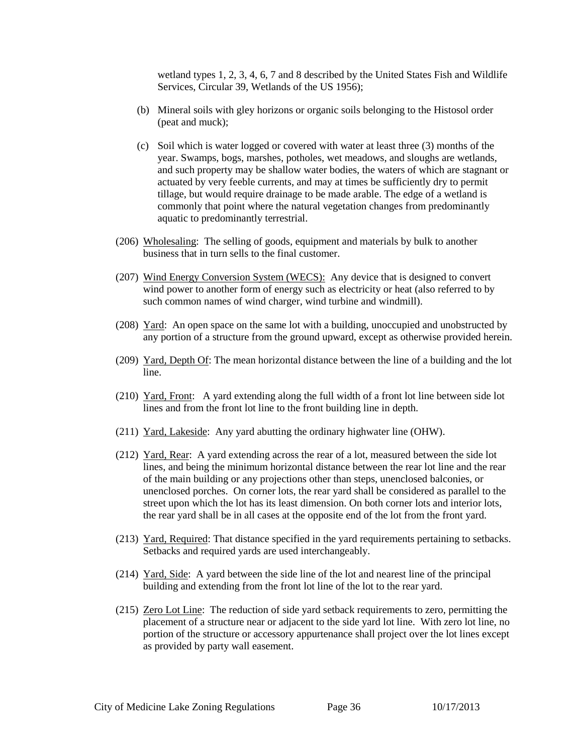wetland types 1, 2, 3, 4, 6, 7 and 8 described by the United States Fish and Wildlife Services, Circular 39, Wetlands of the US 1956);

- (b) Mineral soils with gley horizons or organic soils belonging to the Histosol order (peat and muck);
- (c) Soil which is water logged or covered with water at least three (3) months of the year. Swamps, bogs, marshes, potholes, wet meadows, and sloughs are wetlands, and such property may be shallow water bodies, the waters of which are stagnant or actuated by very feeble currents, and may at times be sufficiently dry to permit tillage, but would require drainage to be made arable. The edge of a wetland is commonly that point where the natural vegetation changes from predominantly aquatic to predominantly terrestrial.
- (206) Wholesaling: The selling of goods, equipment and materials by bulk to another business that in turn sells to the final customer.
- (207) Wind Energy Conversion System (WECS): Any device that is designed to convert wind power to another form of energy such as electricity or heat (also referred to by such common names of wind charger, wind turbine and windmill).
- (208) Yard: An open space on the same lot with a building, unoccupied and unobstructed by any portion of a structure from the ground upward, except as otherwise provided herein.
- (209) Yard, Depth Of: The mean horizontal distance between the line of a building and the lot line.
- (210) Yard, Front: A yard extending along the full width of a front lot line between side lot lines and from the front lot line to the front building line in depth.
- (211) Yard, Lakeside: Any yard abutting the ordinary highwater line (OHW).
- (212) Yard, Rear: A yard extending across the rear of a lot, measured between the side lot lines, and being the minimum horizontal distance between the rear lot line and the rear of the main building or any projections other than steps, unenclosed balconies, or unenclosed porches. On corner lots, the rear yard shall be considered as parallel to the street upon which the lot has its least dimension. On both corner lots and interior lots, the rear yard shall be in all cases at the opposite end of the lot from the front yard.
- (213) Yard, Required: That distance specified in the yard requirements pertaining to setbacks. Setbacks and required yards are used interchangeably.
- (214) Yard, Side: A yard between the side line of the lot and nearest line of the principal building and extending from the front lot line of the lot to the rear yard.
- (215) Zero Lot Line: The reduction of side yard setback requirements to zero, permitting the placement of a structure near or adjacent to the side yard lot line. With zero lot line, no portion of the structure or accessory appurtenance shall project over the lot lines except as provided by party wall easement.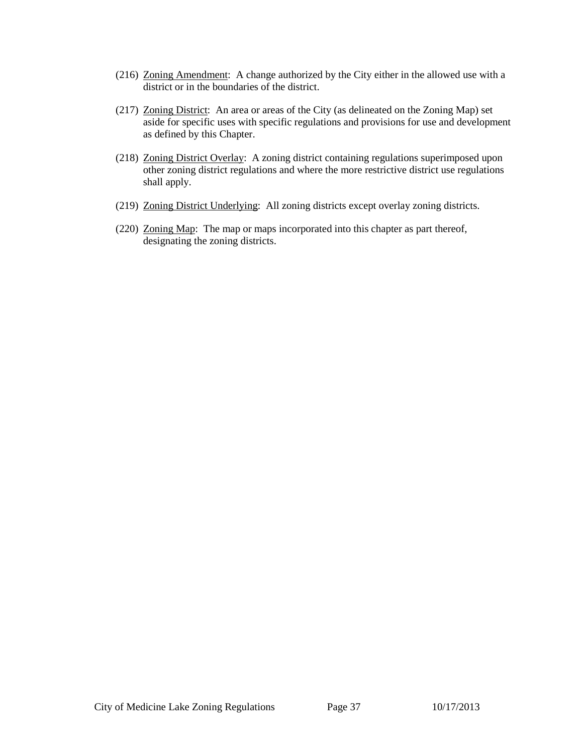- (216) Zoning Amendment: A change authorized by the City either in the allowed use with a district or in the boundaries of the district.
- (217) Zoning District: An area or areas of the City (as delineated on the Zoning Map) set aside for specific uses with specific regulations and provisions for use and development as defined by this Chapter.
- (218) Zoning District Overlay: A zoning district containing regulations superimposed upon other zoning district regulations and where the more restrictive district use regulations shall apply.
- (219) Zoning District Underlying: All zoning districts except overlay zoning districts.
- (220) Zoning Map: The map or maps incorporated into this chapter as part thereof, designating the zoning districts.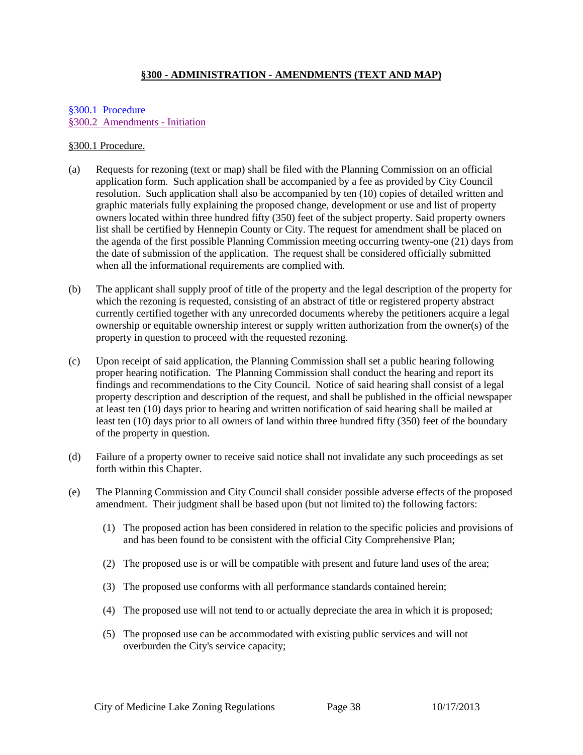# **§300 - ADMINISTRATION - AMENDMENTS (TEXT AND MAP)**

# [§300.1 Procedure](#page-37-0) [§300.2 Amendments -](#page-39-0) Initiation

### <span id="page-37-0"></span>§300.1 Procedure.

- (a) Requests for rezoning (text or map) shall be filed with the Planning Commission on an official application form. Such application shall be accompanied by a fee as provided by City Council resolution. Such application shall also be accompanied by ten (10) copies of detailed written and graphic materials fully explaining the proposed change, development or use and list of property owners located within three hundred fifty (350) feet of the subject property. Said property owners list shall be certified by Hennepin County or City. The request for amendment shall be placed on the agenda of the first possible Planning Commission meeting occurring twenty-one (21) days from the date of submission of the application. The request shall be considered officially submitted when all the informational requirements are complied with.
- (b) The applicant shall supply proof of title of the property and the legal description of the property for which the rezoning is requested, consisting of an abstract of title or registered property abstract currently certified together with any unrecorded documents whereby the petitioners acquire a legal ownership or equitable ownership interest or supply written authorization from the owner(s) of the property in question to proceed with the requested rezoning.
- (c) Upon receipt of said application, the Planning Commission shall set a public hearing following proper hearing notification. The Planning Commission shall conduct the hearing and report its findings and recommendations to the City Council. Notice of said hearing shall consist of a legal property description and description of the request, and shall be published in the official newspaper at least ten (10) days prior to hearing and written notification of said hearing shall be mailed at least ten (10) days prior to all owners of land within three hundred fifty (350) feet of the boundary of the property in question.
- (d) Failure of a property owner to receive said notice shall not invalidate any such proceedings as set forth within this Chapter.
- (e) The Planning Commission and City Council shall consider possible adverse effects of the proposed amendment. Their judgment shall be based upon (but not limited to) the following factors:
	- (1) The proposed action has been considered in relation to the specific policies and provisions of and has been found to be consistent with the official City Comprehensive Plan;
	- (2) The proposed use is or will be compatible with present and future land uses of the area;
	- (3) The proposed use conforms with all performance standards contained herein;
	- (4) The proposed use will not tend to or actually depreciate the area in which it is proposed;
	- (5) The proposed use can be accommodated with existing public services and will not overburden the City's service capacity;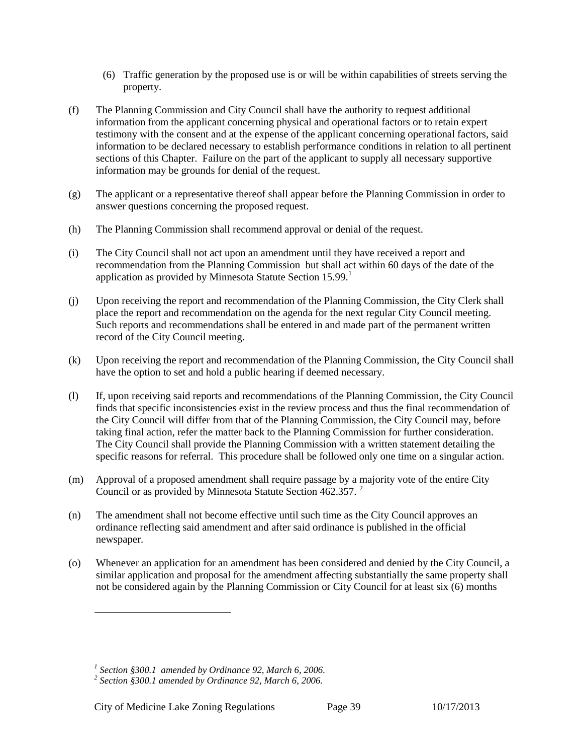- (6) Traffic generation by the proposed use is or will be within capabilities of streets serving the property.
- (f) The Planning Commission and City Council shall have the authority to request additional information from the applicant concerning physical and operational factors or to retain expert testimony with the consent and at the expense of the applicant concerning operational factors, said information to be declared necessary to establish performance conditions in relation to all pertinent sections of this Chapter. Failure on the part of the applicant to supply all necessary supportive information may be grounds for denial of the request.
- (g) The applicant or a representative thereof shall appear before the Planning Commission in order to answer questions concerning the proposed request.
- (h) The Planning Commission shall recommend approval or denial of the request.
- (i) The City Council shall not act upon an amendment until they have received a report and recommendation from the Planning Commission but shall act within 60 days of the date of the application as provided by Minnesota Statute Section [1](#page-38-0)5.99.<sup>1</sup>
- (j) Upon receiving the report and recommendation of the Planning Commission, the City Clerk shall place the report and recommendation on the agenda for the next regular City Council meeting. Such reports and recommendations shall be entered in and made part of the permanent written record of the City Council meeting.
- (k) Upon receiving the report and recommendation of the Planning Commission, the City Council shall have the option to set and hold a public hearing if deemed necessary.
- (l) If, upon receiving said reports and recommendations of the Planning Commission, the City Council finds that specific inconsistencies exist in the review process and thus the final recommendation of the City Council will differ from that of the Planning Commission, the City Council may, before taking final action, refer the matter back to the Planning Commission for further consideration. The City Council shall provide the Planning Commission with a written statement detailing the specific reasons for referral. This procedure shall be followed only one time on a singular action.
- (m) Approval of a proposed amendment shall require passage by a majority vote of the entire City Council or as provided by Minnesota Statute Section 462.357. [2](#page-38-1)
- (n) The amendment shall not become effective until such time as the City Council approves an ordinance reflecting said amendment and after said ordinance is published in the official newspaper.
- (o) Whenever an application for an amendment has been considered and denied by the City Council, a similar application and proposal for the amendment affecting substantially the same property shall not be considered again by the Planning Commission or City Council for at least six (6) months

City of Medicine Lake Zoning Regulations Page 39 10/17/2013

 $\overline{a}$ 

<span id="page-38-0"></span>*<sup>1</sup> Section §300.1 amended by Ordinance 92, March 6, 2006. <sup>2</sup> Section §300.1 amended by Ordinance 92, March 6, 2006.*

<span id="page-38-1"></span>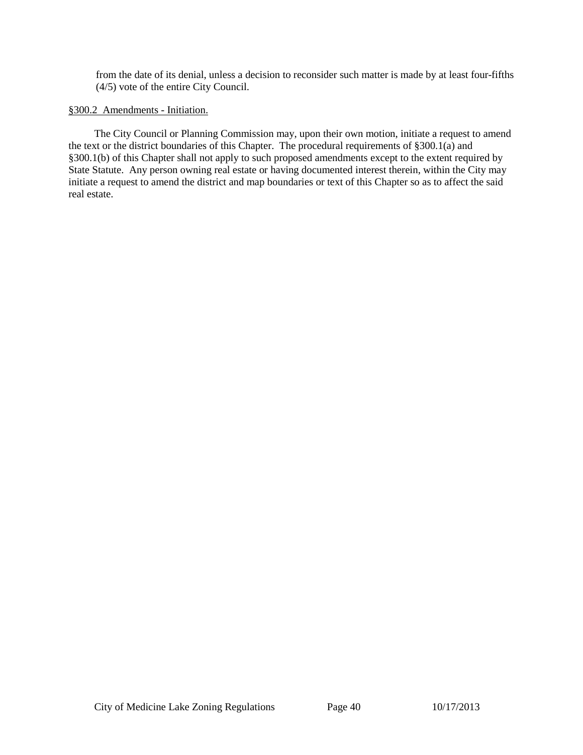from the date of its denial, unless a decision to reconsider such matter is made by at least four-fifths (4/5) vote of the entire City Council.

# <span id="page-39-0"></span>§300.2 Amendments - Initiation.

The City Council or Planning Commission may, upon their own motion, initiate a request to amend the text or the district boundaries of this Chapter. The procedural requirements of §300.1(a) and §300.1(b) of this Chapter shall not apply to such proposed amendments except to the extent required by State Statute. Any person owning real estate or having documented interest therein, within the City may initiate a request to amend the district and map boundaries or text of this Chapter so as to affect the said real estate.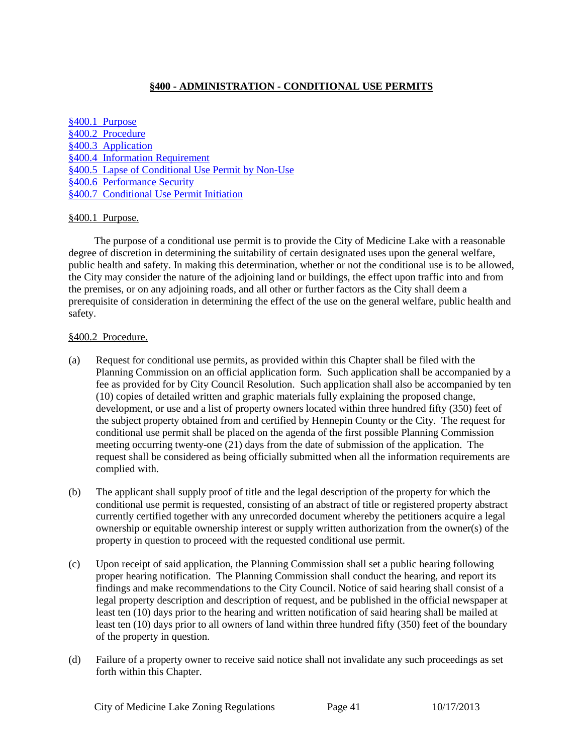# **§400 - ADMINISTRATION - CONDITIONAL USE PERMITS**

§400.1 [Purpose](#page-40-0) §400.2 [Procedure](#page-40-1) [§400.3 Application](#page-42-0) [§400.4 Information Requirement](#page-42-1) [§400.5 Lapse of Conditional Use Permit by Non-Use](#page-43-0) [§400.6 Performance Security](#page-43-1) [§400.7 Conditional Use Permit Initiation](#page-44-0)

## <span id="page-40-0"></span>§400.1 Purpose.

The purpose of a conditional use permit is to provide the City of Medicine Lake with a reasonable degree of discretion in determining the suitability of certain designated uses upon the general welfare, public health and safety. In making this determination, whether or not the conditional use is to be allowed, the City may consider the nature of the adjoining land or buildings, the effect upon traffic into and from the premises, or on any adjoining roads, and all other or further factors as the City shall deem a prerequisite of consideration in determining the effect of the use on the general welfare, public health and safety.

### <span id="page-40-1"></span>§400.2 Procedure.

- (a) Request for conditional use permits, as provided within this Chapter shall be filed with the Planning Commission on an official application form. Such application shall be accompanied by a fee as provided for by City Council Resolution. Such application shall also be accompanied by ten (10) copies of detailed written and graphic materials fully explaining the proposed change, development, or use and a list of property owners located within three hundred fifty (350) feet of the subject property obtained from and certified by Hennepin County or the City. The request for conditional use permit shall be placed on the agenda of the first possible Planning Commission meeting occurring twenty-one (21) days from the date of submission of the application. The request shall be considered as being officially submitted when all the information requirements are complied with.
- (b) The applicant shall supply proof of title and the legal description of the property for which the conditional use permit is requested, consisting of an abstract of title or registered property abstract currently certified together with any unrecorded document whereby the petitioners acquire a legal ownership or equitable ownership interest or supply written authorization from the owner(s) of the property in question to proceed with the requested conditional use permit.
- (c) Upon receipt of said application, the Planning Commission shall set a public hearing following proper hearing notification. The Planning Commission shall conduct the hearing, and report its findings and make recommendations to the City Council. Notice of said hearing shall consist of a legal property description and description of request, and be published in the official newspaper at least ten (10) days prior to the hearing and written notification of said hearing shall be mailed at least ten (10) days prior to all owners of land within three hundred fifty (350) feet of the boundary of the property in question.
- (d) Failure of a property owner to receive said notice shall not invalidate any such proceedings as set forth within this Chapter.

City of Medicine Lake Zoning Regulations Page 41 10/17/2013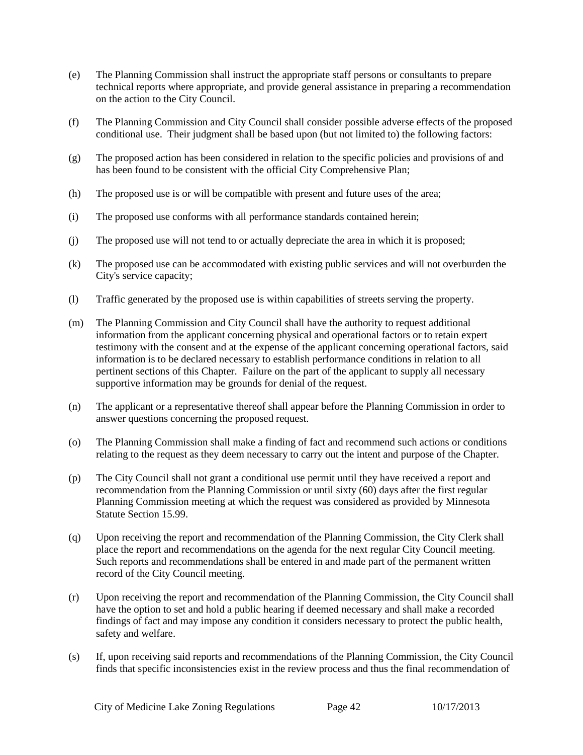- (e) The Planning Commission shall instruct the appropriate staff persons or consultants to prepare technical reports where appropriate, and provide general assistance in preparing a recommendation on the action to the City Council.
- (f) The Planning Commission and City Council shall consider possible adverse effects of the proposed conditional use. Their judgment shall be based upon (but not limited to) the following factors:
- (g) The proposed action has been considered in relation to the specific policies and provisions of and has been found to be consistent with the official City Comprehensive Plan;
- (h) The proposed use is or will be compatible with present and future uses of the area;
- (i) The proposed use conforms with all performance standards contained herein;
- (j) The proposed use will not tend to or actually depreciate the area in which it is proposed;
- (k) The proposed use can be accommodated with existing public services and will not overburden the City's service capacity;
- (l) Traffic generated by the proposed use is within capabilities of streets serving the property.
- (m) The Planning Commission and City Council shall have the authority to request additional information from the applicant concerning physical and operational factors or to retain expert testimony with the consent and at the expense of the applicant concerning operational factors, said information is to be declared necessary to establish performance conditions in relation to all pertinent sections of this Chapter. Failure on the part of the applicant to supply all necessary supportive information may be grounds for denial of the request.
- (n) The applicant or a representative thereof shall appear before the Planning Commission in order to answer questions concerning the proposed request.
- (o) The Planning Commission shall make a finding of fact and recommend such actions or conditions relating to the request as they deem necessary to carry out the intent and purpose of the Chapter.
- (p) The City Council shall not grant a conditional use permit until they have received a report and recommendation from the Planning Commission or until sixty (60) days after the first regular Planning Commission meeting at which the request was considered as provided by Minnesota Statute Section 15.99.
- (q) Upon receiving the report and recommendation of the Planning Commission, the City Clerk shall place the report and recommendations on the agenda for the next regular City Council meeting. Such reports and recommendations shall be entered in and made part of the permanent written record of the City Council meeting.
- (r) Upon receiving the report and recommendation of the Planning Commission, the City Council shall have the option to set and hold a public hearing if deemed necessary and shall make a recorded findings of fact and may impose any condition it considers necessary to protect the public health, safety and welfare.
- (s) If, upon receiving said reports and recommendations of the Planning Commission, the City Council finds that specific inconsistencies exist in the review process and thus the final recommendation of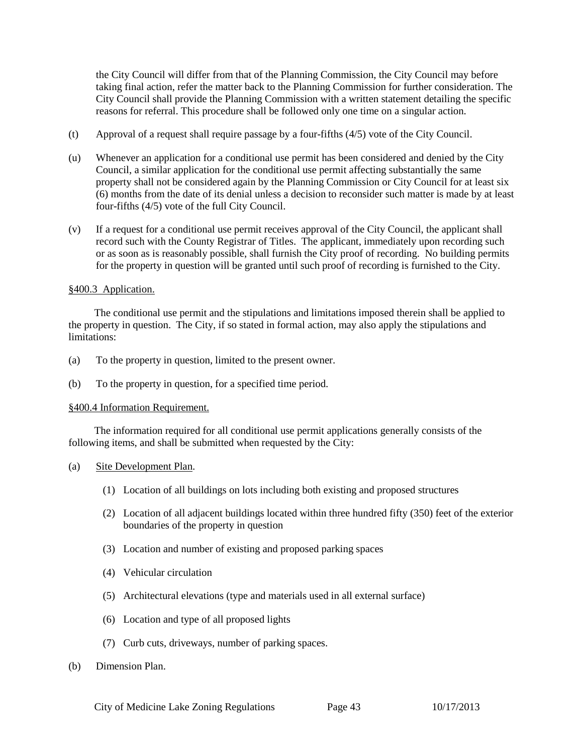the City Council will differ from that of the Planning Commission, the City Council may before taking final action, refer the matter back to the Planning Commission for further consideration. The City Council shall provide the Planning Commission with a written statement detailing the specific reasons for referral. This procedure shall be followed only one time on a singular action.

- (t) Approval of a request shall require passage by a four-fifths (4/5) vote of the City Council.
- (u) Whenever an application for a conditional use permit has been considered and denied by the City Council, a similar application for the conditional use permit affecting substantially the same property shall not be considered again by the Planning Commission or City Council for at least six (6) months from the date of its denial unless a decision to reconsider such matter is made by at least four-fifths (4/5) vote of the full City Council.
- (v) If a request for a conditional use permit receives approval of the City Council, the applicant shall record such with the County Registrar of Titles. The applicant, immediately upon recording such or as soon as is reasonably possible, shall furnish the City proof of recording. No building permits for the property in question will be granted until such proof of recording is furnished to the City.

### <span id="page-42-0"></span>§400.3 Application.

The conditional use permit and the stipulations and limitations imposed therein shall be applied to the property in question. The City, if so stated in formal action, may also apply the stipulations and limitations:

- (a) To the property in question, limited to the present owner.
- <span id="page-42-1"></span>(b) To the property in question, for a specified time period.

#### §400.4 Information Requirement.

The information required for all conditional use permit applications generally consists of the following items, and shall be submitted when requested by the City:

#### (a) Site Development Plan.

- (1) Location of all buildings on lots including both existing and proposed structures
- (2) Location of all adjacent buildings located within three hundred fifty (350) feet of the exterior boundaries of the property in question
- (3) Location and number of existing and proposed parking spaces
- (4) Vehicular circulation
- (5) Architectural elevations (type and materials used in all external surface)
- (6) Location and type of all proposed lights
- (7) Curb cuts, driveways, number of parking spaces.
- (b) Dimension Plan.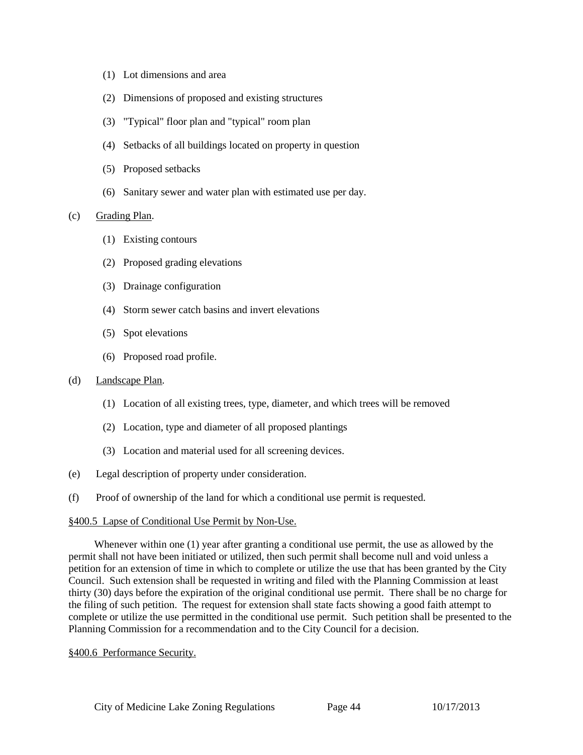- (1) Lot dimensions and area
- (2) Dimensions of proposed and existing structures
- (3) "Typical" floor plan and "typical" room plan
- (4) Setbacks of all buildings located on property in question
- (5) Proposed setbacks
- (6) Sanitary sewer and water plan with estimated use per day.

### (c) Grading Plan.

- (1) Existing contours
- (2) Proposed grading elevations
- (3) Drainage configuration
- (4) Storm sewer catch basins and invert elevations
- (5) Spot elevations
- (6) Proposed road profile.

#### (d) Landscape Plan.

- (1) Location of all existing trees, type, diameter, and which trees will be removed
- (2) Location, type and diameter of all proposed plantings
- (3) Location and material used for all screening devices.
- (e) Legal description of property under consideration.
- <span id="page-43-0"></span>(f) Proof of ownership of the land for which a conditional use permit is requested.

#### §400.5 Lapse of Conditional Use Permit by Non-Use.

Whenever within one (1) year after granting a conditional use permit, the use as allowed by the permit shall not have been initiated or utilized, then such permit shall become null and void unless a petition for an extension of time in which to complete or utilize the use that has been granted by the City Council. Such extension shall be requested in writing and filed with the Planning Commission at least thirty (30) days before the expiration of the original conditional use permit. There shall be no charge for the filing of such petition. The request for extension shall state facts showing a good faith attempt to complete or utilize the use permitted in the conditional use permit. Such petition shall be presented to the Planning Commission for a recommendation and to the City Council for a decision.

#### <span id="page-43-1"></span>§400.6 Performance Security.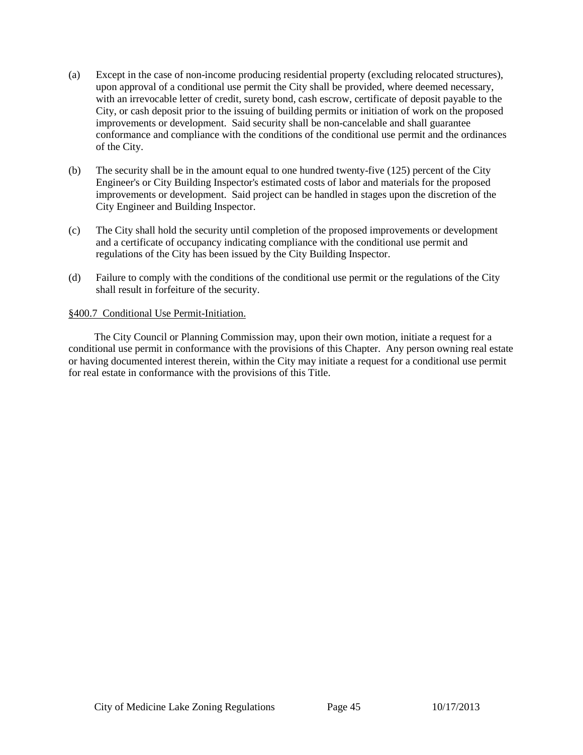- (a) Except in the case of non-income producing residential property (excluding relocated structures), upon approval of a conditional use permit the City shall be provided, where deemed necessary, with an irrevocable letter of credit, surety bond, cash escrow, certificate of deposit payable to the City, or cash deposit prior to the issuing of building permits or initiation of work on the proposed improvements or development. Said security shall be non-cancelable and shall guarantee conformance and compliance with the conditions of the conditional use permit and the ordinances of the City.
- (b) The security shall be in the amount equal to one hundred twenty-five (125) percent of the City Engineer's or City Building Inspector's estimated costs of labor and materials for the proposed improvements or development. Said project can be handled in stages upon the discretion of the City Engineer and Building Inspector.
- (c) The City shall hold the security until completion of the proposed improvements or development and a certificate of occupancy indicating compliance with the conditional use permit and regulations of the City has been issued by the City Building Inspector.
- (d) Failure to comply with the conditions of the conditional use permit or the regulations of the City shall result in forfeiture of the security.

## <span id="page-44-0"></span>§400.7 Conditional Use Permit-Initiation.

The City Council or Planning Commission may, upon their own motion, initiate a request for a conditional use permit in conformance with the provisions of this Chapter. Any person owning real estate or having documented interest therein, within the City may initiate a request for a conditional use permit for real estate in conformance with the provisions of this Title.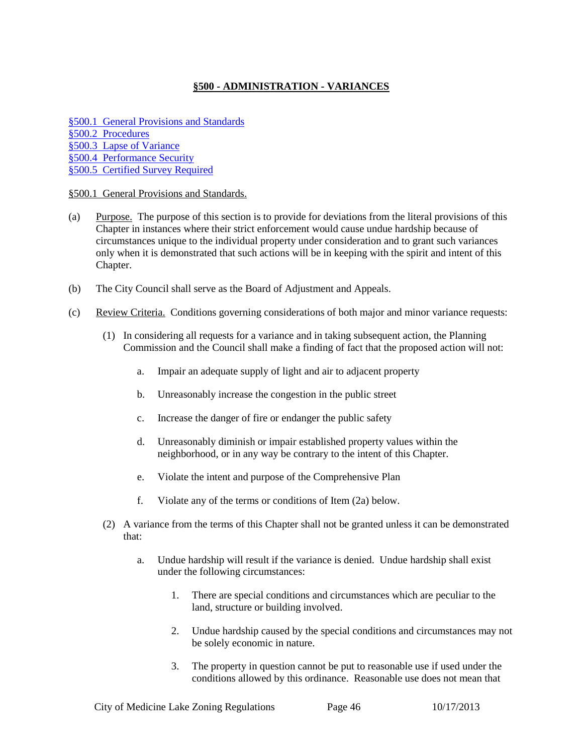# **§500 - ADMINISTRATION - VARIANCES**

[§500.1 General Provisions and Standards](#page-45-0) [§500.2 Procedures](#page-46-0) [§500.3 Lapse of Variance](#page-48-0) [§500.4 Performance Security](#page-48-1) [§500.5 Certified Survey Required](#page-48-2)

### <span id="page-45-0"></span>§500.1 General Provisions and Standards.

- (a) Purpose. The purpose of this section is to provide for deviations from the literal provisions of this Chapter in instances where their strict enforcement would cause undue hardship because of circumstances unique to the individual property under consideration and to grant such variances only when it is demonstrated that such actions will be in keeping with the spirit and intent of this Chapter.
- (b) The City Council shall serve as the Board of Adjustment and Appeals.
- (c) Review Criteria. Conditions governing considerations of both major and minor variance requests:
	- (1) In considering all requests for a variance and in taking subsequent action, the Planning Commission and the Council shall make a finding of fact that the proposed action will not:
		- a. Impair an adequate supply of light and air to adjacent property
		- b. Unreasonably increase the congestion in the public street
		- c. Increase the danger of fire or endanger the public safety
		- d. Unreasonably diminish or impair established property values within the neighborhood, or in any way be contrary to the intent of this Chapter.
		- e. Violate the intent and purpose of the Comprehensive Plan
		- f. Violate any of the terms or conditions of Item (2a) below.
	- (2) A variance from the terms of this Chapter shall not be granted unless it can be demonstrated that:
		- a. Undue hardship will result if the variance is denied. Undue hardship shall exist under the following circumstances:
			- 1. There are special conditions and circumstances which are peculiar to the land, structure or building involved.
			- 2. Undue hardship caused by the special conditions and circumstances may not be solely economic in nature.
			- 3. The property in question cannot be put to reasonable use if used under the conditions allowed by this ordinance. Reasonable use does not mean that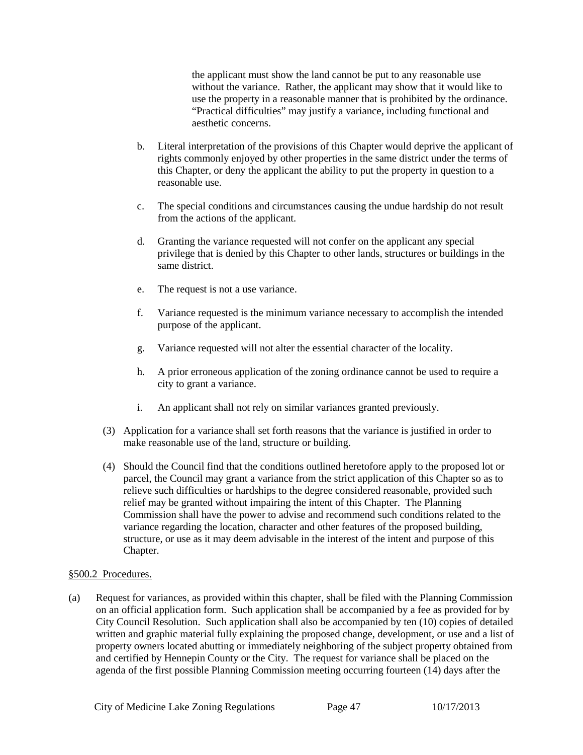the applicant must show the land cannot be put to any reasonable use without the variance. Rather, the applicant may show that it would like to use the property in a reasonable manner that is prohibited by the ordinance. "Practical difficulties" may justify a variance, including functional and aesthetic concerns.

- b. Literal interpretation of the provisions of this Chapter would deprive the applicant of rights commonly enjoyed by other properties in the same district under the terms of this Chapter, or deny the applicant the ability to put the property in question to a reasonable use.
- c. The special conditions and circumstances causing the undue hardship do not result from the actions of the applicant.
- d. Granting the variance requested will not confer on the applicant any special privilege that is denied by this Chapter to other lands, structures or buildings in the same district.
- e. The request is not a use variance.
- f. Variance requested is the minimum variance necessary to accomplish the intended purpose of the applicant.
- g. Variance requested will not alter the essential character of the locality.
- h. A prior erroneous application of the zoning ordinance cannot be used to require a city to grant a variance.
- i. An applicant shall not rely on similar variances granted previously.
- (3) Application for a variance shall set forth reasons that the variance is justified in order to make reasonable use of the land, structure or building.
- (4) Should the Council find that the conditions outlined heretofore apply to the proposed lot or parcel, the Council may grant a variance from the strict application of this Chapter so as to relieve such difficulties or hardships to the degree considered reasonable, provided such relief may be granted without impairing the intent of this Chapter. The Planning Commission shall have the power to advise and recommend such conditions related to the variance regarding the location, character and other features of the proposed building, structure, or use as it may deem advisable in the interest of the intent and purpose of this Chapter.

# <span id="page-46-0"></span>§500.2 Procedures.

(a) Request for variances, as provided within this chapter, shall be filed with the Planning Commission on an official application form. Such application shall be accompanied by a fee as provided for by City Council Resolution. Such application shall also be accompanied by ten (10) copies of detailed written and graphic material fully explaining the proposed change, development, or use and a list of property owners located abutting or immediately neighboring of the subject property obtained from and certified by Hennepin County or the City. The request for variance shall be placed on the agenda of the first possible Planning Commission meeting occurring fourteen (14) days after the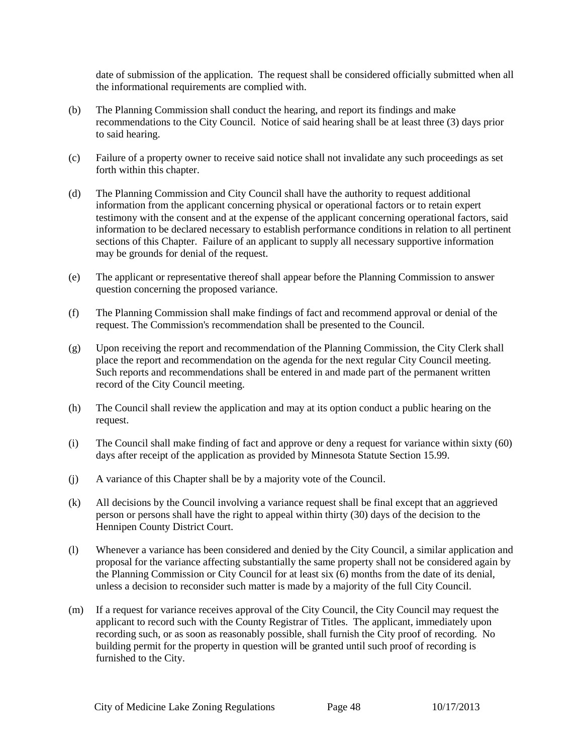date of submission of the application. The request shall be considered officially submitted when all the informational requirements are complied with.

- (b) The Planning Commission shall conduct the hearing, and report its findings and make recommendations to the City Council. Notice of said hearing shall be at least three (3) days prior to said hearing.
- (c) Failure of a property owner to receive said notice shall not invalidate any such proceedings as set forth within this chapter.
- (d) The Planning Commission and City Council shall have the authority to request additional information from the applicant concerning physical or operational factors or to retain expert testimony with the consent and at the expense of the applicant concerning operational factors, said information to be declared necessary to establish performance conditions in relation to all pertinent sections of this Chapter. Failure of an applicant to supply all necessary supportive information may be grounds for denial of the request.
- (e) The applicant or representative thereof shall appear before the Planning Commission to answer question concerning the proposed variance.
- (f) The Planning Commission shall make findings of fact and recommend approval or denial of the request. The Commission's recommendation shall be presented to the Council.
- (g) Upon receiving the report and recommendation of the Planning Commission, the City Clerk shall place the report and recommendation on the agenda for the next regular City Council meeting. Such reports and recommendations shall be entered in and made part of the permanent written record of the City Council meeting.
- (h) The Council shall review the application and may at its option conduct a public hearing on the request.
- (i) The Council shall make finding of fact and approve or deny a request for variance within sixty (60) days after receipt of the application as provided by Minnesota Statute Section 15.99.
- (j) A variance of this Chapter shall be by a majority vote of the Council.
- (k) All decisions by the Council involving a variance request shall be final except that an aggrieved person or persons shall have the right to appeal within thirty (30) days of the decision to the Hennipen County District Court.
- (l) Whenever a variance has been considered and denied by the City Council, a similar application and proposal for the variance affecting substantially the same property shall not be considered again by the Planning Commission or City Council for at least six (6) months from the date of its denial, unless a decision to reconsider such matter is made by a majority of the full City Council.
- (m) If a request for variance receives approval of the City Council, the City Council may request the applicant to record such with the County Registrar of Titles. The applicant, immediately upon recording such, or as soon as reasonably possible, shall furnish the City proof of recording. No building permit for the property in question will be granted until such proof of recording is furnished to the City.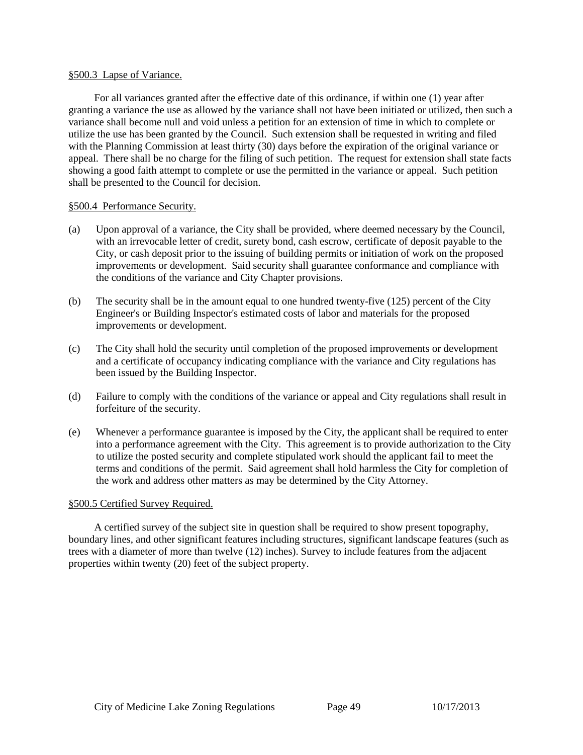#### <span id="page-48-0"></span>§500.3 Lapse of Variance.

For all variances granted after the effective date of this ordinance, if within one (1) year after granting a variance the use as allowed by the variance shall not have been initiated or utilized, then such a variance shall become null and void unless a petition for an extension of time in which to complete or utilize the use has been granted by the Council. Such extension shall be requested in writing and filed with the Planning Commission at least thirty (30) days before the expiration of the original variance or appeal. There shall be no charge for the filing of such petition. The request for extension shall state facts showing a good faith attempt to complete or use the permitted in the variance or appeal. Such petition shall be presented to the Council for decision.

## <span id="page-48-1"></span>§500.4 Performance Security.

- (a) Upon approval of a variance, the City shall be provided, where deemed necessary by the Council, with an irrevocable letter of credit, surety bond, cash escrow, certificate of deposit payable to the City, or cash deposit prior to the issuing of building permits or initiation of work on the proposed improvements or development. Said security shall guarantee conformance and compliance with the conditions of the variance and City Chapter provisions.
- (b) The security shall be in the amount equal to one hundred twenty-five (125) percent of the City Engineer's or Building Inspector's estimated costs of labor and materials for the proposed improvements or development.
- (c) The City shall hold the security until completion of the proposed improvements or development and a certificate of occupancy indicating compliance with the variance and City regulations has been issued by the Building Inspector.
- (d) Failure to comply with the conditions of the variance or appeal and City regulations shall result in forfeiture of the security.
- (e) Whenever a performance guarantee is imposed by the City, the applicant shall be required to enter into a performance agreement with the City. This agreement is to provide authorization to the City to utilize the posted security and complete stipulated work should the applicant fail to meet the terms and conditions of the permit. Said agreement shall hold harmless the City for completion of the work and address other matters as may be determined by the City Attorney.

## <span id="page-48-2"></span>§500.5 Certified Survey Required.

A certified survey of the subject site in question shall be required to show present topography, boundary lines, and other significant features including structures, significant landscape features (such as trees with a diameter of more than twelve (12) inches). Survey to include features from the adjacent properties within twenty (20) feet of the subject property.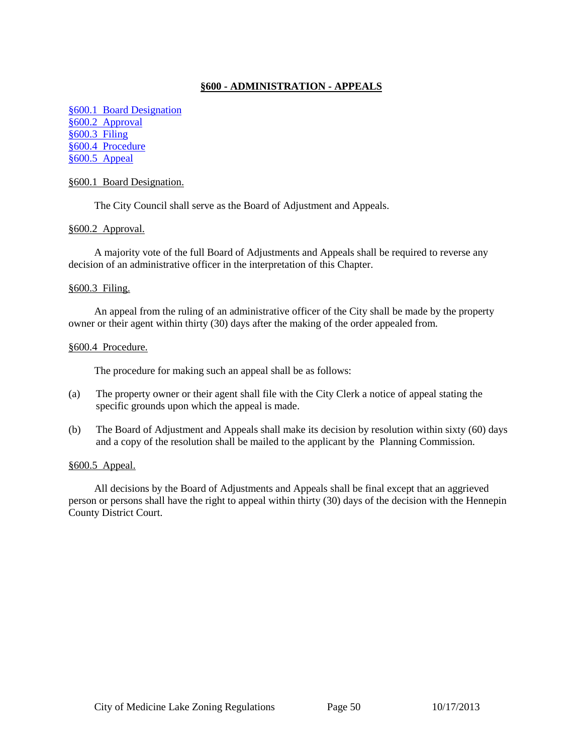# **§600 - ADMINISTRATION - APPEALS**

[§600.1 Board Designation](#page-49-0) [§600.2 Approval](#page-49-1) [§600.3 Filing](#page-49-2) [§600.4 Procedure](#page-49-3) [§600.5 Appeal](#page-49-4)

#### <span id="page-49-0"></span>§600.1 Board Designation.

The City Council shall serve as the Board of Adjustment and Appeals.

### <span id="page-49-1"></span>§600.2 Approval.

A majority vote of the full Board of Adjustments and Appeals shall be required to reverse any decision of an administrative officer in the interpretation of this Chapter.

#### <span id="page-49-2"></span>§600.3 Filing.

An appeal from the ruling of an administrative officer of the City shall be made by the property owner or their agent within thirty (30) days after the making of the order appealed from.

### <span id="page-49-3"></span>§600.4 Procedure.

The procedure for making such an appeal shall be as follows:

- (a) The property owner or their agent shall file with the City Clerk a notice of appeal stating the specific grounds upon which the appeal is made.
- (b) The Board of Adjustment and Appeals shall make its decision by resolution within sixty (60) days and a copy of the resolution shall be mailed to the applicant by the Planning Commission.

#### <span id="page-49-4"></span>§600.5 Appeal.

All decisions by the Board of Adjustments and Appeals shall be final except that an aggrieved person or persons shall have the right to appeal within thirty (30) days of the decision with the Hennepin County District Court.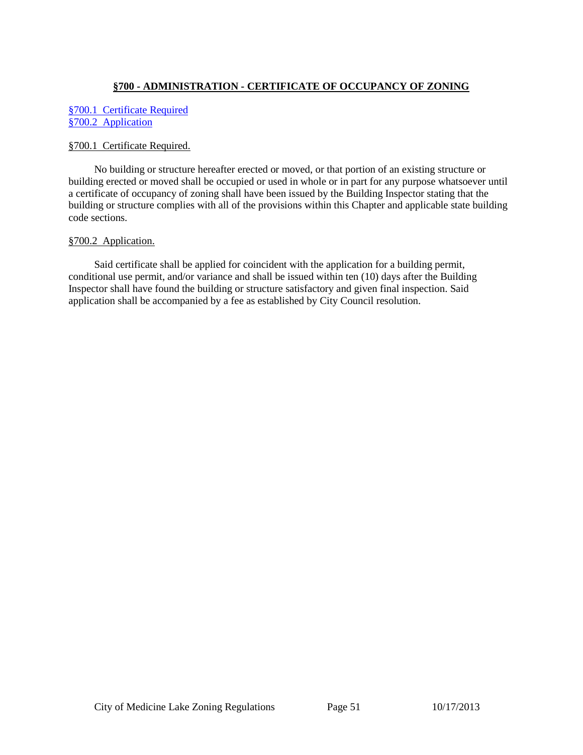# **§700 - ADMINISTRATION - CERTIFICATE OF OCCUPANCY OF ZONING**

# [§700.1 Certificate Required](#page-50-0) [§700.2 Application](#page-50-1)

## <span id="page-50-0"></span>§700.1 Certificate Required.

No building or structure hereafter erected or moved, or that portion of an existing structure or building erected or moved shall be occupied or used in whole or in part for any purpose whatsoever until a certificate of occupancy of zoning shall have been issued by the Building Inspector stating that the building or structure complies with all of the provisions within this Chapter and applicable state building code sections.

# <span id="page-50-1"></span>§700.2 Application.

Said certificate shall be applied for coincident with the application for a building permit, conditional use permit, and/or variance and shall be issued within ten (10) days after the Building Inspector shall have found the building or structure satisfactory and given final inspection. Said application shall be accompanied by a fee as established by City Council resolution.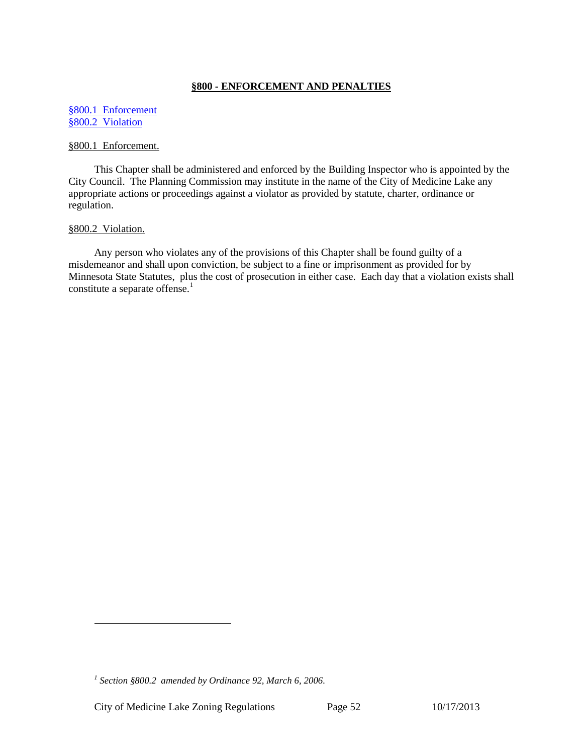# **§800 - ENFORCEMENT AND PENALTIES**

## [§800.1 Enforcement](#page-51-0) [§800.2 Violation](#page-51-1)

#### <span id="page-51-0"></span>§800.1 Enforcement.

This Chapter shall be administered and enforced by the Building Inspector who is appointed by the City Council. The Planning Commission may institute in the name of the City of Medicine Lake any appropriate actions or proceedings against a violator as provided by statute, charter, ordinance or regulation.

## <span id="page-51-1"></span>§800.2 Violation.

 $\overline{a}$ 

Any person who violates any of the provisions of this Chapter shall be found guilty of a misdemeanor and shall upon conviction, be subject to a fine or imprisonment as provided for by Minnesota State Statutes, plus the cost of prosecution in either case. Each day that a violation exists shall constitute a separate offense. [1](#page-51-2)

<span id="page-51-2"></span>*<sup>1</sup> Section §800.2 amended by Ordinance 92, March 6, 2006.*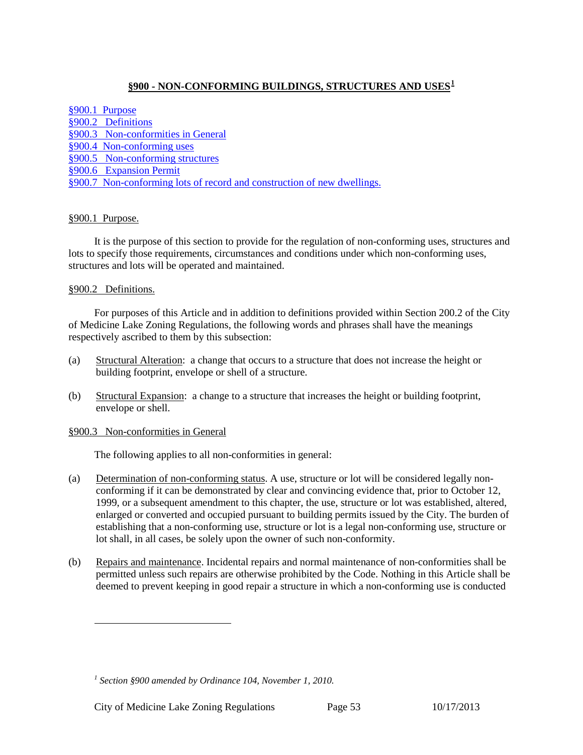# **§900 - NON-CONFORMING BUILDINGS, STRUCTURES AND USES[1](#page-52-3)**

<span id="page-52-0"></span>[§900.1 Purpose](#page-52-0) [§900.2 Definitions](#page-52-1) [§900.3 Non-conformities in General](#page-52-2) §900.4 [Non-conforming uses](#page-53-0) [§900.5 Non-conforming structures](#page-53-1) [§900.6 Expansion Permit](#page-55-0) §900.7 [Non-conforming lots of record and construction of new dwellings.](#page-58-0)

## §900.1 Purpose.

It is the purpose of this section to provide for the regulation of non-conforming uses, structures and lots to specify those requirements, circumstances and conditions under which non-conforming uses, structures and lots will be operated and maintained.

## <span id="page-52-1"></span>§900.2 Definitions.

 $\overline{a}$ 

For purposes of this Article and in addition to definitions provided within Section 200.2 of the City of Medicine Lake Zoning Regulations, the following words and phrases shall have the meanings respectively ascribed to them by this subsection:

- (a) Structural Alteration: a change that occurs to a structure that does not increase the height or building footprint, envelope or shell of a structure.
- (b) Structural Expansion: a change to a structure that increases the height or building footprint, envelope or shell.

## <span id="page-52-2"></span>§900.3 Non-conformities in General

The following applies to all non-conformities in general:

- (a) Determination of non-conforming status. A use, structure or lot will be considered legally nonconforming if it can be demonstrated by clear and convincing evidence that, prior to October 12, 1999, or a subsequent amendment to this chapter, the use, structure or lot was established, altered, enlarged or converted and occupied pursuant to building permits issued by the City. The burden of establishing that a non-conforming use, structure or lot is a legal non-conforming use, structure or lot shall, in all cases, be solely upon the owner of such non-conformity.
- (b) Repairs and maintenance. Incidental repairs and normal maintenance of non-conformities shall be permitted unless such repairs are otherwise prohibited by the Code. Nothing in this Article shall be deemed to prevent keeping in good repair a structure in which a non-conforming use is conducted

<span id="page-52-3"></span>*<sup>1</sup> Section §900 amended by Ordinance 104, November 1, 2010.*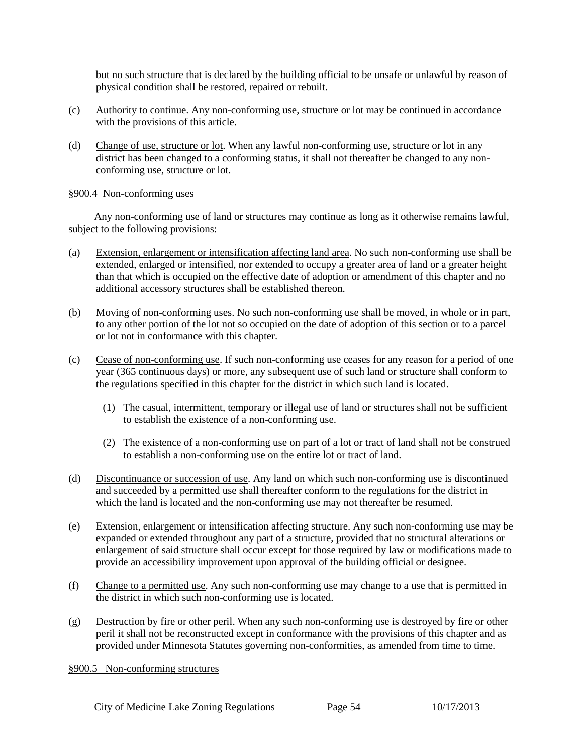but no such structure that is declared by the building official to be unsafe or unlawful by reason of physical condition shall be restored, repaired or rebuilt.

- (c) Authority to continue. Any non-conforming use, structure or lot may be continued in accordance with the provisions of this article.
- (d) Change of use, structure or lot. When any lawful non-conforming use, structure or lot in any district has been changed to a conforming status, it shall not thereafter be changed to any nonconforming use, structure or lot.

### <span id="page-53-0"></span>§900.4 Non-conforming uses

Any non-conforming use of land or structures may continue as long as it otherwise remains lawful, subject to the following provisions:

- (a) Extension, enlargement or intensification affecting land area. No such non-conforming use shall be extended, enlarged or intensified, nor extended to occupy a greater area of land or a greater height than that which is occupied on the effective date of adoption or amendment of this chapter and no additional accessory structures shall be established thereon.
- (b) Moving of non-conforming uses. No such non-conforming use shall be moved, in whole or in part, to any other portion of the lot not so occupied on the date of adoption of this section or to a parcel or lot not in conformance with this chapter.
- (c) Cease of non-conforming use. If such non-conforming use ceases for any reason for a period of one year (365 continuous days) or more, any subsequent use of such land or structure shall conform to the regulations specified in this chapter for the district in which such land is located.
	- (1) The casual, intermittent, temporary or illegal use of land or structures shall not be sufficient to establish the existence of a non-conforming use.
	- (2) The existence of a non-conforming use on part of a lot or tract of land shall not be construed to establish a non-conforming use on the entire lot or tract of land.
- (d) Discontinuance or succession of use. Any land on which such non-conforming use is discontinued and succeeded by a permitted use shall thereafter conform to the regulations for the district in which the land is located and the non-conforming use may not thereafter be resumed.
- (e) Extension, enlargement or intensification affecting structure. Any such non-conforming use may be expanded or extended throughout any part of a structure, provided that no structural alterations or enlargement of said structure shall occur except for those required by law or modifications made to provide an accessibility improvement upon approval of the building official or designee.
- (f) Change to a permitted use. Any such non-conforming use may change to a use that is permitted in the district in which such non-conforming use is located.
- (g) Destruction by fire or other peril. When any such non-conforming use is destroyed by fire or other peril it shall not be reconstructed except in conformance with the provisions of this chapter and as provided under Minnesota Statutes governing non-conformities, as amended from time to time.

<span id="page-53-1"></span>§900.5 Non-conforming structures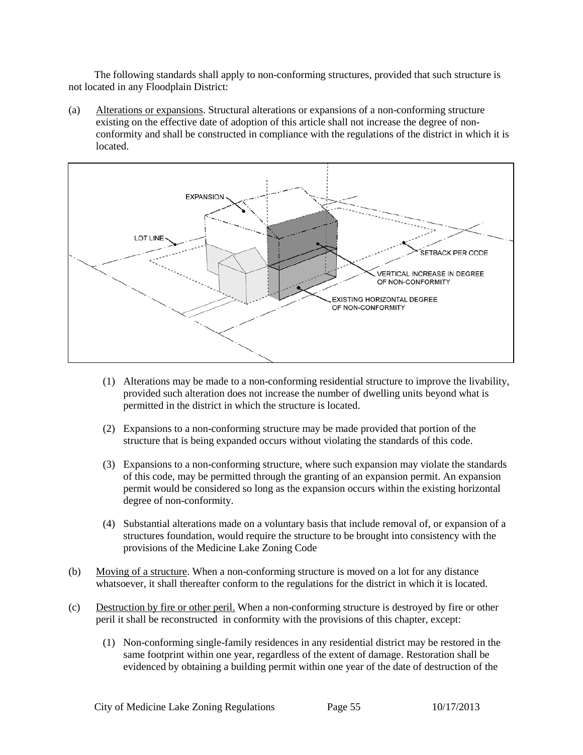The following standards shall apply to non-conforming structures, provided that such structure is not located in any Floodplain District:

(a) Alterations or expansions. Structural alterations or expansions of a non-conforming structure existing on the effective date of adoption of this article shall not increase the degree of nonconformity and shall be constructed in compliance with the regulations of the district in which it is located.



- (1) Alterations may be made to a non-conforming residential structure to improve the livability, provided such alteration does not increase the number of dwelling units beyond what is permitted in the district in which the structure is located.
- (2) Expansions to a non-conforming structure may be made provided that portion of the structure that is being expanded occurs without violating the standards of this code.
- (3) Expansions to a non-conforming structure, where such expansion may violate the standards of this code, may be permitted through the granting of an expansion permit. An expansion permit would be considered so long as the expansion occurs within the existing horizontal degree of non-conformity.
- (4) Substantial alterations made on a voluntary basis that include removal of, or expansion of a structures foundation, would require the structure to be brought into consistency with the provisions of the Medicine Lake Zoning Code
- (b) Moving of a structure. When a non-conforming structure is moved on a lot for any distance whatsoever, it shall thereafter conform to the regulations for the district in which it is located.
- (c) Destruction by fire or other peril. When a non-conforming structure is destroyed by fire or other peril it shall be reconstructed in conformity with the provisions of this chapter, except:
	- (1) Non-conforming single-family residences in any residential district may be restored in the same footprint within one year, regardless of the extent of damage. Restoration shall be evidenced by obtaining a building permit within one year of the date of destruction of the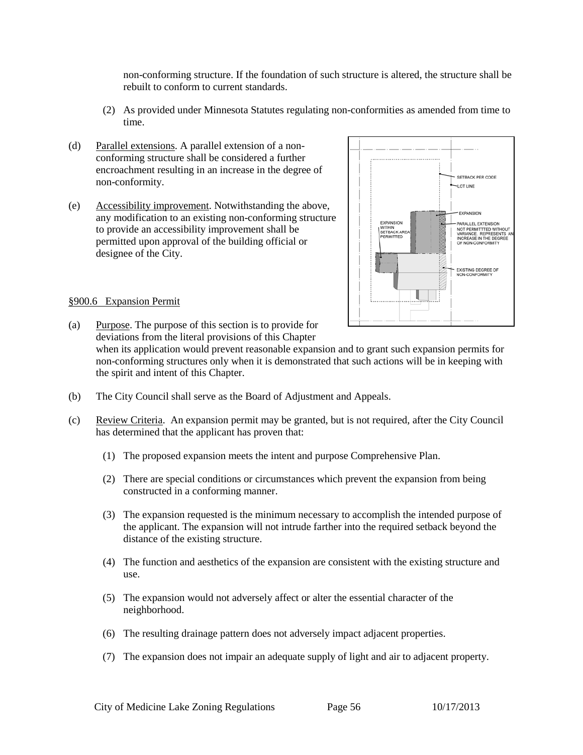non-conforming structure. If the foundation of such structure is altered, the structure shall be rebuilt to conform to current standards.

- (2) As provided under Minnesota Statutes regulating non-conformities as amended from time to time.
- (d) Parallel extensions. A parallel extension of a nonconforming structure shall be considered a further encroachment resulting in an increase in the degree of non-conformity.
- (e) Accessibility improvement. Notwithstanding the above, any modification to an existing non-conforming structure to provide an accessibility improvement shall be permitted upon approval of the building official or designee of the City.



## <span id="page-55-0"></span>§900.6 Expansion Permit

- (a) Purpose. The purpose of this section is to provide for deviations from the literal provisions of this Chapter when its application would prevent reasonable expansion and to grant such expansion permits for non-conforming structures only when it is demonstrated that such actions will be in keeping with the spirit and intent of this Chapter.
- (b) The City Council shall serve as the Board of Adjustment and Appeals.
- (c) Review Criteria. An expansion permit may be granted, but is not required, after the City Council has determined that the applicant has proven that:
	- (1) The proposed expansion meets the intent and purpose Comprehensive Plan.
	- (2) There are special conditions or circumstances which prevent the expansion from being constructed in a conforming manner.
	- (3) The expansion requested is the minimum necessary to accomplish the intended purpose of the applicant. The expansion will not intrude farther into the required setback beyond the distance of the existing structure.
	- (4) The function and aesthetics of the expansion are consistent with the existing structure and use.
	- (5) The expansion would not adversely affect or alter the essential character of the neighborhood.
	- (6) The resulting drainage pattern does not adversely impact adjacent properties.
	- (7) The expansion does not impair an adequate supply of light and air to adjacent property.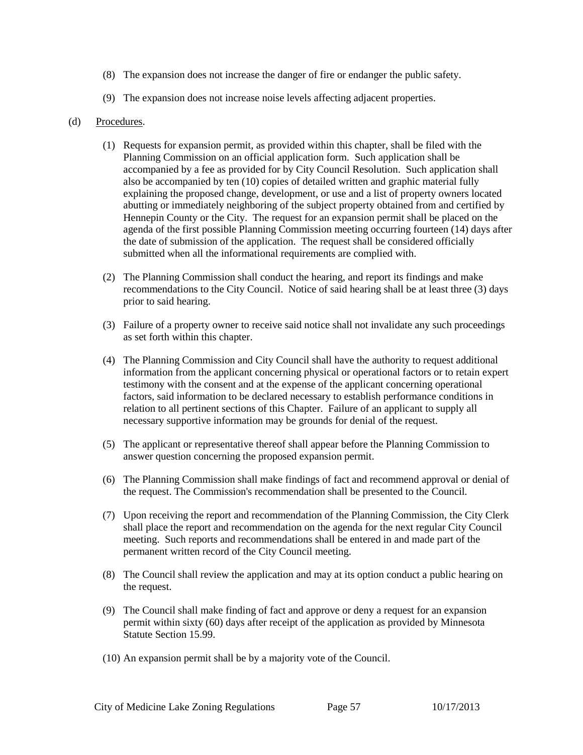- (8) The expansion does not increase the danger of fire or endanger the public safety.
- (9) The expansion does not increase noise levels affecting adjacent properties.

### (d) Procedures.

- (1) Requests for expansion permit, as provided within this chapter, shall be filed with the Planning Commission on an official application form. Such application shall be accompanied by a fee as provided for by City Council Resolution. Such application shall also be accompanied by ten (10) copies of detailed written and graphic material fully explaining the proposed change, development, or use and a list of property owners located abutting or immediately neighboring of the subject property obtained from and certified by Hennepin County or the City. The request for an expansion permit shall be placed on the agenda of the first possible Planning Commission meeting occurring fourteen (14) days after the date of submission of the application. The request shall be considered officially submitted when all the informational requirements are complied with.
- (2) The Planning Commission shall conduct the hearing, and report its findings and make recommendations to the City Council. Notice of said hearing shall be at least three (3) days prior to said hearing.
- (3) Failure of a property owner to receive said notice shall not invalidate any such proceedings as set forth within this chapter.
- (4) The Planning Commission and City Council shall have the authority to request additional information from the applicant concerning physical or operational factors or to retain expert testimony with the consent and at the expense of the applicant concerning operational factors, said information to be declared necessary to establish performance conditions in relation to all pertinent sections of this Chapter. Failure of an applicant to supply all necessary supportive information may be grounds for denial of the request.
- (5) The applicant or representative thereof shall appear before the Planning Commission to answer question concerning the proposed expansion permit.
- (6) The Planning Commission shall make findings of fact and recommend approval or denial of the request. The Commission's recommendation shall be presented to the Council.
- (7) Upon receiving the report and recommendation of the Planning Commission, the City Clerk shall place the report and recommendation on the agenda for the next regular City Council meeting. Such reports and recommendations shall be entered in and made part of the permanent written record of the City Council meeting.
- (8) The Council shall review the application and may at its option conduct a public hearing on the request.
- (9) The Council shall make finding of fact and approve or deny a request for an expansion permit within sixty (60) days after receipt of the application as provided by Minnesota Statute Section 15.99.
- (10) An expansion permit shall be by a majority vote of the Council.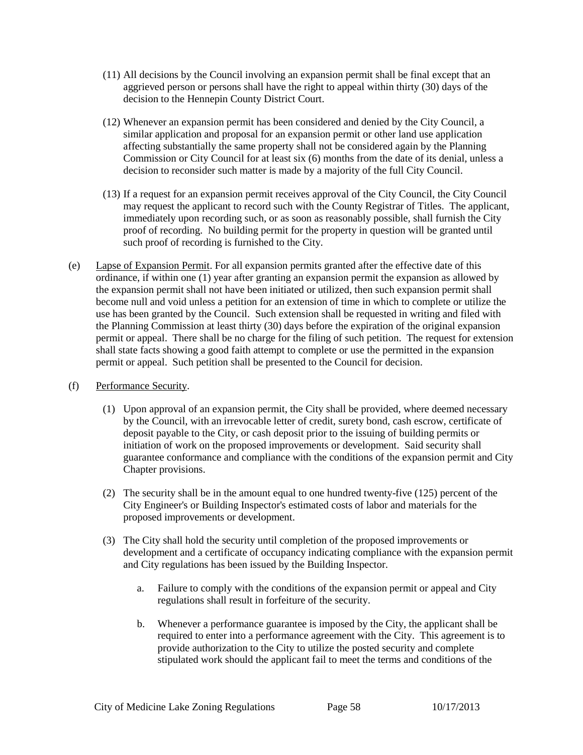- (11) All decisions by the Council involving an expansion permit shall be final except that an aggrieved person or persons shall have the right to appeal within thirty (30) days of the decision to the Hennepin County District Court.
- (12) Whenever an expansion permit has been considered and denied by the City Council, a similar application and proposal for an expansion permit or other land use application affecting substantially the same property shall not be considered again by the Planning Commission or City Council for at least six (6) months from the date of its denial, unless a decision to reconsider such matter is made by a majority of the full City Council.
- (13) If a request for an expansion permit receives approval of the City Council, the City Council may request the applicant to record such with the County Registrar of Titles. The applicant, immediately upon recording such, or as soon as reasonably possible, shall furnish the City proof of recording. No building permit for the property in question will be granted until such proof of recording is furnished to the City.
- (e) Lapse of Expansion Permit. For all expansion permits granted after the effective date of this ordinance, if within one (1) year after granting an expansion permit the expansion as allowed by the expansion permit shall not have been initiated or utilized, then such expansion permit shall become null and void unless a petition for an extension of time in which to complete or utilize the use has been granted by the Council. Such extension shall be requested in writing and filed with the Planning Commission at least thirty (30) days before the expiration of the original expansion permit or appeal. There shall be no charge for the filing of such petition. The request for extension shall state facts showing a good faith attempt to complete or use the permitted in the expansion permit or appeal. Such petition shall be presented to the Council for decision.
- (f) Performance Security.
	- (1) Upon approval of an expansion permit, the City shall be provided, where deemed necessary by the Council, with an irrevocable letter of credit, surety bond, cash escrow, certificate of deposit payable to the City, or cash deposit prior to the issuing of building permits or initiation of work on the proposed improvements or development. Said security shall guarantee conformance and compliance with the conditions of the expansion permit and City Chapter provisions.
	- (2) The security shall be in the amount equal to one hundred twenty-five (125) percent of the City Engineer's or Building Inspector's estimated costs of labor and materials for the proposed improvements or development.
	- (3) The City shall hold the security until completion of the proposed improvements or development and a certificate of occupancy indicating compliance with the expansion permit and City regulations has been issued by the Building Inspector.
		- a. Failure to comply with the conditions of the expansion permit or appeal and City regulations shall result in forfeiture of the security.
		- b. Whenever a performance guarantee is imposed by the City, the applicant shall be required to enter into a performance agreement with the City. This agreement is to provide authorization to the City to utilize the posted security and complete stipulated work should the applicant fail to meet the terms and conditions of the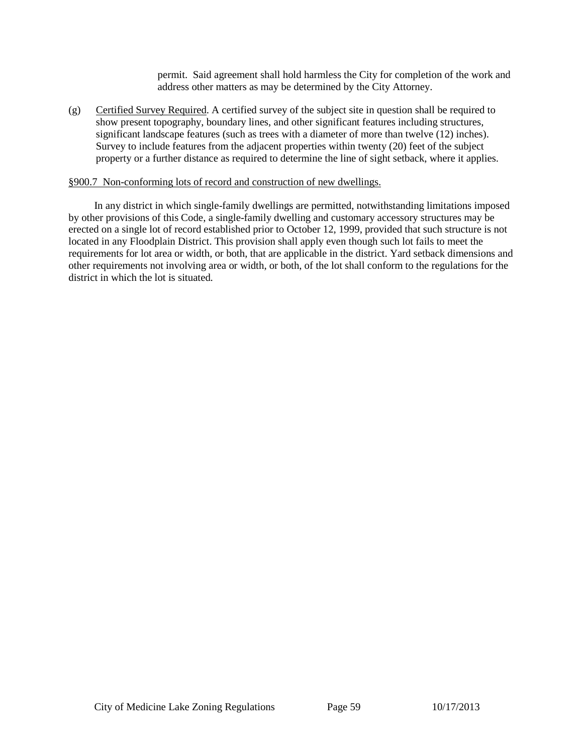permit. Said agreement shall hold harmless the City for completion of the work and address other matters as may be determined by the City Attorney.

(g) Certified Survey Required. A certified survey of the subject site in question shall be required to show present topography, boundary lines, and other significant features including structures, significant landscape features (such as trees with a diameter of more than twelve (12) inches). Survey to include features from the adjacent properties within twenty (20) feet of the subject property or a further distance as required to determine the line of sight setback, where it applies.

### <span id="page-58-0"></span>§900.7 Non-conforming lots of record and construction of new dwellings.

In any district in which single-family dwellings are permitted, notwithstanding limitations imposed by other provisions of this Code, a single-family dwelling and customary accessory structures may be erected on a single lot of record established prior to October 12, 1999, provided that such structure is not located in any Floodplain District. This provision shall apply even though such lot fails to meet the requirements for lot area or width, or both, that are applicable in the district. Yard setback dimensions and other requirements not involving area or width, or both, of the lot shall conform to the regulations for the district in which the lot is situated*.*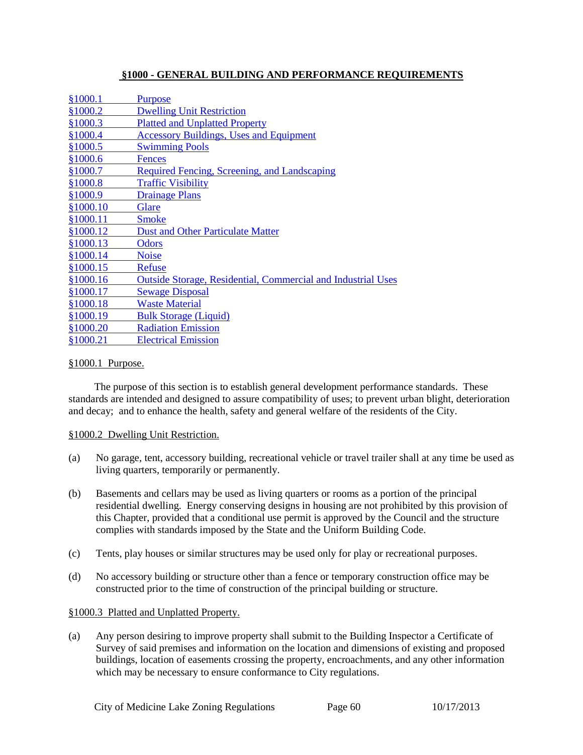## **§1000 - GENERAL BUILDING AND PERFORMANCE REQUIREMENTS**

| \$1000.1  | <b>Purpose</b>                                                      |
|-----------|---------------------------------------------------------------------|
| \$1000.2  | <b>Dwelling Unit Restriction</b>                                    |
| \$1000.3  | <b>Platted and Unplatted Property</b>                               |
| \$1000.4  | <b>Accessory Buildings, Uses and Equipment</b>                      |
| \$1000.5  | <b>Swimming Pools</b>                                               |
| \$1000.6  | Fences                                                              |
| \$1000.7  | <b>Required Fencing, Screening, and Landscaping</b>                 |
| \$1000.8  | <b>Traffic Visibility</b>                                           |
| \$1000.9  | <b>Drainage Plans</b>                                               |
| \$1000.10 | Glare                                                               |
| \$1000.11 | <b>Smoke</b>                                                        |
| \$1000.12 | <b>Dust and Other Particulate Matter</b>                            |
| §1000.13  | <b>Odors</b>                                                        |
| \$1000.14 | <b>Noise</b>                                                        |
| §1000.15  | Refuse                                                              |
| \$1000.16 | <b>Outside Storage, Residential, Commercial and Industrial Uses</b> |
| §1000.17  | <b>Sewage Disposal</b>                                              |
| §1000.18  | <b>Waste Material</b>                                               |
| §1000.19  | <b>Bulk Storage (Liquid)</b>                                        |
| §1000.20  | <b>Radiation Emission</b>                                           |
| §1000.21  | <b>Electrical Emission</b>                                          |

# <span id="page-59-0"></span>§1000.1 Purpose.

The purpose of this section is to establish general development performance standards. These standards are intended and designed to assure compatibility of uses; to prevent urban blight, deterioration and decay; and to enhance the health, safety and general welfare of the residents of the City.

# <span id="page-59-1"></span>§1000.2 Dwelling Unit Restriction.

- (a) No garage, tent, accessory building, recreational vehicle or travel trailer shall at any time be used as living quarters, temporarily or permanently.
- (b) Basements and cellars may be used as living quarters or rooms as a portion of the principal residential dwelling. Energy conserving designs in housing are not prohibited by this provision of this Chapter, provided that a conditional use permit is approved by the Council and the structure complies with standards imposed by the State and the Uniform Building Code.
- (c) Tents, play houses or similar structures may be used only for play or recreational purposes.
- (d) No accessory building or structure other than a fence or temporary construction office may be constructed prior to the time of construction of the principal building or structure.

## §1000.3 Platted and Unplatted Property.

(a) Any person desiring to improve property shall submit to the Building Inspector a Certificate of Survey of said premises and information on the location and dimensions of existing and proposed buildings, location of easements crossing the property, encroachments, and any other information which may be necessary to ensure conformance to City regulations.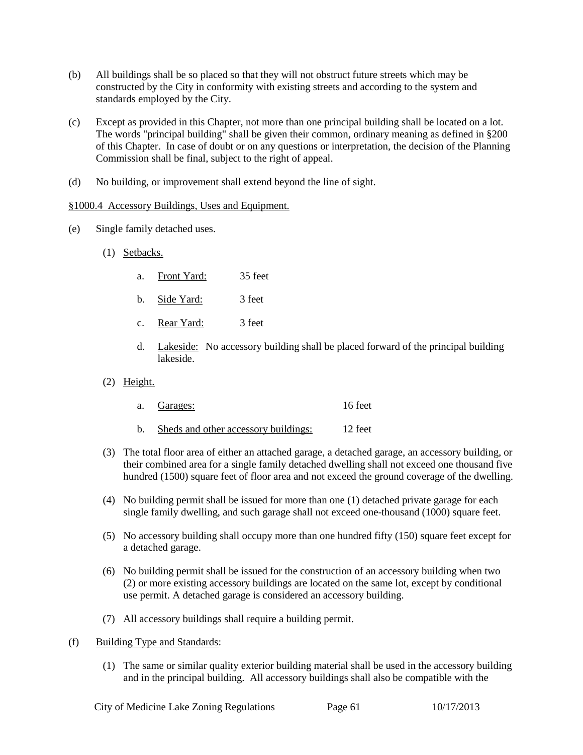- (b) All buildings shall be so placed so that they will not obstruct future streets which may be constructed by the City in conformity with existing streets and according to the system and standards employed by the City.
- (c) Except as provided in this Chapter, not more than one principal building shall be located on a lot. The words "principal building" shall be given their common, ordinary meaning as defined in §200 of this Chapter. In case of doubt or on any questions or interpretation, the decision of the Planning Commission shall be final, subject to the right of appeal.
- <span id="page-60-0"></span>(d) No building, or improvement shall extend beyond the line of sight.

## §1000.4 Accessory Buildings, Uses and Equipment.

- (e) Single family detached uses.
	- (1) Setbacks.
		- a. Front Yard: 35 feet
		- b. Side Yard: 3 feet
		- c. Rear Yard: 3 feet
		- d. Lakeside: No accessory building shall be placed forward of the principal building lakeside.
	- (2) Height.

| a.             | Garages:                             | 16 feet |
|----------------|--------------------------------------|---------|
| $\mathbf{b}$ . | Sheds and other accessory buildings: | 12 feet |

- (3) The total floor area of either an attached garage, a detached garage, an accessory building, or their combined area for a single family detached dwelling shall not exceed one thousand five hundred (1500) square feet of floor area and not exceed the ground coverage of the dwelling.
- (4) No building permit shall be issued for more than one (1) detached private garage for each single family dwelling, and such garage shall not exceed one-thousand (1000) square feet.
- (5) No accessory building shall occupy more than one hundred fifty (150) square feet except for a detached garage.
- (6) No building permit shall be issued for the construction of an accessory building when two (2) or more existing accessory buildings are located on the same lot, except by conditional use permit. A detached garage is considered an accessory building.
- (7) All accessory buildings shall require a building permit.
- (f) Building Type and Standards:
	- (1) The same or similar quality exterior building material shall be used in the accessory building and in the principal building. All accessory buildings shall also be compatible with the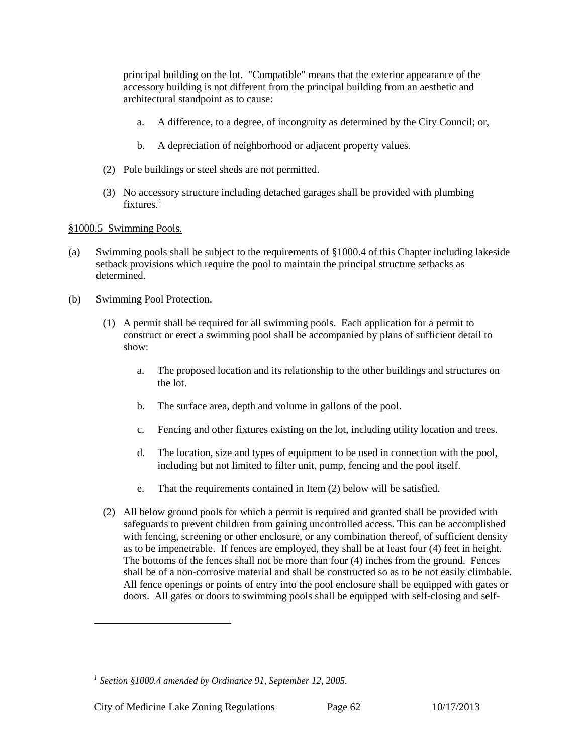principal building on the lot. "Compatible" means that the exterior appearance of the accessory building is not different from the principal building from an aesthetic and architectural standpoint as to cause:

- a. A difference, to a degree, of incongruity as determined by the City Council; or,
- b. A depreciation of neighborhood or adjacent property values.
- (2) Pole buildings or steel sheds are not permitted.
- (3) No accessory structure including detached garages shall be provided with plumbing fixtures. $<sup>1</sup>$  $<sup>1</sup>$  $<sup>1</sup>$ </sup>

## <span id="page-61-0"></span>§1000.5 Swimming Pools.

- (a) Swimming pools shall be subject to the requirements of §1000.4 of this Chapter including lakeside setback provisions which require the pool to maintain the principal structure setbacks as determined.
- (b) Swimming Pool Protection.
	- (1) A permit shall be required for all swimming pools. Each application for a permit to construct or erect a swimming pool shall be accompanied by plans of sufficient detail to show:
		- a. The proposed location and its relationship to the other buildings and structures on the lot.
		- b. The surface area, depth and volume in gallons of the pool.
		- c. Fencing and other fixtures existing on the lot, including utility location and trees.
		- d. The location, size and types of equipment to be used in connection with the pool, including but not limited to filter unit, pump, fencing and the pool itself.
		- e. That the requirements contained in Item (2) below will be satisfied.
	- (2) All below ground pools for which a permit is required and granted shall be provided with safeguards to prevent children from gaining uncontrolled access. This can be accomplished with fencing, screening or other enclosure, or any combination thereof, of sufficient density as to be impenetrable. If fences are employed, they shall be at least four (4) feet in height. The bottoms of the fences shall not be more than four (4) inches from the ground. Fences shall be of a non-corrosive material and shall be constructed so as to be not easily climbable. All fence openings or points of entry into the pool enclosure shall be equipped with gates or doors. All gates or doors to swimming pools shall be equipped with self-closing and self-

 $\overline{a}$ 

<span id="page-61-1"></span>*<sup>1</sup> Section §1000.4 amended by Ordinance 91, September 12, 2005.*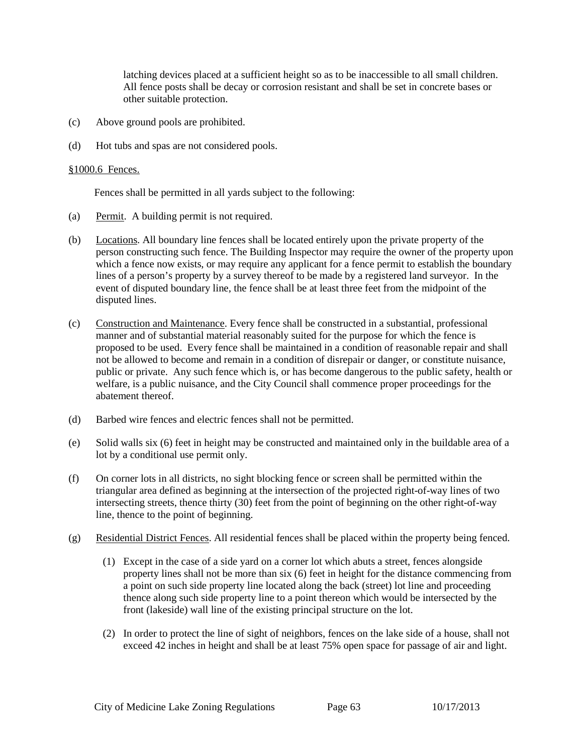latching devices placed at a sufficient height so as to be inaccessible to all small children. All fence posts shall be decay or corrosion resistant and shall be set in concrete bases or other suitable protection.

- (c) Above ground pools are prohibited.
- <span id="page-62-0"></span>(d) Hot tubs and spas are not considered pools.

### §1000.6 Fences.

Fences shall be permitted in all yards subject to the following:

- (a) Permit. A building permit is not required.
- (b) Locations. All boundary line fences shall be located entirely upon the private property of the person constructing such fence. The Building Inspector may require the owner of the property upon which a fence now exists, or may require any applicant for a fence permit to establish the boundary lines of a person's property by a survey thereof to be made by a registered land surveyor. In the event of disputed boundary line, the fence shall be at least three feet from the midpoint of the disputed lines.
- (c) Construction and Maintenance. Every fence shall be constructed in a substantial, professional manner and of substantial material reasonably suited for the purpose for which the fence is proposed to be used. Every fence shall be maintained in a condition of reasonable repair and shall not be allowed to become and remain in a condition of disrepair or danger, or constitute nuisance, public or private. Any such fence which is, or has become dangerous to the public safety, health or welfare, is a public nuisance, and the City Council shall commence proper proceedings for the abatement thereof.
- (d) Barbed wire fences and electric fences shall not be permitted.
- (e) Solid walls six (6) feet in height may be constructed and maintained only in the buildable area of a lot by a conditional use permit only.
- (f) On corner lots in all districts, no sight blocking fence or screen shall be permitted within the triangular area defined as beginning at the intersection of the projected right-of-way lines of two intersecting streets, thence thirty (30) feet from the point of beginning on the other right-of-way line, thence to the point of beginning.
- (g) Residential District Fences. All residential fences shall be placed within the property being fenced.
	- (1) Except in the case of a side yard on a corner lot which abuts a street, fences alongside property lines shall not be more than six (6) feet in height for the distance commencing from a point on such side property line located along the back (street) lot line and proceeding thence along such side property line to a point thereon which would be intersected by the front (lakeside) wall line of the existing principal structure on the lot.
	- (2) In order to protect the line of sight of neighbors, fences on the lake side of a house, shall not exceed 42 inches in height and shall be at least 75% open space for passage of air and light.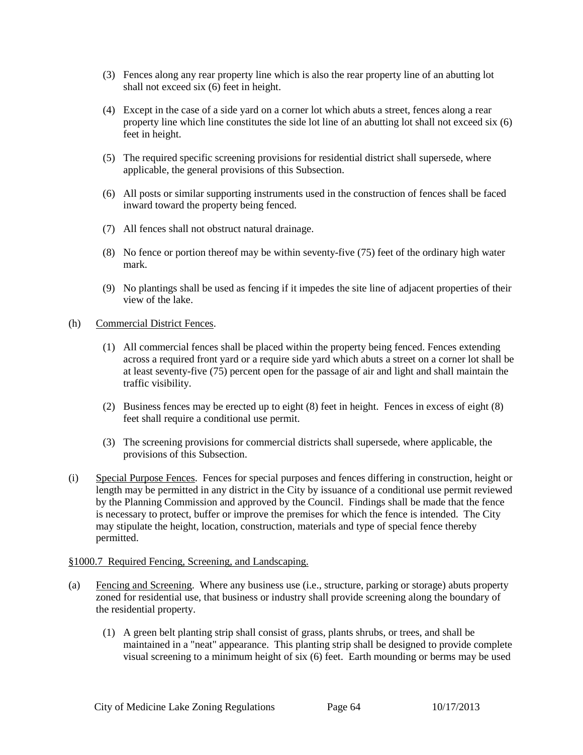- (3) Fences along any rear property line which is also the rear property line of an abutting lot shall not exceed six (6) feet in height.
- (4) Except in the case of a side yard on a corner lot which abuts a street, fences along a rear property line which line constitutes the side lot line of an abutting lot shall not exceed six (6) feet in height.
- (5) The required specific screening provisions for residential district shall supersede, where applicable, the general provisions of this Subsection.
- (6) All posts or similar supporting instruments used in the construction of fences shall be faced inward toward the property being fenced.
- (7) All fences shall not obstruct natural drainage.
- (8) No fence or portion thereof may be within seventy-five (75) feet of the ordinary high water mark.
- (9) No plantings shall be used as fencing if it impedes the site line of adjacent properties of their view of the lake.

## (h) Commercial District Fences.

- (1) All commercial fences shall be placed within the property being fenced. Fences extending across a required front yard or a require side yard which abuts a street on a corner lot shall be at least seventy-five (75) percent open for the passage of air and light and shall maintain the traffic visibility.
- (2) Business fences may be erected up to eight (8) feet in height. Fences in excess of eight (8) feet shall require a conditional use permit.
- (3) The screening provisions for commercial districts shall supersede, where applicable, the provisions of this Subsection.
- (i) Special Purpose Fences. Fences for special purposes and fences differing in construction, height or length may be permitted in any district in the City by issuance of a conditional use permit reviewed by the Planning Commission and approved by the Council. Findings shall be made that the fence is necessary to protect, buffer or improve the premises for which the fence is intended. The City may stipulate the height, location, construction, materials and type of special fence thereby permitted.

# <span id="page-63-0"></span>§1000.7 Required Fencing, Screening, and Landscaping.

- (a) Fencing and Screening. Where any business use (i.e., structure, parking or storage) abuts property zoned for residential use, that business or industry shall provide screening along the boundary of the residential property.
	- (1) A green belt planting strip shall consist of grass, plants shrubs, or trees, and shall be maintained in a "neat" appearance. This planting strip shall be designed to provide complete visual screening to a minimum height of six (6) feet. Earth mounding or berms may be used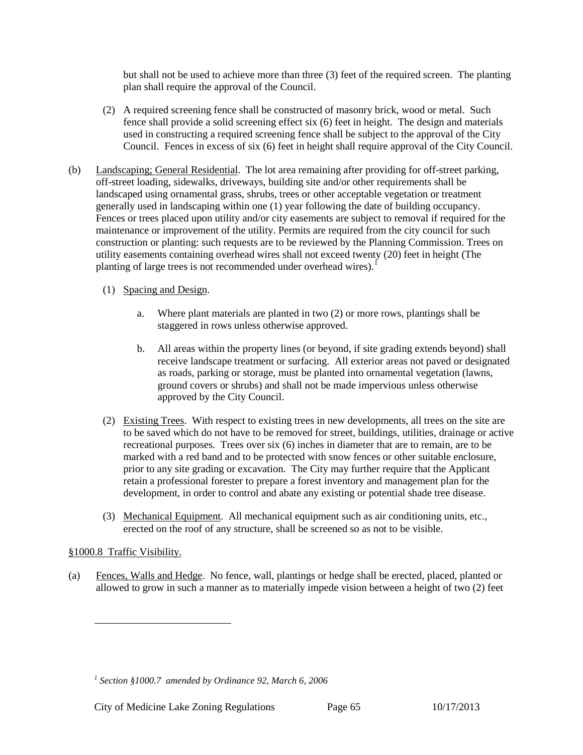but shall not be used to achieve more than three (3) feet of the required screen. The planting plan shall require the approval of the Council.

- (2) A required screening fence shall be constructed of masonry brick, wood or metal. Such fence shall provide a solid screening effect six (6) feet in height. The design and materials used in constructing a required screening fence shall be subject to the approval of the City Council. Fences in excess of six (6) feet in height shall require approval of the City Council.
- (b) Landscaping; General Residential. The lot area remaining after providing for off-street parking, off-street loading, sidewalks, driveways, building site and/or other requirements shall be landscaped using ornamental grass, shrubs, trees or other acceptable vegetation or treatment generally used in landscaping within one (1) year following the date of building occupancy. Fences or trees placed upon utility and/or city easements are subject to removal if required for the maintenance or improvement of the utility. Permits are required from the city council for such construction or planting: such requests are to be reviewed by the Planning Commission. Trees on utility easements containing overhead wires shall not exceed twenty (20) feet in height (The planting of large trees is not recommended under overhead wires).<sup>[1](#page-64-1)</sup>
	- (1) Spacing and Design.
		- a. Where plant materials are planted in two (2) or more rows, plantings shall be staggered in rows unless otherwise approved.
		- b. All areas within the property lines (or beyond, if site grading extends beyond) shall receive landscape treatment or surfacing. All exterior areas not paved or designated as roads, parking or storage, must be planted into ornamental vegetation (lawns, ground covers or shrubs) and shall not be made impervious unless otherwise approved by the City Council.
	- (2) Existing Trees. With respect to existing trees in new developments, all trees on the site are to be saved which do not have to be removed for street, buildings, utilities, drainage or active recreational purposes. Trees over six (6) inches in diameter that are to remain, are to be marked with a red band and to be protected with snow fences or other suitable enclosure, prior to any site grading or excavation. The City may further require that the Applicant retain a professional forester to prepare a forest inventory and management plan for the development, in order to control and abate any existing or potential shade tree disease.
	- (3) Mechanical Equipment. All mechanical equipment such as air conditioning units, etc., erected on the roof of any structure, shall be screened so as not to be visible.

# <span id="page-64-0"></span>§1000.8 Traffic Visibility.

 $\overline{a}$ 

(a) Fences, Walls and Hedge. No fence, wall, plantings or hedge shall be erected, placed, planted or allowed to grow in such a manner as to materially impede vision between a height of two (2) feet

<span id="page-64-1"></span>*<sup>1</sup> Section §1000.7 amended by Ordinance 92, March 6, 2006*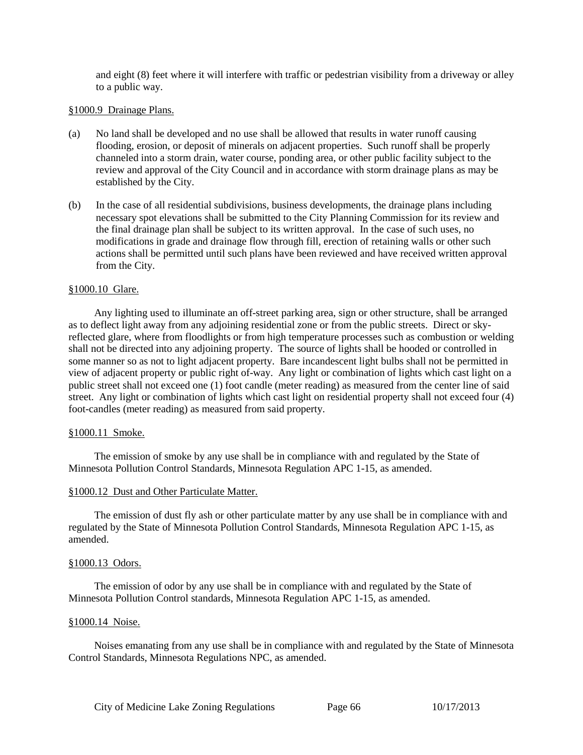and eight (8) feet where it will interfere with traffic or pedestrian visibility from a driveway or alley to a public way.

### <span id="page-65-0"></span>§1000.9 Drainage Plans.

- (a) No land shall be developed and no use shall be allowed that results in water runoff causing flooding, erosion, or deposit of minerals on adjacent properties. Such runoff shall be properly channeled into a storm drain, water course, ponding area, or other public facility subject to the review and approval of the City Council and in accordance with storm drainage plans as may be established by the City.
- (b) In the case of all residential subdivisions, business developments, the drainage plans including necessary spot elevations shall be submitted to the City Planning Commission for its review and the final drainage plan shall be subject to its written approval. In the case of such uses, no modifications in grade and drainage flow through fill, erection of retaining walls or other such actions shall be permitted until such plans have been reviewed and have received written approval from the City.

### <span id="page-65-1"></span>§1000.10 Glare.

Any lighting used to illuminate an off-street parking area, sign or other structure, shall be arranged as to deflect light away from any adjoining residential zone or from the public streets. Direct or skyreflected glare, where from floodlights or from high temperature processes such as combustion or welding shall not be directed into any adjoining property. The source of lights shall be hooded or controlled in some manner so as not to light adjacent property. Bare incandescent light bulbs shall not be permitted in view of adjacent property or public right of-way. Any light or combination of lights which cast light on a public street shall not exceed one (1) foot candle (meter reading) as measured from the center line of said street. Any light or combination of lights which cast light on residential property shall not exceed four (4) foot-candles (meter reading) as measured from said property.

#### <span id="page-65-2"></span>§1000.11 Smoke.

The emission of smoke by any use shall be in compliance with and regulated by the State of Minnesota Pollution Control Standards, Minnesota Regulation APC 1-15, as amended.

#### <span id="page-65-3"></span>§1000.12 Dust and Other Particulate Matter.

The emission of dust fly ash or other particulate matter by any use shall be in compliance with and regulated by the State of Minnesota Pollution Control Standards, Minnesota Regulation APC 1-15, as amended.

#### <span id="page-65-4"></span>§1000.13 Odors.

The emission of odor by any use shall be in compliance with and regulated by the State of Minnesota Pollution Control standards, Minnesota Regulation APC 1-15, as amended.

#### <span id="page-65-5"></span>§1000.14 Noise.

Noises emanating from any use shall be in compliance with and regulated by the State of Minnesota Control Standards, Minnesota Regulations NPC, as amended.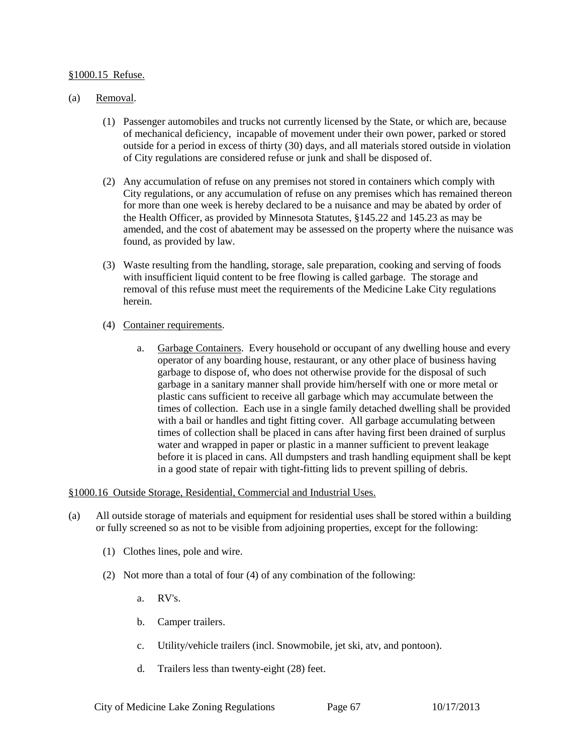#### <span id="page-66-0"></span>§1000.15 Refuse.

### (a) Removal.

- (1) Passenger automobiles and trucks not currently licensed by the State, or which are, because of mechanical deficiency, incapable of movement under their own power, parked or stored outside for a period in excess of thirty (30) days, and all materials stored outside in violation of City regulations are considered refuse or junk and shall be disposed of.
- (2) Any accumulation of refuse on any premises not stored in containers which comply with City regulations, or any accumulation of refuse on any premises which has remained thereon for more than one week is hereby declared to be a nuisance and may be abated by order of the Health Officer, as provided by Minnesota Statutes, §145.22 and 145.23 as may be amended, and the cost of abatement may be assessed on the property where the nuisance was found, as provided by law.
- (3) Waste resulting from the handling, storage, sale preparation, cooking and serving of foods with insufficient liquid content to be free flowing is called garbage. The storage and removal of this refuse must meet the requirements of the Medicine Lake City regulations herein.
- (4) Container requirements.
	- a. Garbage Containers. Every household or occupant of any dwelling house and every operator of any boarding house, restaurant, or any other place of business having garbage to dispose of, who does not otherwise provide for the disposal of such garbage in a sanitary manner shall provide him/herself with one or more metal or plastic cans sufficient to receive all garbage which may accumulate between the times of collection. Each use in a single family detached dwelling shall be provided with a bail or handles and tight fitting cover. All garbage accumulating between times of collection shall be placed in cans after having first been drained of surplus water and wrapped in paper or plastic in a manner sufficient to prevent leakage before it is placed in cans. All dumpsters and trash handling equipment shall be kept in a good state of repair with tight-fitting lids to prevent spilling of debris.

## <span id="page-66-1"></span>§1000.16 Outside Storage, Residential, Commercial and Industrial Uses.

- (a) All outside storage of materials and equipment for residential uses shall be stored within a building or fully screened so as not to be visible from adjoining properties, except for the following:
	- (1) Clothes lines, pole and wire.
	- (2) Not more than a total of four (4) of any combination of the following:
		- a. RV's.
		- b. Camper trailers.
		- c. Utility/vehicle trailers (incl. Snowmobile, jet ski, atv, and pontoon).
		- d. Trailers less than twenty-eight (28) feet.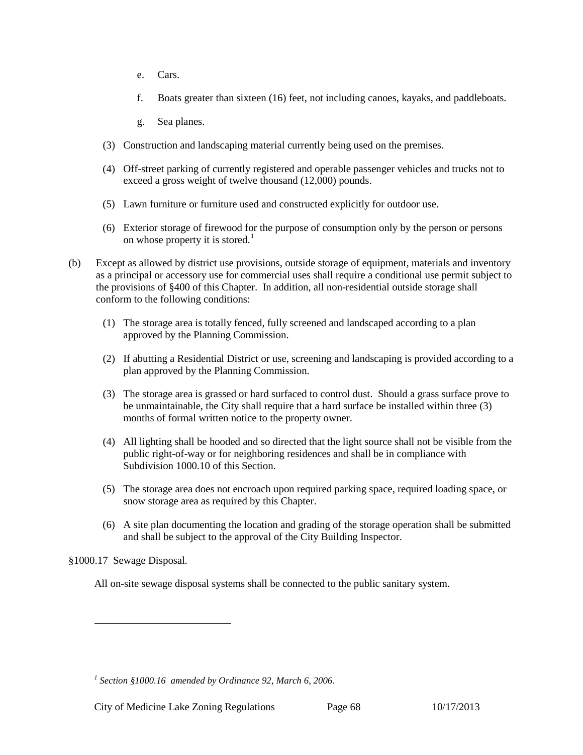- e. Cars.
- f. Boats greater than sixteen (16) feet, not including canoes, kayaks, and paddleboats.
- g. Sea planes.
- (3) Construction and landscaping material currently being used on the premises.
- (4) Off-street parking of currently registered and operable passenger vehicles and trucks not to exceed a gross weight of twelve thousand (12,000) pounds.
- (5) Lawn furniture or furniture used and constructed explicitly for outdoor use.
- (6) Exterior storage of firewood for the purpose of consumption only by the person or persons on whose property it is stored.<sup>[1](#page-67-1)</sup>
- (b) Except as allowed by district use provisions, outside storage of equipment, materials and inventory as a principal or accessory use for commercial uses shall require a conditional use permit subject to the provisions of §400 of this Chapter. In addition, all non-residential outside storage shall conform to the following conditions:
	- (1) The storage area is totally fenced, fully screened and landscaped according to a plan approved by the Planning Commission.
	- (2) If abutting a Residential District or use, screening and landscaping is provided according to a plan approved by the Planning Commission.
	- (3) The storage area is grassed or hard surfaced to control dust. Should a grass surface prove to be unmaintainable, the City shall require that a hard surface be installed within three (3) months of formal written notice to the property owner.
	- (4) All lighting shall be hooded and so directed that the light source shall not be visible from the public right-of-way or for neighboring residences and shall be in compliance with Subdivision 1000.10 of this Section.
	- (5) The storage area does not encroach upon required parking space, required loading space, or snow storage area as required by this Chapter.
	- (6) A site plan documenting the location and grading of the storage operation shall be submitted and shall be subject to the approval of the City Building Inspector.

# <span id="page-67-0"></span>§1000.17 Sewage Disposal.

 $\overline{a}$ 

All on-site sewage disposal systems shall be connected to the public sanitary system.

<span id="page-67-1"></span>*<sup>1</sup> Section §1000.16 amended by Ordinance 92, March 6, 2006.*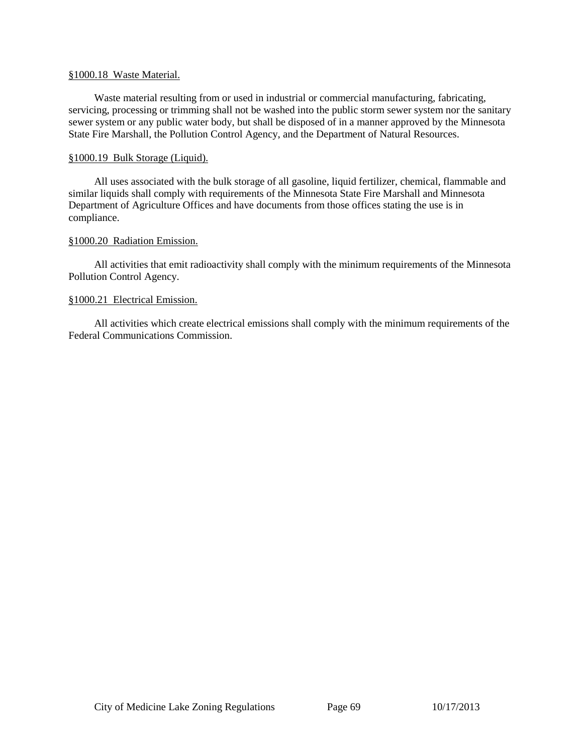# <span id="page-68-0"></span>§1000.18 Waste Material.

Waste material resulting from or used in industrial or commercial manufacturing, fabricating, servicing, processing or trimming shall not be washed into the public storm sewer system nor the sanitary sewer system or any public water body, but shall be disposed of in a manner approved by the Minnesota State Fire Marshall, the Pollution Control Agency, and the Department of Natural Resources.

#### <span id="page-68-1"></span>§1000.19 Bulk Storage (Liquid).

All uses associated with the bulk storage of all gasoline, liquid fertilizer, chemical, flammable and similar liquids shall comply with requirements of the Minnesota State Fire Marshall and Minnesota Department of Agriculture Offices and have documents from those offices stating the use is in compliance.

### <span id="page-68-2"></span>§1000.20 Radiation Emission.

All activities that emit radioactivity shall comply with the minimum requirements of the Minnesota Pollution Control Agency.

### <span id="page-68-3"></span>§1000.21 Electrical Emission.

All activities which create electrical emissions shall comply with the minimum requirements of the Federal Communications Commission.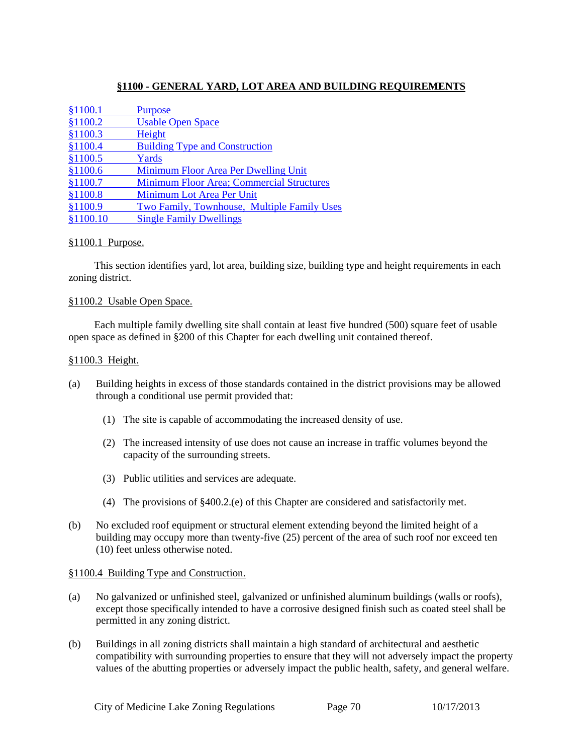# **§1100 - GENERAL YARD, LOT AREA AND BUILDING REQUIREMENTS**

| \$1100.1  | <b>Purpose</b>                                   |
|-----------|--------------------------------------------------|
| \$1100.2  | <b>Usable Open Space</b>                         |
| \$1100.3  | Height                                           |
| \$1100.4  | <b>Building Type and Construction</b>            |
| \$1100.5  | Yards                                            |
| \$1100.6  | Minimum Floor Area Per Dwelling Unit             |
| \$1100.7  | <b>Minimum Floor Area; Commercial Structures</b> |
| \$1100.8  | Minimum Lot Area Per Unit                        |
| \$1100.9  | Two Family, Townhouse, Multiple Family Uses      |
| \$1100.10 | <b>Single Family Dwellings</b>                   |

## <span id="page-69-1"></span>§1100.1 Purpose.

This section identifies yard, lot area, building size, building type and height requirements in each zoning district.

## <span id="page-69-2"></span>§1100.2 Usable Open Space.

Each multiple family dwelling site shall contain at least five hundred (500) square feet of usable open space as defined in §200 of this Chapter for each dwelling unit contained thereof.

### <span id="page-69-0"></span>§1100.3 Height.

- (a) Building heights in excess of those standards contained in the district provisions may be allowed through a conditional use permit provided that:
	- (1) The site is capable of accommodating the increased density of use.
	- (2) The increased intensity of use does not cause an increase in traffic volumes beyond the capacity of the surrounding streets.
	- (3) Public utilities and services are adequate.
	- (4) The provisions of §400.2.(e) of this Chapter are considered and satisfactorily met.
- (b) No excluded roof equipment or structural element extending beyond the limited height of a building may occupy more than twenty-five (25) percent of the area of such roof nor exceed ten (10) feet unless otherwise noted.

## <span id="page-69-3"></span>§1100.4 Building Type and Construction.

- (a) No galvanized or unfinished steel, galvanized or unfinished aluminum buildings (walls or roofs), except those specifically intended to have a corrosive designed finish such as coated steel shall be permitted in any zoning district.
- (b) Buildings in all zoning districts shall maintain a high standard of architectural and aesthetic compatibility with surrounding properties to ensure that they will not adversely impact the property values of the abutting properties or adversely impact the public health, safety, and general welfare.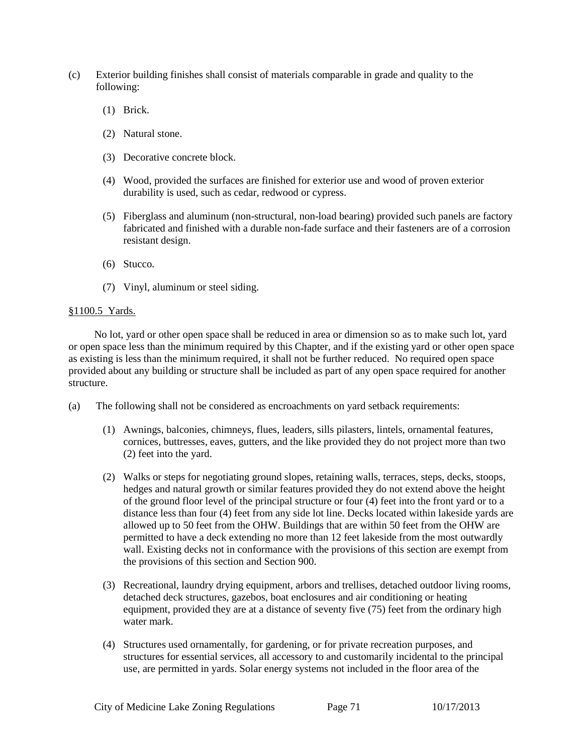- (c) Exterior building finishes shall consist of materials comparable in grade and quality to the following:
	- (1) Brick.
	- (2) Natural stone.
	- (3) Decorative concrete block.
	- (4) Wood, provided the surfaces are finished for exterior use and wood of proven exterior durability is used, such as cedar, redwood or cypress.
	- (5) Fiberglass and aluminum (non-structural, non-load bearing) provided such panels are factory fabricated and finished with a durable non-fade surface and their fasteners are of a corrosion resistant design.
	- (6) Stucco.
	- (7) Vinyl, aluminum or steel siding.

## <span id="page-70-0"></span>§1100.5 Yards.

No lot, yard or other open space shall be reduced in area or dimension so as to make such lot, yard or open space less than the minimum required by this Chapter, and if the existing yard or other open space as existing is less than the minimum required, it shall not be further reduced. No required open space provided about any building or structure shall be included as part of any open space required for another structure.

- (a) The following shall not be considered as encroachments on yard setback requirements:
	- (1) Awnings, balconies, chimneys, flues, leaders, sills pilasters, lintels, ornamental features, cornices, buttresses, eaves, gutters, and the like provided they do not project more than two (2) feet into the yard.
	- (2) Walks or steps for negotiating ground slopes, retaining walls, terraces, steps, decks, stoops, hedges and natural growth or similar features provided they do not extend above the height of the ground floor level of the principal structure or four (4) feet into the front yard or to a distance less than four (4) feet from any side lot line. Decks located within lakeside yards are allowed up to 50 feet from the OHW. Buildings that are within 50 feet from the OHW are permitted to have a deck extending no more than 12 feet lakeside from the most outwardly wall. Existing decks not in conformance with the provisions of this section are exempt from the provisions of this section and Section 900.
	- (3) Recreational, laundry drying equipment, arbors and trellises, detached outdoor living rooms, detached deck structures, gazebos, boat enclosures and air conditioning or heating equipment, provided they are at a distance of seventy five (75) feet from the ordinary high water mark.
	- (4) Structures used ornamentally, for gardening, or for private recreation purposes, and structures for essential services, all accessory to and customarily incidental to the principal use, are permitted in yards. Solar energy systems not included in the floor area of the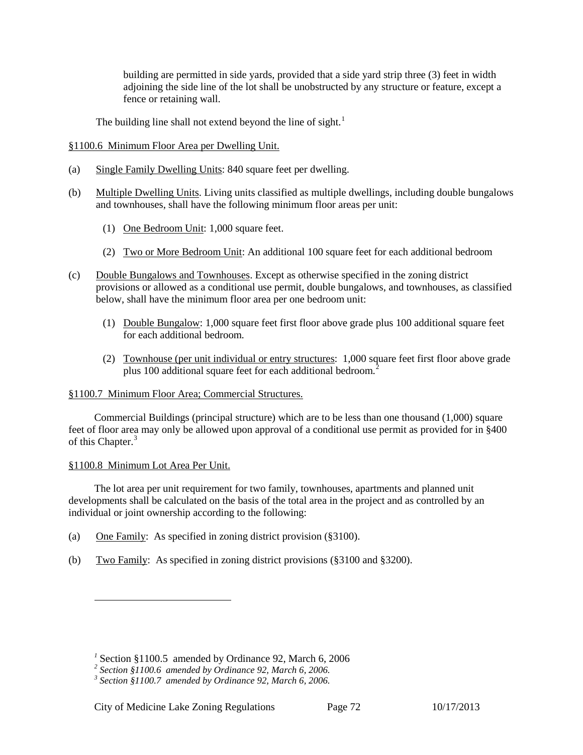building are permitted in side yards, provided that a side yard strip three (3) feet in width adjoining the side line of the lot shall be unobstructed by any structure or feature, except a fence or retaining wall.

The building line shall not extend beyond the line of sight.<sup>[1](#page-71-3)</sup>

## <span id="page-71-0"></span>§1100.6 Minimum Floor Area per Dwelling Unit.

- (a) Single Family Dwelling Units: 840 square feet per dwelling.
- (b) Multiple Dwelling Units. Living units classified as multiple dwellings, including double bungalows and townhouses, shall have the following minimum floor areas per unit:
	- (1) One Bedroom Unit: 1,000 square feet.
	- (2) Two or More Bedroom Unit: An additional 100 square feet for each additional bedroom
- (c) Double Bungalows and Townhouses. Except as otherwise specified in the zoning district provisions or allowed as a conditional use permit, double bungalows, and townhouses, as classified below, shall have the minimum floor area per one bedroom unit:
	- (1) Double Bungalow: 1,000 square feet first floor above grade plus 100 additional square feet for each additional bedroom.
	- (2) Townhouse (per unit individual or entry structures: 1,000 square feet first floor above grade plus 100 additional square feet for each additional bedroom.<sup>[2](#page-71-4)</sup>

## <span id="page-71-1"></span>§1100.7 Minimum Floor Area; Commercial Structures.

Commercial Buildings (principal structure) which are to be less than one thousand (1,000) square feet of floor area may only be allowed upon approval of a conditional use permit as provided for in §400 of this Chapter.<sup>[3](#page-71-5)</sup>

## <span id="page-71-2"></span>§1100.8 Minimum Lot Area Per Unit.

 $\overline{a}$ 

The lot area per unit requirement for two family, townhouses, apartments and planned unit developments shall be calculated on the basis of the total area in the project and as controlled by an individual or joint ownership according to the following:

- (a) One Family: As specified in zoning district provision (§3100).
- (b) Two Family: As specified in zoning district provisions (§3100 and §3200).

<span id="page-71-3"></span>*<sup>1</sup>* Section §1100.5 amended by Ordinance 92, March 6, <sup>2006</sup> *<sup>2</sup> Section §1100.6 amended by Ordinance 92, March 6, 2006.*

<span id="page-71-5"></span><span id="page-71-4"></span>*<sup>3</sup> Section §1100.7 amended by Ordinance 92, March 6, 2006.*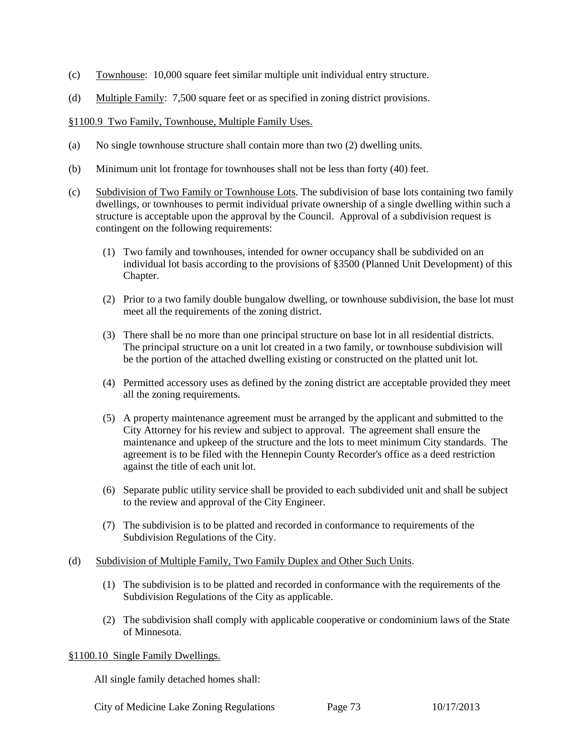- (c) Townhouse: 10,000 square feet similar multiple unit individual entry structure.
- (d) Multiple Family: 7,500 square feet or as specified in zoning district provisions.

## §1100.9 Two Family, Townhouse, Multiple Family Uses.

- (a) No single townhouse structure shall contain more than two (2) dwelling units.
- (b) Minimum unit lot frontage for townhouses shall not be less than forty (40) feet.
- (c) Subdivision of Two Family or Townhouse Lots. The subdivision of base lots containing two family dwellings, or townhouses to permit individual private ownership of a single dwelling within such a structure is acceptable upon the approval by the Council. Approval of a subdivision request is contingent on the following requirements:
	- (1) Two family and townhouses, intended for owner occupancy shall be subdivided on an individual lot basis according to the provisions of §3500 (Planned Unit Development) of this Chapter.
	- (2) Prior to a two family double bungalow dwelling, or townhouse subdivision, the base lot must meet all the requirements of the zoning district.
	- (3) There shall be no more than one principal structure on base lot in all residential districts. The principal structure on a unit lot created in a two family, or townhouse subdivision will be the portion of the attached dwelling existing or constructed on the platted unit lot.
	- (4) Permitted accessory uses as defined by the zoning district are acceptable provided they meet all the zoning requirements.
	- (5) A property maintenance agreement must be arranged by the applicant and submitted to the City Attorney for his review and subject to approval. The agreement shall ensure the maintenance and upkeep of the structure and the lots to meet minimum City standards. The agreement is to be filed with the Hennepin County Recorder's office as a deed restriction against the title of each unit lot.
	- (6) Separate public utility service shall be provided to each subdivided unit and shall be subject to the review and approval of the City Engineer.
	- (7) The subdivision is to be platted and recorded in conformance to requirements of the Subdivision Regulations of the City.
- (d) Subdivision of Multiple Family, Two Family Duplex and Other Such Units.
	- (1) The subdivision is to be platted and recorded in conformance with the requirements of the Subdivision Regulations of the City as applicable.
	- (2) The subdivision shall comply with applicable cooperative or condominium laws of the State of Minnesota.

## §1100.10 Single Family Dwellings.

All single family detached homes shall:

City of Medicine Lake Zoning Regulations Page 73 10/17/2013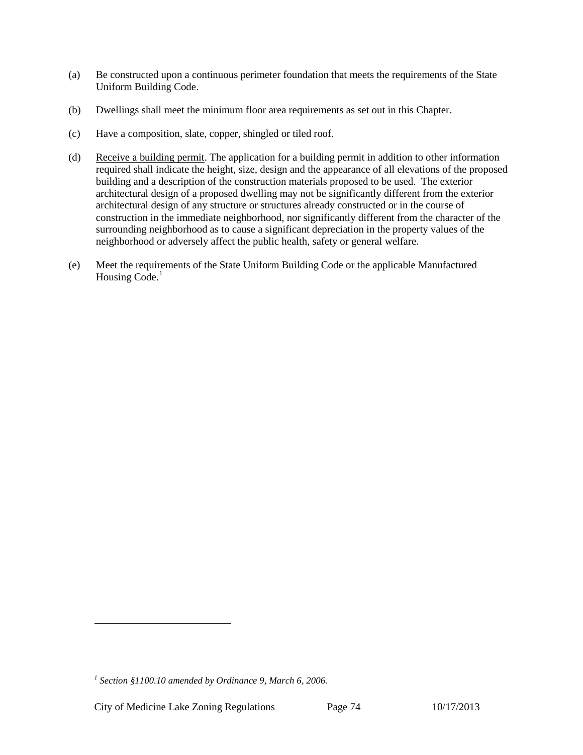- (a) Be constructed upon a continuous perimeter foundation that meets the requirements of the State Uniform Building Code.
- (b) Dwellings shall meet the minimum floor area requirements as set out in this Chapter.
- (c) Have a composition, slate, copper, shingled or tiled roof.
- (d) Receive a building permit. The application for a building permit in addition to other information required shall indicate the height, size, design and the appearance of all elevations of the proposed building and a description of the construction materials proposed to be used. The exterior architectural design of a proposed dwelling may not be significantly different from the exterior architectural design of any structure or structures already constructed or in the course of construction in the immediate neighborhood, nor significantly different from the character of the surrounding neighborhood as to cause a significant depreciation in the property values of the neighborhood or adversely affect the public health, safety or general welfare.
- (e) Meet the requirements of the State Uniform Building Code or the applicable Manufactured Housing  $Code<sup>1</sup>$  $Code<sup>1</sup>$  $Code<sup>1</sup>$

 $\overline{a}$ 

<span id="page-73-0"></span>*<sup>1</sup> Section §1100.10 amended by Ordinance 9, March 6, 2006.*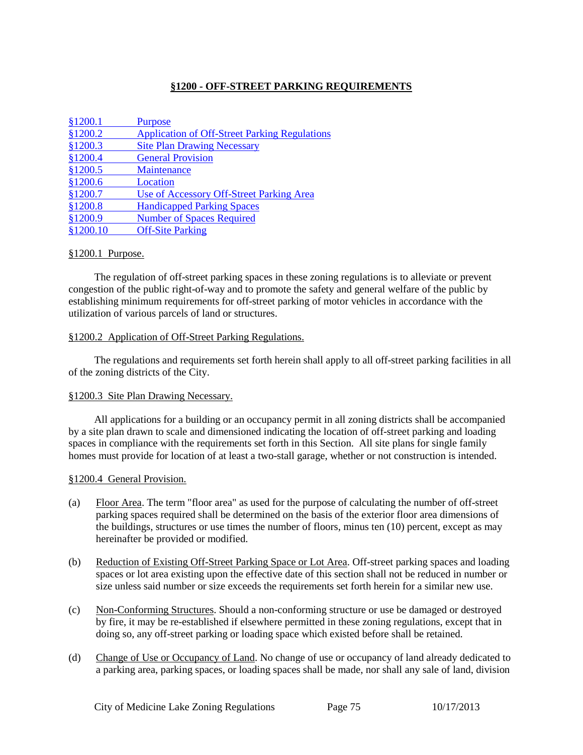## **§1200 - OFF-STREET PARKING REQUIREMENTS**

| \$1200.1 | <b>Purpose</b>                                       |
|----------|------------------------------------------------------|
| \$1200.2 | <b>Application of Off-Street Parking Regulations</b> |
| §1200.3  | <b>Site Plan Drawing Necessary</b>                   |
| §1200.4  | <b>General Provision</b>                             |
| \$1200.5 | Maintenance                                          |
| \$1200.6 | Location                                             |
| \$1200.7 | Use of Accessory Off-Street Parking Area             |
| §1200.8  | <b>Handicapped Parking Spaces</b>                    |
| §1200.9  | <b>Number of Spaces Required</b>                     |
| §1200.10 | <b>Off-Site Parking</b>                              |

## <span id="page-74-0"></span>§1200.1 Purpose.

The regulation of off-street parking spaces in these zoning regulations is to alleviate or prevent congestion of the public right-of-way and to promote the safety and general welfare of the public by establishing minimum requirements for off-street parking of motor vehicles in accordance with the utilization of various parcels of land or structures.

#### <span id="page-74-1"></span>§1200.2 Application of Off-Street Parking Regulations.

The regulations and requirements set forth herein shall apply to all off-street parking facilities in all of the zoning districts of the City.

## <span id="page-74-2"></span>§1200.3 Site Plan Drawing Necessary.

All applications for a building or an occupancy permit in all zoning districts shall be accompanied by a site plan drawn to scale and dimensioned indicating the location of off-street parking and loading spaces in compliance with the requirements set forth in this Section. All site plans for single family homes must provide for location of at least a two-stall garage, whether or not construction is intended.

## <span id="page-74-3"></span>§1200.4 General Provision.

- (a) Floor Area. The term "floor area" as used for the purpose of calculating the number of off-street parking spaces required shall be determined on the basis of the exterior floor area dimensions of the buildings, structures or use times the number of floors, minus ten (10) percent, except as may hereinafter be provided or modified.
- (b) Reduction of Existing Off-Street Parking Space or Lot Area. Off-street parking spaces and loading spaces or lot area existing upon the effective date of this section shall not be reduced in number or size unless said number or size exceeds the requirements set forth herein for a similar new use.
- (c) Non-Conforming Structures. Should a non-conforming structure or use be damaged or destroyed by fire, it may be re-established if elsewhere permitted in these zoning regulations, except that in doing so, any off-street parking or loading space which existed before shall be retained.
- (d) Change of Use or Occupancy of Land. No change of use or occupancy of land already dedicated to a parking area, parking spaces, or loading spaces shall be made, nor shall any sale of land, division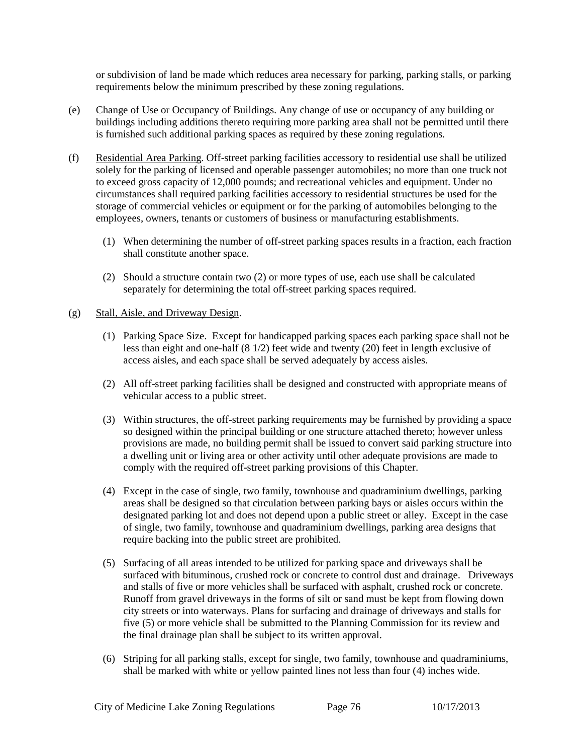or subdivision of land be made which reduces area necessary for parking, parking stalls, or parking requirements below the minimum prescribed by these zoning regulations.

- (e) Change of Use or Occupancy of Buildings. Any change of use or occupancy of any building or buildings including additions thereto requiring more parking area shall not be permitted until there is furnished such additional parking spaces as required by these zoning regulations.
- (f) Residential Area Parking. Off-street parking facilities accessory to residential use shall be utilized solely for the parking of licensed and operable passenger automobiles; no more than one truck not to exceed gross capacity of 12,000 pounds; and recreational vehicles and equipment. Under no circumstances shall required parking facilities accessory to residential structures be used for the storage of commercial vehicles or equipment or for the parking of automobiles belonging to the employees, owners, tenants or customers of business or manufacturing establishments.
	- (1) When determining the number of off-street parking spaces results in a fraction, each fraction shall constitute another space.
	- (2) Should a structure contain two (2) or more types of use, each use shall be calculated separately for determining the total off-street parking spaces required.

## (g) Stall, Aisle, and Driveway Design.

- (1) Parking Space Size. Except for handicapped parking spaces each parking space shall not be less than eight and one-half (8 1/2) feet wide and twenty (20) feet in length exclusive of access aisles, and each space shall be served adequately by access aisles.
- (2) All off-street parking facilities shall be designed and constructed with appropriate means of vehicular access to a public street.
- (3) Within structures, the off-street parking requirements may be furnished by providing a space so designed within the principal building or one structure attached thereto; however unless provisions are made, no building permit shall be issued to convert said parking structure into a dwelling unit or living area or other activity until other adequate provisions are made to comply with the required off-street parking provisions of this Chapter.
- (4) Except in the case of single, two family, townhouse and quadraminium dwellings, parking areas shall be designed so that circulation between parking bays or aisles occurs within the designated parking lot and does not depend upon a public street or alley. Except in the case of single, two family, townhouse and quadraminium dwellings, parking area designs that require backing into the public street are prohibited.
- (5) Surfacing of all areas intended to be utilized for parking space and driveways shall be surfaced with bituminous, crushed rock or concrete to control dust and drainage. Driveways and stalls of five or more vehicles shall be surfaced with asphalt, crushed rock or concrete. Runoff from gravel driveways in the forms of silt or sand must be kept from flowing down city streets or into waterways. Plans for surfacing and drainage of driveways and stalls for five (5) or more vehicle shall be submitted to the Planning Commission for its review and the final drainage plan shall be subject to its written approval.
- (6) Striping for all parking stalls, except for single, two family, townhouse and quadraminiums, shall be marked with white or yellow painted lines not less than four (4) inches wide.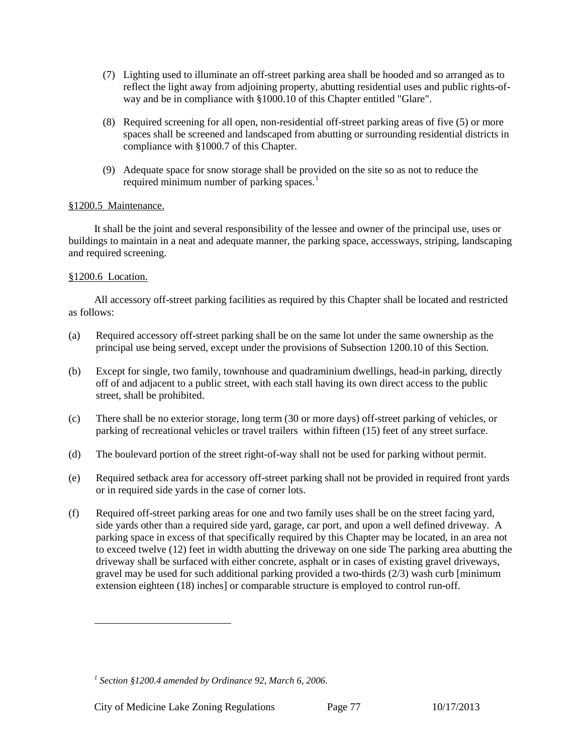- (7) Lighting used to illuminate an off-street parking area shall be hooded and so arranged as to reflect the light away from adjoining property, abutting residential uses and public rights-ofway and be in compliance with §1000.10 of this Chapter entitled "Glare".
- (8) Required screening for all open, non-residential off-street parking areas of five (5) or more spaces shall be screened and landscaped from abutting or surrounding residential districts in compliance with §1000.7 of this Chapter.
- (9) Adequate space for snow storage shall be provided on the site so as not to reduce the required minimum number of parking spaces.<sup>[1](#page-76-2)</sup>

## <span id="page-76-0"></span>§1200.5 Maintenance.

It shall be the joint and several responsibility of the lessee and owner of the principal use, uses or buildings to maintain in a neat and adequate manner, the parking space, accessways, striping, landscaping and required screening.

## <span id="page-76-1"></span>§1200.6 Location.

 $\overline{a}$ 

All accessory off-street parking facilities as required by this Chapter shall be located and restricted as follows:

- (a) Required accessory off-street parking shall be on the same lot under the same ownership as the principal use being served, except under the provisions of Subsection 1200.10 of this Section.
- (b) Except for single, two family, townhouse and quadraminium dwellings, head-in parking, directly off of and adjacent to a public street, with each stall having its own direct access to the public street, shall be prohibited.
- (c) There shall be no exterior storage, long term (30 or more days) off-street parking of vehicles, or parking of recreational vehicles or travel trailers within fifteen (15) feet of any street surface.
- (d) The boulevard portion of the street right-of-way shall not be used for parking without permit.
- (e) Required setback area for accessory off-street parking shall not be provided in required front yards or in required side yards in the case of corner lots.
- (f) Required off-street parking areas for one and two family uses shall be on the street facing yard, side yards other than a required side yard, garage, car port, and upon a well defined driveway. A parking space in excess of that specifically required by this Chapter may be located, in an area not to exceed twelve (12) feet in width abutting the driveway on one side The parking area abutting the driveway shall be surfaced with either concrete, asphalt or in cases of existing gravel driveways, gravel may be used for such additional parking provided a two-thirds (2/3) wash curb [minimum extension eighteen (18) inches] or comparable structure is employed to control run-off.

<span id="page-76-2"></span>*<sup>1</sup> Section §1200.4 amended by Ordinance 92, March 6, 2006.*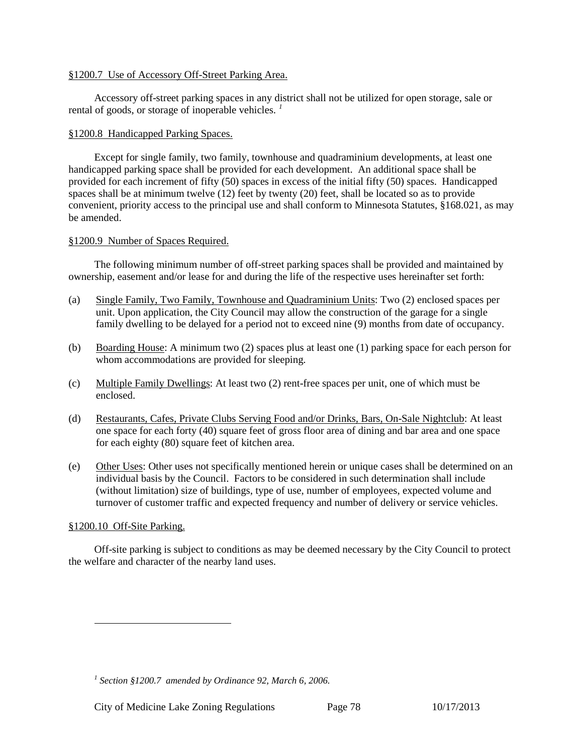## <span id="page-77-0"></span>§1200.7 Use of Accessory Off-Street Parking Area.

Accessory off-street parking spaces in any district shall not be utilized for open storage, sale or rental of goods, or storage of inoperable vehicles. *[1](#page-77-4)*

## <span id="page-77-1"></span>§1200.8 Handicapped Parking Spaces.

Except for single family, two family, townhouse and quadraminium developments, at least one handicapped parking space shall be provided for each development. An additional space shall be provided for each increment of fifty (50) spaces in excess of the initial fifty (50) spaces. Handicapped spaces shall be at minimum twelve (12) feet by twenty (20) feet, shall be located so as to provide convenient, priority access to the principal use and shall conform to Minnesota Statutes, §168.021, as may be amended

## <span id="page-77-2"></span>§1200.9 Number of Spaces Required.

The following minimum number of off-street parking spaces shall be provided and maintained by ownership, easement and/or lease for and during the life of the respective uses hereinafter set forth:

- (a) Single Family, Two Family, Townhouse and Quadraminium Units: Two (2) enclosed spaces per unit. Upon application, the City Council may allow the construction of the garage for a single family dwelling to be delayed for a period not to exceed nine (9) months from date of occupancy.
- (b) Boarding House: A minimum two (2) spaces plus at least one (1) parking space for each person for whom accommodations are provided for sleeping.
- (c) Multiple Family Dwellings: At least two (2) rent-free spaces per unit, one of which must be enclosed.
- (d) Restaurants, Cafes, Private Clubs Serving Food and/or Drinks, Bars, On-Sale Nightclub: At least one space for each forty (40) square feet of gross floor area of dining and bar area and one space for each eighty (80) square feet of kitchen area.
- (e) Other Uses: Other uses not specifically mentioned herein or unique cases shall be determined on an individual basis by the Council. Factors to be considered in such determination shall include (without limitation) size of buildings, type of use, number of employees, expected volume and turnover of customer traffic and expected frequency and number of delivery or service vehicles.

## <span id="page-77-3"></span>§1200.10 Off-Site Parking.

 $\overline{a}$ 

Off-site parking is subject to conditions as may be deemed necessary by the City Council to protect the welfare and character of the nearby land uses.

<span id="page-77-4"></span>*<sup>1</sup> Section §1200.7 amended by Ordinance 92, March 6, 2006.*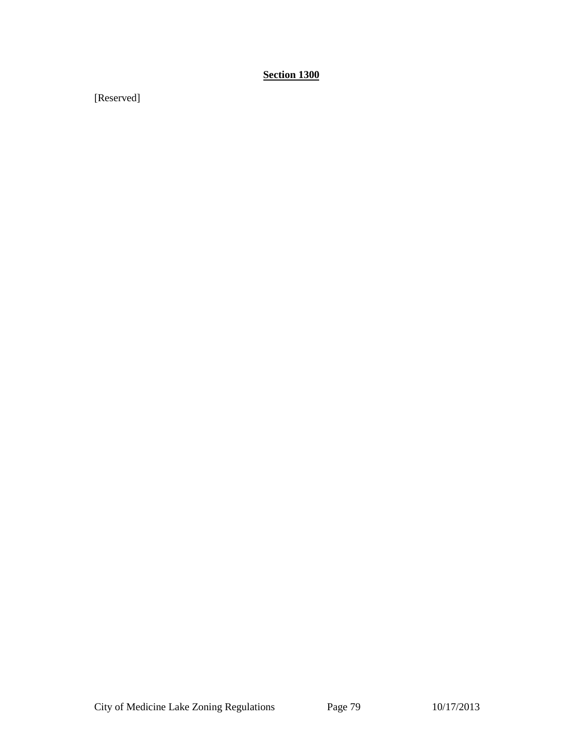# **Section 1300**

[Reserved]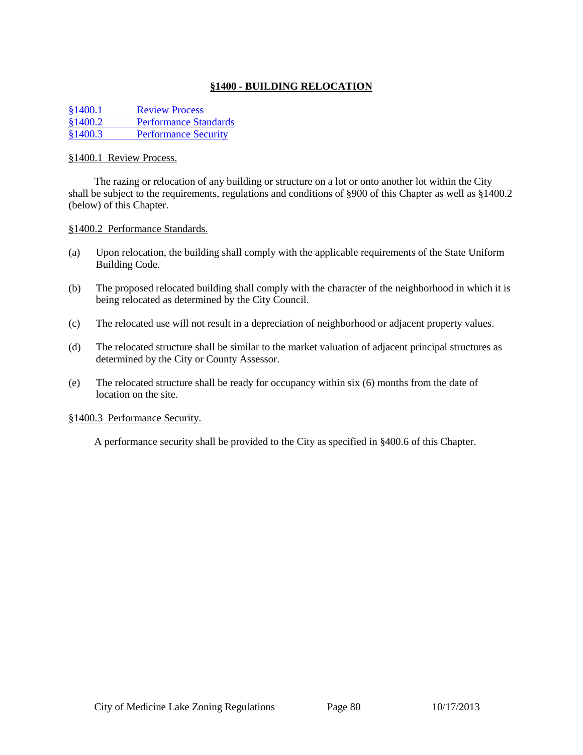## **§1400 - BUILDING RELOCATION**

[§1400.1 Review Process](#page-79-0) [§1400.2 Performance Standards](#page-79-1) [§1400.3 Performance Security](#page-79-2)

#### <span id="page-79-0"></span>§1400.1 Review Process.

The razing or relocation of any building or structure on a lot or onto another lot within the City shall be subject to the requirements, regulations and conditions of §900 of this Chapter as well as §1400.2 (below) of this Chapter.

#### <span id="page-79-1"></span>§1400.2 Performance Standards.

- (a) Upon relocation, the building shall comply with the applicable requirements of the State Uniform Building Code.
- (b) The proposed relocated building shall comply with the character of the neighborhood in which it is being relocated as determined by the City Council.
- (c) The relocated use will not result in a depreciation of neighborhood or adjacent property values.
- (d) The relocated structure shall be similar to the market valuation of adjacent principal structures as determined by the City or County Assessor.
- (e) The relocated structure shall be ready for occupancy within six (6) months from the date of location on the site.

#### <span id="page-79-2"></span>§1400.3 Performance Security.

A performance security shall be provided to the City as specified in §400.6 of this Chapter.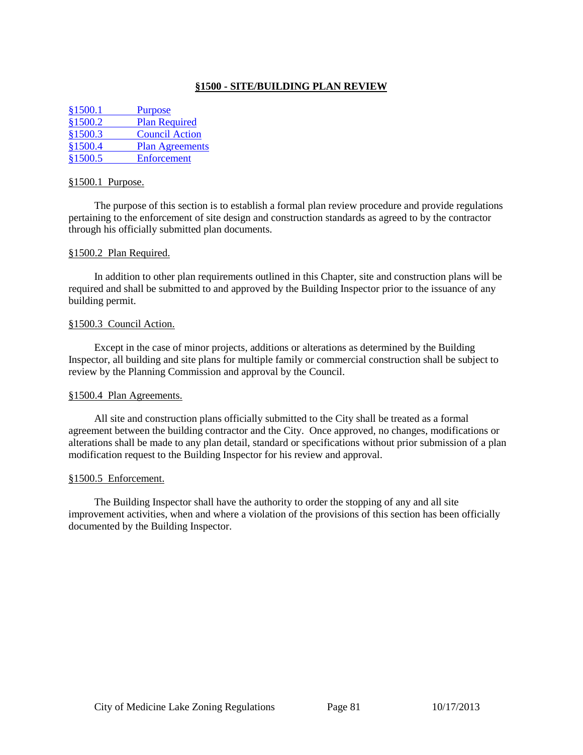## **§1500 - SITE/BUILDING PLAN REVIEW**

[§1500.1 Purpose](#page-80-0) [§1500.2 Plan Required](#page-80-1) [§1500.3 Council Action](#page-80-2) [§1500.4 Plan Agreements](#page-80-3) [§1500.5 Enforcement](#page-80-4)

#### <span id="page-80-0"></span>§1500.1 Purpose.

The purpose of this section is to establish a formal plan review procedure and provide regulations pertaining to the enforcement of site design and construction standards as agreed to by the contractor through his officially submitted plan documents.

#### <span id="page-80-1"></span>§1500.2 Plan Required.

In addition to other plan requirements outlined in this Chapter, site and construction plans will be required and shall be submitted to and approved by the Building Inspector prior to the issuance of any building permit.

#### <span id="page-80-2"></span>§1500.3 Council Action.

Except in the case of minor projects, additions or alterations as determined by the Building Inspector, all building and site plans for multiple family or commercial construction shall be subject to review by the Planning Commission and approval by the Council.

#### <span id="page-80-3"></span>§1500.4 Plan Agreements.

All site and construction plans officially submitted to the City shall be treated as a formal agreement between the building contractor and the City. Once approved, no changes, modifications or alterations shall be made to any plan detail, standard or specifications without prior submission of a plan modification request to the Building Inspector for his review and approval.

#### <span id="page-80-4"></span>§1500.5 Enforcement.

The Building Inspector shall have the authority to order the stopping of any and all site improvement activities, when and where a violation of the provisions of this section has been officially documented by the Building Inspector.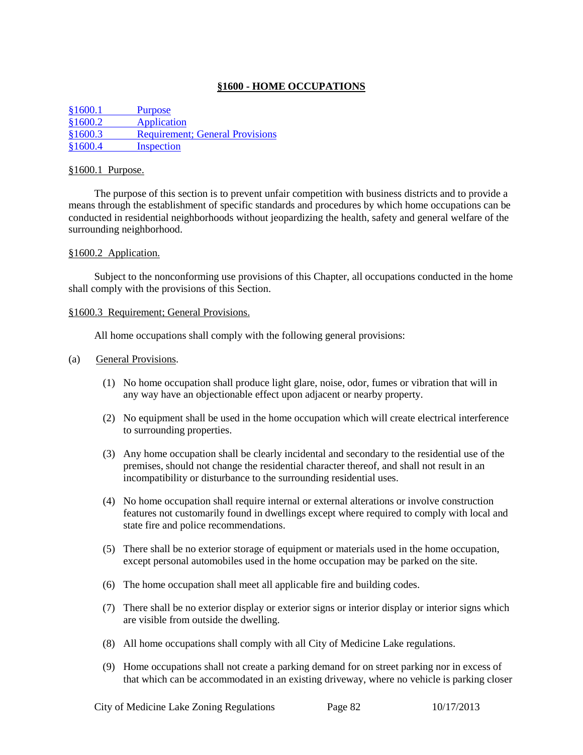## **§1600 - HOME OCCUPATIONS**

[§1600.1 Purpose](#page-81-0) [§1600.2 Application](#page-81-1) [§1600.3 Requirement; General Provisions](#page-81-2) [§1600.4 Inspection](#page-82-0)

#### <span id="page-81-0"></span>§1600.1 Purpose.

The purpose of this section is to prevent unfair competition with business districts and to provide a means through the establishment of specific standards and procedures by which home occupations can be conducted in residential neighborhoods without jeopardizing the health, safety and general welfare of the surrounding neighborhood.

#### <span id="page-81-1"></span>§1600.2 Application.

Subject to the nonconforming use provisions of this Chapter, all occupations conducted in the home shall comply with the provisions of this Section.

#### <span id="page-81-2"></span>§1600.3 Requirement; General Provisions.

All home occupations shall comply with the following general provisions:

#### (a) General Provisions.

- (1) No home occupation shall produce light glare, noise, odor, fumes or vibration that will in any way have an objectionable effect upon adjacent or nearby property.
- (2) No equipment shall be used in the home occupation which will create electrical interference to surrounding properties.
- (3) Any home occupation shall be clearly incidental and secondary to the residential use of the premises, should not change the residential character thereof, and shall not result in an incompatibility or disturbance to the surrounding residential uses.
- (4) No home occupation shall require internal or external alterations or involve construction features not customarily found in dwellings except where required to comply with local and state fire and police recommendations.
- (5) There shall be no exterior storage of equipment or materials used in the home occupation, except personal automobiles used in the home occupation may be parked on the site.
- (6) The home occupation shall meet all applicable fire and building codes.
- (7) There shall be no exterior display or exterior signs or interior display or interior signs which are visible from outside the dwelling.
- (8) All home occupations shall comply with all City of Medicine Lake regulations.
- (9) Home occupations shall not create a parking demand for on street parking nor in excess of that which can be accommodated in an existing driveway, where no vehicle is parking closer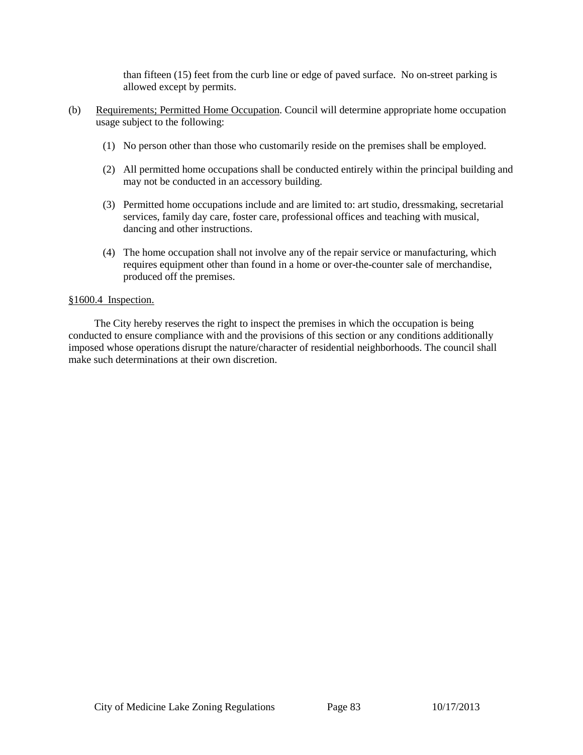than fifteen (15) feet from the curb line or edge of paved surface. No on-street parking is allowed except by permits.

- (b) Requirements; Permitted Home Occupation. Council will determine appropriate home occupation usage subject to the following:
	- (1) No person other than those who customarily reside on the premises shall be employed.
	- (2) All permitted home occupations shall be conducted entirely within the principal building and may not be conducted in an accessory building.
	- (3) Permitted home occupations include and are limited to: art studio, dressmaking, secretarial services, family day care, foster care, professional offices and teaching with musical, dancing and other instructions.
	- (4) The home occupation shall not involve any of the repair service or manufacturing, which requires equipment other than found in a home or over-the-counter sale of merchandise, produced off the premises.

#### <span id="page-82-0"></span>§1600.4 Inspection.

The City hereby reserves the right to inspect the premises in which the occupation is being conducted to ensure compliance with and the provisions of this section or any conditions additionally imposed whose operations disrupt the nature/character of residential neighborhoods. The council shall make such determinations at their own discretion.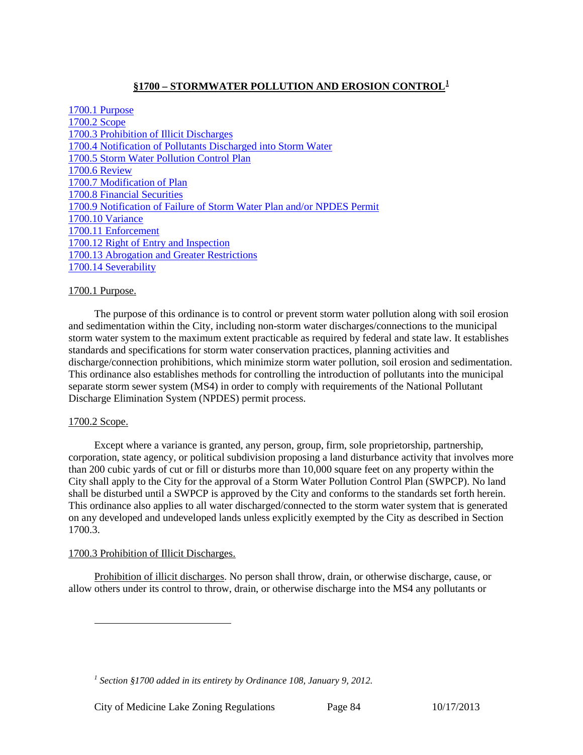## **§1700 – STORMWATER POLLUTION AND EROSION CONTROL[1](#page-83-3)**

| 1700.1 Purpose                                                         |
|------------------------------------------------------------------------|
| 1700.2 Scope                                                           |
| 1700.3 Prohibition of Illicit Discharges                               |
| 1700.4 Notification of Pollutants Discharged into Storm Water          |
| 1700.5 Storm Water Pollution Control Plan                              |
| <b>1700.6 Review</b>                                                   |
| 1700.7 Modification of Plan                                            |
| 1700.8 Financial Securities                                            |
| 1700.9 Notification of Failure of Storm Water Plan and/or NPDES Permit |
| 1700.10 Variance                                                       |
| 1700.11 Enforcement                                                    |
| 1700.12 Right of Entry and Inspection                                  |
| 1700.13 Abrogation and Greater Restrictions                            |
| 1700.14 Severability                                                   |

## <span id="page-83-0"></span>1700.1 Purpose.

The purpose of this ordinance is to control or prevent storm water pollution along with soil erosion and sedimentation within the City, including non-storm water discharges/connections to the municipal storm water system to the maximum extent practicable as required by federal and state law. It establishes standards and specifications for storm water conservation practices, planning activities and discharge/connection prohibitions, which minimize storm water pollution, soil erosion and sedimentation. This ordinance also establishes methods for controlling the introduction of pollutants into the municipal separate storm sewer system (MS4) in order to comply with requirements of the National Pollutant Discharge Elimination System (NPDES) permit process.

## <span id="page-83-1"></span>1700.2 Scope.

 $\overline{a}$ 

Except where a variance is granted, any person, group, firm, sole proprietorship, partnership, corporation, state agency, or political subdivision proposing a land disturbance activity that involves more than 200 cubic yards of cut or fill or disturbs more than 10,000 square feet on any property within the City shall apply to the City for the approval of a Storm Water Pollution Control Plan (SWPCP). No land shall be disturbed until a SWPCP is approved by the City and conforms to the standards set forth herein. This ordinance also applies to all water discharged/connected to the storm water system that is generated on any developed and undeveloped lands unless explicitly exempted by the City as described in Section 1700.3.

## <span id="page-83-2"></span>1700.3 Prohibition of Illicit Discharges.

Prohibition of illicit discharges. No person shall throw, drain, or otherwise discharge, cause, or allow others under its control to throw, drain, or otherwise discharge into the MS4 any pollutants or

<span id="page-83-3"></span>*<sup>1</sup> Section §1700 added in its entirety by Ordinance 108, January 9, 2012.*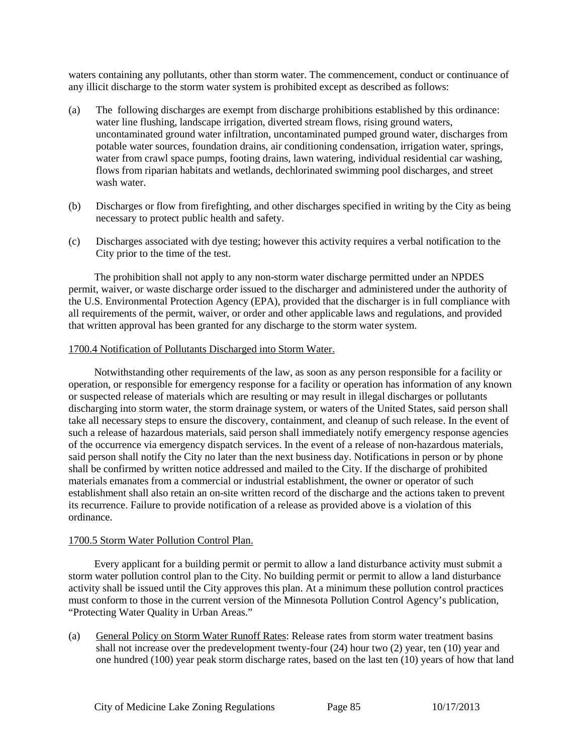waters containing any pollutants, other than storm water. The commencement, conduct or continuance of any illicit discharge to the storm water system is prohibited except as described as follows:

- (a) The following discharges are exempt from discharge prohibitions established by this ordinance: water line flushing, landscape irrigation, diverted stream flows, rising ground waters, uncontaminated ground water infiltration, uncontaminated pumped ground water, discharges from potable water sources, foundation drains, air conditioning condensation, irrigation water, springs, water from crawl space pumps, footing drains, lawn watering, individual residential car washing, flows from riparian habitats and wetlands, dechlorinated swimming pool discharges, and street wash water.
- (b) Discharges or flow from firefighting, and other discharges specified in writing by the City as being necessary to protect public health and safety.
- (c) Discharges associated with dye testing; however this activity requires a verbal notification to the City prior to the time of the test.

The prohibition shall not apply to any non-storm water discharge permitted under an NPDES permit, waiver, or waste discharge order issued to the discharger and administered under the authority of the U.S. Environmental Protection Agency (EPA), provided that the discharger is in full compliance with all requirements of the permit, waiver, or order and other applicable laws and regulations, and provided that written approval has been granted for any discharge to the storm water system.

#### <span id="page-84-0"></span>1700.4 Notification of Pollutants Discharged into Storm Water.

Notwithstanding other requirements of the law, as soon as any person responsible for a facility or operation, or responsible for emergency response for a facility or operation has information of any known or suspected release of materials which are resulting or may result in illegal discharges or pollutants discharging into storm water, the storm drainage system, or waters of the United States, said person shall take all necessary steps to ensure the discovery, containment, and cleanup of such release. In the event of such a release of hazardous materials, said person shall immediately notify emergency response agencies of the occurrence via emergency dispatch services. In the event of a release of non-hazardous materials, said person shall notify the City no later than the next business day. Notifications in person or by phone shall be confirmed by written notice addressed and mailed to the City. If the discharge of prohibited materials emanates from a commercial or industrial establishment, the owner or operator of such establishment shall also retain an on-site written record of the discharge and the actions taken to prevent its recurrence. Failure to provide notification of a release as provided above is a violation of this ordinance.

#### <span id="page-84-1"></span>1700.5 Storm Water Pollution Control Plan.

Every applicant for a building permit or permit to allow a land disturbance activity must submit a storm water pollution control plan to the City. No building permit or permit to allow a land disturbance activity shall be issued until the City approves this plan. At a minimum these pollution control practices must conform to those in the current version of the Minnesota Pollution Control Agency's publication, "Protecting Water Quality in Urban Areas."

(a) General Policy on Storm Water Runoff Rates: Release rates from storm water treatment basins shall not increase over the predevelopment twenty-four (24) hour two (2) year, ten (10) year and one hundred (100) year peak storm discharge rates, based on the last ten (10) years of how that land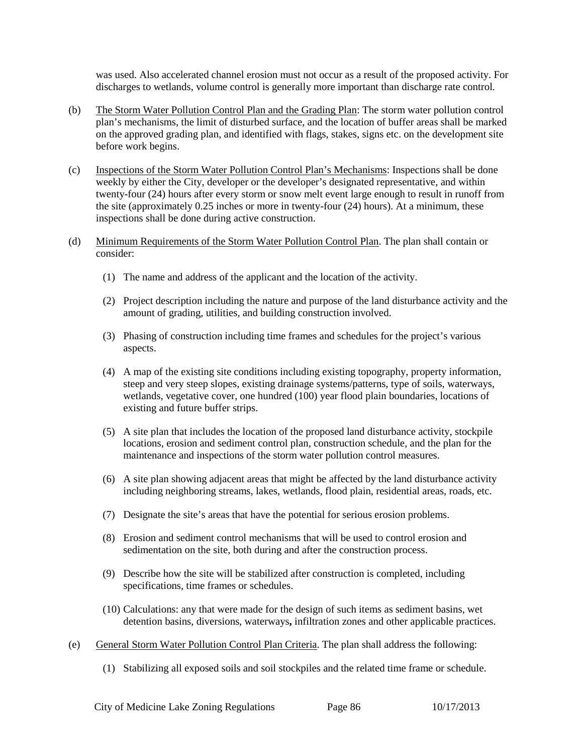was used. Also accelerated channel erosion must not occur as a result of the proposed activity. For discharges to wetlands, volume control is generally more important than discharge rate control.

- (b) The Storm Water Pollution Control Plan and the Grading Plan: The storm water pollution control plan's mechanisms, the limit of disturbed surface, and the location of buffer areas shall be marked on the approved grading plan, and identified with flags, stakes, signs etc. on the development site before work begins.
- (c) Inspections of the Storm Water Pollution Control Plan's Mechanisms: Inspections shall be done weekly by either the City, developer or the developer's designated representative, and within twenty-four (24) hours after every storm or snow melt event large enough to result in runoff from the site (approximately 0.25 inches or more in twenty-four (24) hours). At a minimum, these inspections shall be done during active construction.
- (d) Minimum Requirements of the Storm Water Pollution Control Plan. The plan shall contain or consider:
	- (1) The name and address of the applicant and the location of the activity.
	- (2) Project description including the nature and purpose of the land disturbance activity and the amount of grading, utilities, and building construction involved.
	- (3) Phasing of construction including time frames and schedules for the project's various aspects.
	- (4) A map of the existing site conditions including existing topography, property information, steep and very steep slopes, existing drainage systems/patterns, type of soils, waterways, wetlands, vegetative cover, one hundred (100) year flood plain boundaries, locations of existing and future buffer strips.
	- (5) A site plan that includes the location of the proposed land disturbance activity, stockpile locations, erosion and sediment control plan, construction schedule, and the plan for the maintenance and inspections of the storm water pollution control measures.
	- (6) A site plan showing adjacent areas that might be affected by the land disturbance activity including neighboring streams, lakes, wetlands, flood plain, residential areas, roads, etc.
	- (7) Designate the site's areas that have the potential for serious erosion problems.
	- (8) Erosion and sediment control mechanisms that will be used to control erosion and sedimentation on the site, both during and after the construction process.
	- (9) Describe how the site will be stabilized after construction is completed, including specifications, time frames or schedules.
	- (10) Calculations: any that were made for the design of such items as sediment basins, wet detention basins, diversions, waterways**,** infiltration zones and other applicable practices.
- (e) General Storm Water Pollution Control Plan Criteria. The plan shall address the following:
	- (1) Stabilizing all exposed soils and soil stockpiles and the related time frame or schedule.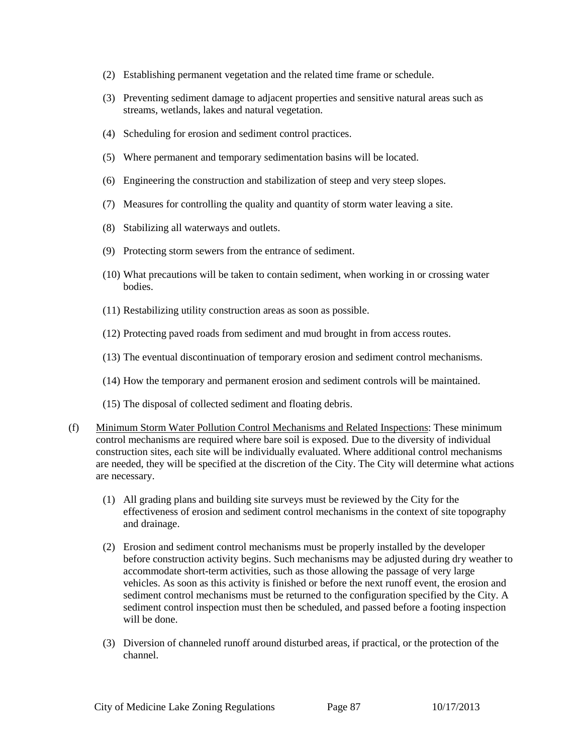- (2) Establishing permanent vegetation and the related time frame or schedule.
- (3) Preventing sediment damage to adjacent properties and sensitive natural areas such as streams, wetlands, lakes and natural vegetation.
- (4) Scheduling for erosion and sediment control practices.
- (5) Where permanent and temporary sedimentation basins will be located.
- (6) Engineering the construction and stabilization of steep and very steep slopes.
- (7) Measures for controlling the quality and quantity of storm water leaving a site.
- (8) Stabilizing all waterways and outlets.
- (9) Protecting storm sewers from the entrance of sediment.
- (10) What precautions will be taken to contain sediment, when working in or crossing water bodies.
- (11) Restabilizing utility construction areas as soon as possible.
- (12) Protecting paved roads from sediment and mud brought in from access routes.
- (13) The eventual discontinuation of temporary erosion and sediment control mechanisms.
- (14) How the temporary and permanent erosion and sediment controls will be maintained.
- (15) The disposal of collected sediment and floating debris.
- (f) Minimum Storm Water Pollution Control Mechanisms and Related Inspections: These minimum control mechanisms are required where bare soil is exposed. Due to the diversity of individual construction sites, each site will be individually evaluated. Where additional control mechanisms are needed, they will be specified at the discretion of the City. The City will determine what actions are necessary.
	- (1) All grading plans and building site surveys must be reviewed by the City for the effectiveness of erosion and sediment control mechanisms in the context of site topography and drainage.
	- (2) Erosion and sediment control mechanisms must be properly installed by the developer before construction activity begins. Such mechanisms may be adjusted during dry weather to accommodate short-term activities, such as those allowing the passage of very large vehicles. As soon as this activity is finished or before the next runoff event, the erosion and sediment control mechanisms must be returned to the configuration specified by the City. A sediment control inspection must then be scheduled, and passed before a footing inspection will be done.
	- (3) Diversion of channeled runoff around disturbed areas, if practical, or the protection of the channel.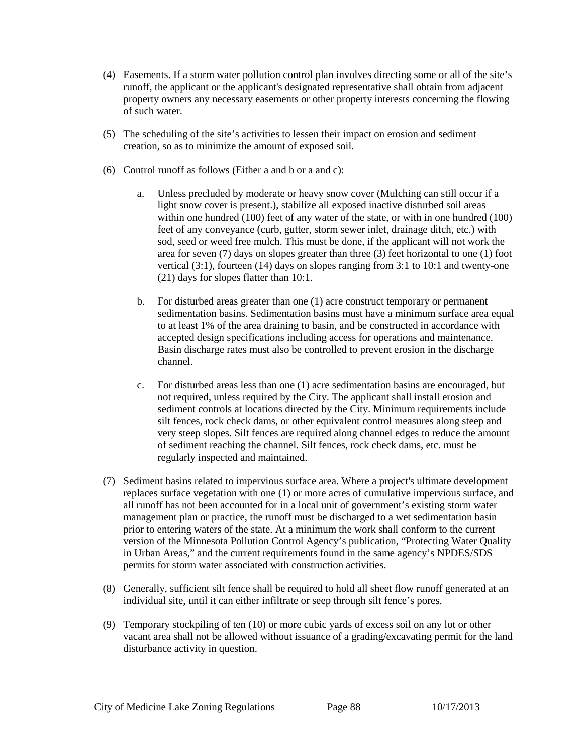- (4) Easements. If a storm water pollution control plan involves directing some or all of the site's runoff, the applicant or the applicant's designated representative shall obtain from adjacent property owners any necessary easements or other property interests concerning the flowing of such water.
- (5) The scheduling of the site's activities to lessen their impact on erosion and sediment creation, so as to minimize the amount of exposed soil.
- (6) Control runoff as follows (Either a and b or a and c):
	- a. Unless precluded by moderate or heavy snow cover (Mulching can still occur if a light snow cover is present.), stabilize all exposed inactive disturbed soil areas within one hundred (100) feet of any water of the state, or with in one hundred (100) feet of any conveyance (curb, gutter, storm sewer inlet, drainage ditch, etc.) with sod, seed or weed free mulch. This must be done, if the applicant will not work the area for seven (7) days on slopes greater than three (3) feet horizontal to one (1) foot vertical (3:1), fourteen (14) days on slopes ranging from 3:1 to 10:1 and twenty-one (21) days for slopes flatter than 10:1.
	- b. For disturbed areas greater than one (1) acre construct temporary or permanent sedimentation basins. Sedimentation basins must have a minimum surface area equal to at least 1% of the area draining to basin, and be constructed in accordance with accepted design specifications including access for operations and maintenance. Basin discharge rates must also be controlled to prevent erosion in the discharge channel.
	- c. For disturbed areas less than one (1) acre sedimentation basins are encouraged, but not required, unless required by the City. The applicant shall install erosion and sediment controls at locations directed by the City. Minimum requirements include silt fences, rock check dams, or other equivalent control measures along steep and very steep slopes. Silt fences are required along channel edges to reduce the amount of sediment reaching the channel. Silt fences, rock check dams, etc. must be regularly inspected and maintained.
- (7) Sediment basins related to impervious surface area. Where a project's ultimate development replaces surface vegetation with one (1) or more acres of cumulative impervious surface, and all runoff has not been accounted for in a local unit of government's existing storm water management plan or practice, the runoff must be discharged to a wet sedimentation basin prior to entering waters of the state. At a minimum the work shall conform to the current version of the Minnesota Pollution Control Agency's publication, "Protecting Water Quality in Urban Areas," and the current requirements found in the same agency's NPDES/SDS permits for storm water associated with construction activities.
- (8) Generally, sufficient silt fence shall be required to hold all sheet flow runoff generated at an individual site, until it can either infiltrate or seep through silt fence's pores.
- (9) Temporary stockpiling of ten (10) or more cubic yards of excess soil on any lot or other vacant area shall not be allowed without issuance of a grading/excavating permit for the land disturbance activity in question.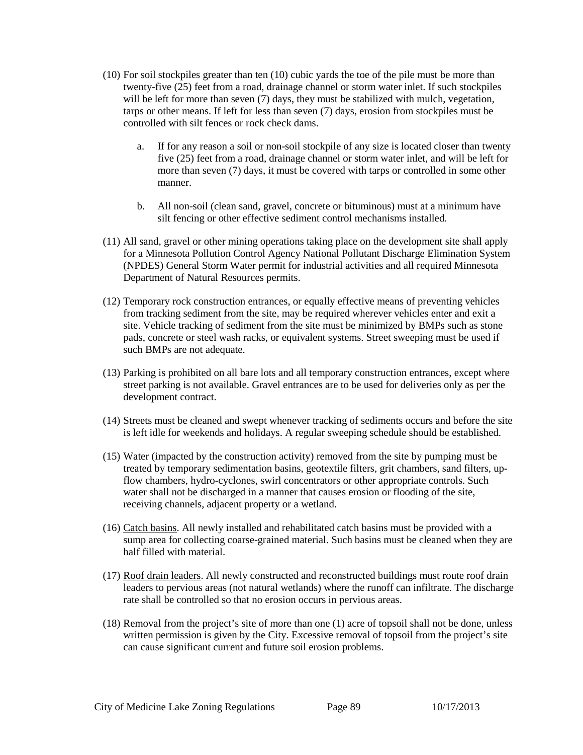- (10) For soil stockpiles greater than ten (10) cubic yards the toe of the pile must be more than twenty-five (25) feet from a road, drainage channel or storm water inlet. If such stockpiles will be left for more than seven (7) days, they must be stabilized with mulch, vegetation, tarps or other means. If left for less than seven (7) days, erosion from stockpiles must be controlled with silt fences or rock check dams.
	- a. If for any reason a soil or non-soil stockpile of any size is located closer than twenty five (25) feet from a road, drainage channel or storm water inlet, and will be left for more than seven (7) days, it must be covered with tarps or controlled in some other manner.
	- b. All non-soil (clean sand, gravel, concrete or bituminous) must at a minimum have silt fencing or other effective sediment control mechanisms installed.
- (11) All sand, gravel or other mining operations taking place on the development site shall apply for a Minnesota Pollution Control Agency National Pollutant Discharge Elimination System (NPDES) General Storm Water permit for industrial activities and all required Minnesota Department of Natural Resources permits.
- (12) Temporary rock construction entrances, or equally effective means of preventing vehicles from tracking sediment from the site, may be required wherever vehicles enter and exit a site. Vehicle tracking of sediment from the site must be minimized by BMPs such as stone pads, concrete or steel wash racks, or equivalent systems. Street sweeping must be used if such BMPs are not adequate.
- (13) Parking is prohibited on all bare lots and all temporary construction entrances, except where street parking is not available. Gravel entrances are to be used for deliveries only as per the development contract.
- (14) Streets must be cleaned and swept whenever tracking of sediments occurs and before the site is left idle for weekends and holidays. A regular sweeping schedule should be established.
- (15) Water (impacted by the construction activity) removed from the site by pumping must be treated by temporary sedimentation basins, geotextile filters, grit chambers, sand filters, upflow chambers, hydro-cyclones, swirl concentrators or other appropriate controls. Such water shall not be discharged in a manner that causes erosion or flooding of the site, receiving channels, adjacent property or a wetland.
- (16) Catch basins. All newly installed and rehabilitated catch basins must be provided with a sump area for collecting coarse-grained material. Such basins must be cleaned when they are half filled with material.
- (17) Roof drain leaders. All newly constructed and reconstructed buildings must route roof drain leaders to pervious areas (not natural wetlands) where the runoff can infiltrate. The discharge rate shall be controlled so that no erosion occurs in pervious areas.
- (18) Removal from the project's site of more than one (1) acre of topsoil shall not be done, unless written permission is given by the City. Excessive removal of topsoil from the project's site can cause significant current and future soil erosion problems.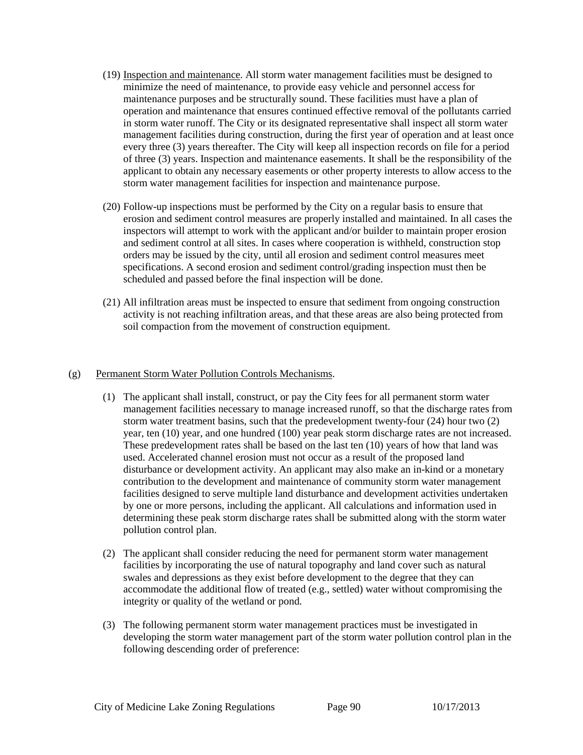- (19) Inspection and maintenance. All storm water management facilities must be designed to minimize the need of maintenance, to provide easy vehicle and personnel access for maintenance purposes and be structurally sound. These facilities must have a plan of operation and maintenance that ensures continued effective removal of the pollutants carried in storm water runoff. The City or its designated representative shall inspect all storm water management facilities during construction, during the first year of operation and at least once every three (3) years thereafter. The City will keep all inspection records on file for a period of three (3) years. Inspection and maintenance easements. It shall be the responsibility of the applicant to obtain any necessary easements or other property interests to allow access to the storm water management facilities for inspection and maintenance purpose.
- (20) Follow-up inspections must be performed by the City on a regular basis to ensure that erosion and sediment control measures are properly installed and maintained. In all cases the inspectors will attempt to work with the applicant and/or builder to maintain proper erosion and sediment control at all sites. In cases where cooperation is withheld, construction stop orders may be issued by the city, until all erosion and sediment control measures meet specifications. A second erosion and sediment control/grading inspection must then be scheduled and passed before the final inspection will be done.
- (21) All infiltration areas must be inspected to ensure that sediment from ongoing construction activity is not reaching infiltration areas, and that these areas are also being protected from soil compaction from the movement of construction equipment.

## (g) Permanent Storm Water Pollution Controls Mechanisms.

- (1) The applicant shall install, construct, or pay the City fees for all permanent storm water management facilities necessary to manage increased runoff, so that the discharge rates from storm water treatment basins, such that the predevelopment twenty-four (24) hour two (2) year, ten (10) year, and one hundred (100) year peak storm discharge rates are not increased. These predevelopment rates shall be based on the last ten (10) years of how that land was used. Accelerated channel erosion must not occur as a result of the proposed land disturbance or development activity. An applicant may also make an in-kind or a monetary contribution to the development and maintenance of community storm water management facilities designed to serve multiple land disturbance and development activities undertaken by one or more persons, including the applicant. All calculations and information used in determining these peak storm discharge rates shall be submitted along with the storm water pollution control plan.
- (2) The applicant shall consider reducing the need for permanent storm water management facilities by incorporating the use of natural topography and land cover such as natural swales and depressions as they exist before development to the degree that they can accommodate the additional flow of treated (e.g., settled) water without compromising the integrity or quality of the wetland or pond.
- (3) The following permanent storm water management practices must be investigated in developing the storm water management part of the storm water pollution control plan in the following descending order of preference: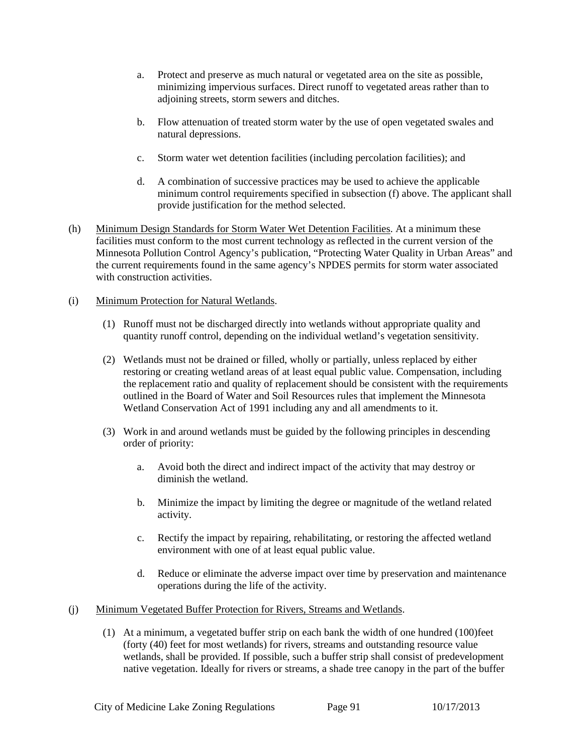- a. Protect and preserve as much natural or vegetated area on the site as possible, minimizing impervious surfaces. Direct runoff to vegetated areas rather than to adjoining streets, storm sewers and ditches.
- b. Flow attenuation of treated storm water by the use of open vegetated swales and natural depressions.
- c. Storm water wet detention facilities (including percolation facilities); and
- d. A combination of successive practices may be used to achieve the applicable minimum control requirements specified in subsection (f) above. The applicant shall provide justification for the method selected.
- (h) Minimum Design Standards for Storm Water Wet Detention Facilities. At a minimum these facilities must conform to the most current technology as reflected in the current version of the Minnesota Pollution Control Agency's publication, "Protecting Water Quality in Urban Areas" and the current requirements found in the same agency's NPDES permits for storm water associated with construction activities.

## (i) Minimum Protection for Natural Wetlands.

- (1) Runoff must not be discharged directly into wetlands without appropriate quality and quantity runoff control, depending on the individual wetland's vegetation sensitivity.
- (2) Wetlands must not be drained or filled, wholly or partially, unless replaced by either restoring or creating wetland areas of at least equal public value. Compensation, including the replacement ratio and quality of replacement should be consistent with the requirements outlined in the Board of Water and Soil Resources rules that implement the Minnesota Wetland Conservation Act of 1991 including any and all amendments to it.
- (3) Work in and around wetlands must be guided by the following principles in descending order of priority:
	- a. Avoid both the direct and indirect impact of the activity that may destroy or diminish the wetland.
	- b. Minimize the impact by limiting the degree or magnitude of the wetland related activity.
	- c. Rectify the impact by repairing, rehabilitating, or restoring the affected wetland environment with one of at least equal public value.
	- d. Reduce or eliminate the adverse impact over time by preservation and maintenance operations during the life of the activity.

## (j) Minimum Vegetated Buffer Protection for Rivers, Streams and Wetlands.

(1) At a minimum, a vegetated buffer strip on each bank the width of one hundred (100)feet (forty (40) feet for most wetlands) for rivers, streams and outstanding resource value wetlands, shall be provided. If possible, such a buffer strip shall consist of predevelopment native vegetation. Ideally for rivers or streams, a shade tree canopy in the part of the buffer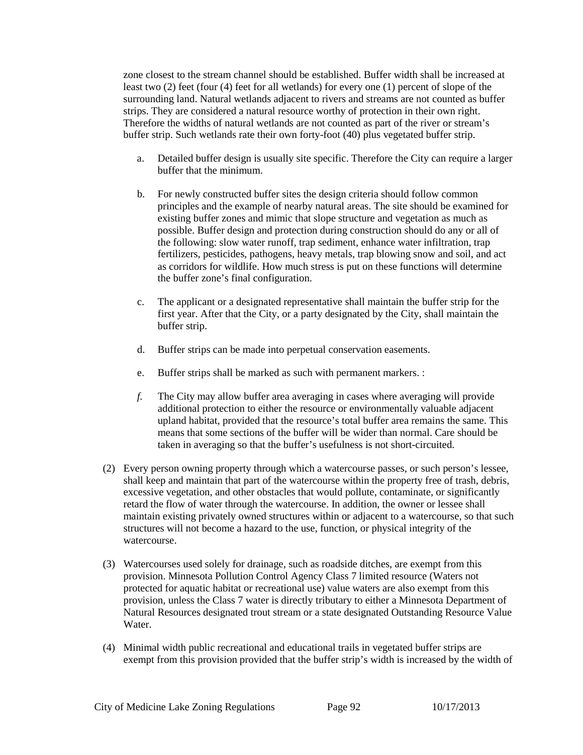zone closest to the stream channel should be established. Buffer width shall be increased at least two (2) feet (four (4) feet for all wetlands) for every one (1) percent of slope of the surrounding land. Natural wetlands adjacent to rivers and streams are not counted as buffer strips. They are considered a natural resource worthy of protection in their own right. Therefore the widths of natural wetlands are not counted as part of the river or stream's buffer strip. Such wetlands rate their own forty-foot (40) plus vegetated buffer strip.

- a. Detailed buffer design is usually site specific. Therefore the City can require a larger buffer that the minimum.
- b. For newly constructed buffer sites the design criteria should follow common principles and the example of nearby natural areas. The site should be examined for existing buffer zones and mimic that slope structure and vegetation as much as possible. Buffer design and protection during construction should do any or all of the following: slow water runoff, trap sediment, enhance water infiltration, trap fertilizers, pesticides, pathogens, heavy metals, trap blowing snow and soil, and act as corridors for wildlife. How much stress is put on these functions will determine the buffer zone's final configuration.
- c. The applicant or a designated representative shall maintain the buffer strip for the first year. After that the City, or a party designated by the City, shall maintain the buffer strip.
- d. Buffer strips can be made into perpetual conservation easements.
- e. Buffer strips shall be marked as such with permanent markers. :
- *f.* The City may allow buffer area averaging in cases where averaging will provide additional protection to either the resource or environmentally valuable adjacent upland habitat, provided that the resource's total buffer area remains the same. This means that some sections of the buffer will be wider than normal. Care should be taken in averaging so that the buffer's usefulness is not short-circuited.
- (2) Every person owning property through which a watercourse passes, or such person's lessee, shall keep and maintain that part of the watercourse within the property free of trash, debris, excessive vegetation, and other obstacles that would pollute, contaminate, or significantly retard the flow of water through the watercourse. In addition, the owner or lessee shall maintain existing privately owned structures within or adjacent to a watercourse, so that such structures will not become a hazard to the use, function, or physical integrity of the watercourse.
- (3) Watercourses used solely for drainage, such as roadside ditches, are exempt from this provision. Minnesota Pollution Control Agency Class 7 limited resource (Waters not protected for aquatic habitat or recreational use) value waters are also exempt from this provision, unless the Class 7 water is directly tributary to either a Minnesota Department of Natural Resources designated trout stream or a state designated Outstanding Resource Value Water.
- (4) Minimal width public recreational and educational trails in vegetated buffer strips are exempt from this provision provided that the buffer strip's width is increased by the width of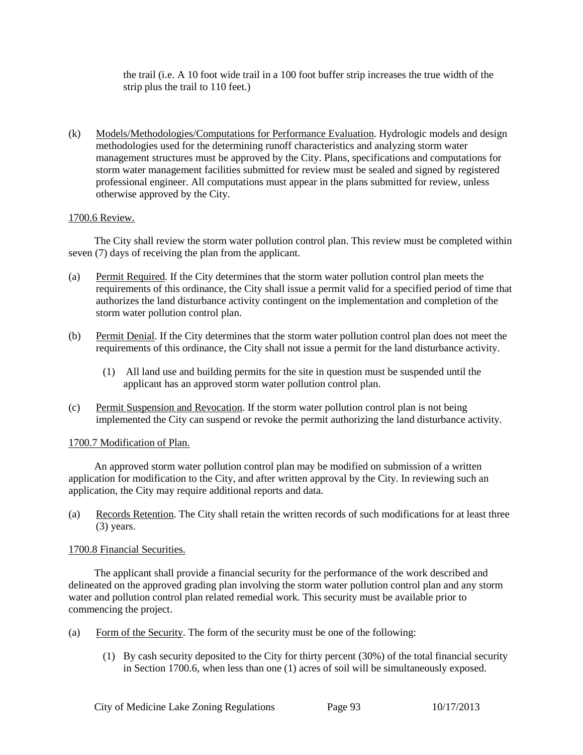the trail (i.e. A 10 foot wide trail in a 100 foot buffer strip increases the true width of the strip plus the trail to 110 feet.)

(k) Models/Methodologies/Computations for Performance Evaluation. Hydrologic models and design methodologies used for the determining runoff characteristics and analyzing storm water management structures must be approved by the City. Plans, specifications and computations for storm water management facilities submitted for review must be sealed and signed by registered professional engineer. All computations must appear in the plans submitted for review, unless otherwise approved by the City.

## <span id="page-92-0"></span>1700.6 Review.

The City shall review the storm water pollution control plan. This review must be completed within seven (7) days of receiving the plan from the applicant.

- (a) Permit Required. If the City determines that the storm water pollution control plan meets the requirements of this ordinance, the City shall issue a permit valid for a specified period of time that authorizes the land disturbance activity contingent on the implementation and completion of the storm water pollution control plan.
- (b) Permit Denial. If the City determines that the storm water pollution control plan does not meet the requirements of this ordinance, the City shall not issue a permit for the land disturbance activity.
	- (1) All land use and building permits for the site in question must be suspended until the applicant has an approved storm water pollution control plan.
- (c) Permit Suspension and Revocation. If the storm water pollution control plan is not being implemented the City can suspend or revoke the permit authorizing the land disturbance activity.

## <span id="page-92-1"></span>1700.7 Modification of Plan.

An approved storm water pollution control plan may be modified on submission of a written application for modification to the City, and after written approval by the City. In reviewing such an application, the City may require additional reports and data.

(a) Records Retention. The City shall retain the written records of such modifications for at least three (3) years.

## <span id="page-92-2"></span>1700.8 Financial Securities.

The applicant shall provide a financial security for the performance of the work described and delineated on the approved grading plan involving the storm water pollution control plan and any storm water and pollution control plan related remedial work. This security must be available prior to commencing the project.

- (a) Form of the Security. The form of the security must be one of the following:
	- (1) By cash security deposited to the City for thirty percent (30%) of the total financial security in Section 1700.6, when less than one (1) acres of soil will be simultaneously exposed.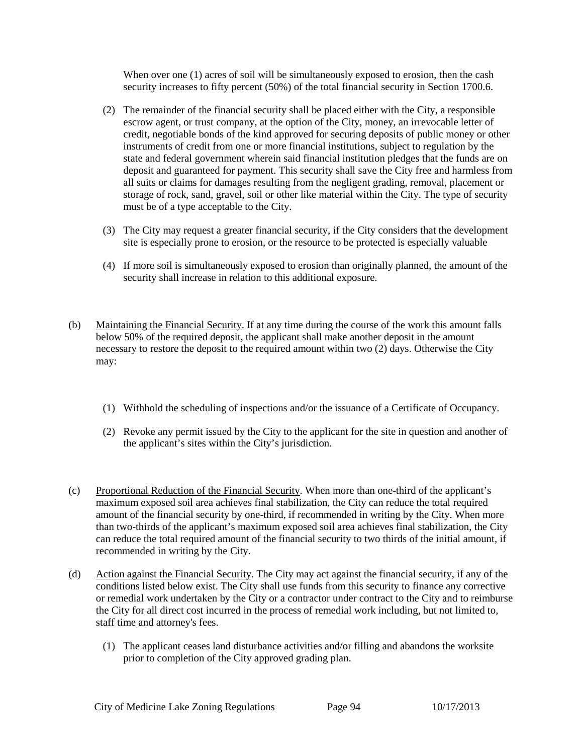When over one (1) acres of soil will be simultaneously exposed to erosion, then the cash security increases to fifty percent (50%) of the total financial security in Section 1700.6.

- (2) The remainder of the financial security shall be placed either with the City, a responsible escrow agent, or trust company, at the option of the City, money, an irrevocable letter of credit, negotiable bonds of the kind approved for securing deposits of public money or other instruments of credit from one or more financial institutions, subject to regulation by the state and federal government wherein said financial institution pledges that the funds are on deposit and guaranteed for payment. This security shall save the City free and harmless from all suits or claims for damages resulting from the negligent grading, removal, placement or storage of rock, sand, gravel, soil or other like material within the City. The type of security must be of a type acceptable to the City.
- (3) The City may request a greater financial security, if the City considers that the development site is especially prone to erosion, or the resource to be protected is especially valuable
- (4) If more soil is simultaneously exposed to erosion than originally planned, the amount of the security shall increase in relation to this additional exposure.
- (b) Maintaining the Financial Security. If at any time during the course of the work this amount falls below 50% of the required deposit, the applicant shall make another deposit in the amount necessary to restore the deposit to the required amount within two (2) days. Otherwise the City may:
	- (1) Withhold the scheduling of inspections and/or the issuance of a Certificate of Occupancy.
	- (2) Revoke any permit issued by the City to the applicant for the site in question and another of the applicant's sites within the City's jurisdiction.
- (c) Proportional Reduction of the Financial Security. When more than one-third of the applicant's maximum exposed soil area achieves final stabilization, the City can reduce the total required amount of the financial security by one-third, if recommended in writing by the City. When more than two-thirds of the applicant's maximum exposed soil area achieves final stabilization, the City can reduce the total required amount of the financial security to two thirds of the initial amount, if recommended in writing by the City.
- (d) Action against the Financial Security. The City may act against the financial security, if any of the conditions listed below exist. The City shall use funds from this security to finance any corrective or remedial work undertaken by the City or a contractor under contract to the City and to reimburse the City for all direct cost incurred in the process of remedial work including, but not limited to, staff time and attorney's fees.
	- (1) The applicant ceases land disturbance activities and/or filling and abandons the worksite prior to completion of the City approved grading plan.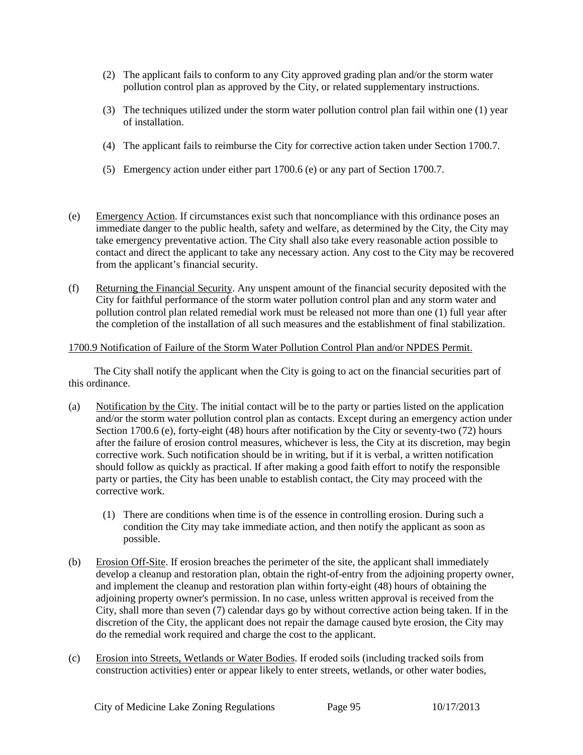- (2) The applicant fails to conform to any City approved grading plan and/or the storm water pollution control plan as approved by the City, or related supplementary instructions.
- (3) The techniques utilized under the storm water pollution control plan fail within one (1) year of installation.
- (4) The applicant fails to reimburse the City for corrective action taken under Section 1700.7.
- (5) Emergency action under either part 1700.6 (e) or any part of Section 1700.7.
- (e) Emergency Action. If circumstances exist such that noncompliance with this ordinance poses an immediate danger to the public health, safety and welfare, as determined by the City, the City may take emergency preventative action. The City shall also take every reasonable action possible to contact and direct the applicant to take any necessary action. Any cost to the City may be recovered from the applicant's financial security.
- (f) Returning the Financial Security. Any unspent amount of the financial security deposited with the City for faithful performance of the storm water pollution control plan and any storm water and pollution control plan related remedial work must be released not more than one (1) full year after the completion of the installation of all such measures and the establishment of final stabilization.

## <span id="page-94-0"></span>1700.9 Notification of Failure of the Storm Water Pollution Control Plan and/or NPDES Permit.

The City shall notify the applicant when the City is going to act on the financial securities part of this ordinance.

- (a) Notification by the City. The initial contact will be to the party or parties listed on the application and/or the storm water pollution control plan as contacts. Except during an emergency action under Section 1700.6 (e), forty-eight (48) hours after notification by the City or seventy-two (72) hours after the failure of erosion control measures, whichever is less, the City at its discretion, may begin corrective work. Such notification should be in writing, but if it is verbal, a written notification should follow as quickly as practical. If after making a good faith effort to notify the responsible party or parties, the City has been unable to establish contact, the City may proceed with the corrective work.
	- (1) There are conditions when time is of the essence in controlling erosion. During such a condition the City may take immediate action, and then notify the applicant as soon as possible.
- (b) Erosion Off-Site. If erosion breaches the perimeter of the site, the applicant shall immediately develop a cleanup and restoration plan, obtain the right-of-entry from the adjoining property owner, and implement the cleanup and restoration plan within forty-eight (48) hours of obtaining the adjoining property owner's permission. In no case, unless written approval is received from the City, shall more than seven (7) calendar days go by without corrective action being taken. If in the discretion of the City, the applicant does not repair the damage caused byte erosion, the City may do the remedial work required and charge the cost to the applicant.
- (c) Erosion into Streets, Wetlands or Water Bodies. If eroded soils (including tracked soils from construction activities) enter or appear likely to enter streets, wetlands, or other water bodies,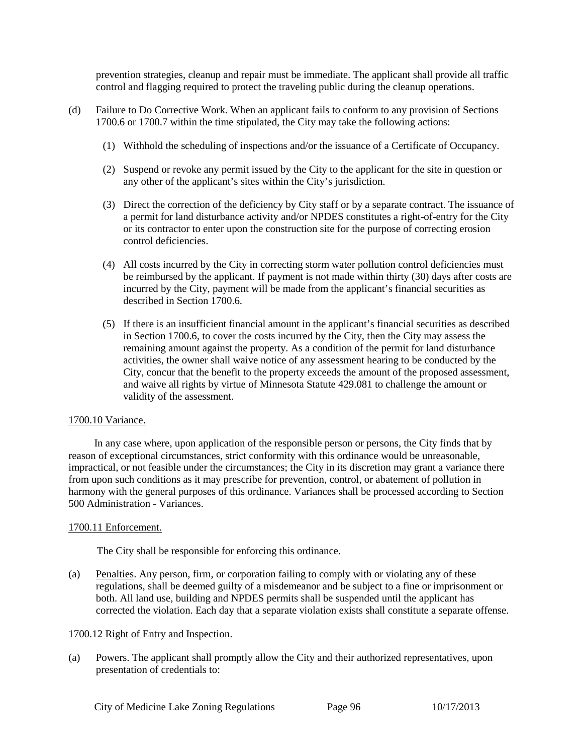prevention strategies, cleanup and repair must be immediate. The applicant shall provide all traffic control and flagging required to protect the traveling public during the cleanup operations.

- (d) Failure to Do Corrective Work. When an applicant fails to conform to any provision of Sections 1700.6 or 1700.7 within the time stipulated, the City may take the following actions:
	- (1) Withhold the scheduling of inspections and/or the issuance of a Certificate of Occupancy.
	- (2) Suspend or revoke any permit issued by the City to the applicant for the site in question or any other of the applicant's sites within the City's jurisdiction.
	- (3) Direct the correction of the deficiency by City staff or by a separate contract. The issuance of a permit for land disturbance activity and/or NPDES constitutes a right-of-entry for the City or its contractor to enter upon the construction site for the purpose of correcting erosion control deficiencies.
	- (4) All costs incurred by the City in correcting storm water pollution control deficiencies must be reimbursed by the applicant. If payment is not made within thirty (30) days after costs are incurred by the City, payment will be made from the applicant's financial securities as described in Section 1700.6.
	- (5) If there is an insufficient financial amount in the applicant's financial securities as described in Section 1700.6, to cover the costs incurred by the City, then the City may assess the remaining amount against the property. As a condition of the permit for land disturbance activities, the owner shall waive notice of any assessment hearing to be conducted by the City, concur that the benefit to the property exceeds the amount of the proposed assessment, and waive all rights by virtue of Minnesota Statute 429.081 to challenge the amount or validity of the assessment.

## <span id="page-95-0"></span>1700.10 Variance.

In any case where, upon application of the responsible person or persons, the City finds that by reason of exceptional circumstances, strict conformity with this ordinance would be unreasonable, impractical, or not feasible under the circumstances; the City in its discretion may grant a variance there from upon such conditions as it may prescribe for prevention, control, or abatement of pollution in harmony with the general purposes of this ordinance. Variances shall be processed according to Section 500 Administration - Variances.

## <span id="page-95-1"></span>1700.11 Enforcement.

The City shall be responsible for enforcing this ordinance.

(a) Penalties. Any person, firm, or corporation failing to comply with or violating any of these regulations, shall be deemed guilty of a misdemeanor and be subject to a fine or imprisonment or both. All land use, building and NPDES permits shall be suspended until the applicant has corrected the violation. Each day that a separate violation exists shall constitute a separate offense.

## <span id="page-95-2"></span>1700.12 Right of Entry and Inspection.

(a) Powers. The applicant shall promptly allow the City and their authorized representatives, upon presentation of credentials to: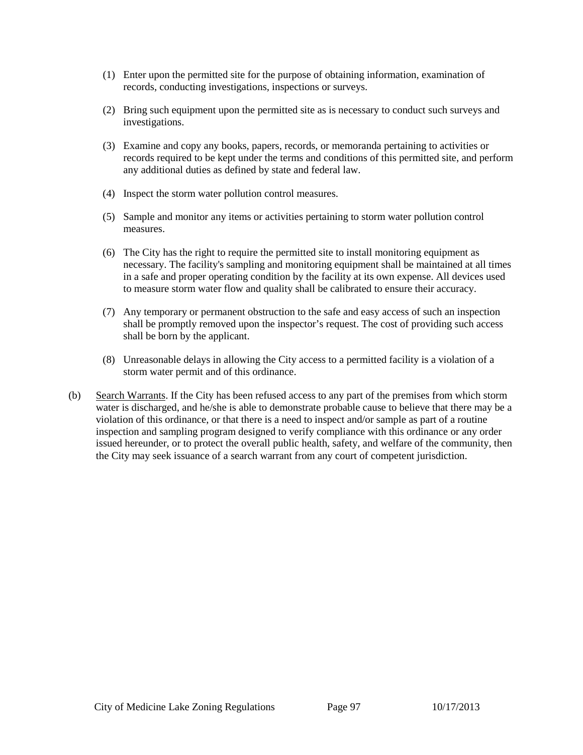- (1) Enter upon the permitted site for the purpose of obtaining information, examination of records, conducting investigations, inspections or surveys.
- (2) Bring such equipment upon the permitted site as is necessary to conduct such surveys and investigations.
- (3) Examine and copy any books, papers, records, or memoranda pertaining to activities or records required to be kept under the terms and conditions of this permitted site, and perform any additional duties as defined by state and federal law.
- (4) Inspect the storm water pollution control measures.
- (5) Sample and monitor any items or activities pertaining to storm water pollution control measures.
- (6) The City has the right to require the permitted site to install monitoring equipment as necessary. The facility's sampling and monitoring equipment shall be maintained at all times in a safe and proper operating condition by the facility at its own expense. All devices used to measure storm water flow and quality shall be calibrated to ensure their accuracy.
- (7) Any temporary or permanent obstruction to the safe and easy access of such an inspection shall be promptly removed upon the inspector's request. The cost of providing such access shall be born by the applicant.
- (8) Unreasonable delays in allowing the City access to a permitted facility is a violation of a storm water permit and of this ordinance.
- <span id="page-96-0"></span>(b) Search Warrants. If the City has been refused access to any part of the premises from which storm water is discharged, and he/she is able to demonstrate probable cause to believe that there may be a violation of this ordinance, or that there is a need to inspect and/or sample as part of a routine inspection and sampling program designed to verify compliance with this ordinance or any order issued hereunder, or to protect the overall public health, safety, and welfare of the community, then the City may seek issuance of a search warrant from any court of competent jurisdiction.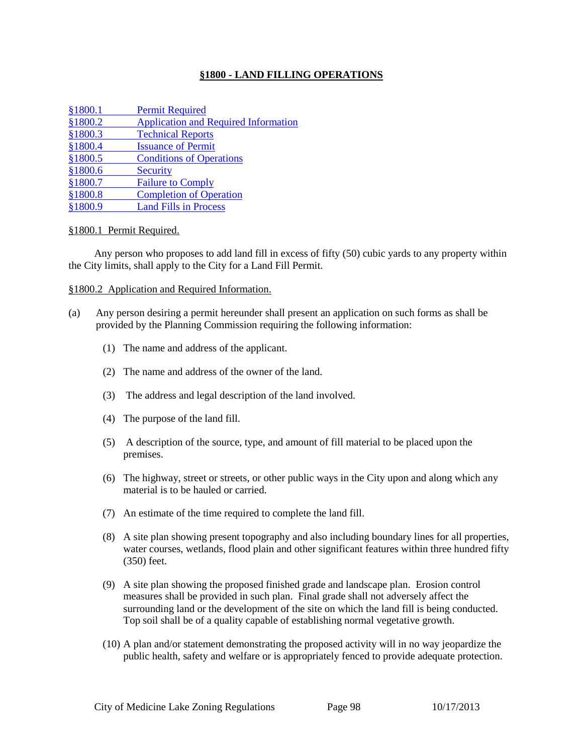## **§1800 - LAND FILLING OPERATIONS**

| §1800.1  | <b>Permit Required</b>                      |
|----------|---------------------------------------------|
| \$1800.2 | <b>Application and Required Information</b> |
| §1800.3  | <b>Technical Reports</b>                    |
| §1800.4  | <b>Issuance of Permit</b>                   |
| \$1800.5 | <b>Conditions of Operations</b>             |
| \$1800.6 | <b>Security</b>                             |
| \$1800.7 | <b>Failure to Comply</b>                    |
| §1800.8  | <b>Completion of Operation</b>              |
| §1800.9  | <b>Land Fills in Process</b>                |

#### <span id="page-97-0"></span>§1800.1 Permit Required.

Any person who proposes to add land fill in excess of fifty (50) cubic yards to any property within the City limits, shall apply to the City for a Land Fill Permit.

#### <span id="page-97-1"></span>§1800.2 Application and Required Information.

- (a) Any person desiring a permit hereunder shall present an application on such forms as shall be provided by the Planning Commission requiring the following information:
	- (1) The name and address of the applicant.
	- (2) The name and address of the owner of the land.
	- (3) The address and legal description of the land involved.
	- (4) The purpose of the land fill.
	- (5) A description of the source, type, and amount of fill material to be placed upon the premises.
	- (6) The highway, street or streets, or other public ways in the City upon and along which any material is to be hauled or carried.
	- (7) An estimate of the time required to complete the land fill.
	- (8) A site plan showing present topography and also including boundary lines for all properties, water courses, wetlands, flood plain and other significant features within three hundred fifty (350) feet.
	- (9) A site plan showing the proposed finished grade and landscape plan. Erosion control measures shall be provided in such plan. Final grade shall not adversely affect the surrounding land or the development of the site on which the land fill is being conducted. Top soil shall be of a quality capable of establishing normal vegetative growth.
	- (10) A plan and/or statement demonstrating the proposed activity will in no way jeopardize the public health, safety and welfare or is appropriately fenced to provide adequate protection.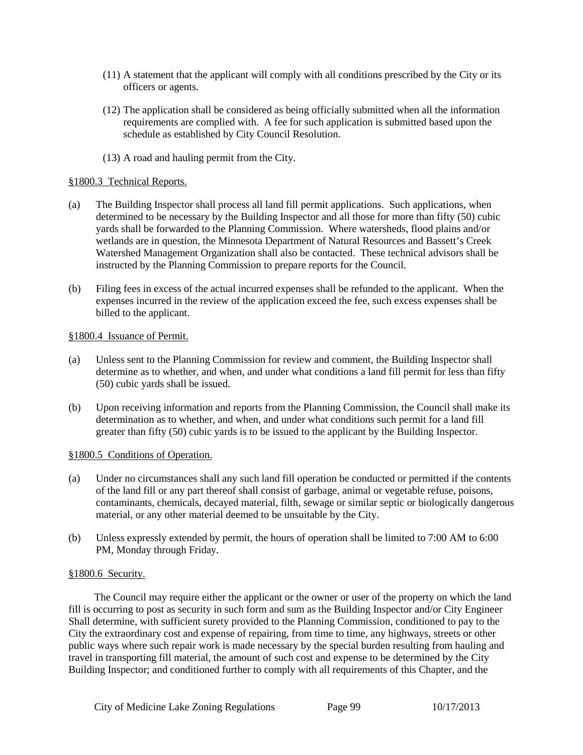- (11) A statement that the applicant will comply with all conditions prescribed by the City or its officers or agents.
- (12) The application shall be considered as being officially submitted when all the information requirements are complied with. A fee for such application is submitted based upon the schedule as established by City Council Resolution.
- (13) A road and hauling permit from the City.

## <span id="page-98-0"></span>§1800.3 Technical Reports.

- (a) The Building Inspector shall process all land fill permit applications. Such applications, when determined to be necessary by the Building Inspector and all those for more than fifty (50) cubic yards shall be forwarded to the Planning Commission. Where watersheds, flood plains and/or wetlands are in question, the Minnesota Department of Natural Resources and Bassett's Creek Watershed Management Organization shall also be contacted. These technical advisors shall be instructed by the Planning Commission to prepare reports for the Council.
- (b) Filing fees in excess of the actual incurred expenses shall be refunded to the applicant. When the expenses incurred in the review of the application exceed the fee, such excess expenses shall be billed to the applicant.

## <span id="page-98-1"></span>§1800.4 Issuance of Permit.

- (a) Unless sent to the Planning Commission for review and comment, the Building Inspector shall determine as to whether, and when, and under what conditions a land fill permit for less than fifty (50) cubic yards shall be issued.
- (b) Upon receiving information and reports from the Planning Commission, the Council shall make its determination as to whether, and when, and under what conditions such permit for a land fill greater than fifty (50) cubic yards is to be issued to the applicant by the Building Inspector.

## <span id="page-98-2"></span>§1800.5 Conditions of Operation.

- (a) Under no circumstances shall any such land fill operation be conducted or permitted if the contents of the land fill or any part thereof shall consist of garbage, animal or vegetable refuse, poisons, contaminants, chemicals, decayed material, filth, sewage or similar septic or biologically dangerous material, or any other material deemed to be unsuitable by the City.
- (b) Unless expressly extended by permit, the hours of operation shall be limited to 7:00 AM to 6:00 PM, Monday through Friday.

## <span id="page-98-3"></span>§1800.6 Security.

The Council may require either the applicant or the owner or user of the property on which the land fill is occurring to post as security in such form and sum as the Building Inspector and/or City Engineer Shall determine, with sufficient surety provided to the Planning Commission, conditioned to pay to the City the extraordinary cost and expense of repairing, from time to time, any highways, streets or other public ways where such repair work is made necessary by the special burden resulting from hauling and travel in transporting fill material, the amount of such cost and expense to be determined by the City Building Inspector; and conditioned further to comply with all requirements of this Chapter, and the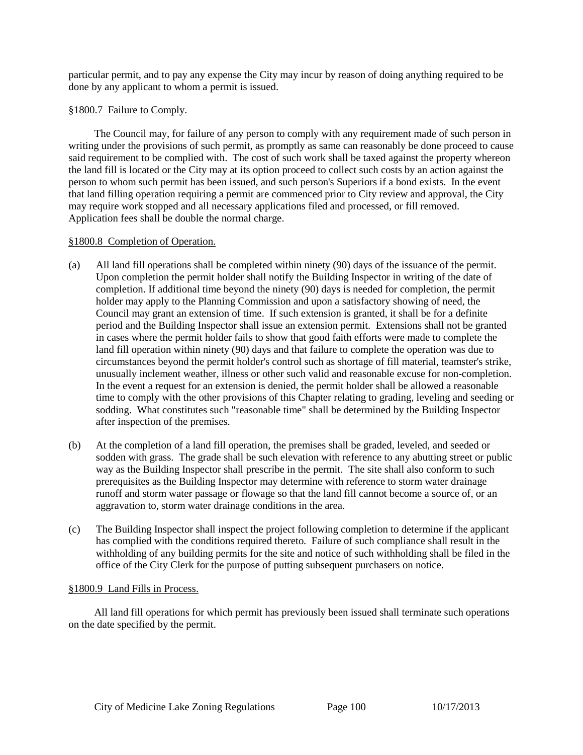particular permit, and to pay any expense the City may incur by reason of doing anything required to be done by any applicant to whom a permit is issued.

## <span id="page-99-0"></span>§1800.7 Failure to Comply.

The Council may, for failure of any person to comply with any requirement made of such person in writing under the provisions of such permit, as promptly as same can reasonably be done proceed to cause said requirement to be complied with. The cost of such work shall be taxed against the property whereon the land fill is located or the City may at its option proceed to collect such costs by an action against the person to whom such permit has been issued, and such person's Superiors if a bond exists. In the event that land filling operation requiring a permit are commenced prior to City review and approval, the City may require work stopped and all necessary applications filed and processed, or fill removed. Application fees shall be double the normal charge.

#### <span id="page-99-1"></span>§1800.8 Completion of Operation.

- (a) All land fill operations shall be completed within ninety (90) days of the issuance of the permit. Upon completion the permit holder shall notify the Building Inspector in writing of the date of completion. If additional time beyond the ninety (90) days is needed for completion, the permit holder may apply to the Planning Commission and upon a satisfactory showing of need, the Council may grant an extension of time. If such extension is granted, it shall be for a definite period and the Building Inspector shall issue an extension permit. Extensions shall not be granted in cases where the permit holder fails to show that good faith efforts were made to complete the land fill operation within ninety (90) days and that failure to complete the operation was due to circumstances beyond the permit holder's control such as shortage of fill material, teamster's strike, unusually inclement weather, illness or other such valid and reasonable excuse for non-completion. In the event a request for an extension is denied, the permit holder shall be allowed a reasonable time to comply with the other provisions of this Chapter relating to grading, leveling and seeding or sodding. What constitutes such "reasonable time" shall be determined by the Building Inspector after inspection of the premises.
- (b) At the completion of a land fill operation, the premises shall be graded, leveled, and seeded or sodden with grass. The grade shall be such elevation with reference to any abutting street or public way as the Building Inspector shall prescribe in the permit. The site shall also conform to such prerequisites as the Building Inspector may determine with reference to storm water drainage runoff and storm water passage or flowage so that the land fill cannot become a source of, or an aggravation to, storm water drainage conditions in the area.
- (c) The Building Inspector shall inspect the project following completion to determine if the applicant has complied with the conditions required thereto. Failure of such compliance shall result in the withholding of any building permits for the site and notice of such withholding shall be filed in the office of the City Clerk for the purpose of putting subsequent purchasers on notice.

#### <span id="page-99-2"></span>§1800.9 Land Fills in Process.

All land fill operations for which permit has previously been issued shall terminate such operations on the date specified by the permit.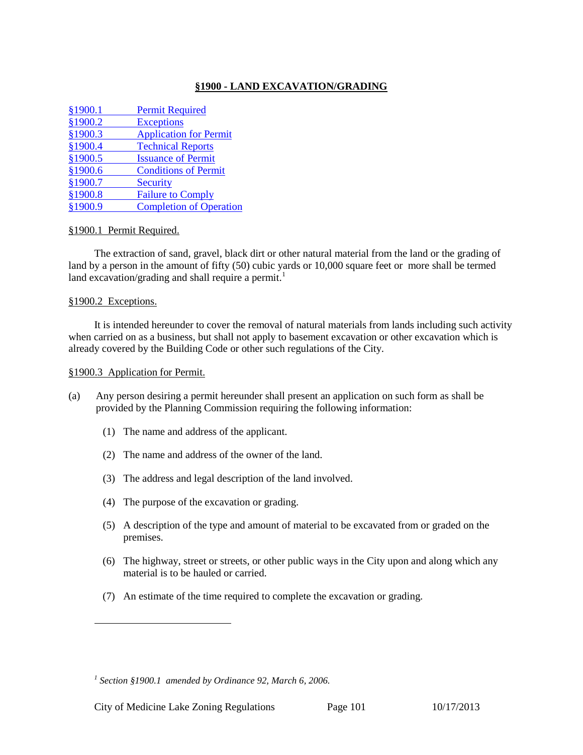## **§1900 - LAND EXCAVATION/GRADING**

| §1900.1 | <b>Permit Required</b>         |
|---------|--------------------------------|
| §1900.2 | <b>Exceptions</b>              |
| §1900.3 | <b>Application for Permit</b>  |
| §1900.4 | <b>Technical Reports</b>       |
| §1900.5 | <b>Issuance of Permit</b>      |
| §1900.6 | <b>Conditions of Permit</b>    |
| §1900.7 | <b>Security</b>                |
| §1900.8 | <b>Failure to Comply</b>       |
| §1900.9 | <b>Completion of Operation</b> |
|         |                                |

## <span id="page-100-0"></span>§1900.1 Permit Required.

The extraction of sand, gravel, black dirt or other natural material from the land or the grading of land by a person in the amount of fifty (50) cubic yards or 10,000 square feet or more shall be termed land excavation/grading and shall require a permit.<sup>[1](#page-100-3)</sup>

## <span id="page-100-1"></span>§1900.2 Exceptions.

 $\overline{a}$ 

It is intended hereunder to cover the removal of natural materials from lands including such activity when carried on as a business, but shall not apply to basement excavation or other excavation which is already covered by the Building Code or other such regulations of the City.

## <span id="page-100-2"></span>§1900.3 Application for Permit.

- (a) Any person desiring a permit hereunder shall present an application on such form as shall be provided by the Planning Commission requiring the following information:
	- (1) The name and address of the applicant.
	- (2) The name and address of the owner of the land.
	- (3) The address and legal description of the land involved.
	- (4) The purpose of the excavation or grading.
	- (5) A description of the type and amount of material to be excavated from or graded on the premises.
	- (6) The highway, street or streets, or other public ways in the City upon and along which any material is to be hauled or carried.
	- (7) An estimate of the time required to complete the excavation or grading.

<span id="page-100-3"></span>*<sup>1</sup> Section §1900.1 amended by Ordinance 92, March 6, 2006.*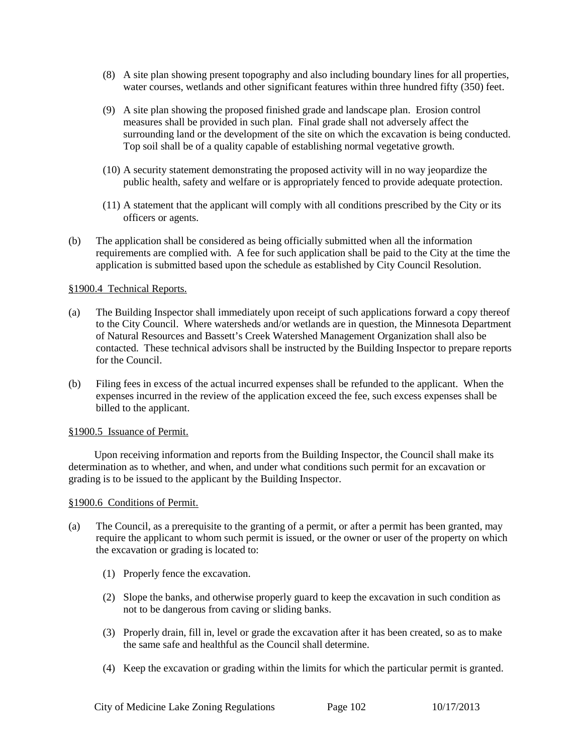- (8) A site plan showing present topography and also including boundary lines for all properties, water courses, wetlands and other significant features within three hundred fifty (350) feet.
- (9) A site plan showing the proposed finished grade and landscape plan. Erosion control measures shall be provided in such plan. Final grade shall not adversely affect the surrounding land or the development of the site on which the excavation is being conducted. Top soil shall be of a quality capable of establishing normal vegetative growth.
- (10) A security statement demonstrating the proposed activity will in no way jeopardize the public health, safety and welfare or is appropriately fenced to provide adequate protection.
- (11) A statement that the applicant will comply with all conditions prescribed by the City or its officers or agents.
- (b) The application shall be considered as being officially submitted when all the information requirements are complied with. A fee for such application shall be paid to the City at the time the application is submitted based upon the schedule as established by City Council Resolution.

## <span id="page-101-0"></span>§1900.4 Technical Reports.

- (a) The Building Inspector shall immediately upon receipt of such applications forward a copy thereof to the City Council. Where watersheds and/or wetlands are in question, the Minnesota Department of Natural Resources and Bassett's Creek Watershed Management Organization shall also be contacted. These technical advisors shall be instructed by the Building Inspector to prepare reports for the Council.
- (b) Filing fees in excess of the actual incurred expenses shall be refunded to the applicant. When the expenses incurred in the review of the application exceed the fee, such excess expenses shall be billed to the applicant.

## <span id="page-101-1"></span>§1900.5 Issuance of Permit.

Upon receiving information and reports from the Building Inspector, the Council shall make its determination as to whether, and when, and under what conditions such permit for an excavation or grading is to be issued to the applicant by the Building Inspector.

## <span id="page-101-2"></span>§1900.6 Conditions of Permit.

- (a) The Council, as a prerequisite to the granting of a permit, or after a permit has been granted, may require the applicant to whom such permit is issued, or the owner or user of the property on which the excavation or grading is located to:
	- (1) Properly fence the excavation.
	- (2) Slope the banks, and otherwise properly guard to keep the excavation in such condition as not to be dangerous from caving or sliding banks.
	- (3) Properly drain, fill in, level or grade the excavation after it has been created, so as to make the same safe and healthful as the Council shall determine.
	- (4) Keep the excavation or grading within the limits for which the particular permit is granted.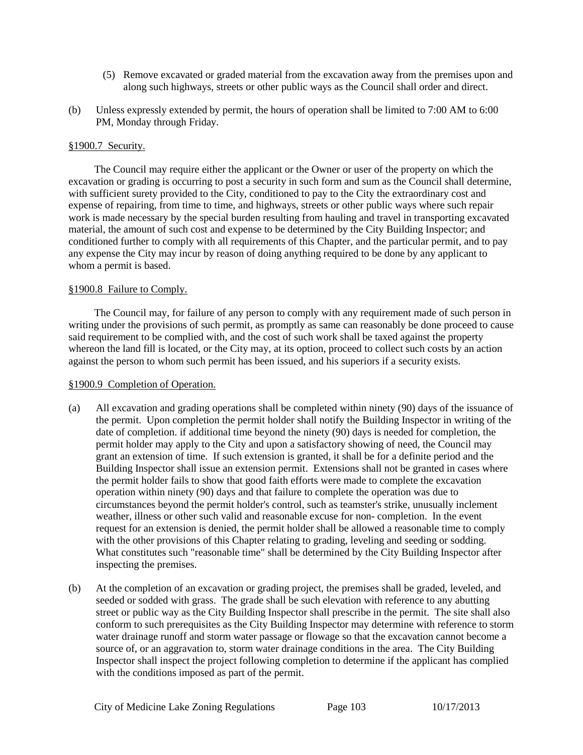- (5) Remove excavated or graded material from the excavation away from the premises upon and along such highways, streets or other public ways as the Council shall order and direct.
- (b) Unless expressly extended by permit, the hours of operation shall be limited to 7:00 AM to 6:00 PM, Monday through Friday.

#### <span id="page-102-0"></span>§1900.7 Security.

The Council may require either the applicant or the Owner or user of the property on which the excavation or grading is occurring to post a security in such form and sum as the Council shall determine, with sufficient surety provided to the City, conditioned to pay to the City the extraordinary cost and expense of repairing, from time to time, and highways, streets or other public ways where such repair work is made necessary by the special burden resulting from hauling and travel in transporting excavated material, the amount of such cost and expense to be determined by the City Building Inspector; and conditioned further to comply with all requirements of this Chapter, and the particular permit, and to pay any expense the City may incur by reason of doing anything required to be done by any applicant to whom a permit is based.

#### <span id="page-102-1"></span>§1900.8 Failure to Comply.

The Council may, for failure of any person to comply with any requirement made of such person in writing under the provisions of such permit, as promptly as same can reasonably be done proceed to cause said requirement to be complied with, and the cost of such work shall be taxed against the property whereon the land fill is located, or the City may, at its option, proceed to collect such costs by an action against the person to whom such permit has been issued, and his superiors if a security exists.

## <span id="page-102-2"></span>§1900.9 Completion of Operation.

- (a) All excavation and grading operations shall be completed within ninety (90) days of the issuance of the permit. Upon completion the permit holder shall notify the Building Inspector in writing of the date of completion. if additional time beyond the ninety (90) days is needed for completion, the permit holder may apply to the City and upon a satisfactory showing of need, the Council may grant an extension of time. If such extension is granted, it shall be for a definite period and the Building Inspector shall issue an extension permit. Extensions shall not be granted in cases where the permit holder fails to show that good faith efforts were made to complete the excavation operation within ninety (90) days and that failure to complete the operation was due to circumstances beyond the permit holder's control, such as teamster's strike, unusually inclement weather, illness or other such valid and reasonable excuse for non- completion. In the event request for an extension is denied, the permit holder shall be allowed a reasonable time to comply with the other provisions of this Chapter relating to grading, leveling and seeding or sodding. What constitutes such "reasonable time" shall be determined by the City Building Inspector after inspecting the premises.
- (b) At the completion of an excavation or grading project, the premises shall be graded, leveled, and seeded or sodded with grass. The grade shall be such elevation with reference to any abutting street or public way as the City Building Inspector shall prescribe in the permit. The site shall also conform to such prerequisites as the City Building Inspector may determine with reference to storm water drainage runoff and storm water passage or flowage so that the excavation cannot become a source of, or an aggravation to, storm water drainage conditions in the area. The City Building Inspector shall inspect the project following completion to determine if the applicant has complied with the conditions imposed as part of the permit.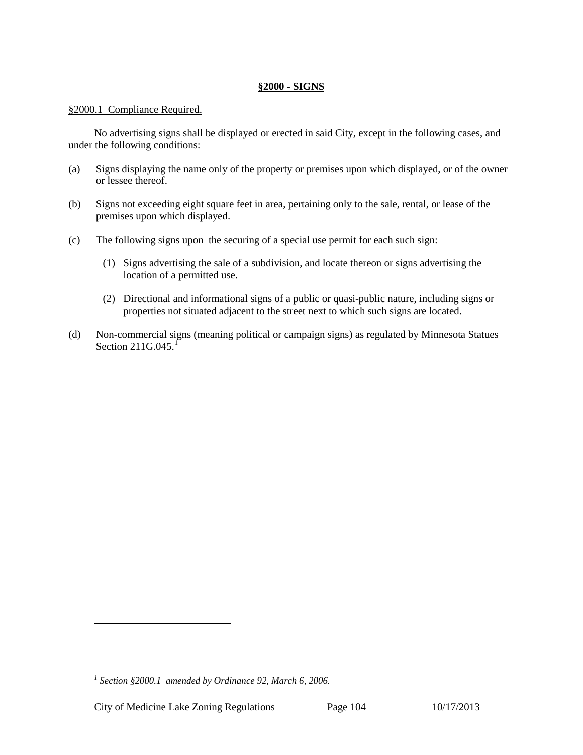## **§2000 - SIGNS**

#### §2000.1 Compliance Required.

No advertising signs shall be displayed or erected in said City, except in the following cases, and under the following conditions:

- (a) Signs displaying the name only of the property or premises upon which displayed, or of the owner or lessee thereof.
- (b) Signs not exceeding eight square feet in area, pertaining only to the sale, rental, or lease of the premises upon which displayed.
- (c) The following signs upon the securing of a special use permit for each such sign:
	- (1) Signs advertising the sale of a subdivision, and locate thereon or signs advertising the location of a permitted use.
	- (2) Directional and informational signs of a public or quasi-public nature, including signs or properties not situated adjacent to the street next to which such signs are located.
- (d) Non-commercial signs (meaning political or campaign signs) as regulated by Minnesota Statues Section 2[1](#page-103-0)1G.045.<sup>1</sup>

 $\overline{a}$ 

<span id="page-103-0"></span>*<sup>1</sup> Section §2000.1 amended by Ordinance 92, March 6, 2006.*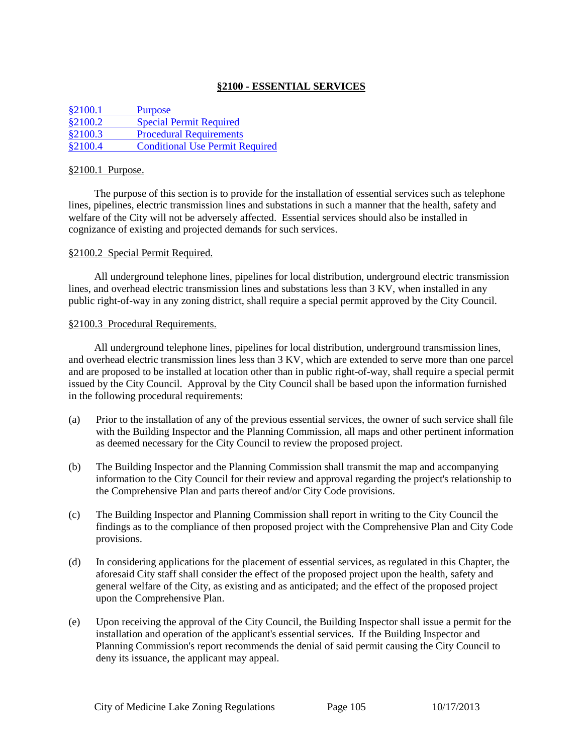## **§2100 - ESSENTIAL SERVICES**

[§2100.1 Purpose](#page-104-0) [§2100.2 Special Permit Required](#page-104-1) [§2100.3 Procedural Requirements](#page-104-2) [§2100.4 Conditional Use Permit Required](#page-105-0)

#### <span id="page-104-0"></span>§2100.1 Purpose.

The purpose of this section is to provide for the installation of essential services such as telephone lines, pipelines, electric transmission lines and substations in such a manner that the health, safety and welfare of the City will not be adversely affected. Essential services should also be installed in cognizance of existing and projected demands for such services.

#### <span id="page-104-1"></span>§2100.2 Special Permit Required.

All underground telephone lines, pipelines for local distribution, underground electric transmission lines, and overhead electric transmission lines and substations less than 3 KV, when installed in any public right-of-way in any zoning district, shall require a special permit approved by the City Council.

#### <span id="page-104-2"></span>§2100.3 Procedural Requirements.

All underground telephone lines, pipelines for local distribution, underground transmission lines, and overhead electric transmission lines less than 3 KV, which are extended to serve more than one parcel and are proposed to be installed at location other than in public right-of-way, shall require a special permit issued by the City Council. Approval by the City Council shall be based upon the information furnished in the following procedural requirements:

- (a) Prior to the installation of any of the previous essential services, the owner of such service shall file with the Building Inspector and the Planning Commission, all maps and other pertinent information as deemed necessary for the City Council to review the proposed project.
- (b) The Building Inspector and the Planning Commission shall transmit the map and accompanying information to the City Council for their review and approval regarding the project's relationship to the Comprehensive Plan and parts thereof and/or City Code provisions.
- (c) The Building Inspector and Planning Commission shall report in writing to the City Council the findings as to the compliance of then proposed project with the Comprehensive Plan and City Code provisions.
- (d) In considering applications for the placement of essential services, as regulated in this Chapter, the aforesaid City staff shall consider the effect of the proposed project upon the health, safety and general welfare of the City, as existing and as anticipated; and the effect of the proposed project upon the Comprehensive Plan.
- (e) Upon receiving the approval of the City Council, the Building Inspector shall issue a permit for the installation and operation of the applicant's essential services. If the Building Inspector and Planning Commission's report recommends the denial of said permit causing the City Council to deny its issuance, the applicant may appeal.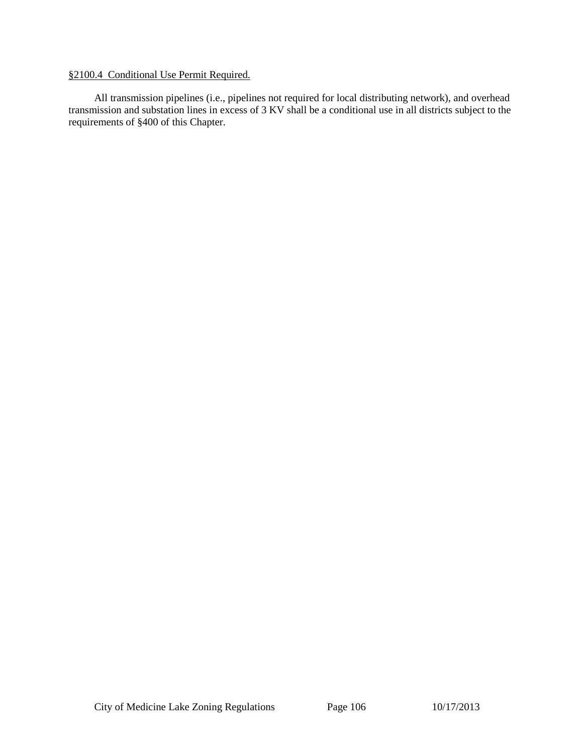## <span id="page-105-0"></span>§2100.4 Conditional Use Permit Required.

All transmission pipelines (i.e., pipelines not required for local distributing network), and overhead transmission and substation lines in excess of 3 KV shall be a conditional use in all districts subject to the requirements of §400 of this Chapter.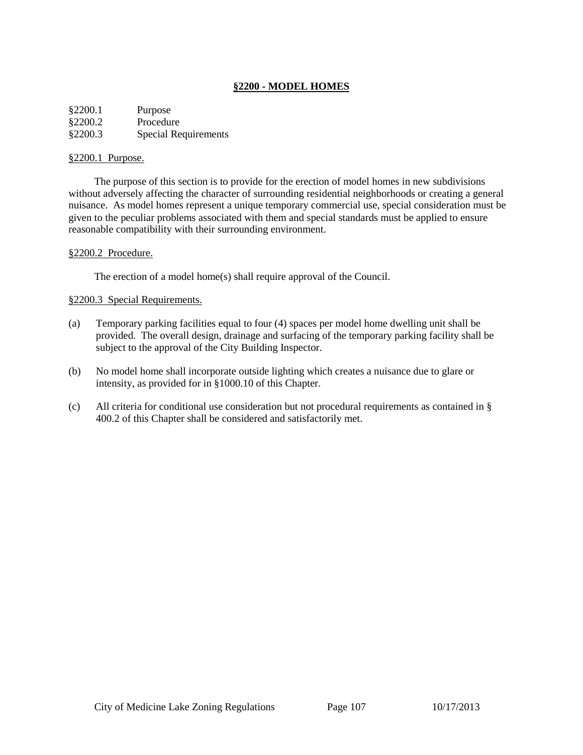## **§2200 - MODEL HOMES**

| §2200.1 | Purpose                     |
|---------|-----------------------------|
| §2200.2 | Procedure                   |
| §2200.3 | <b>Special Requirements</b> |

#### <span id="page-106-0"></span>§2200.1 Purpose.

The purpose of this section is to provide for the erection of model homes in new subdivisions without adversely affecting the character of surrounding residential neighborhoods or creating a general nuisance. As model homes represent a unique temporary commercial use, special consideration must be given to the peculiar problems associated with them and special standards must be applied to ensure reasonable compatibility with their surrounding environment.

#### <span id="page-106-1"></span>§2200.2 Procedure.

The erection of a model home(s) shall require approval of the Council.

#### <span id="page-106-2"></span>§2200.3 Special Requirements.

- (a) Temporary parking facilities equal to four (4) spaces per model home dwelling unit shall be provided. The overall design, drainage and surfacing of the temporary parking facility shall be subject to the approval of the City Building Inspector.
- (b) No model home shall incorporate outside lighting which creates a nuisance due to glare or intensity, as provided for in §1000.10 of this Chapter.
- (c) All criteria for conditional use consideration but not procedural requirements as contained in § 400.2 of this Chapter shall be considered and satisfactorily met.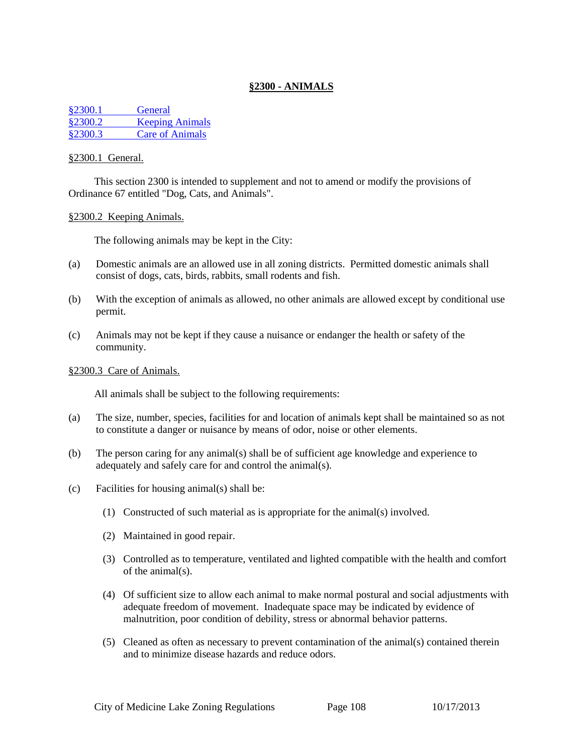## **§2300 - ANIMALS**

[§2300.1 General](#page-107-0) [§2300.2 Keeping Animals](#page-107-1) [§2300.3 Care of Animals](#page-107-2)

#### <span id="page-107-0"></span>§2300.1 General.

This section 2300 is intended to supplement and not to amend or modify the provisions of Ordinance 67 entitled "Dog, Cats, and Animals".

#### <span id="page-107-1"></span>§2300.2 Keeping Animals.

The following animals may be kept in the City:

- (a) Domestic animals are an allowed use in all zoning districts. Permitted domestic animals shall consist of dogs, cats, birds, rabbits, small rodents and fish.
- (b) With the exception of animals as allowed, no other animals are allowed except by conditional use permit.
- (c) Animals may not be kept if they cause a nuisance or endanger the health or safety of the community.

#### <span id="page-107-2"></span>§2300.3 Care of Animals.

All animals shall be subject to the following requirements:

- (a) The size, number, species, facilities for and location of animals kept shall be maintained so as not to constitute a danger or nuisance by means of odor, noise or other elements.
- (b) The person caring for any animal(s) shall be of sufficient age knowledge and experience to adequately and safely care for and control the animal(s).
- (c) Facilities for housing animal(s) shall be:
	- (1) Constructed of such material as is appropriate for the animal(s) involved.
	- (2) Maintained in good repair.
	- (3) Controlled as to temperature, ventilated and lighted compatible with the health and comfort of the animal(s).
	- (4) Of sufficient size to allow each animal to make normal postural and social adjustments with adequate freedom of movement. Inadequate space may be indicated by evidence of malnutrition, poor condition of debility, stress or abnormal behavior patterns.
	- (5) Cleaned as often as necessary to prevent contamination of the animal(s) contained therein and to minimize disease hazards and reduce odors.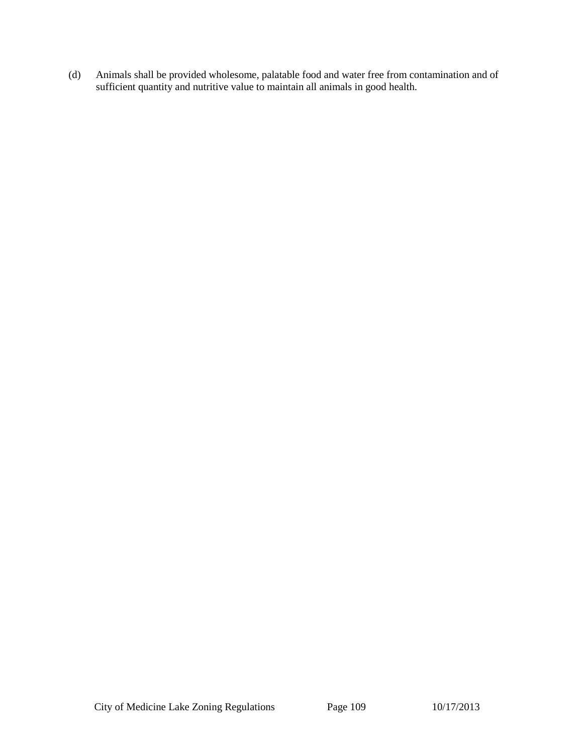(d) Animals shall be provided wholesome, palatable food and water free from contamination and of sufficient quantity and nutritive value to maintain all animals in good health.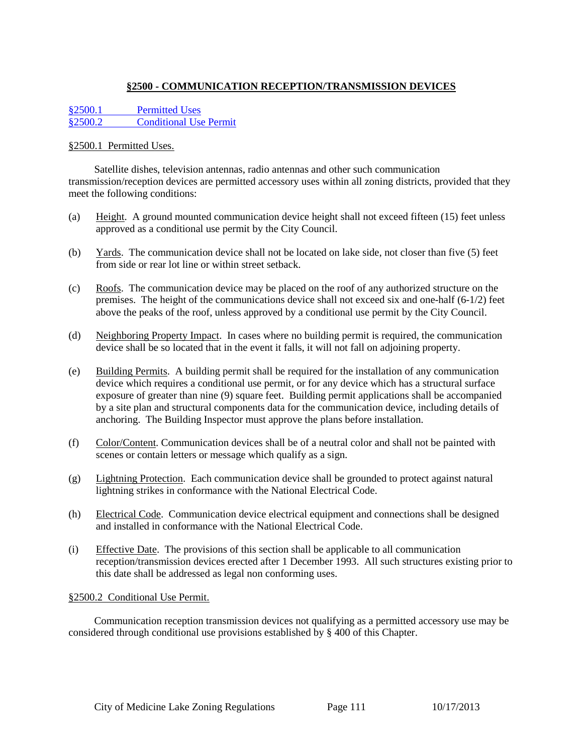# **§2500 - COMMUNICATION RECEPTION/TRANSMISSION DEVICES**

[§2500.1 Permitted Uses](#page-110-0) [§2500.2 Conditional Use Permit](#page-110-1)

### <span id="page-110-0"></span>§2500.1 Permitted Uses.

Satellite dishes, television antennas, radio antennas and other such communication transmission/reception devices are permitted accessory uses within all zoning districts, provided that they meet the following conditions:

- (a) Height. A ground mounted communication device height shall not exceed fifteen (15) feet unless approved as a conditional use permit by the City Council.
- (b) Yards. The communication device shall not be located on lake side, not closer than five (5) feet from side or rear lot line or within street setback.
- (c) Roofs. The communication device may be placed on the roof of any authorized structure on the premises. The height of the communications device shall not exceed six and one-half (6-1/2) feet above the peaks of the roof, unless approved by a conditional use permit by the City Council.
- (d) Neighboring Property Impact. In cases where no building permit is required, the communication device shall be so located that in the event it falls, it will not fall on adjoining property.
- (e) Building Permits. A building permit shall be required for the installation of any communication device which requires a conditional use permit, or for any device which has a structural surface exposure of greater than nine (9) square feet. Building permit applications shall be accompanied by a site plan and structural components data for the communication device, including details of anchoring. The Building Inspector must approve the plans before installation.
- (f) Color/Content. Communication devices shall be of a neutral color and shall not be painted with scenes or contain letters or message which qualify as a sign.
- (g) Lightning Protection. Each communication device shall be grounded to protect against natural lightning strikes in conformance with the National Electrical Code.
- (h) Electrical Code. Communication device electrical equipment and connections shall be designed and installed in conformance with the National Electrical Code.
- (i) Effective Date. The provisions of this section shall be applicable to all communication reception/transmission devices erected after 1 December 1993. All such structures existing prior to this date shall be addressed as legal non conforming uses.

<span id="page-110-1"></span>§2500.2 Conditional Use Permit.

Communication reception transmission devices not qualifying as a permitted accessory use may be considered through conditional use provisions established by § 400 of this Chapter.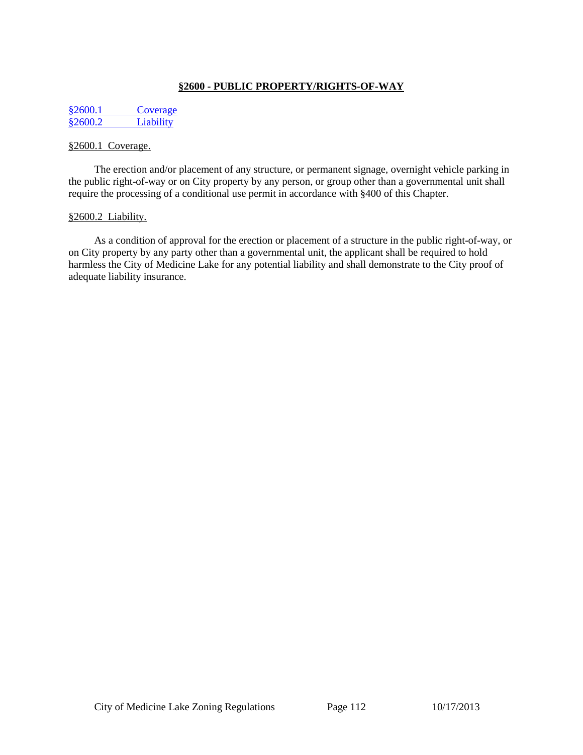# **§2600 - PUBLIC PROPERTY/RIGHTS-OF-WAY**

| \$2600.1 | Coverage  |
|----------|-----------|
| \$2600.2 | Liability |

### <span id="page-111-0"></span>§2600.1 Coverage.

The erection and/or placement of any structure, or permanent signage, overnight vehicle parking in the public right-of-way or on City property by any person, or group other than a governmental unit shall require the processing of a conditional use permit in accordance with §400 of this Chapter.

### <span id="page-111-1"></span>§2600.2 Liability.

As a condition of approval for the erection or placement of a structure in the public right-of-way, or on City property by any party other than a governmental unit, the applicant shall be required to hold harmless the City of Medicine Lake for any potential liability and shall demonstrate to the City proof of adequate liability insurance.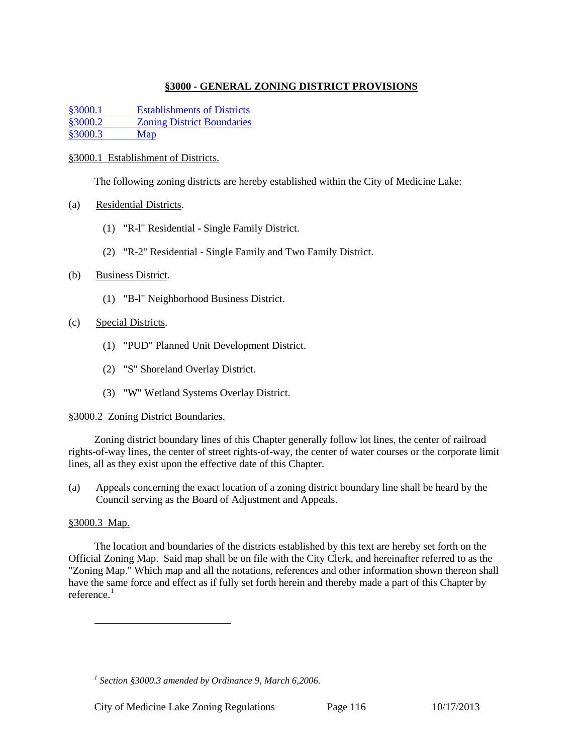# **§3000 - GENERAL ZONING DISTRICT PROVISIONS**

[§3000.1 Establishments of Districts](#page-115-0) [§3000.2 Zoning District Boundaries](#page-115-1) [§3000.3 Map](#page-115-2)

## <span id="page-115-0"></span>§3000.1 Establishment of Districts.

The following zoning districts are hereby established within the City of Medicine Lake:

- (a) Residential Districts.
	- (1) "R-l" Residential Single Family District.
	- (2) "R-2" Residential Single Family and Two Family District.

# (b) Business District.

(1) "B-l" Neighborhood Business District.

# (c) Special Districts.

- (1) "PUD" Planned Unit Development District.
- (2) "S" Shoreland Overlay District.
- (3) "W" Wetland Systems Overlay District.

## <span id="page-115-1"></span>§3000.2 Zoning District Boundaries.

Zoning district boundary lines of this Chapter generally follow lot lines, the center of railroad rights-of-way lines, the center of street rights-of-way, the center of water courses or the corporate limit lines, all as they exist upon the effective date of this Chapter.

(a) Appeals concerning the exact location of a zoning district boundary line shall be heard by the Council serving as the Board of Adjustment and Appeals.

# <span id="page-115-2"></span>§3000.3 Map.

 $\overline{a}$ 

The location and boundaries of the districts established by this text are hereby set forth on the Official Zoning Map. Said map shall be on file with the City Clerk, and hereinafter referred to as the "Zoning Map." Which map and all the notations, references and other information shown thereon shall have the same force and effect as if fully set forth herein and thereby made a part of this Chapter by reference. $1$ 

<span id="page-115-3"></span>*<sup>1</sup> Section §3000.3 amended by Ordinance 9, March 6,2006.*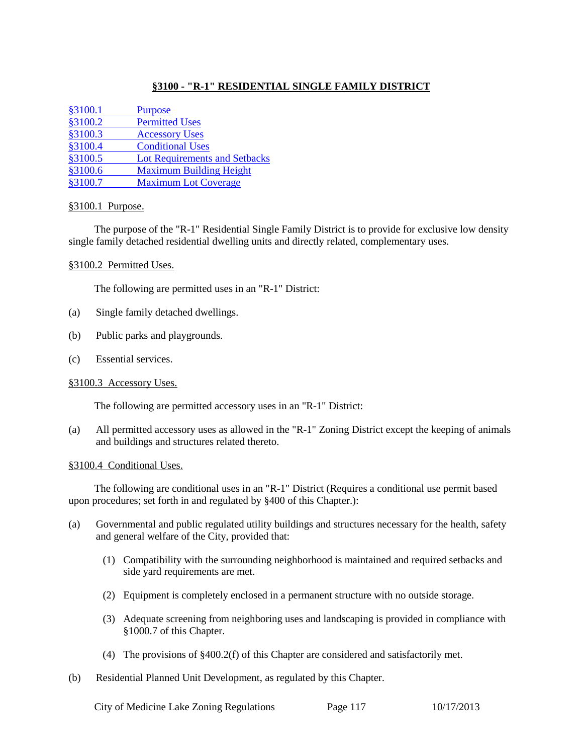# **§3100 - "R-1" RESIDENTIAL SINGLE FAMILY DISTRICT**

| \$3100.1 | <b>Purpose</b>                 |
|----------|--------------------------------|
| §3100.2  | <b>Permitted Uses</b>          |
| §3100.3  | <b>Accessory Uses</b>          |
| §3100.4  | <b>Conditional Uses</b>        |
| \$3100.5 | Lot Requirements and Setbacks  |
| §3100.6  | <b>Maximum Building Height</b> |
| §3100.7  | <b>Maximum Lot Coverage</b>    |

### <span id="page-116-0"></span>§3100.1 Purpose.

The purpose of the "R-1" Residential Single Family District is to provide for exclusive low density single family detached residential dwelling units and directly related, complementary uses.

### <span id="page-116-1"></span>§3100.2 Permitted Uses.

The following are permitted uses in an "R-1" District:

- (a) Single family detached dwellings.
- (b) Public parks and playgrounds.
- <span id="page-116-2"></span>(c) Essential services.

### §3100.3 Accessory Uses.

The following are permitted accessory uses in an "R-1" District:

(a) All permitted accessory uses as allowed in the "R-1" Zoning District except the keeping of animals and buildings and structures related thereto.

### <span id="page-116-3"></span>§3100.4 Conditional Uses.

The following are conditional uses in an "R-1" District (Requires a conditional use permit based upon procedures; set forth in and regulated by §400 of this Chapter.):

- (a) Governmental and public regulated utility buildings and structures necessary for the health, safety and general welfare of the City, provided that:
	- (1) Compatibility with the surrounding neighborhood is maintained and required setbacks and side yard requirements are met.
	- (2) Equipment is completely enclosed in a permanent structure with no outside storage.
	- (3) Adequate screening from neighboring uses and landscaping is provided in compliance with §1000.7 of this Chapter.
	- (4) The provisions of §400.2(f) of this Chapter are considered and satisfactorily met.
- (b) Residential Planned Unit Development, as regulated by this Chapter.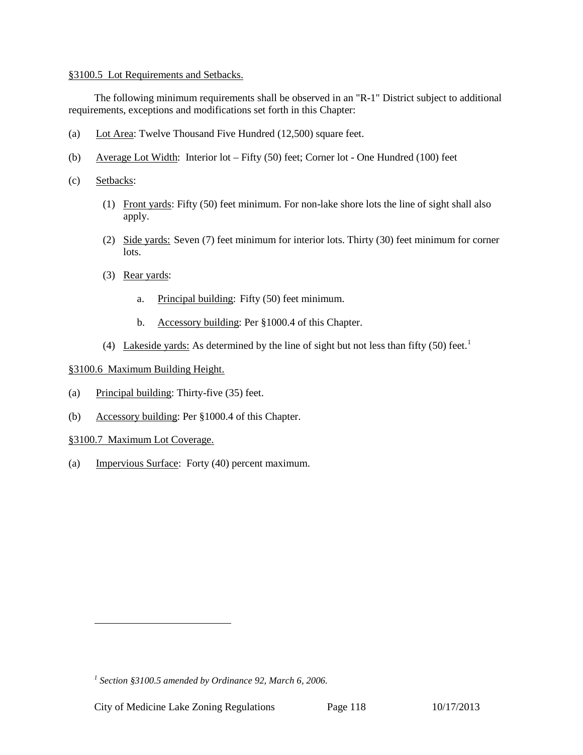### <span id="page-117-0"></span>§3100.5 Lot Requirements and Setbacks.

The following minimum requirements shall be observed in an "R-1" District subject to additional requirements, exceptions and modifications set forth in this Chapter:

- (a) Lot Area: Twelve Thousand Five Hundred (12,500) square feet.
- (b) Average Lot Width: Interior lot Fifty (50) feet; Corner lot One Hundred (100) feet
- (c) Setbacks:
	- (1) Front yards: Fifty (50) feet minimum. For non-lake shore lots the line of sight shall also apply.
	- (2) Side yards: Seven (7) feet minimum for interior lots. Thirty (30) feet minimum for corner lots.
	- (3) Rear yards:
		- a. Principal building: Fifty (50) feet minimum.
		- b. Accessory building: Per §1000.4 of this Chapter.
	- (4) Lakeside yards: As determined by the line of sight but not less than fifty (50) feet.<sup>[1](#page-117-3)</sup>

# <span id="page-117-1"></span>§3100.6 Maximum Building Height.

- (a) Principal building: Thirty-five (35) feet.
- <span id="page-117-2"></span>(b) Accessory building: Per §1000.4 of this Chapter.

# §3100.7 Maximum Lot Coverage.

 $\overline{a}$ 

(a) Impervious Surface: Forty (40) percent maximum.

<span id="page-117-3"></span>*<sup>1</sup> Section §3100.5 amended by Ordinance 92, March 6, 2006.*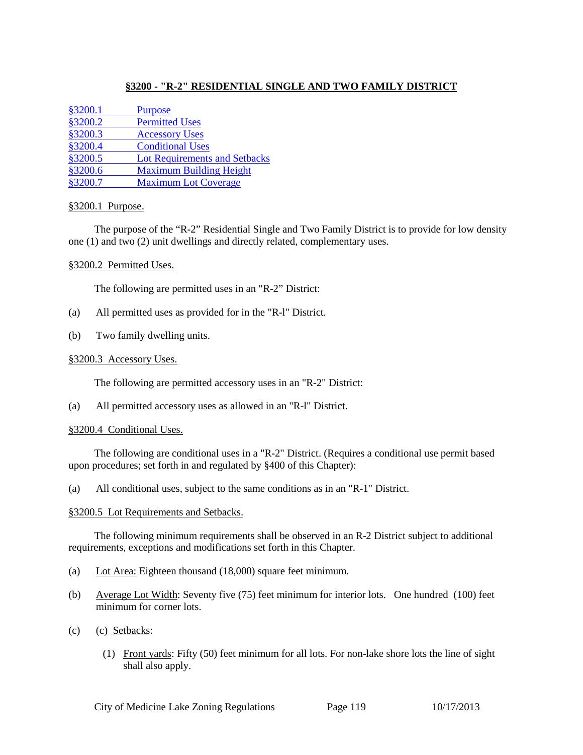# **§3200 - "R-2" RESIDENTIAL SINGLE AND TWO FAMILY DISTRICT**

| \$3200.1 | <b>Purpose</b>                       |
|----------|--------------------------------------|
| §3200.2  | <b>Permitted Uses</b>                |
| §3200.3  | <b>Accessory Uses</b>                |
| §3200.4  | <b>Conditional Uses</b>              |
| §3200.5  | <b>Lot Requirements and Setbacks</b> |
| §3200.6  | <b>Maximum Building Height</b>       |
| §3200.7  | <b>Maximum Lot Coverage</b>          |

### <span id="page-118-0"></span>§3200.1 Purpose.

The purpose of the "R-2" Residential Single and Two Family District is to provide for low density one (1) and two (2) unit dwellings and directly related, complementary uses.

### <span id="page-118-1"></span>§3200.2 Permitted Uses.

The following are permitted uses in an "R-2" District:

- (a) All permitted uses as provided for in the "R-l" District.
- <span id="page-118-2"></span>(b) Two family dwelling units.

### §3200.3 Accessory Uses.

The following are permitted accessory uses in an "R-2" District:

<span id="page-118-3"></span>(a) All permitted accessory uses as allowed in an "R-l" District.

### §3200.4 Conditional Uses.

The following are conditional uses in a "R-2" District. (Requires a conditional use permit based upon procedures; set forth in and regulated by §400 of this Chapter):

<span id="page-118-4"></span>(a) All conditional uses, subject to the same conditions as in an "R-1" District.

### §3200.5 Lot Requirements and Setbacks.

The following minimum requirements shall be observed in an R-2 District subject to additional requirements, exceptions and modifications set forth in this Chapter.

- (a) Lot Area: Eighteen thousand (18,000) square feet minimum.
- (b) Average Lot Width: Seventy five (75) feet minimum for interior lots. One hundred (100) feet minimum for corner lots.
- (c) (c) Setbacks:
	- (1) Front yards: Fifty (50) feet minimum for all lots. For non-lake shore lots the line of sight shall also apply.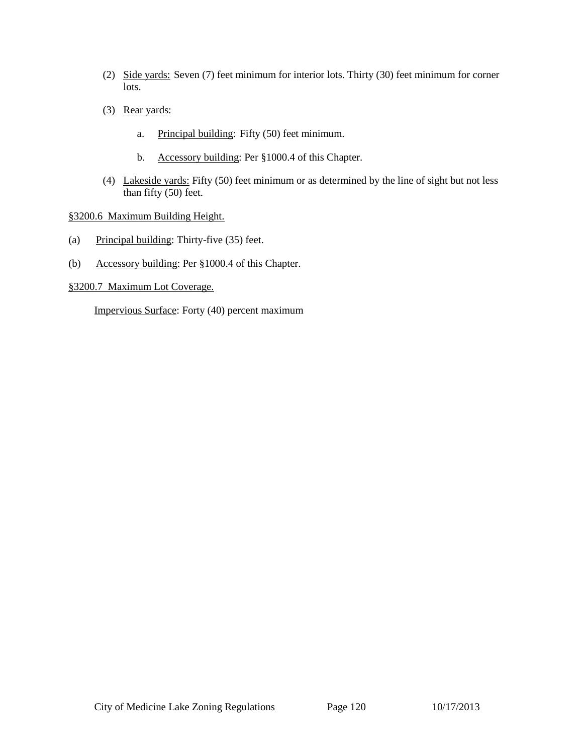- (2) Side yards: Seven (7) feet minimum for interior lots. Thirty (30) feet minimum for corner lots.
- (3) Rear yards:
	- a. Principal building: Fifty (50) feet minimum.
	- b. Accessory building: Per §1000.4 of this Chapter.
- (4) Lakeside yards: Fifty (50) feet minimum or as determined by the line of sight but not less than fifty (50) feet.

<span id="page-119-0"></span>§3200.6 Maximum Building Height.

- (a) Principal building: Thirty-five  $(35)$  feet.
- <span id="page-119-1"></span>(b) Accessory building: Per §1000.4 of this Chapter.

§3200.7 Maximum Lot Coverage.

Impervious Surface: Forty (40) percent maximum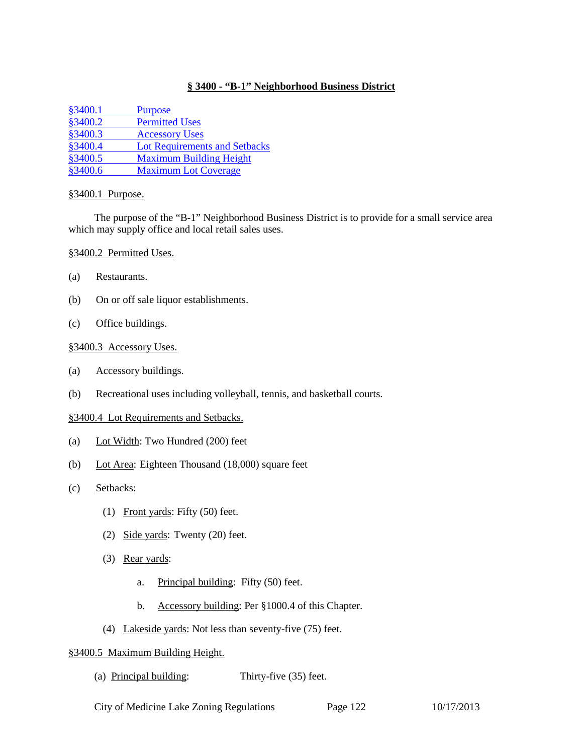# **§ 3400 - "B-1" Neighborhood Business District**

| \$3400.1 | <b>Purpose</b>                       |
|----------|--------------------------------------|
| §3400.2  | <b>Permitted Uses</b>                |
| \$3400.3 | <b>Accessory Uses</b>                |
| \$3400.4 | <b>Lot Requirements and Setbacks</b> |
| \$3400.5 | <b>Maximum Building Height</b>       |
| \$3400.6 | <b>Maximum Lot Coverage</b>          |

### <span id="page-121-0"></span>§3400.1 Purpose.

The purpose of the "B-1" Neighborhood Business District is to provide for a small service area which may supply office and local retail sales uses.

### §3400.2 Permitted Uses.

- (a) Restaurants.
- (b) On or off sale liquor establishments.
- <span id="page-121-1"></span>(c) Office buildings.

### §3400.3 Accessory Uses.

- (a) Accessory buildings.
- <span id="page-121-2"></span>(b) Recreational uses including volleyball, tennis, and basketball courts.

### §3400.4 Lot Requirements and Setbacks.

- (a) Lot Width: Two Hundred (200) feet
- (b) Lot Area: Eighteen Thousand (18,000) square feet
- (c) Setbacks:
	- (1) Front yards: Fifty (50) feet.
	- (2) Side yards: Twenty (20) feet.
	- (3) Rear yards:
		- a. Principal building: Fifty (50) feet.
		- b. Accessory building: Per §1000.4 of this Chapter.
	- (4) Lakeside yards: Not less than seventy-five (75) feet.

### <span id="page-121-3"></span>§3400.5 Maximum Building Height.

(a) Principal building: Thirty-five (35) feet.

City of Medicine Lake Zoning Regulations Page 122 10/17/2013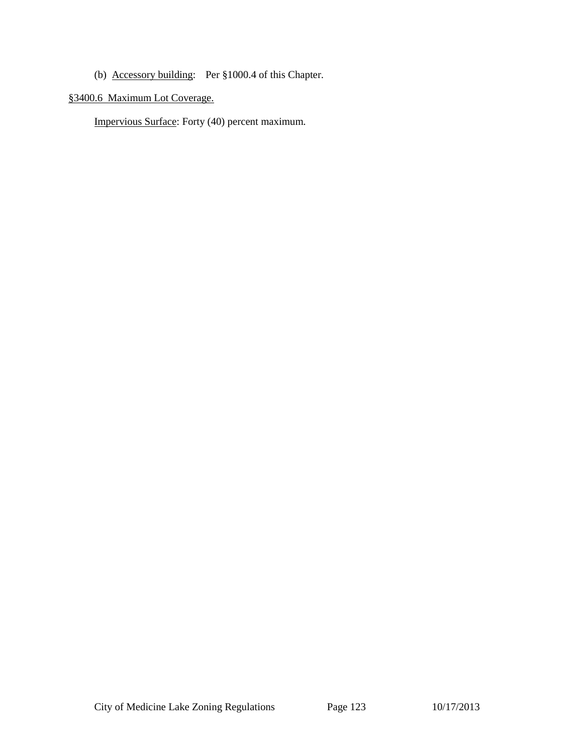# (b) Accessory building: Per §1000.4 of this Chapter.

# <span id="page-122-0"></span>§3400.6 Maximum Lot Coverage.

Impervious Surface: Forty (40) percent maximum.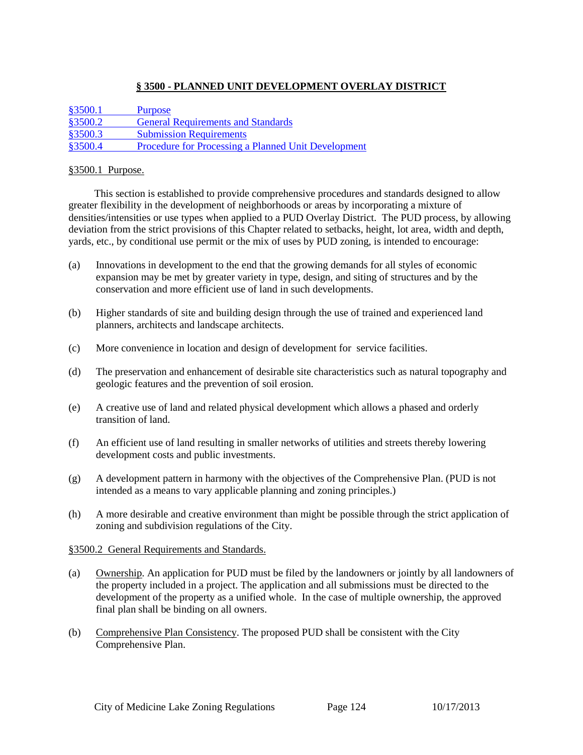# **§ 3500 - PLANNED UNIT DEVELOPMENT OVERLAY DISTRICT**

| \$3500.1 | <b>Purpose</b>                                      |
|----------|-----------------------------------------------------|
| \$3500.2 | <b>General Requirements and Standards</b>           |
| \$3500.3 | <b>Submission Requirements</b>                      |
| \$3500.4 | Procedure for Processing a Planned Unit Development |

### <span id="page-123-0"></span>§3500.1 Purpose.

This section is established to provide comprehensive procedures and standards designed to allow greater flexibility in the development of neighborhoods or areas by incorporating a mixture of densities/intensities or use types when applied to a PUD Overlay District. The PUD process, by allowing deviation from the strict provisions of this Chapter related to setbacks, height, lot area, width and depth, yards, etc., by conditional use permit or the mix of uses by PUD zoning, is intended to encourage:

- (a) Innovations in development to the end that the growing demands for all styles of economic expansion may be met by greater variety in type, design, and siting of structures and by the conservation and more efficient use of land in such developments.
- (b) Higher standards of site and building design through the use of trained and experienced land planners, architects and landscape architects.
- (c) More convenience in location and design of development for service facilities.
- (d) The preservation and enhancement of desirable site characteristics such as natural topography and geologic features and the prevention of soil erosion.
- (e) A creative use of land and related physical development which allows a phased and orderly transition of land.
- (f) An efficient use of land resulting in smaller networks of utilities and streets thereby lowering development costs and public investments.
- (g) A development pattern in harmony with the objectives of the Comprehensive Plan. (PUD is not intended as a means to vary applicable planning and zoning principles.)
- (h) A more desirable and creative environment than might be possible through the strict application of zoning and subdivision regulations of the City.

## <span id="page-123-1"></span>§3500.2 General Requirements and Standards.

- (a) Ownership. An application for PUD must be filed by the landowners or jointly by all landowners of the property included in a project. The application and all submissions must be directed to the development of the property as a unified whole. In the case of multiple ownership, the approved final plan shall be binding on all owners.
- (b) Comprehensive Plan Consistency. The proposed PUD shall be consistent with the City Comprehensive Plan.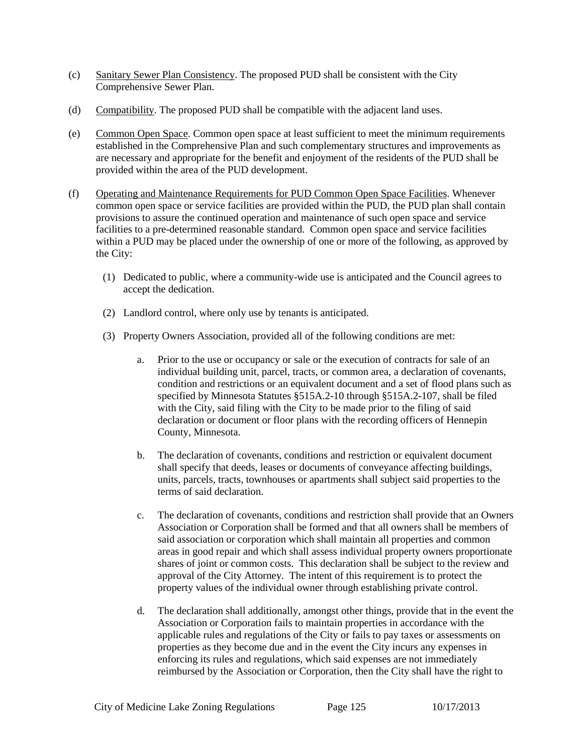- (c) Sanitary Sewer Plan Consistency. The proposed PUD shall be consistent with the City Comprehensive Sewer Plan.
- (d) Compatibility. The proposed PUD shall be compatible with the adjacent land uses.
- (e) Common Open Space. Common open space at least sufficient to meet the minimum requirements established in the Comprehensive Plan and such complementary structures and improvements as are necessary and appropriate for the benefit and enjoyment of the residents of the PUD shall be provided within the area of the PUD development.
- (f) Operating and Maintenance Requirements for PUD Common Open Space Facilities. Whenever common open space or service facilities are provided within the PUD, the PUD plan shall contain provisions to assure the continued operation and maintenance of such open space and service facilities to a pre-determined reasonable standard. Common open space and service facilities within a PUD may be placed under the ownership of one or more of the following, as approved by the City:
	- (1) Dedicated to public, where a community-wide use is anticipated and the Council agrees to accept the dedication.
	- (2) Landlord control, where only use by tenants is anticipated.
	- (3) Property Owners Association, provided all of the following conditions are met:
		- a. Prior to the use or occupancy or sale or the execution of contracts for sale of an individual building unit, parcel, tracts, or common area, a declaration of covenants, condition and restrictions or an equivalent document and a set of flood plans such as specified by Minnesota Statutes §515A.2-10 through §515A.2-107, shall be filed with the City, said filing with the City to be made prior to the filing of said declaration or document or floor plans with the recording officers of Hennepin County, Minnesota.
		- b. The declaration of covenants, conditions and restriction or equivalent document shall specify that deeds, leases or documents of conveyance affecting buildings, units, parcels, tracts, townhouses or apartments shall subject said properties to the terms of said declaration.
		- c. The declaration of covenants, conditions and restriction shall provide that an Owners Association or Corporation shall be formed and that all owners shall be members of said association or corporation which shall maintain all properties and common areas in good repair and which shall assess individual property owners proportionate shares of joint or common costs. This declaration shall be subject to the review and approval of the City Attorney. The intent of this requirement is to protect the property values of the individual owner through establishing private control.
		- d. The declaration shall additionally, amongst other things, provide that in the event the Association or Corporation fails to maintain properties in accordance with the applicable rules and regulations of the City or fails to pay taxes or assessments on properties as they become due and in the event the City incurs any expenses in enforcing its rules and regulations, which said expenses are not immediately reimbursed by the Association or Corporation, then the City shall have the right to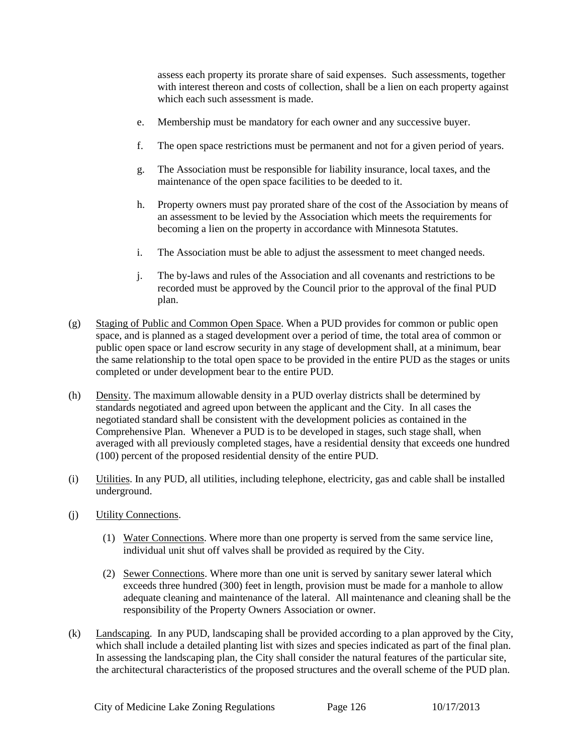assess each property its prorate share of said expenses. Such assessments, together with interest thereon and costs of collection, shall be a lien on each property against which each such assessment is made.

- e. Membership must be mandatory for each owner and any successive buyer.
- f. The open space restrictions must be permanent and not for a given period of years.
- g. The Association must be responsible for liability insurance, local taxes, and the maintenance of the open space facilities to be deeded to it.
- h. Property owners must pay prorated share of the cost of the Association by means of an assessment to be levied by the Association which meets the requirements for becoming a lien on the property in accordance with Minnesota Statutes.
- i. The Association must be able to adjust the assessment to meet changed needs.
- j. The by-laws and rules of the Association and all covenants and restrictions to be recorded must be approved by the Council prior to the approval of the final PUD plan.
- (g) Staging of Public and Common Open Space. When a PUD provides for common or public open space, and is planned as a staged development over a period of time, the total area of common or public open space or land escrow security in any stage of development shall, at a minimum, bear the same relationship to the total open space to be provided in the entire PUD as the stages or units completed or under development bear to the entire PUD.
- (h) Density. The maximum allowable density in a PUD overlay districts shall be determined by standards negotiated and agreed upon between the applicant and the City. In all cases the negotiated standard shall be consistent with the development policies as contained in the Comprehensive Plan. Whenever a PUD is to be developed in stages, such stage shall, when averaged with all previously completed stages, have a residential density that exceeds one hundred (100) percent of the proposed residential density of the entire PUD.
- (i) Utilities. In any PUD, all utilities, including telephone, electricity, gas and cable shall be installed underground.
- (j) Utility Connections.
	- (1) Water Connections. Where more than one property is served from the same service line, individual unit shut off valves shall be provided as required by the City.
	- (2) Sewer Connections. Where more than one unit is served by sanitary sewer lateral which exceeds three hundred (300) feet in length, provision must be made for a manhole to allow adequate cleaning and maintenance of the lateral. All maintenance and cleaning shall be the responsibility of the Property Owners Association or owner.
- (k) Landscaping. In any PUD, landscaping shall be provided according to a plan approved by the City, which shall include a detailed planting list with sizes and species indicated as part of the final plan. In assessing the landscaping plan, the City shall consider the natural features of the particular site, the architectural characteristics of the proposed structures and the overall scheme of the PUD plan.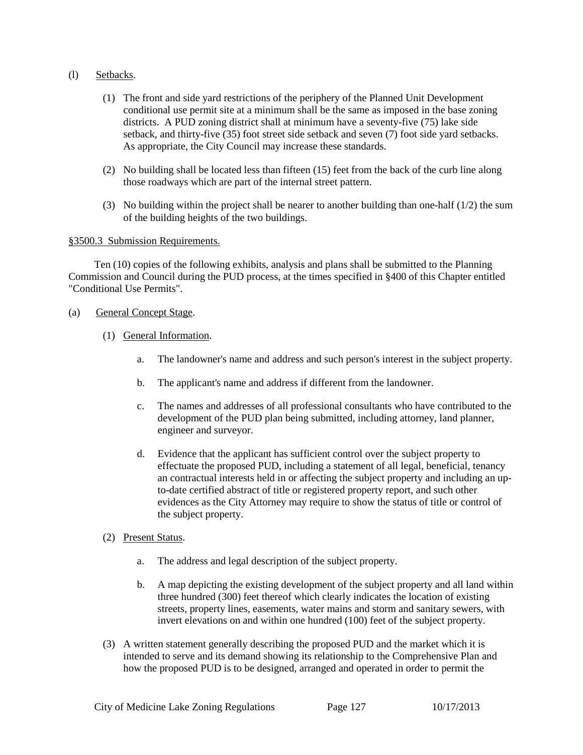## (l) Setbacks.

- (1) The front and side yard restrictions of the periphery of the Planned Unit Development conditional use permit site at a minimum shall be the same as imposed in the base zoning districts. A PUD zoning district shall at minimum have a seventy-five (75) lake side setback, and thirty-five (35) foot street side setback and seven (7) foot side yard setbacks. As appropriate, the City Council may increase these standards.
- (2) No building shall be located less than fifteen (15) feet from the back of the curb line along those roadways which are part of the internal street pattern.
- (3) No building within the project shall be nearer to another building than one-half (1/2) the sum of the building heights of the two buildings.

# <span id="page-126-0"></span>§3500.3 Submission Requirements.

Ten (10) copies of the following exhibits, analysis and plans shall be submitted to the Planning Commission and Council during the PUD process, at the times specified in §400 of this Chapter entitled "Conditional Use Permits".

# (a) General Concept Stage.

- (1) General Information.
	- a. The landowner's name and address and such person's interest in the subject property.
	- b. The applicant's name and address if different from the landowner.
	- c. The names and addresses of all professional consultants who have contributed to the development of the PUD plan being submitted, including attorney, land planner, engineer and surveyor.
	- d. Evidence that the applicant has sufficient control over the subject property to effectuate the proposed PUD, including a statement of all legal, beneficial, tenancy an contractual interests held in or affecting the subject property and including an upto-date certified abstract of title or registered property report, and such other evidences as the City Attorney may require to show the status of title or control of the subject property.
- (2) Present Status.
	- a. The address and legal description of the subject property.
	- b. A map depicting the existing development of the subject property and all land within three hundred (300) feet thereof which clearly indicates the location of existing streets, property lines, easements, water mains and storm and sanitary sewers, with invert elevations on and within one hundred (100) feet of the subject property.
- (3) A written statement generally describing the proposed PUD and the market which it is intended to serve and its demand showing its relationship to the Comprehensive Plan and how the proposed PUD is to be designed, arranged and operated in order to permit the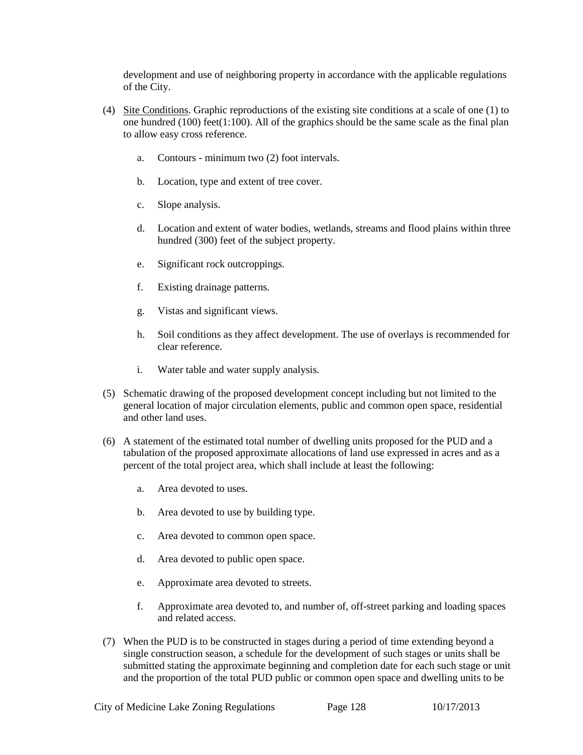development and use of neighboring property in accordance with the applicable regulations of the City.

- (4) Site Conditions. Graphic reproductions of the existing site conditions at a scale of one (1) to one hundred (100) feet(1:100). All of the graphics should be the same scale as the final plan to allow easy cross reference.
	- a. Contours minimum two (2) foot intervals.
	- b. Location, type and extent of tree cover.
	- c. Slope analysis.
	- d. Location and extent of water bodies, wetlands, streams and flood plains within three hundred (300) feet of the subject property.
	- e. Significant rock outcroppings.
	- f. Existing drainage patterns.
	- g. Vistas and significant views.
	- h. Soil conditions as they affect development. The use of overlays is recommended for clear reference.
	- i. Water table and water supply analysis.
- (5) Schematic drawing of the proposed development concept including but not limited to the general location of major circulation elements, public and common open space, residential and other land uses.
- (6) A statement of the estimated total number of dwelling units proposed for the PUD and a tabulation of the proposed approximate allocations of land use expressed in acres and as a percent of the total project area, which shall include at least the following:
	- a. Area devoted to uses.
	- b. Area devoted to use by building type.
	- c. Area devoted to common open space.
	- d. Area devoted to public open space.
	- e. Approximate area devoted to streets.
	- f. Approximate area devoted to, and number of, off-street parking and loading spaces and related access.
- (7) When the PUD is to be constructed in stages during a period of time extending beyond a single construction season, a schedule for the development of such stages or units shall be submitted stating the approximate beginning and completion date for each such stage or unit and the proportion of the total PUD public or common open space and dwelling units to be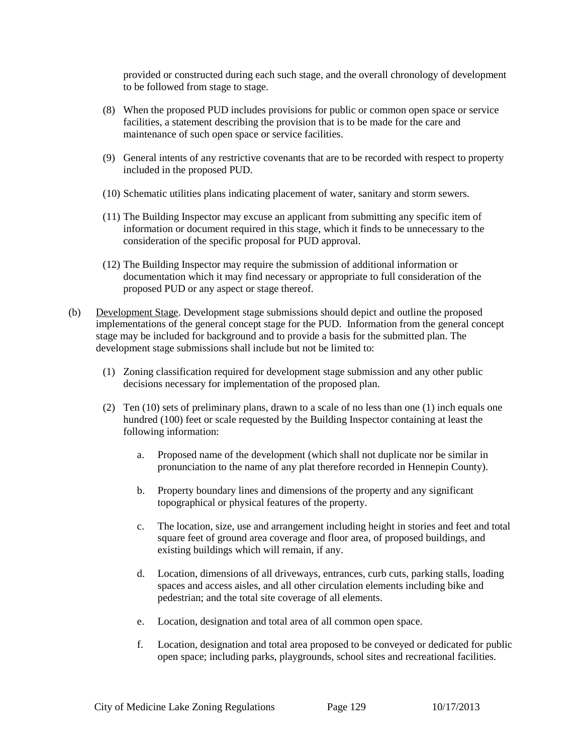provided or constructed during each such stage, and the overall chronology of development to be followed from stage to stage.

- (8) When the proposed PUD includes provisions for public or common open space or service facilities, a statement describing the provision that is to be made for the care and maintenance of such open space or service facilities.
- (9) General intents of any restrictive covenants that are to be recorded with respect to property included in the proposed PUD.
- (10) Schematic utilities plans indicating placement of water, sanitary and storm sewers.
- (11) The Building Inspector may excuse an applicant from submitting any specific item of information or document required in this stage, which it finds to be unnecessary to the consideration of the specific proposal for PUD approval.
- (12) The Building Inspector may require the submission of additional information or documentation which it may find necessary or appropriate to full consideration of the proposed PUD or any aspect or stage thereof.
- (b) Development Stage. Development stage submissions should depict and outline the proposed implementations of the general concept stage for the PUD. Information from the general concept stage may be included for background and to provide a basis for the submitted plan. The development stage submissions shall include but not be limited to:
	- (1) Zoning classification required for development stage submission and any other public decisions necessary for implementation of the proposed plan.
	- (2) Ten (10) sets of preliminary plans, drawn to a scale of no less than one (1) inch equals one hundred (100) feet or scale requested by the Building Inspector containing at least the following information:
		- a. Proposed name of the development (which shall not duplicate nor be similar in pronunciation to the name of any plat therefore recorded in Hennepin County).
		- b. Property boundary lines and dimensions of the property and any significant topographical or physical features of the property.
		- c. The location, size, use and arrangement including height in stories and feet and total square feet of ground area coverage and floor area, of proposed buildings, and existing buildings which will remain, if any.
		- d. Location, dimensions of all driveways, entrances, curb cuts, parking stalls, loading spaces and access aisles, and all other circulation elements including bike and pedestrian; and the total site coverage of all elements.
		- e. Location, designation and total area of all common open space.
		- f. Location, designation and total area proposed to be conveyed or dedicated for public open space; including parks, playgrounds, school sites and recreational facilities.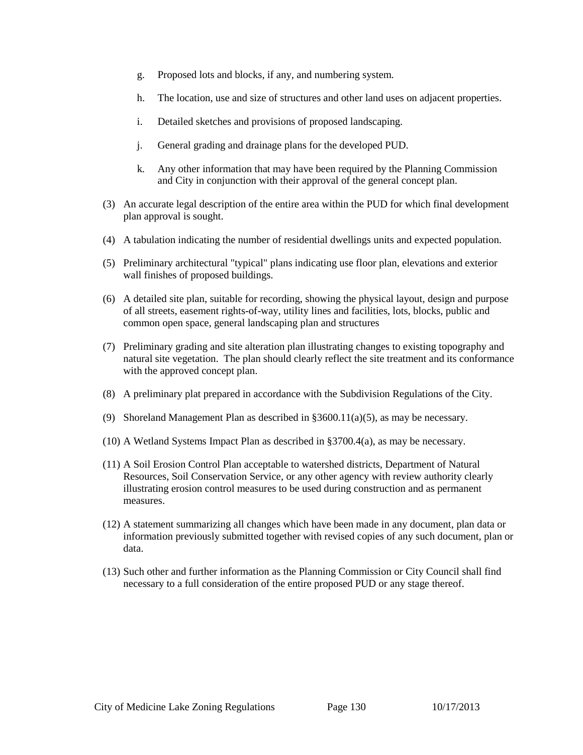- g. Proposed lots and blocks, if any, and numbering system.
- h. The location, use and size of structures and other land uses on adjacent properties.
- i. Detailed sketches and provisions of proposed landscaping.
- j. General grading and drainage plans for the developed PUD.
- k. Any other information that may have been required by the Planning Commission and City in conjunction with their approval of the general concept plan.
- (3) An accurate legal description of the entire area within the PUD for which final development plan approval is sought.
- (4) A tabulation indicating the number of residential dwellings units and expected population.
- (5) Preliminary architectural "typical" plans indicating use floor plan, elevations and exterior wall finishes of proposed buildings.
- (6) A detailed site plan, suitable for recording, showing the physical layout, design and purpose of all streets, easement rights-of-way, utility lines and facilities, lots, blocks, public and common open space, general landscaping plan and structures
- (7) Preliminary grading and site alteration plan illustrating changes to existing topography and natural site vegetation. The plan should clearly reflect the site treatment and its conformance with the approved concept plan.
- (8) A preliminary plat prepared in accordance with the Subdivision Regulations of the City.
- (9) Shoreland Management Plan as described in §3600.11(a)(5), as may be necessary.
- (10) A Wetland Systems Impact Plan as described in §3700.4(a), as may be necessary.
- (11) A Soil Erosion Control Plan acceptable to watershed districts, Department of Natural Resources, Soil Conservation Service, or any other agency with review authority clearly illustrating erosion control measures to be used during construction and as permanent measures.
- (12) A statement summarizing all changes which have been made in any document, plan data or information previously submitted together with revised copies of any such document, plan or data.
- (13) Such other and further information as the Planning Commission or City Council shall find necessary to a full consideration of the entire proposed PUD or any stage thereof.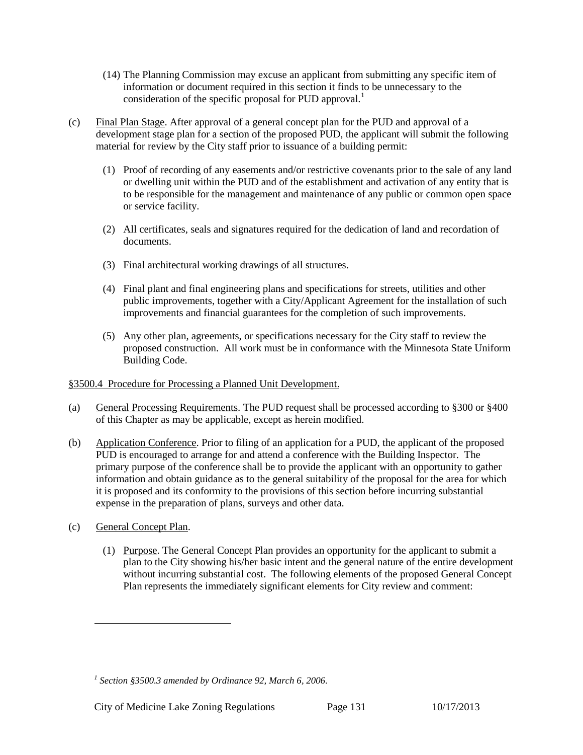- (14) The Planning Commission may excuse an applicant from submitting any specific item of information or document required in this section it finds to be unnecessary to the consideration of the specific proposal for PUD approval.<sup>[1](#page-130-1)</sup>
- (c) Final Plan Stage. After approval of a general concept plan for the PUD and approval of a development stage plan for a section of the proposed PUD, the applicant will submit the following material for review by the City staff prior to issuance of a building permit:
	- (1) Proof of recording of any easements and/or restrictive covenants prior to the sale of any land or dwelling unit within the PUD and of the establishment and activation of any entity that is to be responsible for the management and maintenance of any public or common open space or service facility.
	- (2) All certificates, seals and signatures required for the dedication of land and recordation of documents.
	- (3) Final architectural working drawings of all structures.
	- (4) Final plant and final engineering plans and specifications for streets, utilities and other public improvements, together with a City/Applicant Agreement for the installation of such improvements and financial guarantees for the completion of such improvements.
	- (5) Any other plan, agreements, or specifications necessary for the City staff to review the proposed construction. All work must be in conformance with the Minnesota State Uniform Building Code.

# <span id="page-130-0"></span>§3500.4 Procedure for Processing a Planned Unit Development.

- (a) General Processing Requirements. The PUD request shall be processed according to §300 or §400 of this Chapter as may be applicable, except as herein modified.
- (b) Application Conference. Prior to filing of an application for a PUD, the applicant of the proposed PUD is encouraged to arrange for and attend a conference with the Building Inspector. The primary purpose of the conference shall be to provide the applicant with an opportunity to gather information and obtain guidance as to the general suitability of the proposal for the area for which it is proposed and its conformity to the provisions of this section before incurring substantial expense in the preparation of plans, surveys and other data.
- (c) General Concept Plan.

 $\overline{a}$ 

(1) Purpose. The General Concept Plan provides an opportunity for the applicant to submit a plan to the City showing his/her basic intent and the general nature of the entire development without incurring substantial cost. The following elements of the proposed General Concept Plan represents the immediately significant elements for City review and comment:

<span id="page-130-1"></span>*<sup>1</sup> Section §3500.3 amended by Ordinance 92, March 6, 2006.*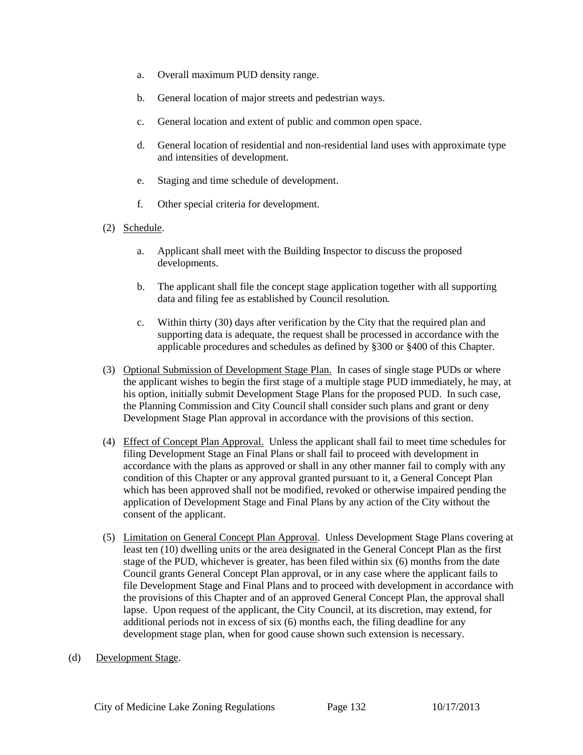- a. Overall maximum PUD density range.
- b. General location of major streets and pedestrian ways.
- c. General location and extent of public and common open space.
- d. General location of residential and non-residential land uses with approximate type and intensities of development.
- e. Staging and time schedule of development.
- f. Other special criteria for development.
- (2) Schedule.
	- a. Applicant shall meet with the Building Inspector to discuss the proposed developments.
	- b. The applicant shall file the concept stage application together with all supporting data and filing fee as established by Council resolution.
	- c. Within thirty (30) days after verification by the City that the required plan and supporting data is adequate, the request shall be processed in accordance with the applicable procedures and schedules as defined by §300 or §400 of this Chapter.
- (3) Optional Submission of Development Stage Plan. In cases of single stage PUDs or where the applicant wishes to begin the first stage of a multiple stage PUD immediately, he may, at his option, initially submit Development Stage Plans for the proposed PUD. In such case, the Planning Commission and City Council shall consider such plans and grant or deny Development Stage Plan approval in accordance with the provisions of this section.
- (4) Effect of Concept Plan Approval. Unless the applicant shall fail to meet time schedules for filing Development Stage an Final Plans or shall fail to proceed with development in accordance with the plans as approved or shall in any other manner fail to comply with any condition of this Chapter or any approval granted pursuant to it, a General Concept Plan which has been approved shall not be modified, revoked or otherwise impaired pending the application of Development Stage and Final Plans by any action of the City without the consent of the applicant.
- (5) Limitation on General Concept Plan Approval. Unless Development Stage Plans covering at least ten (10) dwelling units or the area designated in the General Concept Plan as the first stage of the PUD, whichever is greater, has been filed within six (6) months from the date Council grants General Concept Plan approval, or in any case where the applicant fails to file Development Stage and Final Plans and to proceed with development in accordance with the provisions of this Chapter and of an approved General Concept Plan, the approval shall lapse. Upon request of the applicant, the City Council, at its discretion, may extend, for additional periods not in excess of six (6) months each, the filing deadline for any development stage plan, when for good cause shown such extension is necessary.
- (d) Development Stage.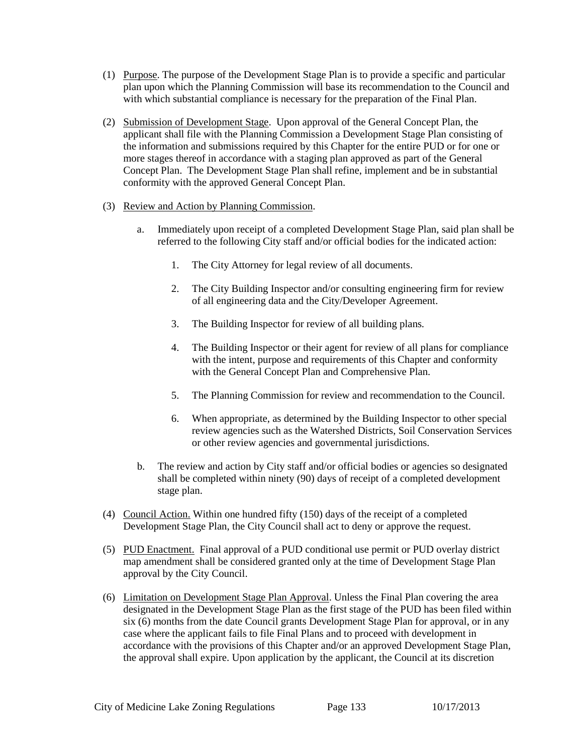- (1) Purpose. The purpose of the Development Stage Plan is to provide a specific and particular plan upon which the Planning Commission will base its recommendation to the Council and with which substantial compliance is necessary for the preparation of the Final Plan.
- (2) Submission of Development Stage. Upon approval of the General Concept Plan, the applicant shall file with the Planning Commission a Development Stage Plan consisting of the information and submissions required by this Chapter for the entire PUD or for one or more stages thereof in accordance with a staging plan approved as part of the General Concept Plan. The Development Stage Plan shall refine, implement and be in substantial conformity with the approved General Concept Plan.
- (3) Review and Action by Planning Commission.
	- a. Immediately upon receipt of a completed Development Stage Plan, said plan shall be referred to the following City staff and/or official bodies for the indicated action:
		- 1. The City Attorney for legal review of all documents.
		- 2. The City Building Inspector and/or consulting engineering firm for review of all engineering data and the City/Developer Agreement.
		- 3. The Building Inspector for review of all building plans.
		- 4. The Building Inspector or their agent for review of all plans for compliance with the intent, purpose and requirements of this Chapter and conformity with the General Concept Plan and Comprehensive Plan.
		- 5. The Planning Commission for review and recommendation to the Council.
		- 6. When appropriate, as determined by the Building Inspector to other special review agencies such as the Watershed Districts, Soil Conservation Services or other review agencies and governmental jurisdictions.
	- b. The review and action by City staff and/or official bodies or agencies so designated shall be completed within ninety (90) days of receipt of a completed development stage plan.
- (4) Council Action. Within one hundred fifty (150) days of the receipt of a completed Development Stage Plan, the City Council shall act to deny or approve the request.
- (5) PUD Enactment. Final approval of a PUD conditional use permit or PUD overlay district map amendment shall be considered granted only at the time of Development Stage Plan approval by the City Council.
- (6) Limitation on Development Stage Plan Approval. Unless the Final Plan covering the area designated in the Development Stage Plan as the first stage of the PUD has been filed within six (6) months from the date Council grants Development Stage Plan for approval, or in any case where the applicant fails to file Final Plans and to proceed with development in accordance with the provisions of this Chapter and/or an approved Development Stage Plan, the approval shall expire. Upon application by the applicant, the Council at its discretion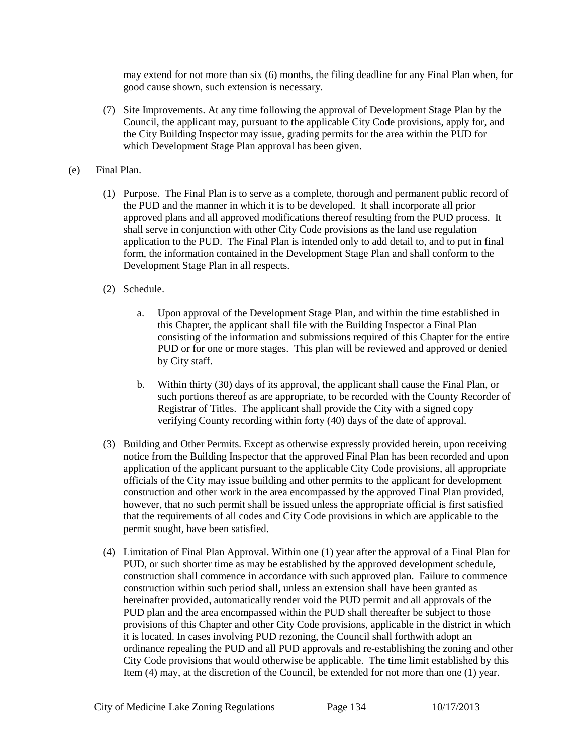may extend for not more than six (6) months, the filing deadline for any Final Plan when, for good cause shown, such extension is necessary.

(7) Site Improvements. At any time following the approval of Development Stage Plan by the Council, the applicant may, pursuant to the applicable City Code provisions, apply for, and the City Building Inspector may issue, grading permits for the area within the PUD for which Development Stage Plan approval has been given.

# (e) Final Plan.

(1) Purpose. The Final Plan is to serve as a complete, thorough and permanent public record of the PUD and the manner in which it is to be developed. It shall incorporate all prior approved plans and all approved modifications thereof resulting from the PUD process. It shall serve in conjunction with other City Code provisions as the land use regulation application to the PUD. The Final Plan is intended only to add detail to, and to put in final form, the information contained in the Development Stage Plan and shall conform to the Development Stage Plan in all respects.

# (2) Schedule.

- a. Upon approval of the Development Stage Plan, and within the time established in this Chapter, the applicant shall file with the Building Inspector a Final Plan consisting of the information and submissions required of this Chapter for the entire PUD or for one or more stages. This plan will be reviewed and approved or denied by City staff.
- b. Within thirty (30) days of its approval, the applicant shall cause the Final Plan, or such portions thereof as are appropriate, to be recorded with the County Recorder of Registrar of Titles. The applicant shall provide the City with a signed copy verifying County recording within forty (40) days of the date of approval.
- (3) Building and Other Permits. Except as otherwise expressly provided herein, upon receiving notice from the Building Inspector that the approved Final Plan has been recorded and upon application of the applicant pursuant to the applicable City Code provisions, all appropriate officials of the City may issue building and other permits to the applicant for development construction and other work in the area encompassed by the approved Final Plan provided, however, that no such permit shall be issued unless the appropriate official is first satisfied that the requirements of all codes and City Code provisions in which are applicable to the permit sought, have been satisfied.
- (4) Limitation of Final Plan Approval. Within one (1) year after the approval of a Final Plan for PUD, or such shorter time as may be established by the approved development schedule, construction shall commence in accordance with such approved plan. Failure to commence construction within such period shall, unless an extension shall have been granted as hereinafter provided, automatically render void the PUD permit and all approvals of the PUD plan and the area encompassed within the PUD shall thereafter be subject to those provisions of this Chapter and other City Code provisions, applicable in the district in which it is located. In cases involving PUD rezoning, the Council shall forthwith adopt an ordinance repealing the PUD and all PUD approvals and re-establishing the zoning and other City Code provisions that would otherwise be applicable. The time limit established by this Item (4) may, at the discretion of the Council, be extended for not more than one (1) year.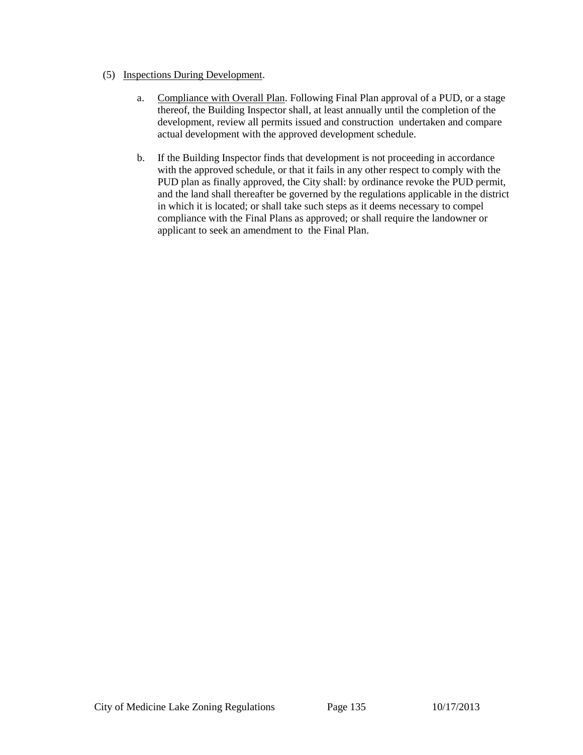# (5) Inspections During Development.

- a. Compliance with Overall Plan. Following Final Plan approval of a PUD, or a stage thereof, the Building Inspector shall, at least annually until the completion of the development, review all permits issued and construction undertaken and compare actual development with the approved development schedule.
- b. If the Building Inspector finds that development is not proceeding in accordance with the approved schedule, or that it fails in any other respect to comply with the PUD plan as finally approved, the City shall: by ordinance revoke the PUD permit, and the land shall thereafter be governed by the regulations applicable in the district in which it is located; or shall take such steps as it deems necessary to compel compliance with the Final Plans as approved; or shall require the landowner or applicant to seek an amendment to the Final Plan.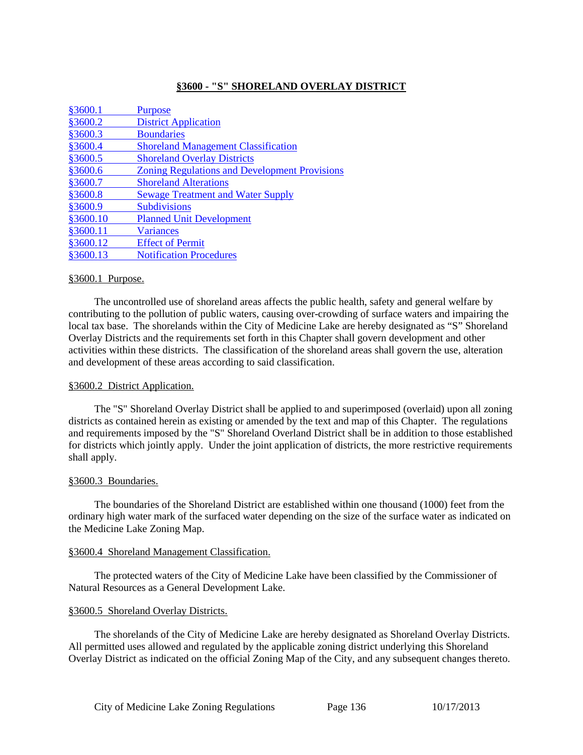## **§3600 - "S" SHORELAND OVERLAY DISTRICT**

| §3600.1  | <b>Purpose</b>                                       |
|----------|------------------------------------------------------|
| §3600.2  | <b>District Application</b>                          |
| \$3600.3 | <b>Boundaries</b>                                    |
| §3600.4  | <b>Shoreland Management Classification</b>           |
| §3600.5  | <b>Shoreland Overlay Districts</b>                   |
| §3600.6  | <b>Zoning Regulations and Development Provisions</b> |
| §3600.7  | <b>Shoreland Alterations</b>                         |
| §3600.8  | <b>Sewage Treatment and Water Supply</b>             |
| §3600.9  | <b>Subdivisions</b>                                  |
| §3600.10 | <b>Planned Unit Development</b>                      |
| §3600.11 | <b>Variances</b>                                     |
| §3600.12 | <b>Effect of Permit</b>                              |
| §3600.13 | <b>Notification Procedures</b>                       |

### <span id="page-135-0"></span>§3600.1 Purpose.

The uncontrolled use of shoreland areas affects the public health, safety and general welfare by contributing to the pollution of public waters, causing over-crowding of surface waters and impairing the local tax base. The shorelands within the City of Medicine Lake are hereby designated as "S" Shoreland Overlay Districts and the requirements set forth in this Chapter shall govern development and other activities within these districts. The classification of the shoreland areas shall govern the use, alteration and development of these areas according to said classification.

## <span id="page-135-1"></span>§3600.2 District Application.

The "S" Shoreland Overlay District shall be applied to and superimposed (overlaid) upon all zoning districts as contained herein as existing or amended by the text and map of this Chapter. The regulations and requirements imposed by the "S" Shoreland Overland District shall be in addition to those established for districts which jointly apply. Under the joint application of districts, the more restrictive requirements shall apply.

## <span id="page-135-2"></span>§3600.3 Boundaries.

The boundaries of the Shoreland District are established within one thousand (1000) feet from the ordinary high water mark of the surfaced water depending on the size of the surface water as indicated on the Medicine Lake Zoning Map.

## <span id="page-135-3"></span>§3600.4 Shoreland Management Classification.

The protected waters of the City of Medicine Lake have been classified by the Commissioner of Natural Resources as a General Development Lake.

## <span id="page-135-4"></span>§3600.5 Shoreland Overlay Districts.

The shorelands of the City of Medicine Lake are hereby designated as Shoreland Overlay Districts. All permitted uses allowed and regulated by the applicable zoning district underlying this Shoreland Overlay District as indicated on the official Zoning Map of the City, and any subsequent changes thereto.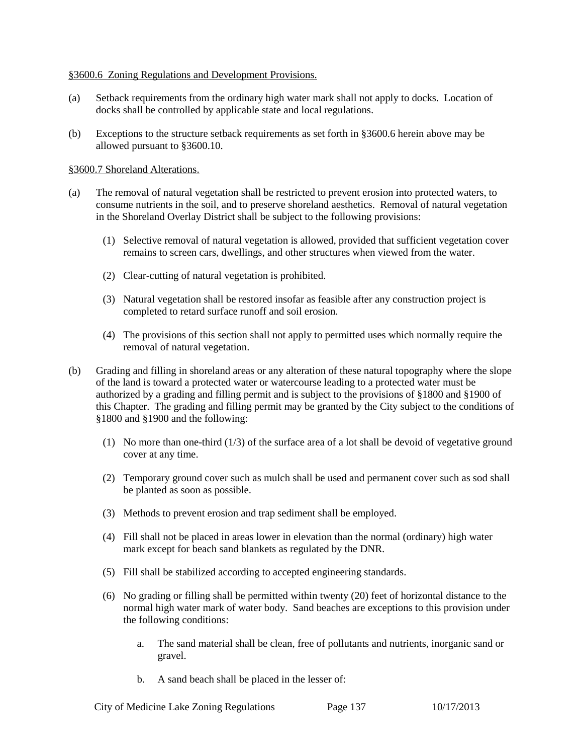### <span id="page-136-0"></span>§3600.6 Zoning Regulations and Development Provisions.

- (a) Setback requirements from the ordinary high water mark shall not apply to docks. Location of docks shall be controlled by applicable state and local regulations.
- (b) Exceptions to the structure setback requirements as set forth in §3600.6 herein above may be allowed pursuant to §3600.10.

### <span id="page-136-1"></span>§3600.7 Shoreland Alterations.

- (a) The removal of natural vegetation shall be restricted to prevent erosion into protected waters, to consume nutrients in the soil, and to preserve shoreland aesthetics. Removal of natural vegetation in the Shoreland Overlay District shall be subject to the following provisions:
	- (1) Selective removal of natural vegetation is allowed, provided that sufficient vegetation cover remains to screen cars, dwellings, and other structures when viewed from the water.
	- (2) Clear-cutting of natural vegetation is prohibited.
	- (3) Natural vegetation shall be restored insofar as feasible after any construction project is completed to retard surface runoff and soil erosion.
	- (4) The provisions of this section shall not apply to permitted uses which normally require the removal of natural vegetation.
- (b) Grading and filling in shoreland areas or any alteration of these natural topography where the slope of the land is toward a protected water or watercourse leading to a protected water must be authorized by a grading and filling permit and is subject to the provisions of §1800 and §1900 of this Chapter. The grading and filling permit may be granted by the City subject to the conditions of §1800 and §1900 and the following:
	- (1) No more than one-third (1/3) of the surface area of a lot shall be devoid of vegetative ground cover at any time.
	- (2) Temporary ground cover such as mulch shall be used and permanent cover such as sod shall be planted as soon as possible.
	- (3) Methods to prevent erosion and trap sediment shall be employed.
	- (4) Fill shall not be placed in areas lower in elevation than the normal (ordinary) high water mark except for beach sand blankets as regulated by the DNR.
	- (5) Fill shall be stabilized according to accepted engineering standards.
	- (6) No grading or filling shall be permitted within twenty (20) feet of horizontal distance to the normal high water mark of water body. Sand beaches are exceptions to this provision under the following conditions:
		- a. The sand material shall be clean, free of pollutants and nutrients, inorganic sand or gravel.
		- b. A sand beach shall be placed in the lesser of: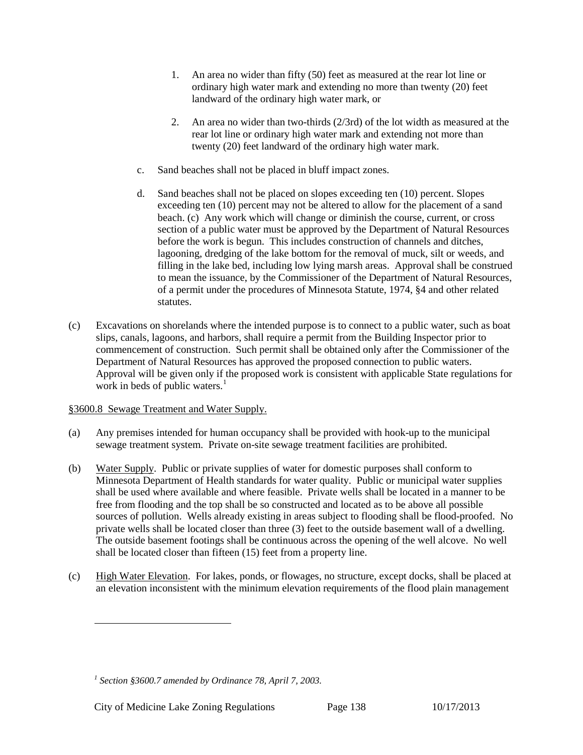- 1. An area no wider than fifty (50) feet as measured at the rear lot line or ordinary high water mark and extending no more than twenty (20) feet landward of the ordinary high water mark, or
- 2. An area no wider than two-thirds (2/3rd) of the lot width as measured at the rear lot line or ordinary high water mark and extending not more than twenty (20) feet landward of the ordinary high water mark.
- c. Sand beaches shall not be placed in bluff impact zones.
- d. Sand beaches shall not be placed on slopes exceeding ten (10) percent. Slopes exceeding ten (10) percent may not be altered to allow for the placement of a sand beach. (c) Any work which will change or diminish the course, current, or cross section of a public water must be approved by the Department of Natural Resources before the work is begun. This includes construction of channels and ditches, lagooning, dredging of the lake bottom for the removal of muck, silt or weeds, and filling in the lake bed, including low lying marsh areas. Approval shall be construed to mean the issuance, by the Commissioner of the Department of Natural Resources, of a permit under the procedures of Minnesota Statute, 1974, §4 and other related statutes.
- (c) Excavations on shorelands where the intended purpose is to connect to a public water, such as boat slips, canals, lagoons, and harbors, shall require a permit from the Building Inspector prior to commencement of construction. Such permit shall be obtained only after the Commissioner of the Department of Natural Resources has approved the proposed connection to public waters. Approval will be given only if the proposed work is consistent with applicable State regulations for work in beds of public waters.<sup>[1](#page-137-1)</sup>

# <span id="page-137-0"></span>§3600.8 Sewage Treatment and Water Supply.

- (a) Any premises intended for human occupancy shall be provided with hook-up to the municipal sewage treatment system. Private on-site sewage treatment facilities are prohibited.
- (b) Water Supply. Public or private supplies of water for domestic purposes shall conform to Minnesota Department of Health standards for water quality. Public or municipal water supplies shall be used where available and where feasible. Private wells shall be located in a manner to be free from flooding and the top shall be so constructed and located as to be above all possible sources of pollution. Wells already existing in areas subject to flooding shall be flood-proofed. No private wells shall be located closer than three (3) feet to the outside basement wall of a dwelling. The outside basement footings shall be continuous across the opening of the well alcove. No well shall be located closer than fifteen (15) feet from a property line.
- (c) High Water Elevation. For lakes, ponds, or flowages, no structure, except docks, shall be placed at an elevation inconsistent with the minimum elevation requirements of the flood plain management

 $\overline{a}$ 

<span id="page-137-1"></span>*<sup>1</sup> Section §3600.7 amended by Ordinance 78, April 7, 2003.*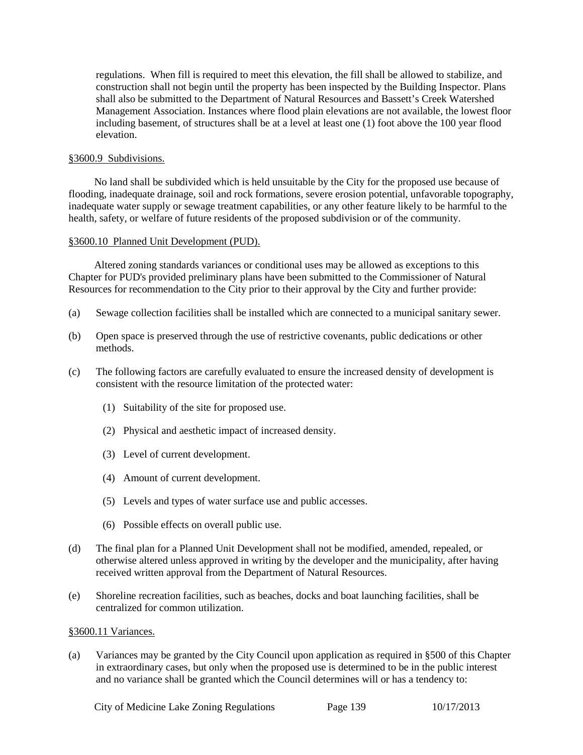regulations. When fill is required to meet this elevation, the fill shall be allowed to stabilize, and construction shall not begin until the property has been inspected by the Building Inspector. Plans shall also be submitted to the Department of Natural Resources and Bassett's Creek Watershed Management Association. Instances where flood plain elevations are not available, the lowest floor including basement, of structures shall be at a level at least one (1) foot above the 100 year flood elevation.

### <span id="page-138-0"></span>§3600.9 Subdivisions.

No land shall be subdivided which is held unsuitable by the City for the proposed use because of flooding, inadequate drainage, soil and rock formations, severe erosion potential, unfavorable topography, inadequate water supply or sewage treatment capabilities, or any other feature likely to be harmful to the health, safety, or welfare of future residents of the proposed subdivision or of the community.

### <span id="page-138-1"></span>§3600.10 Planned Unit Development (PUD).

Altered zoning standards variances or conditional uses may be allowed as exceptions to this Chapter for PUD's provided preliminary plans have been submitted to the Commissioner of Natural Resources for recommendation to the City prior to their approval by the City and further provide:

- (a) Sewage collection facilities shall be installed which are connected to a municipal sanitary sewer.
- (b) Open space is preserved through the use of restrictive covenants, public dedications or other methods.
- (c) The following factors are carefully evaluated to ensure the increased density of development is consistent with the resource limitation of the protected water:
	- (1) Suitability of the site for proposed use.
	- (2) Physical and aesthetic impact of increased density.
	- (3) Level of current development.
	- (4) Amount of current development.
	- (5) Levels and types of water surface use and public accesses.
	- (6) Possible effects on overall public use.
- (d) The final plan for a Planned Unit Development shall not be modified, amended, repealed, or otherwise altered unless approved in writing by the developer and the municipality, after having received written approval from the Department of Natural Resources.
- (e) Shoreline recreation facilities, such as beaches, docks and boat launching facilities, shall be centralized for common utilization.

### <span id="page-138-2"></span>§3600.11 Variances.

(a) Variances may be granted by the City Council upon application as required in §500 of this Chapter in extraordinary cases, but only when the proposed use is determined to be in the public interest and no variance shall be granted which the Council determines will or has a tendency to:

City of Medicine Lake Zoning Regulations Page 139 10/17/2013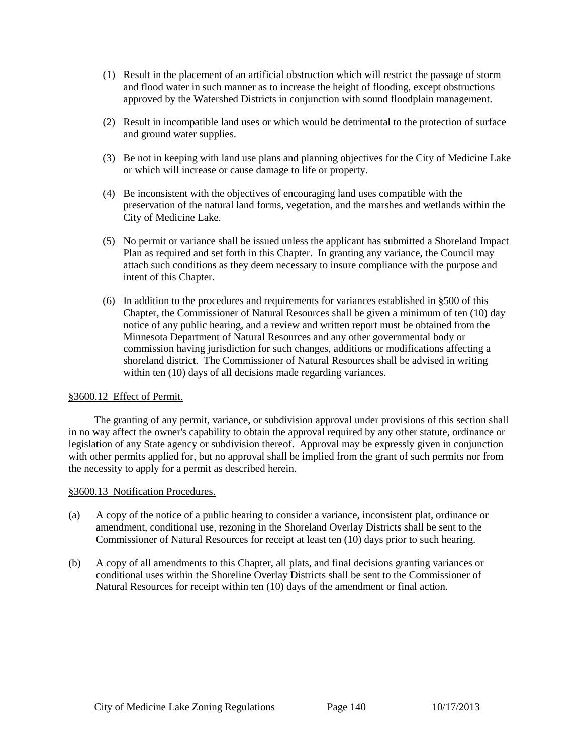- (1) Result in the placement of an artificial obstruction which will restrict the passage of storm and flood water in such manner as to increase the height of flooding, except obstructions approved by the Watershed Districts in conjunction with sound floodplain management.
- (2) Result in incompatible land uses or which would be detrimental to the protection of surface and ground water supplies.
- (3) Be not in keeping with land use plans and planning objectives for the City of Medicine Lake or which will increase or cause damage to life or property.
- (4) Be inconsistent with the objectives of encouraging land uses compatible with the preservation of the natural land forms, vegetation, and the marshes and wetlands within the City of Medicine Lake.
- (5) No permit or variance shall be issued unless the applicant has submitted a Shoreland Impact Plan as required and set forth in this Chapter. In granting any variance, the Council may attach such conditions as they deem necessary to insure compliance with the purpose and intent of this Chapter.
- (6) In addition to the procedures and requirements for variances established in §500 of this Chapter, the Commissioner of Natural Resources shall be given a minimum of ten (10) day notice of any public hearing, and a review and written report must be obtained from the Minnesota Department of Natural Resources and any other governmental body or commission having jurisdiction for such changes, additions or modifications affecting a shoreland district. The Commissioner of Natural Resources shall be advised in writing within ten (10) days of all decisions made regarding variances.

## <span id="page-139-0"></span>§3600.12 Effect of Permit.

The granting of any permit, variance, or subdivision approval under provisions of this section shall in no way affect the owner's capability to obtain the approval required by any other statute, ordinance or legislation of any State agency or subdivision thereof. Approval may be expressly given in conjunction with other permits applied for, but no approval shall be implied from the grant of such permits nor from the necessity to apply for a permit as described herein.

## <span id="page-139-1"></span>§3600.13 Notification Procedures.

- (a) A copy of the notice of a public hearing to consider a variance, inconsistent plat, ordinance or amendment, conditional use, rezoning in the Shoreland Overlay Districts shall be sent to the Commissioner of Natural Resources for receipt at least ten (10) days prior to such hearing.
- (b) A copy of all amendments to this Chapter, all plats, and final decisions granting variances or conditional uses within the Shoreline Overlay Districts shall be sent to the Commissioner of Natural Resources for receipt within ten (10) days of the amendment or final action.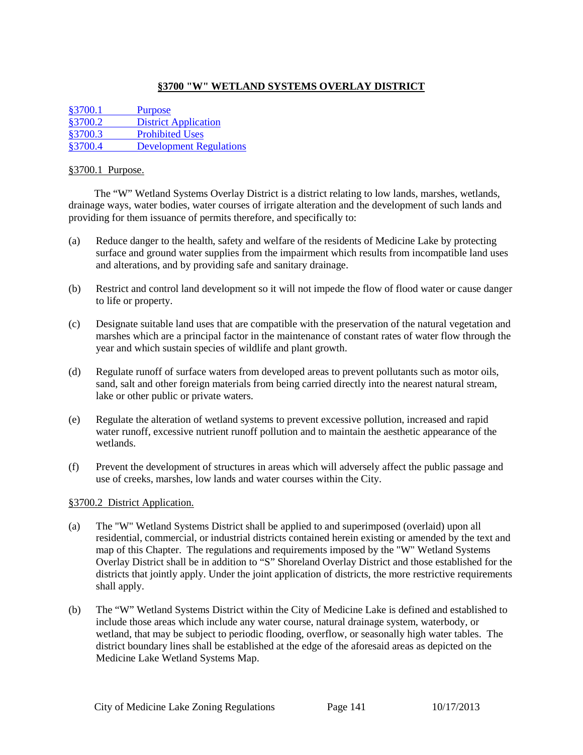# **§3700 "W" WETLAND SYSTEMS OVERLAY DISTRICT**

[§3700.1 Purpose](#page-140-0) [§3700.2 District Application](#page-140-1) [§3700.3 Prohibited Uses](#page-141-0) [§3700.4 Development Regulations](#page-141-1)

## <span id="page-140-0"></span>§3700.1 Purpose.

The "W" Wetland Systems Overlay District is a district relating to low lands, marshes, wetlands, drainage ways, water bodies, water courses of irrigate alteration and the development of such lands and providing for them issuance of permits therefore, and specifically to:

- (a) Reduce danger to the health, safety and welfare of the residents of Medicine Lake by protecting surface and ground water supplies from the impairment which results from incompatible land uses and alterations, and by providing safe and sanitary drainage.
- (b) Restrict and control land development so it will not impede the flow of flood water or cause danger to life or property.
- (c) Designate suitable land uses that are compatible with the preservation of the natural vegetation and marshes which are a principal factor in the maintenance of constant rates of water flow through the year and which sustain species of wildlife and plant growth.
- (d) Regulate runoff of surface waters from developed areas to prevent pollutants such as motor oils, sand, salt and other foreign materials from being carried directly into the nearest natural stream, lake or other public or private waters.
- (e) Regulate the alteration of wetland systems to prevent excessive pollution, increased and rapid water runoff, excessive nutrient runoff pollution and to maintain the aesthetic appearance of the wetlands.
- (f) Prevent the development of structures in areas which will adversely affect the public passage and use of creeks, marshes, low lands and water courses within the City.

## <span id="page-140-1"></span>§3700.2 District Application.

- (a) The "W" Wetland Systems District shall be applied to and superimposed (overlaid) upon all residential, commercial, or industrial districts contained herein existing or amended by the text and map of this Chapter. The regulations and requirements imposed by the "W" Wetland Systems Overlay District shall be in addition to "S" Shoreland Overlay District and those established for the districts that jointly apply. Under the joint application of districts, the more restrictive requirements shall apply.
- (b) The "W" Wetland Systems District within the City of Medicine Lake is defined and established to include those areas which include any water course, natural drainage system, waterbody, or wetland, that may be subject to periodic flooding, overflow, or seasonally high water tables. The district boundary lines shall be established at the edge of the aforesaid areas as depicted on the Medicine Lake Wetland Systems Map.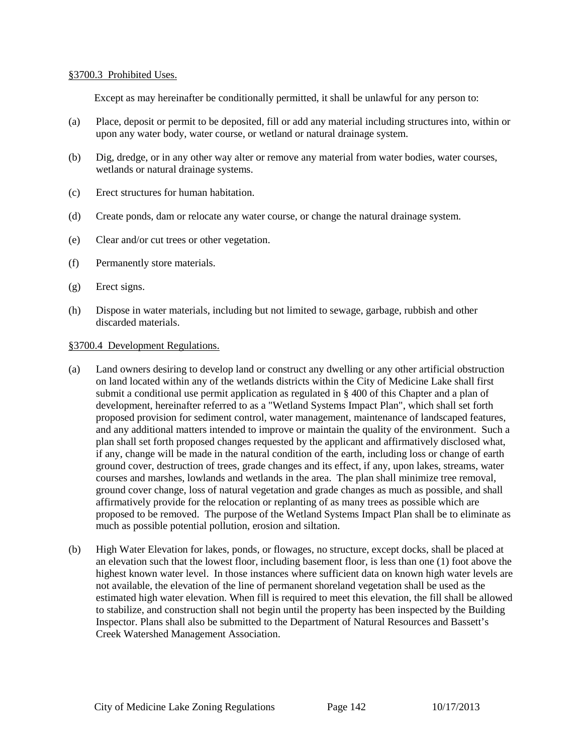### <span id="page-141-0"></span>§3700.3 Prohibited Uses.

Except as may hereinafter be conditionally permitted, it shall be unlawful for any person to:

- (a) Place, deposit or permit to be deposited, fill or add any material including structures into, within or upon any water body, water course, or wetland or natural drainage system.
- (b) Dig, dredge, or in any other way alter or remove any material from water bodies, water courses, wetlands or natural drainage systems.
- (c) Erect structures for human habitation.
- (d) Create ponds, dam or relocate any water course, or change the natural drainage system.
- (e) Clear and/or cut trees or other vegetation.
- (f) Permanently store materials.
- (g) Erect signs.
- (h) Dispose in water materials, including but not limited to sewage, garbage, rubbish and other discarded materials.

### <span id="page-141-1"></span>§3700.4 Development Regulations.

- (a) Land owners desiring to develop land or construct any dwelling or any other artificial obstruction on land located within any of the wetlands districts within the City of Medicine Lake shall first submit a conditional use permit application as regulated in § 400 of this Chapter and a plan of development, hereinafter referred to as a "Wetland Systems Impact Plan", which shall set forth proposed provision for sediment control, water management, maintenance of landscaped features, and any additional matters intended to improve or maintain the quality of the environment. Such a plan shall set forth proposed changes requested by the applicant and affirmatively disclosed what, if any, change will be made in the natural condition of the earth, including loss or change of earth ground cover, destruction of trees, grade changes and its effect, if any, upon lakes, streams, water courses and marshes, lowlands and wetlands in the area. The plan shall minimize tree removal, ground cover change, loss of natural vegetation and grade changes as much as possible, and shall affirmatively provide for the relocation or replanting of as many trees as possible which are proposed to be removed. The purpose of the Wetland Systems Impact Plan shall be to eliminate as much as possible potential pollution, erosion and siltation.
- (b) High Water Elevation for lakes, ponds, or flowages, no structure, except docks, shall be placed at an elevation such that the lowest floor, including basement floor, is less than one (1) foot above the highest known water level. In those instances where sufficient data on known high water levels are not available, the elevation of the line of permanent shoreland vegetation shall be used as the estimated high water elevation. When fill is required to meet this elevation, the fill shall be allowed to stabilize, and construction shall not begin until the property has been inspected by the Building Inspector. Plans shall also be submitted to the Department of Natural Resources and Bassett's Creek Watershed Management Association.